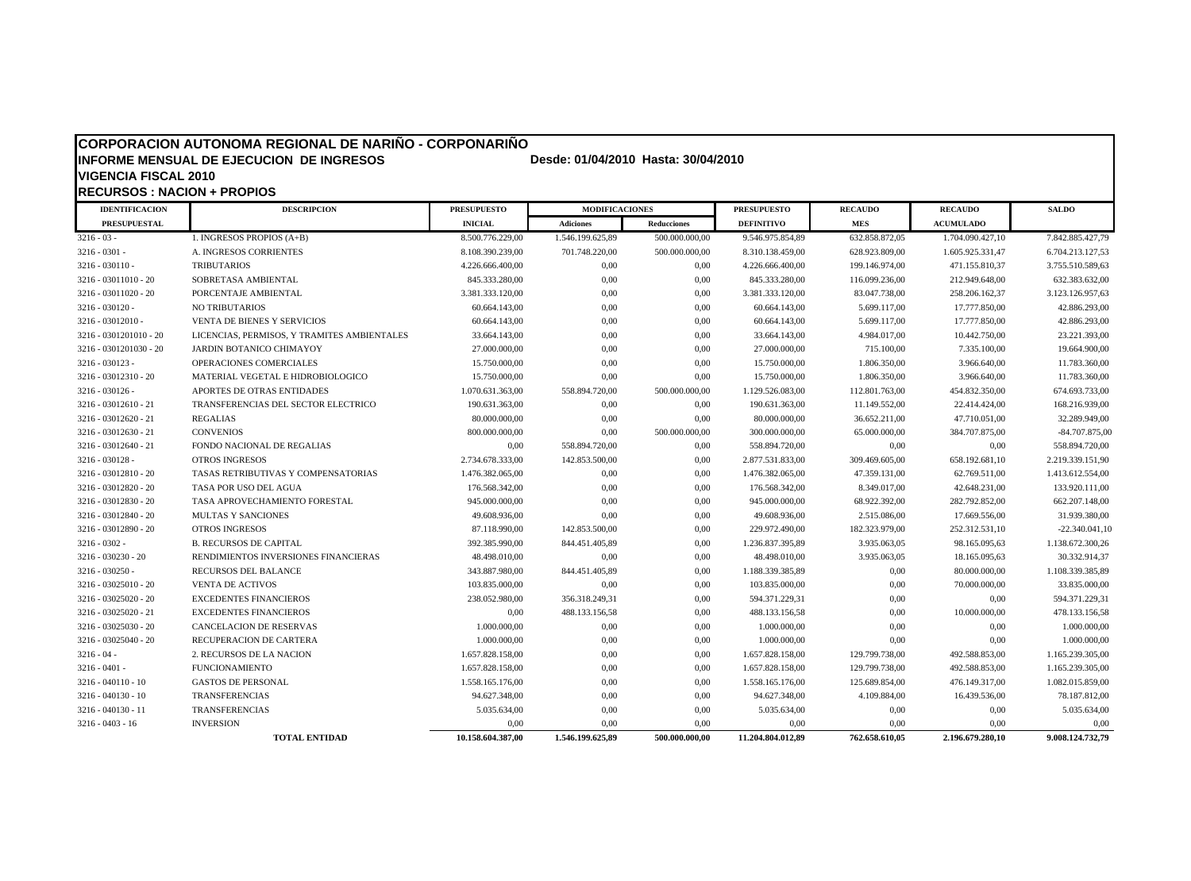### **CORPORACION AUTONOMA REGIONAL DE NARIÑO - CORPONARIÑO**

# **INFORME MENSUAL DE EJECUCION DE INGRESOS Desde: 01/04/2010 Hasta: 30/04/2010 VIGENCIA FISCAL 2010**

**RECURSOS : NACION + PROPIOS IDENTIFICACION DESCRIPCION PRESUPUESTO MODIFICACIONES PRESUPUESTO RECAUDO RECAUDO SALDO PRESUPUESTAL INICIAL Adiciones Reducciones DEFINITIVO MES ACUMULADO**  3216 - 03 - 1. INGRESOS PROPIOS (A+B) 8.500.776.229,00 1.546.199.625,89 500.000.000,00 9.546.975.854,89 632.858.872,05 1.704.090.427,10 7.842.885.427,79  $3216 - 0301 -$ <br>3.108.390.239,00 701.748.220,00 500.000.000,00 8.310.138.459,00 628.923.809,00 1.605.925.331,47 6.704.213.127,53  $3216$  - 030110 - TRIBUTARIOS 199.NRESERVIARIOS 4.226.666.400,00 0,00 0,00 4.226.666.400,00 0,00 4.226.666.400,00 0,00 471.155.810,37 3.755.510.589,63 3216 - 03011010 - 20 SOBRETASA AMBIENTAL 845.333.280,00 0,00 845.333.280,00 116.099.236,00 212.949.648,00 632.383.632,00 3216 - 03011020 - 20 PORCENTAJE AMBIENTAL 3.381.333.120,00 0,00 0,00 3.381.333.120,00 83.047.738,00 258.206.162,37 3.123.126.957,63 3216 - 030120 - NO TRIBUTARIOS 60.664.143,00 0,00 0,00 60.664.143,00 5.699.117,00 17.777.850,00 42.886.293,00 3216 - 03012010 - VENTA DE BIENES Y SERVICIOS 60.664.143,00 0,00 0,00 60.664.143,00 5.699.117,00 17.777.850,00 42.886.293,00 3216 - 0301201010 - 20 LICENCIAS, PERMISOS, Y TRAMITES AMBIENTALES 33.664.143,00 0,00 0,00 33.664.143,00 4.984.017,00 10.442.750,00 23.221.393,00 3216 - 0301201030 - 20 JARDIN BOTANICO CHIMAYOY 27.000.000,00 0,00 0,00 27.000.000,00 715.100,00 7.335.100,00 19.664.900,00  $3216 - 030123$  OPERACIONES COMERCIALES  $15.750.000,00$   $0,00$   $0,00$   $15.750.000,00$   $1.806.350,00$   $3.966.640,00$   $11.783.360,00$ 3216 - 03012310 - 20 MATERIAL VEGETAL E HIDROBIOLOGICO 15.750.000,00 0,00 0,00 15.750.000,00 1.806.350,00 3.966.640,00 11.783.360,00 3216 - 030126 - APORTES DE OTRAS ENTIDADES 1.070.631.363,00 558.894.720,00 500.000.000,00 1.129.526.083,00 112.801.763,00 454.832.350,00 674.693.733,00 3216 - 03012610 - 21 TRANSFERENCIAS DEL SECTOR ELECTRICO 190.631.363,00 0,00 0,00 190.631.363,00 11.149.552,00 22.414.424,00 168.216.939,00  $3216$  -  $03012620$  -  $21$  REGALIAS REGALIAS 80.000.000,00  $80.000.000,00$   $80.000.000,00$   $80.000.000,00$   $36.652.211,00$   $47.710.051,00$   $32.289.949,00$ 3216 - 03012630 - 21 CONVENIOS 800.000.000,00 0,00 500.000.000,00 300.000.000,00 65.000.000,00 384.707.875,00 -84.707.875,00 3216 - 03012640 - 21 FONDO NACIONAL DE REGALIAS 0,00 558.894.720,00 0,00 558.894.720,00 0,00 0,00 558.894.720,00 3216 - 030128 - OTROS INGRESOS 2.734.678.333,00 142.853.500,00 0,00 2.877.531.833,00 309.469.605,00 658.192.681,10 2.219.339.151,90 3216 - 03012810 - 20 TASAS RETRIBUTIVAS Y COMPENSATORIAS 1.476.382.065,00 0,00 0,00 1.476.382.065,00 47.359.131,00 62.769.511,00 1.413.612.554,00 3216 - 03012820 - 20 TASA POR USO DEL AGUA 176.568.342,00 0,00 0,00 176.568.342,00 8.349.017,00 42.648.231,00 133.920.111,00

| 3216 - 03012830 - 20 | TASA APROVECHAMIENTO FORESTAL        | 945.000.000.00   | 0.00           | 0.00 | 945.000.000.00   | 68.922.392,00  | 282.792.852,00 | 662.207.148,00   |
|----------------------|--------------------------------------|------------------|----------------|------|------------------|----------------|----------------|------------------|
| 3216 - 03012840 - 20 | <b>MULTAS Y SANCIONES</b>            | 49.608.936,00    | 0.00           | 0.00 | 49.608.936,00    | 2.515.086,00   | 17.669.556,00  | 31.939.380,00    |
| 3216 - 03012890 - 20 | OTROS INGRESOS                       | 87.118.990,00    | 142.853.500,00 | 0.00 | 229.972.490,00   | 182.323.979,00 | 252.312.531,10 | $-22.340.041,10$ |
| 3216 - 0302 -        | <b>B. RECURSOS DE CAPITAL</b>        | 392.385.990,00   | 844.451.405,89 | 0.00 | 1.236.837.395.89 | 3.935.063,05   | 98.165.095,63  | 1.138.672.300,26 |
| 3216 - 030230 - 20   | RENDIMIENTOS INVERSIONES FINANCIERAS | 48.498.010,00    | 0.00           | 0.00 | 48.498.010,00    | 3.935.063,05   | 18.165.095,63  | 30.332.914,37    |
| 3216 - 030250 -      | RECURSOS DEL BALANCE                 | 343.887.980,00   | 844.451.405,89 | 0.00 | 1.188.339.385,89 | 0,00           | 80.000.000,00  | 1.108.339.385,89 |
| 3216 - 03025010 - 20 | <b>VENTA DE ACTIVOS</b>              | 103.835.000,00   | 0.00           | 0.00 | 103.835.000,00   | 0,00           | 70.000.000,00  | 33.835.000,00    |
| 3216 - 03025020 - 20 | <b>EXCEDENTES FINANCIEROS</b>        | 238.052.980,00   | 356.318.249,31 | 0.00 | 594.371.229,31   | 0.00           | 0.00           | 594.371.229,31   |
| 3216 - 03025020 - 21 | <b>EXCEDENTES FINANCIEROS</b>        | 0.00             | 488.133.156,58 | 0.00 | 488.133.156.58   | 0.00           | 10.000.000.00  | 478.133.156,58   |
| 3216 - 03025030 - 20 | <b>CANCELACION DE RESERVAS</b>       | 1.000.000,00     | 0.00           | 0.00 | 1.000.000,00     | 0.00           | 0.00           | 1.000.000,00     |
| 3216 - 03025040 - 20 | RECUPERACION DE CARTERA              | 1.000.000,00     | 0,00           | 0.00 | 1.000.000,00     | 0.00           | 0.00           | 1.000.000,00     |
| 3216 - 04 -          | 2. RECURSOS DE LA NACION             | 1.657.828.158,00 | 0.00           | 0.00 | 1.657.828.158,00 | 129.799.738,00 | 492.588.853,00 | 1.165.239.305,00 |
| 3216 - 0401 -        | <b>FUNCIONAMIENTO</b>                | 1.657.828.158,00 | 0.00           | 0.00 | 1.657.828.158,00 | 129.799.738,00 | 492.588.853,00 | 1.165.239.305,00 |
| 3216 - 040110 - 10   | <b>GASTOS DE PERSONAL</b>            | 1.558.165.176,00 | 0.00           | 0.00 | 1.558.165.176,00 | 125.689.854,00 | 476.149.317,00 | 1.082.015.859,00 |
| 3216 - 040130 - 10   | <b>TRANSFERENCIAS</b>                | 94.627.348,00    | 0.00           | 0.00 | 94.627.348.00    | 4.109.884.00   | 16.439.536.00  | 78.187.812,00    |
| 3216 - 040130 - 11   | <b>TRANSFERENCIAS</b>                | 5.035.634,00     | 0.00           | 0.00 | 5.035.634,00     | 0.00           | 0.00           | 5.035.634,00     |
| 3216 - 0403 - 16     | <b>INVERSION</b>                     | 0.00             | 0.00           | 0,00 | 0.00             | 0.00           | 0,00           | 0.00             |

**TOTAL ENTIDAD 10.158.604.387,00 1.546.199.625,89 500.000.000,00 11.204.804.012,89 762.658.610,05 2.196.679.280,10 9.008.124.732,79**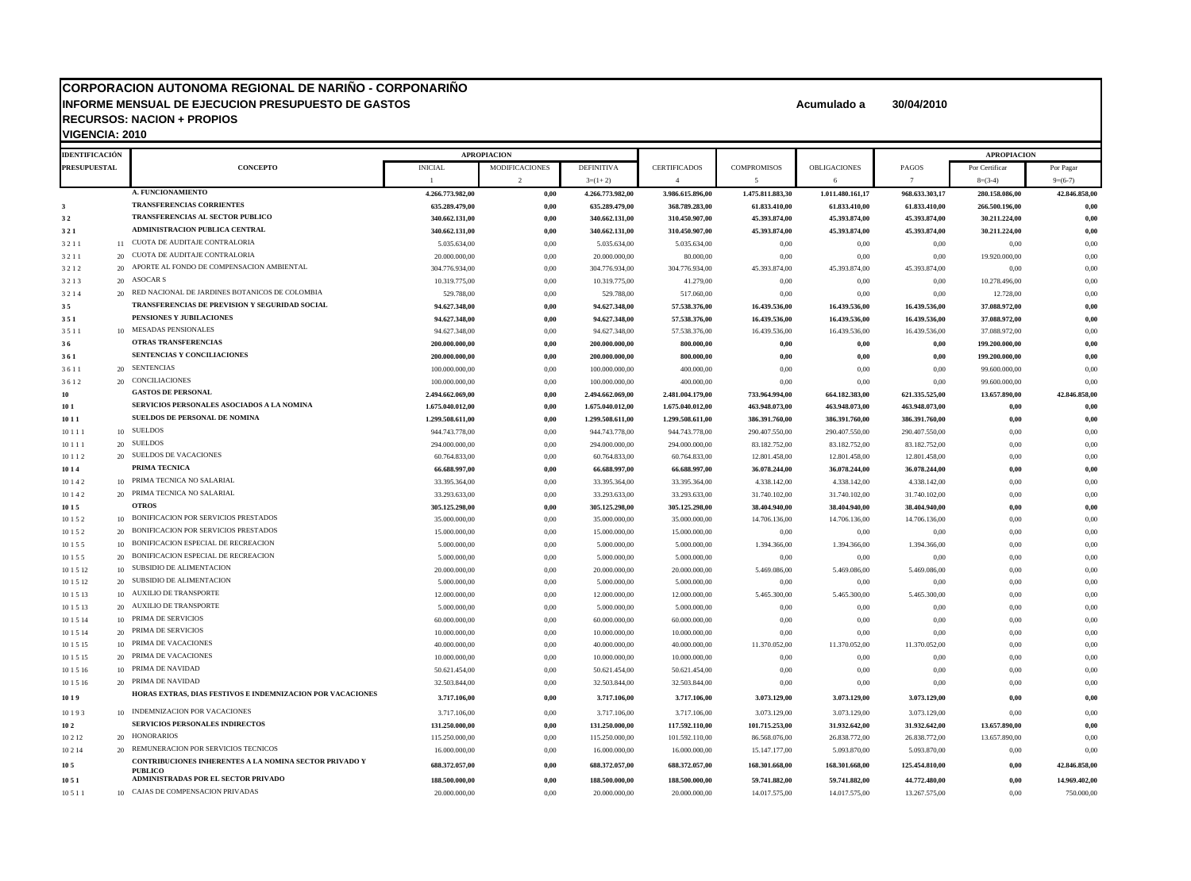#### **CORPORACION AUTONOMA REGIONAL DE NARIÑO - CORPONARIÑO INFORME MENSUAL DE EJECUCION PRESUPUESTO DE GASTOS Acumulado a 30/04/2010 RECURSOS: NACION + PROPIOS VIGENCIA: 2010**

**10 5 CONTRIBUCIONES INHERENTES A LA NOMINA SECTOR PRIVADO Y** 

**IDENTIFICACIÓN APROPIACION APROPIACION PRESUPUESTAL CONCEPTO** INICIAL MODIFICACIONES DEFINITIVA CERTIFICADOS COMPROMISOS OBLIGACIONES PAGOS Por Certificar Por Pagar 1 2 3=(1+2) 4 5 6 7 8=(3-4) 9=(6-7) **A. FUNCIONAMIENTO 4.266.773.982,00 0,00 4.266.773.982,00 3.986.615.896,00 1.475.811.883,30 1.011.480.161,17 968.633.303,17 280.158.086,00 42.846.858,00 3 TRANSFERENCIAS CORRIENTES 635.289.479,00 0,00 635.289.479,00 368.789.283,00 61.833.410,00 61.833.410,00 61.833.410,00 266.500.196,00 0,00 3 2 TRANSFERENCIAS AL SECTOR PUBLICO 340.662.131,00 0,00 340.662.131,00 310.450.907,00 45.393.874,00 45.393.874,00 45.393.874,00 30.211.224,00 0,00 3 2 1 ADMINISTRACION PUBLICA CENTRAL 340.662.131,00 0,00 340.662.131,00 310.450.907,00 45.393.874,00 45.393.874,00 45.393.874,00 30.211.224,00 0,00**  $3.211$  1 CUOTA DE AUDITAJE CONTRALORIA  $5.035.634.00$   $5.035.634.00$   $5.035.634.00$   $5.035.634.00$  0.00 0,00 0,00 0,00 0,00  $3.211$  20 CUOTA DE AUDITAJE CONTRALORIA  $20.000.000,00$   $20.000.000,00$   $20.000.000,00$   $80.000,00$   $80.000,00$   $0.00$   $0.00$   $0.00$   $0.00$   $0.00$   $19.920.000,00$   $0.00$  $304.776.934,00$   $304.776.934,00$   $304.776.934,00$   $304.776.934,00$   $304.776.934,00$   $45.393.874,00$   $45.393.874,00$   $45.393.874,00$   $45.393.874,00$   $45.393.874,00$   $45.393.874,00$   $45.393.874,00$   $45.393.874,00$   $45.393.$  $3\,2\,1\,3$   $20\quad$  ASOCAR S  $20\quad$   $319.775,00$   $41.279,00$   $41.279,00$   $41.279,00$   $0,00$   $0,00$   $0,00$   $0,00$   $0,00$   $0,00$   $0,00$   $0,00$   $0,00$   $0,00$   $0,00$   $0,00$   $0,00$   $0,00$   $0,00$   $0,00$   $0,00$   $0,00$   $0,00$   $0,$  $3\,2\,1\,4$  20 RED NACIONAL DE JARDINES BOTANICOS DE COLOMBIA  $529.788,00$   $529.788,00$   $529.788,00$   $517.060,00$   $0.00$   $0.00$   $0.00$   $0.00$   $0.00$   $12.728,00$   $0.00$ **3 5 TRANSFERENCIAS DE PREVISION Y SEGURIDAD SOCIAL 94.627.348,00 0,00 94.627.348,00 57.538.376,00 16.439.536,00 16.439.536,00 16.439.536,00 37.088.972,00 0,00 3 5 1 PENSIONES Y JUBILACIONES 94.627.348,00 0,00 94.627.348,00 57.538.376,00 16.439.536,00 16.439.536,00 16.439.536,00 37.088.972,00 0,00**  $3.5 \pm 11$  10 MESADAS PENSIONALES to the set to the set of the set of the set of the set of the set of the set of the set of the set of the set of the set of the set of the set of the set of the set of the set of the set o **3 6 OTRAS TRANSFERENCIAS 200.000.000,00 0,00 200.000.000,00 800.000,00 0,00 0,00 0,00 199.200.000,00 0,00 3 6 1 SENTENCIAS Y CONCILIACIONES 200.000.000,00 0,00 200.000.000,00 800.000,00 0,00 0,00 0,00 199.200.000,00 0,00** 3 6 1 1 20 SENTENCIAS 100.000.000,00 0,00 100.000.000,00 400.000,00 0,00 0,00 0,00 99.600.000,00 0,00  $3\,6\,1\,2$  20  $\,$  CONCILIACIONES  $3\,6\,1\,2$   $3\,0\,0$   $100.000.000,00$   $400.000,00$   $400.000,00$   $0.00$   $0.00$   $0.00$   $0.00$   $0.00$   $0.00$   $0.00$   $0.00$   $0.00$   $0.00$   $0.00$   $0.00$   $0.00$   $0.00$   $0.00$   $0.00$   $0.00$  **10 GASTOS DE PERSONAL 2.494.662.069,00 0,00 2.494.662.069,00 2.481.004.179,00 733.964.994,00 664.182.383,00 621.335.525,00 13.657.890,00 42.846.858,00 10 1 SERVICIOS PERSONALES ASOCIADOS A LA NOMINA 1.675.040.012,00 0,00 1.675.040.012,00 1.675.040.012,00 463.948.073,00 463.948.073,00 463.948.073,00 0,00 0,00 10 1 1 SUELDOS DE PERSONAL DE NOMINA 1.299.508.611,00 0,00 1.299.508.611,00 1.299.508.611,00 386.391.760,00 386.391.760,00 386.391.760,00 0,00 0,00**  $10111$  10  $10\,$   $10110$   $10100000$   $944.743.778,00$   $944.743.778,00$   $944.743.778,00$   $944.743.778,00$   $290.407.550,00$   $290.407.550,00$   $290.407.550,00$   $290.407.550,00$   $0,00$   $0,00$  $10~1~1~$  20 SUELDOS  $294.000~000,00$   $294.000.000,00$   $294.000.000,00$   $294.000.000,00$   $83.182.752,00$   $83.182.752,00$   $83.182.752,00$   $83.182.752,00$   $0,00$  $10~1~1~2$  20 SUELDOS DE VACACIONES  $60.764.833,00$   $60.764.833,00$   $60.764.833,00$   $60.764.833,00$   $60.764.833,00$   $12.801.458,00$   $12.801.458,00$   $12.801.458,00$   $12.801.458,00$   $12.801.458,00$   $12.801.458,00$ **10 1 4 PRIMA TECNICA 66.688.997,00 0,00 66.688.997,00 66.688.997,00 36.078.244,00 36.078.244,00 36.078.244,00 0,00 0,00**  $10~1~4~2$   $10~1~\text{PRIMA}\,$  TECNICA NO SALARIAL  $33.395.364,00$   $33.395.364,00$   $33.395.364,00$   $33.395.364,00$   $4.338.142,00$   $4.338.142,00$   $4.338.142,00$   $4.338.142,00$   $4.338.142,00$   $4.338.142,00$  $10~1~4~2$  20 PRIMA TECNICA NO SALARIAL  $33.293.633,00$   $33.293.633,00$   $33.293.633,00$   $31.740.102,00$   $31.740.102,00$   $31.740.102,00$   $31.740.102,00$   $31.740.102,00$   $31.740.102,00$ **10 1 5 OTROS 305.125.298,00 0,00 305.125.298,00 305.125.298,00 38.404.940,00 38.404.940,00 38.404.940,00 0,00 0,00** 10 10 15 2 10 BONIFICACION POR SERVICIOS PRESTADOS 35.000.000,000 35.000,000,000 35.000,000,000 35.000,000,000 35.000,000,000 14.706.136,00 14.706.136,00 14.706.136,00 14.706.136,00 14.706.136,00 14.706.136,00 14.706.136,0  $10152$  20 BONIFICACION POR SERVICIOS PRESTADOS  $15.000,000,00$   $15.000,000,00$   $15.000,000,00$   $15.000,000,00$   $0.00$  0,00  $0.00$  0,00 0,00 10 1 5 5 10 BONIFICACION ESPECIAL DE RECREACION 5.000.000,00 0,00 5.000.000,00 5.000.000,00 1.394.366,00 1.394.366,00 1.394.366,00 0,00 0,00 10 1 5 5 20 BONIFICACION ESPECIAL DE RECREACION 5.000.000,00 0,00 5.000.000,00 5.000.000,00 0,00 0,00 0,00 0,00 0,00  $101512$   $10$  SUBSIDIO DE ALIMENTACION  $20.00000000$   $20.00000000$   $20.00000000$   $20.00000000$   $20.00000000$   $5.469.086,00$   $5.469.086,00$   $5.469.086,00$   $5.469.086,00$   $0,00$   $0,00$  $101512$  20 SUBSIDIO DE ALIMENTACION  $5.00000000$   $5.000000000$   $5.000000000$   $5.000000000$   $0.00$  0,00 0,00 0,00 0,00  $101\,5\,13$  10  $\,$   $10\,$   $12.000\,000$ ,  $12.000.000,00$   $12.000.000,00$   $12.000.000,00$   $12.000.000,00$   $5.465.300,00$   $5.465.300,00$   $5.465.300,00$   $0.00$   $0.00$ 10 1 5 13 20 AUXILIO DE TRANSPORTE 5.000.000,00 0,00 5.000.000,00 5.000.000,00 0,00 0,00 0,00 0,00 0,00  $101514$   $10$   $\text{PRIMA DE SERVICIOS}$   $0.000000000$   $0.00000000$   $0.000000000$   $0.000000000$   $0.000000000$   $0.00000000$   $0.00000000$   $0.00000000$   $0.000000000$   $0.000000000$   $0.000000000$   $0.000000000$   $0.000000000$   $0.000000000$   $10.000.000,000$   $0.0000,000$   $0.0000,000$   $10.000.000,000$   $10.000.000,000$   $0.0000,000$   $0.0000,000$   $0.0000,000$   $0.0000,000$   $0.0000,000$   $0.0000,000,000$   $0.0000,000,000$   $0.0000,000,000$   $0.0000,000,000$   $0.0000,000$  $101515$  10 PRIMA DE VACACIONES  $40.000000000$   $40.000000000$   $40.000000000$   $40.000000000$   $40.000000000$   $11.370.052,00$   $11.370.052,00$   $11.370.052,00$   $0.00$  0,00  $10.000.000,000$   $10.000.000,000$   $10.000.000,000$   $10.000.000,000$   $10.000.000,000$   $0.00$  0,00 0,00 0,00 0,00 0,00  $101516$  10 PRIMA DE NAVIDAD 6,00  $101516$  50.621.454,00  $101516$  50.621.454,00  $0.00$  0,00 0,00 0,00 0,00 0,00 0,00  $10~1~5~16$  20 PRIMA DE NAVIDAD 32.503.844,00  $32.503.844,00$   $32.503.844,00$   $32.503.844,00$   $32.503.844,00$   $32.503.844,00$   $32.503.844,00$   $32.503.844,00$   $32.503.844,00$   $32.503.844,00$   $32.503.844,00$   $32.503.844,00$ **10 1 9 HORAS EXTRAS, DIAS FESTIVOS E INDEMNIZACION POR VACACIONES 3.717.106,00 0,00 3.717.106,00 3.717.106,00 3.073.129,00 3.073.129,00 3.073.129,00 0,00 0,00** 10 19 3 10 INDEMNIZACION POR VACACIONES 2.717.106,00 3.717.106,00 3.717.106,00 3.717.106,00 3.073.129,00 3.073.129,00 3.073.129,00 3.073.129,00 0,00

**10 2 SERVICIOS PERSONALES INDIRECTOS 131.250.000,00 0,00 131.250.000,00 117.592.110,00 101.715.253,00 31.932.642,00 31.932.642,00 13.657.890,00 0,00** 10 2 12 20 HONORARIOS 115.250.000,00 0,00 115.250.000,00 101.592.110,00 86.568.076,00 26.838.772,00 26.838.772,00 13.657.890,00 0,00  $10214$  20 REMUNERACION POR SERVICIOS TECNICOS  $16000000000$   $160000000000$   $16000000000$   $16000000000$   $15.147.177.00$   $5.093.870.00$   $5.093.870.00$   $0.00$ 

**10 5 1 ADMINISTRADAS POR EL SECTOR PRIVADO 188.500.000,00 0,00 188.500.000,00 188.500.000,00 59.741.882,00 59.741.882,00 44.772.480,00 0,00 14.969.402,00**  $10.511$  10 CAJAS DE COMPENSACION PRIVADAS  $20.000.000,00$   $20.000.000,00$   $20.000.000,00$   $20.000.000,00$   $14.017.575,00$   $14.017.575,00$   $13.267.575,00$   $0.00$   $750.000,00$ 

**PUBLICO 688.372.057,00 0,00 688.372.057,00 688.372.057,00 168.301.668,00 168.301.668,00 125.454.810,00 0,00 42.846.858,00**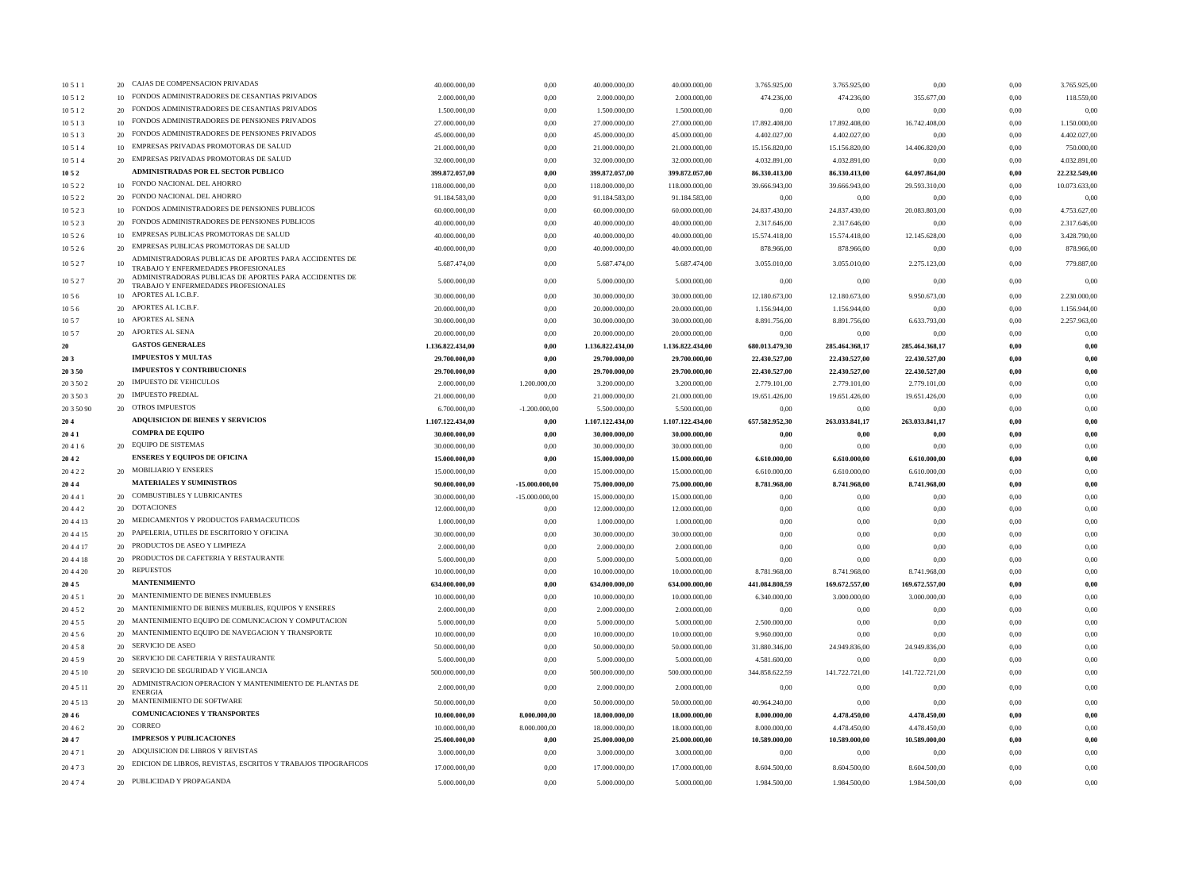| 10511      | 20 | CAJAS DE COMPENSACION PRIVADAS                                                                 | 40.000.000,00    | 0,00             | 40.000.000,00    | 40.000.000.00    | 3.765.925,00   | 3.765.925,00   | 0,00           | 0,00     | 3.765.925,00  |
|------------|----|------------------------------------------------------------------------------------------------|------------------|------------------|------------------|------------------|----------------|----------------|----------------|----------|---------------|
| 10 5 1 2   |    | 10 FONDOS ADMINISTRADORES DE CESANTIAS PRIVADOS                                                | 2.000.000,00     | 0.00             | 2.000.000,00     | 2.000.000,00     | 474.236,00     | 474.236,00     | 355.677,00     | 0,00     | 118.559,00    |
| 10 5 1 2   |    | 20 FONDOS ADMINISTRADORES DE CESANTIAS PRIVADOS                                                | 1.500.000,00     | 0,00             | 1.500.000,00     | 1.500.000,00     | 0,00           | 0,00           | 0,00           | 0,00     | 0,00          |
| 10 5 1 3   |    | 10 FONDOS ADMINISTRADORES DE PENSIONES PRIVADOS                                                | 27.000.000,00    | 0,00             | 27.000.000,00    | 27.000.000,00    | 17.892.408,00  | 17.892.408,00  | 16.742.408,00  | 0,00     | 1.150.000,00  |
| 10 5 1 3   |    | 20 FONDOS ADMINISTRADORES DE PENSIONES PRIVADOS                                                | 45.000.000,00    | 0,00             | 45.000.000,00    | 45.000.000,00    | 4.402.027,00   | 4.402.027,00   | 0,00           | 0,00     | 4.402.027,00  |
| 10514      | 10 | EMPRESAS PRIVADAS PROMOTORAS DE SALUD                                                          | 21.000.000,00    | 0,00             | 21.000.000,00    | 21.000.000,00    | 15.156.820,00  | 15.156.820,00  | 14.406.820,00  | 0,00     | 750.000,00    |
| 10 5 1 4   | 20 | EMPRESAS PRIVADAS PROMOTORAS DE SALUD                                                          | 32.000.000,00    | 0,00             | 32.000.000,00    | 32.000.000,00    | 4.032.891,00   | 4.032.891,00   | 0,00           | 0,00     | 4.032.891,00  |
| 10 5 2     |    | <b>ADMINISTRADAS POR EL SECTOR PUBLICO</b>                                                     | 399.872.057,00   | 0,00             | 399.872.057,00   | 399.872.057,00   | 86.330.413,00  | 86.330.413,00  | 64.097.864,00  | $0,\!00$ | 22.232.549,00 |
| 10522      |    | 10 FONDO NACIONAL DEL AHORRO                                                                   | 118.000.000,00   | 0,00             | 118.000.000,00   | 118.000.000,00   | 39.666.943,00  | 39.666.943,00  | 29.593.310,00  | 0,00     | 10.073.633,00 |
| 10522      |    | 20 FONDO NACIONAL DEL AHORRO                                                                   | 91.184.583,00    | 0,00             | 91.184.583,00    | 91.184.583,00    | 0,00           | 0,00           | 0,00           | 0,00     | 0,00          |
|            |    | 10 FONDOS ADMINISTRADORES DE PENSIONES PUBLICOS                                                | 60.000.000.00    |                  |                  |                  |                |                | 20.083.803,00  |          |               |
| 10523      |    | 20 FONDOS ADMINISTRADORES DE PENSIONES PUBLICOS                                                |                  | 0,00             | 60.000.000,00    | 60.000.000,00    | 24.837.430,00  | 24.837.430,00  |                | 0,00     | 4.753.627,00  |
| 10523      |    | 10 EMPRESAS PUBLICAS PROMOTORAS DE SALUD                                                       | 40.000.000,00    | 0,00             | 40.000.000,00    | 40.000.000,00    | 2.317.646,00   | 2.317.646,00   | 0,00           | 0,00     | 2.317.646,00  |
| 10526      |    |                                                                                                | 40.000.000,00    | 0,00             | 40.000.000,00    | 40.000.000,00    | 15.574.418,00  | 15.574.418,00  | 12.145.628,00  | 0,00     | 3.428.790,00  |
| 10526      |    | 20 EMPRESAS PUBLICAS PROMOTORAS DE SALUD                                                       | 40.000.000,00    | 0,00             | 40.000.000,00    | 40.000.000,00    | 878.966,00     | 878.966,00     | 0,00           | 0,00     | 878.966,00    |
| 10527      |    | ADMINISTRADORAS PUBLICAS DE APORTES PARA ACCIDENTES DE<br>TRABAJO Y ENFERMEDADES PROFESIONALES | 5.687.474,00     | 0,00             | 5.687.474,00     | 5.687.474,00     | 3.055.010,00   | 3.055.010,00   | 2.275.123,00   | 0,00     | 779.887,00    |
| 10527      | 20 | ADMINISTRADORAS PUBLICAS DE APORTES PARA ACCIDENTES DE                                         | 5.000.000,00     | 0,00             | 5.000.000,00     | 5.000.000,00     | 0,00           | 0,00           | 0,00           | 0,00     | 0,00          |
|            |    | TRABAJO Y ENFERMEDADES PROFESIONALES                                                           |                  |                  |                  |                  |                |                |                |          |               |
| 10 5 6     |    | 10 APORTES AL I.C.B.F.                                                                         | 30.000.000,00    | 0,00             | 30.000.000,00    | 30.000.000,00    | 12.180.673,00  | 12.180.673,00  | 9.950.673,00   | 0,00     | 2.230.000,00  |
| 1056       |    | 20 APORTES AL I.C.B.F.                                                                         | 20.000.000,00    | 0,00             | 20.000.000,00    | 20.000.000,00    | 1.156.944,00   | 1.156.944,00   | 0,00           | 0,00     | 1.156.944,00  |
| 10 5 7     |    | 10 APORTES AL SENA                                                                             | 30.000.000,00    | 0,00             | 30.000.000,00    | 30.000.000,00    | 8.891.756,00   | 8.891.756,00   | 6.633.793,00   | 0,00     | 2.257.963,00  |
| 10 5 7     |    | 20 APORTES AL SENA                                                                             | 20.000.000,00    | 0,00             | 20.000.000,00    | 20.000.000,00    | 0,00           | 0,00           | 0,00           | 0,00     | 0,00          |
| 20         |    | <b>GASTOS GENERALES</b>                                                                        | 1.136.822.434,00 | 0,00             | 1.136.822.434,00 | 1.136.822.434,00 | 680.013.479,30 | 285.464.368,17 | 285.464.368,17 | $0,\!00$ | 0,00          |
| 20 3       |    | <b>IMPUESTOS Y MULTAS</b>                                                                      | 29.700.000,00    | 0,00             | 29.700.000,00    | 29.700.000,00    | 22,430,527,00  | 22.430.527,00  | 22.430.527,00  | 0,00     | 0,00          |
| 20 3 50    |    | <b>IMPUESTOS Y CONTRIBUCIONES</b>                                                              | 29.700.000.00    | 0,00             | 29.700.000,00    | 29.700.000,00    | 22.430.527,00  | 22.430.527,00  | 22.430.527,00  | 0,00     | 0,00          |
| 20 3 50 2  |    | 20 IMPUESTO DE VEHICULOS                                                                       | 2.000.000,00     | 1.200.000,00     | 3.200.000,00     | 3.200.000,00     | 2.779.101,00   | 2.779.101,00   | 2.779.101,00   | 0,00     | 0,00          |
| 20 3 50 3  |    | 20 IMPUESTO PREDIAL                                                                            | 21.000.000,00    | 0,00             | 21.000.000,00    | 21.000.000,00    | 19.651.426,00  | 19.651.426,00  | 19.651.426,00  | 0,00     | 0,00          |
| 20 3 50 90 |    | 20 OTROS IMPUESTOS                                                                             | 6.700.000,00     | $-1.200.000,00$  | 5.500.000,00     | 5.500.000,00     | 0,00           | 0,00           | 0,00           | 0,00     | 0,00          |
| 204        |    | <b>ADQUISICION DE BIENES Y SERVICIOS</b>                                                       | 1.107.122.434,00 | $0,\!00$         | 1.107.122.434,00 | 1.107.122.434,00 | 657.582.952,30 | 263.033.841,17 | 263.033.841,17 | $0,\!00$ | 0,00          |
| 2041       |    | <b>COMPRA DE EQUIPO</b>                                                                        | 30.000.000,00    | $0,\!00$         | 30.000.000,00    | 30.000.000,00    | $0,\!00$       | $0,\!00$       | $0,\!00$       | $0,\!00$ | 0,00          |
| 20416      |    | 20 EQUIPO DE SISTEMAS                                                                          | 30.000.000,00    | 0,00             | 30.000.000,00    | 30.000.000,00    | 0,00           | 0,00           | 0,00           | 0,00     | 0,00          |
| 2042       |    | <b>ENSERES Y EQUIPOS DE OFICINA</b>                                                            | 15.000.000,00    | 0,00             | 15.000.000,00    | 15.000.000,00    | 6.610.000,00   | 6.610.000,00   | 6.610.000,00   | 0,00     | 0,00          |
|            |    | 20 MOBILIARIO Y ENSERES                                                                        |                  |                  |                  |                  |                |                |                |          |               |
| 20422      |    | <b>MATERIALES Y SUMINISTROS</b>                                                                | 15.000.000,00    | 0,00             | 15.000.000,00    | 15.000.000,00    | 6.610.000,00   | 6.610.000,00   | 6.610.000,00   | 0,00     | 0,00          |
| 2044       |    | 20 COMBUSTIBLES Y LUBRICANTES                                                                  | 90.000.000,00    | $-15.000.000,00$ | 75.000.000,00    | 75.000.000,00    | 8.781.968,00   | 8.741.968,00   | 8.741.968,00   | 0,00     | 0,00          |
| 20441      |    |                                                                                                | 30.000.000,00    | $-15.000.000,00$ | 15.000.000,00    | 15.000.000,00    | 0,00           | 0,00           | 0,00           | 0,00     | 0,00          |
| 20442      |    | 20 DOTACIONES                                                                                  | 12.000.000,00    | 0,00             | 12.000.000,00    | 12.000.000,00    | 0,00           | 0,00           | 0,00           | 0,00     | 0,00          |
| 204413     |    | 20 MEDICAMENTOS Y PRODUCTOS FARMACEUTICOS                                                      | 1.000.000,00     | 0,00             | 1.000.000,00     | 1.000.000,00     | 0,00           | 0,00           | 0,00           | 0,00     | 0,00          |
| 204415     |    | 20 PAPELERIA, UTILES DE ESCRITORIO Y OFICINA                                                   | 30.000.000,00    | 0,00             | 30.000.000,00    | 30.000.000,00    | 0,00           | 0,00           | 0,00           | 0,00     | 0,00          |
| 204417     | 20 | PRODUCTOS DE ASEO Y LIMPIEZA                                                                   | 2.000.000,00     | 0,00             | 2.000.000,00     | 2.000.000,00     | 0,00           | 0,00           | 0,00           | 0,00     | 0,00          |
| 204418     |    | 20 PRODUCTOS DE CAFETERIA Y RESTAURANTE                                                        | 5.000.000,00     | 0,00             | 5.000.000,00     | 5.000.000,00     | 0,00           | 0,00           | 0,00           | 0,00     | 0,00          |
| 20 4 4 20  |    | 20 REPUESTOS                                                                                   | 10.000.000.00    | 0.00             | 10.000.000,00    | 10.000.000.00    | 8.781.968,00   | 8.741.968,00   | 8.741.968,00   | 0,00     | 0,00          |
| 2045       |    | <b>MANTENIMIENTO</b>                                                                           | 634.000.000,00   | 0,00             | 634.000.000,00   | 634.000.000.00   | 441.084.808,59 | 169.672.557,00 | 169.672.557,00 | 0,00     | 0,00          |
| 20451      |    | 20 MANTENIMIENTO DE BIENES INMUEBLES                                                           | 10.000.000,00    | 0,00             | 10.000.000,00    | 10.000.000,00    | 6.340.000,00   | 3.000.000,00   | 3.000.000,00   | 0,00     | 0,00          |
| 20452      |    | 20 MANTENIMIENTO DE BIENES MUEBLES, EQUIPOS Y ENSERES                                          | 2.000.000,00     | 0,00             | 2.000.000,00     | 2.000.000,00     | 0,00           | 0,00           | 0,00           | 0,00     | 0,00          |
| 20455      |    | 20 MANTENIMIENTO EQUIPO DE COMUNICACION Y COMPUTACION                                          | 5.000.000,00     | 0,00             | 5.000.000,00     | 5.000.000,00     | 2.500.000,00   | 0,00           | 0,00           | 0,00     | 0,00          |
| 20456      |    | 20 MANTENIMIENTO EQUIPO DE NAVEGACION Y TRANSPORTE                                             | 10.000.000,00    | 0,00             | 10.000.000,00    | 10.000.000,00    | 9.960.000,00   | 0,00           | 0,00           | 0,00     | 0,00          |
| 20458      |    | 20 SERVICIO DE ASEO                                                                            | 50.000.000,00    | 0,00             | 50.000.000,00    | 50.000.000,00    | 31.880.346,00  | 24.949.836,00  | 24.949.836,00  | 0,00     | 0,00          |
| 20459      |    | 20 SERVICIO DE CAFETERIA Y RESTAURANTE                                                         | 5.000.000,00     | 0,00             | 5.000.000,00     | 5.000.000,00     | 4.581.600,00   | 0,00           | 0,00           | 0,00     | 0,00          |
| 20 4 5 10  |    | 20 SERVICIO DE SEGURIDAD Y VIGILANCIA                                                          | 500.000.000,00   | 0,00             | 500.000.000,00   | 500.000.000,00   | 344.858.622,59 | 141.722.721,00 | 141.722.721,00 | 0,00     | 0,00          |
|            |    | ADMINISTRACION OPERACION Y MANTENIMIENTO DE PLANTAS DE                                         |                  |                  |                  |                  |                |                |                |          |               |
| 20 4 5 11  | 20 | <b>ENERGIA</b>                                                                                 | 2.000.000,00     | 0,00             | 2.000.000,00     | 2.000.000,00     | 0,00           | 0,00           | 0,00           | 0,00     | 0,00          |
| 20 4 5 13  |    | 20 MANTENIMIENTO DE SOFTWARE                                                                   | 50.000.000,00    | 0,00             | 50.000.000,00    | 50.000.000,00    | 40.964.240,00  | 0,00           | 0,00           | 0,00     | 0,00          |
| 2046       |    | <b>COMUNICACIONES Y TRANSPORTES</b>                                                            | 10.000.000,00    | 8.000.000,00     | 18.000.000,00    | 18.000.000,00    | 8.000.000,00   | 4.478.450,00   | 4.478.450,00   | $0,\!00$ | 0,00          |
| 20462      |    | 20 CORREO                                                                                      | 10.000.000,00    | 8.000.000,00     | 18.000.000,00    | 18.000.000,00    | 8.000.000,00   | 4.478.450,00   | 4.478.450,00   | 0,00     | 0,00          |
| 2047       |    | <b>IMPRESOS Y PUBLICACIONES</b>                                                                | 25.000.000,00    | $0,\!00$         | 25.000.000,00    | 25.000.000,00    | 10.589.000,00  | 10.589.000,00  | 10.589.000,00  | $0,\!00$ | 0,00          |
| 20471      |    | 20 ADQUISICION DE LIBROS Y REVISTAS                                                            | 3.000.000,00     | 0,00             | 3.000.000,00     | 3.000.000,00     | 0,00           | 0,00           | 0,00           | 0,00     | 0,00          |
| 20473      | 20 | EDICION DE LIBROS, REVISTAS, ESCRITOS Y TRABAJOS TIPOGRAFICOS                                  | 17.000.000,00    | 0,00             | 17.000.000,00    | 17.000.000,00    | 8.604.500,00   | 8.604.500,00   | 8.604.500,00   | 0,00     | 0,00          |
|            |    |                                                                                                |                  |                  |                  |                  |                |                |                |          |               |
| 20474      |    | 20 PUBLICIDAD Y PROPAGANDA                                                                     | 5.000.000,00     | 0,00             | 5.000.000,00     | 5.000.000,00     | 1.984.500,00   | 1.984.500,00   | 1.984.500,00   | 0,00     | 0,00          |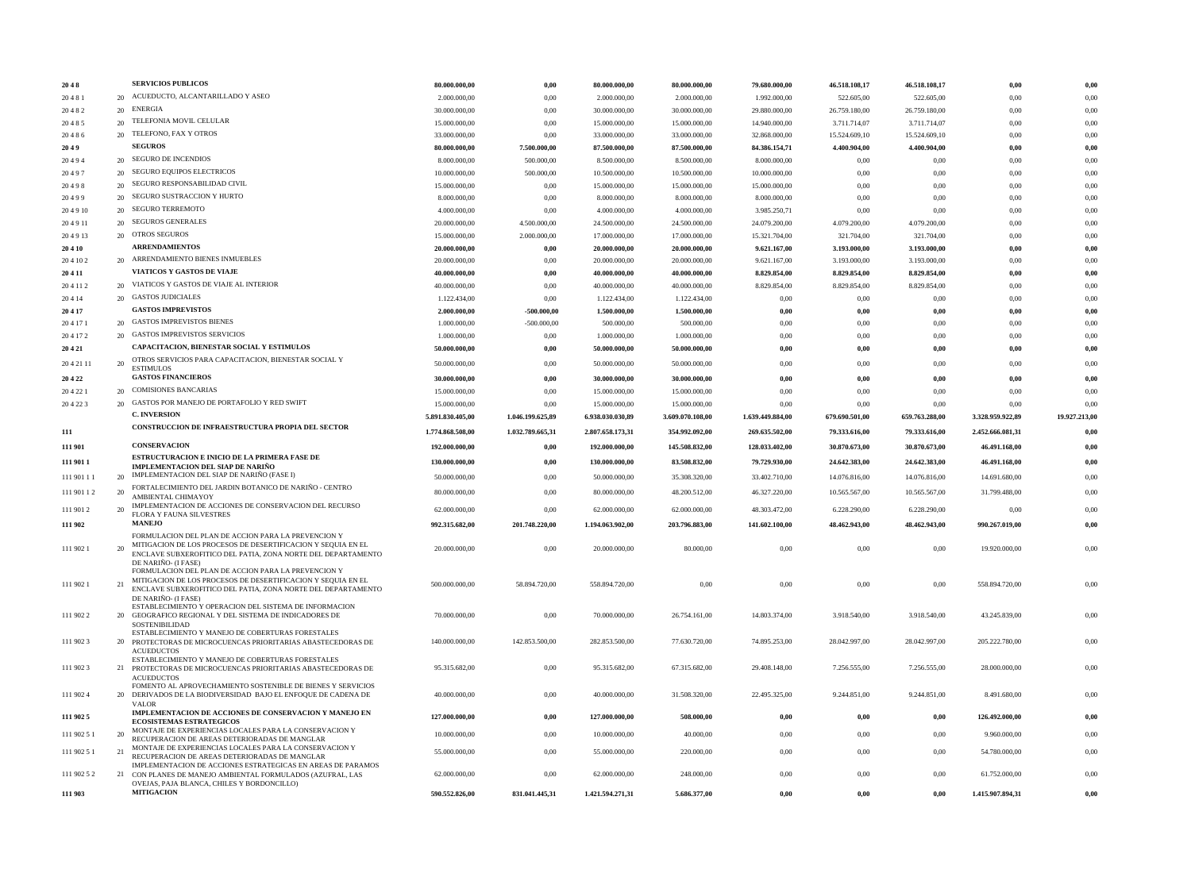| 2048         |    | <b>SERVICIOS PUBLICOS</b>                                                                                                                                                                                  | 80.000.000.00    | 0,00             | 80.000.000,00    | 80.000.000,00    | 79.680.000,00    | 46.518.108,17  | 46.518.108,17  | 0,00             | 0,00          |
|--------------|----|------------------------------------------------------------------------------------------------------------------------------------------------------------------------------------------------------------|------------------|------------------|------------------|------------------|------------------|----------------|----------------|------------------|---------------|
| 20481        |    | 20 ACUEDUCTO, ALCANTARILLADO Y ASEO                                                                                                                                                                        | 2.000.000,00     | 0,00             | 2.000.000.00     | 2.000.000,00     | 1.992.000,00     | 522.605,00     | 522.605,00     | 0,00             | 0,00          |
| 20482        |    | 20 ENERGIA                                                                                                                                                                                                 | 30.000.000,00    | 0,00             | 30.000.000,00    | 30.000.000,00    | 29.880.000,00    | 26.759.180,00  | 26.759.180,00  | 0,00             | 0,00          |
| 20485        |    | 20 TELEFONIA MOVIL CELULAR                                                                                                                                                                                 | 15.000.000,00    | 0,00             | 15.000.000,00    | 15.000.000,00    | 14.940.000,00    | 3.711.714,07   | 3.711.714,07   | 0,00             | 0,00          |
| 20486        |    | 20 TELEFONO, FAX Y OTROS                                                                                                                                                                                   | 33.000.000,00    | 0,00             | 33.000.000,00    | 33.000.000,00    | 32.868.000,00    | 15.524.609,10  | 15.524.609,10  | 0,00             | 0,00          |
| 2049         |    | <b>SEGUROS</b>                                                                                                                                                                                             | 80.000.000,00    | 7.500.000,00     | 87.500.000,00    | 87.500.000,00    | 84.386.154,71    | 4.400.904,00   | 4.400.904,00   | 0,00             | 0,00          |
| 20494        |    | 20 SEGURO DE INCENDIOS                                                                                                                                                                                     | 8.000.000,00     | 500.000,00       | 8.500.000,00     | 8.500.000,00     | 8.000.000,00     | 0,00           | 0,00           | 0,00             | 0,00          |
| 20497        |    | 20 SEGURO EQUIPOS ELECTRICOS                                                                                                                                                                               | 10.000.000,00    | 500.000,00       | 10.500.000,00    | 10.500.000,00    | 10.000.000,00    | 0,00           | 0,00           | 0,00             | 0,00          |
| 20498        |    | 20 SEGURO RESPONSABILIDAD CIVIL                                                                                                                                                                            | 15.000.000,00    | 0,00             | 15.000.000,00    | 15.000.000,00    | 15.000.000,00    | 0,00           | 0,00           | 0,00             | 0,00          |
| 20499        |    | 20 SEGURO SUSTRACCION Y HURTO                                                                                                                                                                              | 8.000.000,00     | 0,00             | 8.000.000.00     | 8.000.000,00     | 8.000.000,00     | 0,00           | 0,00           | 0,00             | 0,00          |
| 204910       |    | 20 SEGURO TERREMOTO                                                                                                                                                                                        | 4.000.000,00     | 0,00             | 4.000.000,00     | 4.000.000,00     | 3.985.250,71     | 0,00           | 0,00           | 0,00             | 0,00          |
| 204911       |    | 20 SEGUROS GENERALES                                                                                                                                                                                       | 20.000.000,00    | 4.500.000,00     | 24.500.000,00    | 24.500.000,00    | 24.079.200,00    | 4.079.200,00   | 4.079.200,00   | 0,00             | 0,00          |
| 204913       |    | 20 OTROS SEGUROS                                                                                                                                                                                           | 15.000.000,00    | 2.000.000,00     | 17.000.000.00    | 17.000.000,00    | 15.321.704,00    | 321.704,00     | 321.704,00     | 0,00             | 0,00          |
| <b>20410</b> |    | <b>ARRENDAMIENTOS</b>                                                                                                                                                                                      | 20.000.000,00    | 0,00             | 20.000.000,00    | 20.000.000,00    | 9.621.167,00     | 3.193.000,00   | 3.193.000,00   | 0,00             | 0,00          |
| 20 4 10 2    |    | 20 ARRENDAMIENTO BIENES INMUEBLES                                                                                                                                                                          | 20.000.000,00    | 0,00             | 20.000.000,00    | 20.000.000,00    | 9.621.167,00     | 3.193.000,00   | 3.193.000,00   | 0,00             | 0,00          |
| 20411        |    | VIATICOS Y GASTOS DE VIAJE                                                                                                                                                                                 | 40.000.000,00    | $0,\!00$         | 40.000.000,00    | 40.000.000,00    | 8.829.854,00     | 8.829.854,00   | 8.829.854,00   | $0,\!00$         | 0,00          |
| 20 4 11 2    |    | 20 VIATICOS Y GASTOS DE VIAJE AL INTERIOR                                                                                                                                                                  | 40.000.000,00    | 0,00             | 40.000.000,00    | 40.000.000,00    | 8.829.854,00     | 8.829.854,00   | 8.829.854,00   | 0,00             | 0,00          |
| 20414        |    | 20 GASTOS JUDICIALES                                                                                                                                                                                       | 1.122.434,00     | 0,00             | 1.122.434,00     | 1.122.434,00     | 0,00             | 0,00           | 0,00           | 0,00             | 0,00          |
| 20417        |    | <b>GASTOS IMPREVISTOS</b>                                                                                                                                                                                  | 2.000.000,00     | $-500.000,00$    | 1.500.000,00     | 1.500.000,00     | 0,00             | 0,00           | 0,00           | 0,00             | 0,00          |
| 20 4 17 1    |    | 20 GASTOS IMPREVISTOS BIENES                                                                                                                                                                               | 1.000.000,00     | $-500.000,00$    | 500.000,00       | 500.000,00       | 0,00             | 0,00           | 0,00           | 0,00             | 0,00          |
| 204172       |    | 20 GASTOS IMPREVISTOS SERVICIOS                                                                                                                                                                            | 1.000.000,00     | 0,00             | 1.000.000,00     | 1.000.000,00     | 0,00             | 0,00           | 0,00           | 0,00             | 0,00          |
| 20 4 21      |    | CAPACITACION, BIENESTAR SOCIAL Y ESTIMULOS                                                                                                                                                                 | 50.000.000,00    | 0,00             | 50.000.000,00    | 50.000.000,00    | $0,\!00$         | 0,00           | 0,00           | 0,00             | 0,00          |
|              |    | OTROS SERVICIOS PARA CAPACITACION, BIENESTAR SOCIAL Y                                                                                                                                                      |                  |                  |                  |                  |                  |                |                |                  |               |
| 20 4 21 11   | 20 | <b>ESTIMULOS</b>                                                                                                                                                                                           | 50.000.000,00    | 0,00             | 50.000.000,00    | 50.000.000,00    | 0,00             | 0,00           | 0,00           | 0,00             | 0,00          |
| 20 4 22      |    | <b>GASTOS FINANCIEROS</b>                                                                                                                                                                                  | 30.000.000,00    | 0,00             | 30.000.000,00    | 30.000.000.00    | 0,00             | 0,00           | 0,00           | 0,00             | 0,00          |
| 20 4 22 1    |    | 20 COMISIONES BANCARIAS                                                                                                                                                                                    | 15.000.000,00    | 0,00             | 15.000.000.00    | 15.000.000,00    | 0,00             | 0,00           | 0,00           | 0,00             | 0,00          |
| 20 4 22 3    |    | 20 GASTOS POR MANEJO DE PORTAFOLIO Y RED SWIFT                                                                                                                                                             | 15.000.000,00    | 0,00             | 15.000.000,00    | 15.000.000,00    | 0,00             | 0,00           | 0,00           | 0,00             | 0,00          |
|              |    | <b>C. INVERSION</b>                                                                                                                                                                                        | 5.891.830.405,00 | 1.046.199.625,89 | 6.938.030.030,89 | 3.609.070.108,00 | 1.639.449.884,00 | 679.690.501,00 | 659.763.288,00 | 3.328.959.922,89 | 19.927.213,00 |
| 111          |    | CONSTRUCCION DE INFRAESTRUCTURA PROPIA DEL SECTOR                                                                                                                                                          | 1.774.868.508,00 | 1.032.789.665,31 | 2.807.658.173,31 | 354.992.092,00   | 269.635.502,00   | 79.333.616,00  | 79.333.616,00  | 2.452.666.081,31 | 0.00          |
| 111 901      |    | <b>CONSERVACION</b>                                                                                                                                                                                        | 192.000.000,00   | $0,\!00$         | 192.000.000,00   | 145.508.832,00   | 128.033.402,00   | 30.870.673,00  | 30.870.673,00  | 46.491.168,00    | 0,00          |
|              |    | ESTRUCTURACION E INICIO DE LA PRIMERA FASE DE                                                                                                                                                              |                  |                  | 130.000.000,00   | 83.508.832,00    | 79.729.930,00    | 24.642.383,00  |                |                  | 0,00          |
| 111 901 1    |    | <b>IMPLEMENTACION DEL SIAP DE NARINO</b>                                                                                                                                                                   | 130.000.000,00   | 0,00             |                  |                  |                  |                | 24.642.383,00  | 46.491.168,00    |               |
| 111 901 11   |    | 20 IMPLEMENTACION DEL SIAP DE NARIÑO (FASE I)                                                                                                                                                              | 50.000.000,00    | 0,00             | 50.000.000,00    | 35.308.320,00    | 33.402.710,00    | 14.076.816,00  | 14.076.816,00  | 14.691.680,00    | 0,00          |
| 111 901 12   | 20 | FORTALECIMIENTO DEL JARDIN BOTANICO DE NARIÑO - CENTRO<br>AMBIENTAL CHIMAYOY                                                                                                                               | 80.000.000,00    | 0,00             | 80.000.000,00    | 48.200.512,00    | 46.327.220,00    | 10.565.567,00  | 10.565.567,00  | 31.799.488,00    | 0,00          |
| 111 901 2    |    | IMPLEMENTACION DE ACCIONES DE CONSERVACION DEL RECURSO                                                                                                                                                     | 62.000.000,00    | 0,00             | 62.000.000,00    | 62.000.000,00    | 48.303.472,00    | 6.228.290,00   | 6.228.290,00   | 0,00             | 0,00          |
| 111 902      |    | FLORA Y FAUNA SILVESTRES<br><b>MANEJO</b>                                                                                                                                                                  | 992.315.682,00   | 201.748.220,00   | 1.194.063.902,00 | 203.796.883,00   | 141.602.100,00   | 48.462.943,00  | 48.462.943,00  | 990.267.019,00   | 0,00          |
|              |    | FORMULACION DEL PLAN DE ACCION PARA LA PREVENCION Y                                                                                                                                                        |                  |                  |                  |                  |                  |                |                |                  |               |
| 111 902 1    |    | MITIGACION DE LOS PROCESOS DE DESERTIFICACION Y SEQUIA EN EL<br>ENCLAVE SUBXEROFITICO DEL PATIA, ZONA NORTE DEL DEPARTAMENTO<br>DE NARIÑO- (I FASE)                                                        | 20.000.000,00    | 0,00             | 20.000.000,00    | 80.000,00        | 0,00             | 0,00           | 0,00           | 19.920.000,00    | 0,00          |
| 111 902 1    | 21 | FORMULACION DEL PLAN DE ACCION PARA LA PREVENCION Y<br>MITIGACION DE LOS PROCESOS DE DESERTIFICACION Y SEQUIA EN EL<br>ENCLAVE SUBXEROFITICO DEL PATIA, ZONA NORTE DEL DEPARTAMENTO<br>DE NARIÑO- (I FASE) | 500.000.000,00   | 58.894.720,00    | 558.894.720,00   | 0,00             | 0,00             | 0,00           | 0,00           | 558.894.720,00   | 0,00          |
| 111 902 2    |    | ESTABLECIMIENTO Y OPERACION DEL SISTEMA DE INFORMACION<br>20 GEOGRAFICO REGIONAL Y DEL SISTEMA DE INDICADORES DE<br>SOSTENIBILIDAD                                                                         | 70.000.000,00    | 0,00             | 70.000.000,00    | 26.754.161.00    | 14.803.374,00    | 3.918.540,00   | 3.918.540,00   | 43.245.839,00    | 0,00          |
| 111 902 3    |    | ESTABLECIMIENTO Y MANEJO DE COBERTURAS FORESTALES<br>20 PROTECTORAS DE MICROCUENCAS PRIORITARIAS ABASTECEDORAS DE<br><b>ACUEDUCTOS</b>                                                                     | 140.000.000,00   | 142.853.500,00   | 282.853.500,00   | 77.630.720,00    | 74.895.253,00    | 28.042.997,00  | 28.042.997.00  | 205.222.780.00   | 0,00          |
| 111 902 3    |    | ESTABLECIMIENTO Y MANEJO DE COBERTURAS FORESTALES<br>21 PROTECTORAS DE MICROCUENCAS PRIORITARIAS ABASTECEDORAS DE<br><b>ACUEDUCTOS</b>                                                                     | 95.315.682,00    | 0,00             | 95.315.682,00    | 67.315.682,00    | 29.408.148.00    | 7.256.555,00   | 7.256.555,00   | 28.000.000,00    | 0,00          |
| 111 902 4    |    | FOMENTO AL APROVECHAMIENTO SOSTENIBLE DE BIENES Y SERVICIOS<br>20 DERIVADOS DE LA BIODIVERSIDAD BAJO EL ENFOQUE DE CADENA DE<br><b>VALOR</b>                                                               | 40.000.000,00    | 0,00             | 40.000.000,00    | 31.508.320,00    | 22.495.325,00    | 9.244.851,00   | 9.244.851,00   | 8.491.680,00     | 0,00          |
| 111 902 5    |    | IMPLEMENTACION DE ACCIONES DE CONSERVACION Y MANEJO EN<br><b>ECOSISTEMAS ESTRATEGICOS</b>                                                                                                                  | 127.000.000,00   | $0,\!00$         | 127.000.000,00   | 508.000,00       | 0,00             | $0,\!00$       | $0,\!00$       | 126.492.000,00   | $0,\!00$      |
| 111 902 5 1  | 20 | MONTAJE DE EXPERIENCIAS LOCALES PARA LA CONSERVACION Y                                                                                                                                                     | 10.000.000,00    | 0,00             | 10.000.000,00    | 40.000,00        | 0,00             | $0.00\,$       | 0,00           | 9.960.000,00     | 0,00          |
| 111 902 5 1  | 21 | RECUPERACION DE AREAS DETERIORADAS DE MANGLAR<br>MONTAJE DE EXPERIENCIAS LOCALES PARA LA CONSERVACION Y                                                                                                    | 55.000.000,00    | $0.00\,$         | 55.000.000,00    | 220.000,00       | 0,00             | $0.00\,$       | 0,00           | 54.780.000,00    | 0,00          |
| 111 902 5 2  |    | RECUPERACION DE AREAS DETERIORADAS DE MANGLAR<br>IMPLEMENTACION DE ACCIONES ESTRATEGICAS EN AREAS DE PARAMOS<br>21 CON PLANES DE MANEJO AMBIENTAL FORMULADOS (AZUFRAL, LAS                                 | 62.000.000.00    | $0.00\,$         | 62.000.000,00    | 248.000,00       | 0,00             | 0,00           | 0,00           | 61.752.000,00    | 0,00          |
| 111 903      |    | OVEJAS, PAJA BLANCA, CHILES Y BORDONCILLO)<br><b>MITIGACION</b>                                                                                                                                            | 590.552.826,00   | 831.041.445,31   | 1.421.594.271,31 | 5.686.377,00     | 0,00             | $0,\!00$       | 0,00           | 1.415.907.894,31 | $0,\!00$      |
|              |    |                                                                                                                                                                                                            |                  |                  |                  |                  |                  |                |                |                  |               |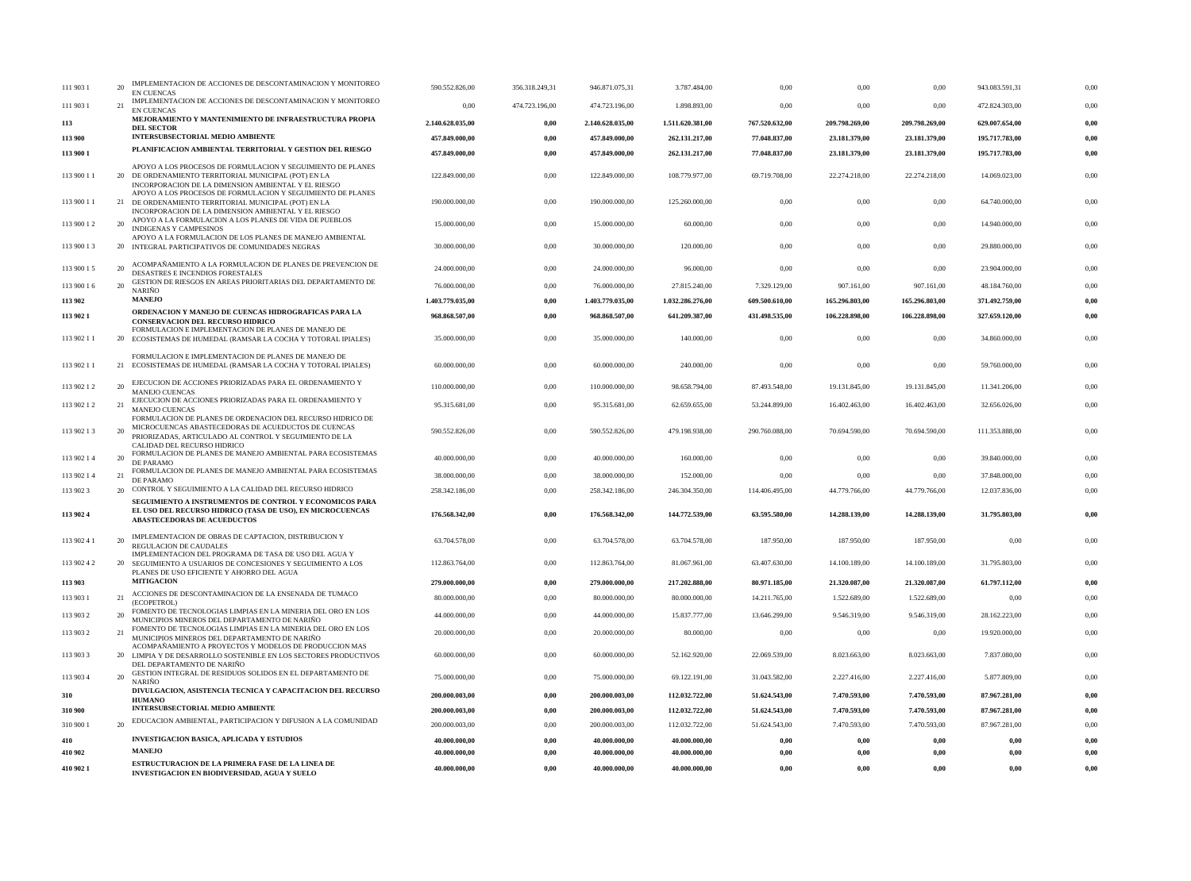| 111 903 1   | 20 | IMPLEMENTACION DE ACCIONES DE DESCONTAMINACION Y MONITOREO<br><b>EN CUENCAS</b>                                                                                            | 590.552.826,00   | 356.318.249,31 | 946.871.075,31   | 3.787.484,00     | 0,00           | 0,00           | 0,00           | 943.083.591,31 | 0,00     |
|-------------|----|----------------------------------------------------------------------------------------------------------------------------------------------------------------------------|------------------|----------------|------------------|------------------|----------------|----------------|----------------|----------------|----------|
| 111 903 1   | 21 | IMPLEMENTACION DE ACCIONES DE DESCONTAMINACION Y MONITOREO<br>EN CUENCAS                                                                                                   | 0,00             | 474.723.196,00 | 474.723.196,00   | 1.898.893,00     | 0,00           | 0,00           | 0,00           | 472.824.303,00 | 0,00     |
| 113         |    | MEJORAMIENTO Y MANTENIMIENTO DE INFRAESTRUCTURA PROPIA                                                                                                                     | 2.140.628.035,00 | 0,00           | 2.140.628.035,00 | 1.511.620.381,00 | 767.520.632,00 | 209.798.269,00 | 209.798.269,00 | 629.007.654,00 | 0,00     |
| 113 900     |    | <b>DEL SECTOR</b><br><b>INTERSUBSECTORIAL MEDIO AMBIENTE</b>                                                                                                               | 457.849.000,00   | 0.00           | 457.849.000,00   | 262.131.217,00   | 77.048.837,00  | 23.181.379,00  | 23.181.379,00  | 195.717.783,00 |          |
| 113 900 1   |    | PLANIFICACION AMBIENTAL TERRITORIAL Y GESTION DEL RIESGO                                                                                                                   | 457.849.000,00   | 0,00           | 457.849.000,00   | 262.131.217,00   | 77.048.837,00  | 23.181.379,00  | 23.181.379,00  | 195.717.783,00 | 0,00     |
| 113 900 11  |    | APOYO A LOS PROCESOS DE FORMULACION Y SEGUIMIENTO DE PLANES<br>20 DE ORDENAMIENTO TERRITORIAL MUNICIPAL (POT) EN LA<br>INCORPORACION DE LA DIMENSION AMBIENTAL Y EL RIESGO | 122.849.000,00   | 0,00           | 122.849.000,00   | 108.779.977,00   | 69.719.708,00  | 22.274.218,00  | 22.274.218,00  | 14.069.023,00  | 0,00     |
| 113 900 11  |    | APOYO A LOS PROCESOS DE FORMULACION Y SEGUIMIENTO DE PLANES<br>21 DE ORDENAMIENTO TERRITORIAL MUNICIPAL (POT) EN LA<br>INCORPORACION DE LA DIMENSION AMBIENTAL Y EL RIESGO | 190.000.000,00   | 0,00           | 190.000.000,00   | 125.260.000,00   | 0,00           | 0,00           | 0,00           | 64.740.000,00  | 0,00     |
| 113 900 12  | 20 | APOYO A LA FORMULACION A LOS PLANES DE VIDA DE PUEBLOS<br>INDIGENAS Y CAMPESINOS                                                                                           | 15.000.000,00    | 0,00           | 15.000.000,00    | 60.000,00        | 0,00           | 0,00           | 0,00           | 14.940.000,00  | 0,00     |
| 113 900 13  |    | APOYO A LA FORMULACION DE LOS PLANES DE MANEJO AMBIENTAL<br>20 INTEGRAL PARTICIPATIVOS DE COMUNIDADES NEGRAS                                                               | 30.000.000,00    | 0,00           | 30.000.000,00    | 120.000,00       | 0,00           | 0,00           | 0,00           | 29.880.000,00  | 0,00     |
| 113 900 15  | 20 | ACOMPAÑAMIENTO A LA FORMULACION DE PLANES DE PREVENCION DE<br>DESASTRES E INCENDIOS FORESTALES                                                                             | 24.000.000,00    | 0,00           | 24.000.000,00    | 96.000,00        | 0,00           | 0,00           | 0,00           | 23.904.000,00  | 0,00     |
| 113 900 16  | 20 | GESTION DE RIESGOS EN AREAS PRIORITARIAS DEL DEPARTAMENTO DE<br><b>NARIÑO</b>                                                                                              | 76.000.000,00    | 0,00           | 76.000.000,00    | 27.815.240,00    | 7.329.129,00   | 907.161,00     | 907.161,00     | 48.184.760,00  | 0,00     |
| 113 902     |    | <b>MANEJO</b>                                                                                                                                                              | 1.403.779.035,00 | 0,00           | 1.403.779.035,00 | 1.032.286.276,00 | 609.500.610,00 | 165.296.803,00 | 165.296.803,00 | 371.492.759,00 | 0,00     |
| 113 902 1   |    | ORDENACION Y MANEJO DE CUENCAS HIDROGRAFICAS PARA LA<br><b>CONSERVACION DEL RECURSO HIDRICO</b>                                                                            | 968.868.507,00   | 0,00           | 968.868.507,00   | 641.209.387,00   | 431.498.535.00 | 106.228.898,00 | 106.228.898,00 | 327.659.120,00 | 0,00     |
| 113 902 11  |    | FORMULACION E IMPLEMENTACION DE PLANES DE MANEJO DE<br>20 ECOSISTEMAS DE HUMEDAL (RAMSAR LA COCHA Y TOTORAL IPIALES)                                                       | 35.000.000,00    | 0,00           | 35.000.000,00    | 140.000,00       | 0,00           | 0,00           | 0,00           | 34.860.000,00  | 0,00     |
| 113 902 11  |    | FORMULACION E IMPLEMENTACION DE PLANES DE MANEJO DE<br>21 ECOSISTEMAS DE HUMEDAL (RAMSAR LA COCHA Y TOTORAL IPIALES)                                                       | 60.000.000,00    | 0,00           | 60.000.000,00    | 240.000,00       | 0,00           | 0,00           | 0,00           | 59.760.000,00  | 0,00     |
| 113 902 1 2 | 20 | EJECUCION DE ACCIONES PRIORIZADAS PARA EL ORDENAMIENTO Y<br><b>MANEJO CUENCAS</b>                                                                                          | 110.000.000,00   | 0,00           | 110.000.000,00   | 98.658.794,00    | 87.493.548,00  | 19.131.845,00  | 19.131.845,00  | 11.341.206,00  | 0,00     |
| 113 902 1 2 | 21 | EJECUCION DE ACCIONES PRIORIZADAS PARA EL ORDENAMIENTO Y<br><b>MANEJO CUENCAS</b><br>FORMULACION DE PLANES DE ORDENACION DEL RECURSO HIDRICO DE                            | 95.315.681,00    | $0.00{\,}$     | 95.315.681,00    | 62.659.655,00    | 53.244.899,00  | 16.402.463,00  | 16.402.463,00  | 32.656.026,00  | 0,00     |
| 113 902 13  | 20 | MICROCUENCAS ABASTECEDORAS DE ACUEDUCTOS DE CUENCAS<br>PRIORIZADAS, ARTICULADO AL CONTROL Y SEGUIMIENTO DE LA<br>CALIDAD DEL RECURSO HIDRICO                               | 590.552.826,00   | 0,00           | 590.552.826,00   | 479.198.938,00   | 290.760.088,00 | 70.694.590,00  | 70.694.590,00  | 111.353.888,00 | 0,00     |
| 113 902 14  | 20 | FORMULACION DE PLANES DE MANEJO AMBIENTAL PARA ECOSISTEMAS<br>DE PARAMO                                                                                                    | 40.000.000,00    | 0,00           | 40.000.000,00    | 160.000,00       | 0,00           | 0,00           | 0,00           | 39.840.000,00  | 0,00     |
| 113 902 14  | 21 | FORMULACION DE PLANES DE MANEJO AMBIENTAL PARA ECOSISTEMAS<br>DE PARAMO                                                                                                    | 38.000.000,00    | 0,00           | 38.000.000,00    | 152.000,00       | 0,00           | 0,00           | 0,00           | 37.848.000,00  | 0,00     |
| 113 902 3   |    | 20 CONTROL Y SEGUIMIENTO A LA CALIDAD DEL RECURSO HIDRICO                                                                                                                  | 258.342.186,00   | 0,00           | 258.342.186,00   | 246.304.350,00   | 114.406.495,00 | 44.779.766,00  | 44.779.766,00  | 12.037.836,00  | 0,00     |
| 113 902 4   |    | SEGUIMIENTO A INSTRUMENTOS DE CONTROL Y ECONOMICOS PARA<br>EL USO DEL RECURSO HIDRICO (TASA DE USO), EN MICROCUENCAS<br><b>ABASTECEDORAS DE ACUEDUCTOS</b>                 | 176.568.342,00   | 0,00           | 176.568.342,00   | 144.772.539,00   | 63.595.580,00  | 14.288.139,00  | 14.288.139,00  | 31.795.803,00  | 0,00     |
| 113 902 41  | 20 | IMPLEMENTACION DE OBRAS DE CAPTACION, DISTRIBUCION Y<br>REGULACION DE CAUDALES                                                                                             | 63.704.578,00    | 0,00           | 63.704.578,00    | 63.704.578,00    | 187.950,00     | 187.950,00     | 187.950,00     | 0,00           | 0,00     |
| 113 902 4 2 |    | IMPLEMENTACION DEL PROGRAMA DE TASA DE USO DEL AGUA Y<br>20 SEGUIMIENTO A USUARIOS DE CONCESIONES Y SEGUIMIENTO A LOS<br>PLANES DE USO EFICIENTE Y AHORRO DEL AGUA         | 112.863.764,00   | $0.00\,$       | 112.863.764,00   | 81.067.961,00    | 63.407.630.00  | 14.100.189.00  | 14.100.189,00  | 31.795.803.00  | 0,00     |
| 113 903     |    | <b>MITIGACION</b>                                                                                                                                                          | 279.000.000,00   | $0,\!00$       | 279.000.000,00   | 217.202.888,00   | 80.971.185,00  | 21.320.087,00  | 21.320.087,00  | 61.797.112,00  | 0,00     |
| 113 903 1   | 21 | ACCIONES DE DESCONTAMINACION DE LA ENSENADA DE TUMACO<br>(ECOPETROL)                                                                                                       | 80.000.000,00    | $0.00{\,}$     | 80.000.000.00    | 80.000.000,00    | 14.211.765,00  | 1.522.689,00   | 1.522.689,00   | 0,00           | 0,00     |
| 113 903 2   | 20 | FOMENTO DE TECNOLOGIAS LIMPIAS EN LA MINERIA DEL ORO EN LOS<br>MUNICIPIOS MINEROS DEL DEPARTAMENTO DE NARIÑO                                                               | 44.000.000,00    | 0,00           | 44.000.000,00    | 15.837.777,00    | 13.646.299,00  | 9.546.319,00   | 9.546.319,00   | 28.162.223,00  | 0,00     |
| 113 903 2   | 21 | FOMENTO DE TECNOLOGIAS LIMPIAS EN LA MINERIA DEL ORO EN LOS<br>MUNICIPIOS MINEROS DEL DEPARTAMENTO DE NARIÑO<br>ACOMPAÑAMIENTO A PROYECTOS Y MODELOS DE PRODUCCION MAS     | 20.000.000,00    | 0,00           | 20.000.000,00    | 80.000,00        | 0,00           | 0,00           | 0,00           | 19.920.000,00  | 0,00     |
| 113 903 3   |    | 20 LIMPIA Y DE DESARROLLO SOSTENIBLE EN LOS SECTORES PRODUCTIVOS<br>DEL DEPARTAMENTO DE NARIÑO                                                                             | 60.000.000,00    | 0,00           | 60.000.000,00    | 52.162.920,00    | 22.069.539.00  | 8.023.663,00   | 8.023.663,00   | 7.837.080,00   | 0,00     |
| 113 903 4   | 20 | GESTION INTEGRAL DE RESIDUOS SOLIDOS EN EL DEPARTAMENTO DE<br><b>NARIÑO</b>                                                                                                | 75.000.000,00    | 0,00           | 75.000.000,00    | 69.122.191,00    | 31.043.582,00  | 2.227.416,00   | 2.227.416,00   | 5.877.809,00   | 0,00     |
| 310         |    | DIVULGACION, ASISTENCIA TECNICA Y CAPACITACION DEL RECURSO<br><b>HUMANO</b>                                                                                                | 200.000.003,00   | $0,\!00$       | 200.000.003.00   | 112.032.722,00   | 51.624.543,00  | 7.470.593,00   | 7.470.593,00   | 87.967.281,00  | 0,00     |
| 310 900     |    | <b>INTERSUBSECTORIAL MEDIO AMBIENTE</b>                                                                                                                                    | 200.000.003,00   | $0,\!00$       | 200.000.003,00   | 112.032.722,00   | 51.624.543,00  | 7.470.593,00   | 7.470.593,00   | 87.967.281,00  | 0,00     |
| 310 900 1   | 20 | EDUCACION AMBIENTAL, PARTICIPACION Y DIFUSION A LA COMUNIDAD                                                                                                               | 200.000.003,00   | $0.00\,$       | 200.000.003,00   | 112.032.722,00   | 51.624.543,00  | 7.470.593,00   | 7.470.593,00   | 87.967.281,00  | 0,00     |
| 410         |    | <b>INVESTIGACION BASICA, APLICADA Y ESTUDIOS</b>                                                                                                                           | 40.000.000,00    | $0,\!00$       | 40.000.000,00    | 40.000.000,00    | 0,00           | $0,\!00$       | 0,00           | 0,00           | 0,00     |
| 410 902     |    | <b>MANEJO</b>                                                                                                                                                              | 40.000.000,00    | 0,00           | 40.000.000,00    | 40.000.000,00    | 0,00           | 0,00           | 0,00           | 0,00           | 0,00     |
| 410 902 1   |    | ESTRUCTURACION DE LA PRIMERA FASE DE LA LINEA DE<br><b>INVESTIGACION EN BIODIVERSIDAD, AGUA Y SUELO</b>                                                                    | 40.000.000,00    | $0,\!00$       | 40.000.000,00    | 40.000.000,00    | $0,\!00$       | $0,\!00$       | 0,00           | $0,\!00$       | $0,\!00$ |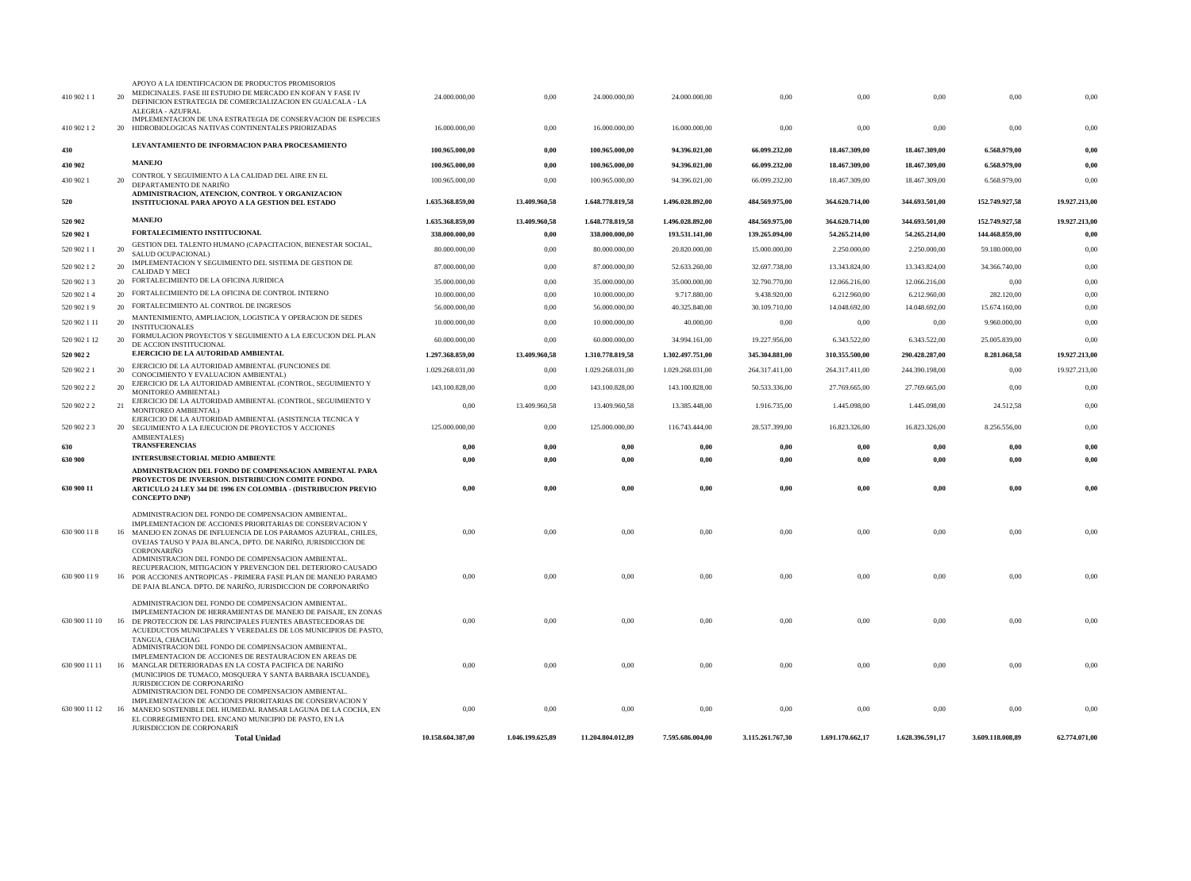|                           |          | <b>Total Unidad</b>                                                                                                                                                                                                                                                                                                    | 10.158.604.387,00              | 1.046.199.625,89 | 11.204.804.012,89              | 7.595.686.004,00               | 3.115.261.767,30               | 1.691.170.662,17               | 1.628.396.591,17               | 3.609.118.008,89      | 62.774.071,00 |
|---------------------------|----------|------------------------------------------------------------------------------------------------------------------------------------------------------------------------------------------------------------------------------------------------------------------------------------------------------------------------|--------------------------------|------------------|--------------------------------|--------------------------------|--------------------------------|--------------------------------|--------------------------------|-----------------------|---------------|
|                           |          | JURISDICCION DE CORPONARIÑO<br>ADMINISTRACION DEL FONDO DE COMPENSACION AMBIENTAL.<br>IMPLEMENTACION DE ACCIONES PRIORITARIAS DE CONSERVACION Y<br>630 900 11 12 16 MANEJO SOSTENIBLE DEL HUMEDAL RAMSAR LAGUNA DE LA COCHA, EN<br>EL CORREGIMIENTO DEL ENCANO MUNICIPIO DE PASTO. EN LA<br>JURISDICCION DE CORPONARIÑ | 0,00                           | 0,00             | 0,00                           | 0,00                           | 0,00                           | 0,00                           | 0,00                           | 0,00                  | 0,00          |
|                           |          | TANGUA, CHACHAG<br>ADMINISTRACION DEL FONDO DE COMPENSACION AMBIENTAL.<br>IMPLEMENTACION DE ACCIONES DE RESTAURACION EN AREAS DE<br>630 900 11 11 16 MANGLAR DETERIORADAS EN LA COSTA PACIFICA DE NARINO<br>(MUNICIPIOS DE TUMACO, MOSQUERA Y SANTA BARBARA ISCUANDE),                                                 | 0,00                           | 0,00             | 0,00                           | 0,00                           | 0,00                           | 0,00                           | 0,00                           | 0,00                  | 0,00          |
| 630 900 11 10             |          | ADMINISTRACION DEL FONDO DE COMPENSACION AMBIENTAL.<br>IMPLEMENTACION DE HERRAMIENTAS DE MANEJO DE PAISAJE, EN ZONAS<br>16 DE PROTECCION DE LAS PRINCIPALES FUENTES ABASTECEDORAS DE<br>ACUEDUCTOS MUNICIPALES Y VEREDALES DE LOS MUNICIPIOS DE PASTO,                                                                 | 0,00                           | $0.00\,$         | 0,00                           | 0,00                           | 0,00                           | 0,00                           | 0,00                           | 0,00                  | 0,00          |
| 630 900 11 9              |          | ADMINISTRACION DEL FONDO DE COMPENSACION AMBIENTAL.<br>RECUPERACION, MITIGACION Y PREVENCION DEL DETERIORO CAUSADO<br>16 POR ACCIONES ANTROPICAS - PRIMERA FASE PLAN DE MANEJO PARAMO<br>DE PAJA BLANCA. DPTO. DE NARIÑO, JURISDICCION DE CORPONARIÑO                                                                  | 0.00                           | $0.00\,$         | 0,00                           | 0.00                           | 0,00                           | 0,00                           | 0,00                           | 0,00                  | 0,00          |
| 630 900 11 8              |          | ADMINISTRACION DEL FONDO DE COMPENSACION AMBIENTAL<br>IMPLEMENTACION DE ACCIONES PRIORITARIAS DE CONSERVACION Y<br>16 MANEJO EN ZONAS DE INFLUENCIA DE LOS PARAMOS AZUFRAL, CHILES,<br>OVEJAS TAUSO Y PAJA BLANCA, DPTO. DE NARIÑO, JURISDICCION DE<br><b>CORPONARINO</b>                                              | 0,00                           | 0,00             | 0,00                           | 0,00                           | 0,00                           | 0,00                           | 0,00                           | 0,00                  | 0,00          |
| 630 900 11                |          | ADMINISTRACION DEL FONDO DE COMPENSACION AMBIENTAL PARA<br>PROYECTOS DE INVERSION. DISTRIBUCION COMITE FONDO.<br><b>ARTICULO 24 LEY 344 DE 1996 EN COLOMBIA - (DISTRIBUCION PREVIO</b><br><b>CONCEPTO DNP)</b>                                                                                                         | 0,00                           | 0,00             | 0,00                           | 0,00                           | 0,00                           | 0,00                           | 0,00                           | 0,00                  | 0,00          |
| 630 900                   |          | <b>INTERSUBSECTORIAL MEDIO AMBIENTE</b>                                                                                                                                                                                                                                                                                | 0,00                           | 0,00             | 0,00                           | $0,\!00$                       | 0,00                           | 0,00                           | 0,00                           | 0,00                  | 0,00          |
| 630                       |          | <b>TRANSFERENCIAS</b>                                                                                                                                                                                                                                                                                                  | 0,00                           | 0,00             | 0,00                           | 0,00                           | 0,00                           | 0,00                           | 0,00                           | 0,00                  | 0,00          |
| 520 902 2 3               |          | EJERCICIO DE LA AUTORIDAD AMBIENTAL (ASISTENCIA TECNICA Y<br>20 SEGUIMIENTO A LA EJECUCION DE PROYECTOS Y ACCIONES<br><b>AMBIENTALES</b> )                                                                                                                                                                             | 125.000.000,00                 | 0,00             | 125.000.000,00                 | 116.743.444,00                 | 28.537.399,00                  | 16.823.326,00                  | 16.823.326,00                  | 8.256.556,00          | 0,00          |
| 520 902 2 2               | 21       | MONITOREO AMBIENTAL)<br>EJERCICIO DE LA AUTORIDAD AMBIENTAL (CONTROL, SEGUIMIENTO Y<br>MONITOREO AMBIENTAL)                                                                                                                                                                                                            | 0,00                           | 13.409.960,58    | 13.409.960,58                  | 13.385.448,00                  | 1.916.735,00                   | 1.445.098,00                   | 1.445.098,00                   | 24.512,58             | 0,00          |
| 520 902 2 2               | 20       | EJERCICIO DE LA AUTORIDAD AMBIENTAL (CONTROL, SEGUIMIENTO Y                                                                                                                                                                                                                                                            | 143.100.828,00                 | 0,00             | 143.100.828,00                 | 143.100.828,00                 | 50.533.336,00                  | 27.769.665,00                  | 27.769.665,00                  | 0,00                  | 0,00          |
| 520 902 21                |          | EJERCICIO DE LA AUTORIDAD AMBIENTAL (FUNCIONES DE<br>CONOCIMIENTO Y EVALUACION AMBIENTAL)                                                                                                                                                                                                                              | 1.029.268.031,00               | 0,00             | 1.029.268.031,00               | 1.029.268.031,00               | 264.317.411,00                 | 264.317.411,00                 | 244.390.198,00                 | 0,00                  | 19.927.213,00 |
| 520 902 2                 |          | DE ACCION INSTITUCIONAL<br>EJERCICIO DE LA AUTORIDAD AMBIENTAL                                                                                                                                                                                                                                                         | 1.297.368.859,00               | 13.409.960,58    | 1.310.778.819,58               | 1.302.497.751,00               | 345.304.881,00                 | 310.355.500,00                 | 290.428.287,00                 | 8.281.068,58          | 19.927.213,00 |
| 520 902 1 12              | 20       | <b>INSTITUCIONALES</b><br>FORMULACION PROYECTOS Y SEGUIMIENTO A LA EJECUCION DEL PLAN                                                                                                                                                                                                                                  | 60.000.000.00                  | 0.00             | 60.000.000,00                  | 34.994.161,00                  | 19.227.956,00                  | 6.343.522,00                   | 6.343.522,00                   | 25.005.839,00         | 0,00          |
| 520 902 1 11              | 20       | MANTENIMIENTO, AMPLIACION, LOGISTICA Y OPERACION DE SEDES                                                                                                                                                                                                                                                              | 10.000.000,00                  | 0,00             | 10.000.000,00                  | 40.000,00                      | 0,00                           | 0,00                           | 0,00                           | 9.960.000,00          | 0,00          |
| 520 902 1 9               |          | 20 FORTALECIMIENTO AL CONTROL DE INGRESOS                                                                                                                                                                                                                                                                              | 56.000.000,00                  | 0,00             | 56.000.000,00                  | 40.325.840,00                  | 30.109.710,00                  | 14.048.692,00                  | 14.048.692,00                  | 15.674.160,00         | 0,00          |
| 520 902 14                |          | 20 FORTALECIMIENTO DE LA OFICINA DE CONTROL INTERNO                                                                                                                                                                                                                                                                    | 10.000.000,00                  | 0,00             | 10.000.000,00                  | 9.717.880,00                   | 9.438.920,00                   | 6.212.960,00                   | 6.212.960,00                   | 282.120,00            | 0,00          |
| 520 902 1 2<br>520 902 13 |          | <b>CALIDAD Y MECI</b><br>20 FORTALECIMIENTO DE LA OFICINA JURIDICA                                                                                                                                                                                                                                                     | 87.000.000,00<br>35.000.000,00 | 0,00<br>0,00     | 87.000.000,00<br>35.000.000,00 | 52.633.260,00<br>35.000.000,00 | 32.697.738,00<br>32.790.770,00 | 13.343.824,00<br>12.066.216,00 | 13.343.824,00<br>12.066.216,00 | 34.366.740,00<br>0,00 | 0,00<br>0,00  |
| 520 902 1 1               | 20<br>20 | SALUD OCUPACIONAL)<br>IMPLEMENTACION Y SEGUIMIENTO DEL SISTEMA DE GESTION DE                                                                                                                                                                                                                                           | 80.000.000,00                  | 0,00             | 80.000.000,00                  | 20.820.000,00                  | 15.000.000,00                  | 2.250.000,00                   | 2.250.000,00                   | 59.180.000,00         | 0,00          |
| 520 902 1                 |          | GESTION DEL TALENTO HUMANO (CAPACITACION, BIENESTAR SOCIAL,                                                                                                                                                                                                                                                            | 338.000.000,00                 | 0,00             | 338.000.000,00                 | 193.531.141,00                 | 139.265.094,00                 | 54.265.214,00                  | 54.265.214,00                  | 144.468.859,00        | 0,00          |
| 520 902                   |          | <b>MANEJO</b><br>FORTALECIMIENTO INSTITUCIONAL                                                                                                                                                                                                                                                                         | 1.635.368.859,00               | 13.409.960,58    | 1.648.778.819,58               | 1.496.028.892,00               | 484.569.975,00                 | 364.620.714,00                 | 344.693.501,00                 | 152.749.927,58        | 19.927.213,00 |
| 520                       |          | INSTITUCIONAL PARA APOYO A LA GESTION DEL ESTADO                                                                                                                                                                                                                                                                       | 1.635.368.859,00               | 13.409.960,58    | 1.648.778.819,58               | 1.496.028.892,00               | 484.569.975,00                 | 364.620.714,00                 | 344.693.501,00                 | 152.749.927,58        | 19.927.213,00 |
| 430 902 1                 | 20       | CONTROL Y SEGUIMIENTO A LA CALIDAD DEL AIRE EN EL<br>DEPARTAMENTO DE NARIÑO<br>ADMINISTRACION, ATENCION, CONTROL Y ORGANIZACION                                                                                                                                                                                        | 100.965.000,00                 | 0,00             | 100.965.000,00                 | 94.396.021,00                  | 66.099.232,00                  | 18.467.309,00                  | 18.467.309,00                  | 6.568.979,00          | 0,00          |
| 430 902                   |          | <b>MANEJO</b>                                                                                                                                                                                                                                                                                                          | 100.965.000,00                 | 0,00             | 100.965.000,00                 | 94.396.021,00                  | 66.099.232,00                  | 18.467.309,00                  | 18.467.309,00                  | 6.568.979,00          | 0,00          |
| 430                       |          | LEVANTAMIENTO DE INFORMACION PARA PROCESAMIENTO                                                                                                                                                                                                                                                                        | 100.965.000,00                 | 0,00             | 100.965.000,00                 | 94.396.021,00                  | 66.099.232,00                  | 18.467.309,00                  | 18.467.309,00                  | 6.568.979,00          | 0,00          |
| 410 902 1 2               |          | IMPLEMENTACION DE UNA ESTRATEGIA DE CONSERVACION DE ESPECIES<br>20 HIDROBIOLOGICAS NATIVAS CONTINENTALES PRIORIZADAS                                                                                                                                                                                                   | 16.000.000,00                  | 0,00             | 16.000.000,00                  | 16.000.000,00                  | 0,00                           | 0,00                           | 0,00                           | 0,00                  | 0,00          |
| 410 902 11                |          | APOYO A LA IDENTIFICACION DE PRODUCTOS PROMISORIOS<br>MEDICINALES. FASE III ESTUDIO DE MERCADO EN KOFAN Y FASE IV<br>DEFINICION ESTRATEGIA DE COMERCIALIZACION EN GUALCALA - LA<br>ALEGRIA - AZUFRAL                                                                                                                   | 24.000.000,00                  | $0.00\,$         | 24.000.000,00                  | 24.000.000,00                  | 0,00                           | 0,00                           | 0,00                           | 0,00                  | 0,00          |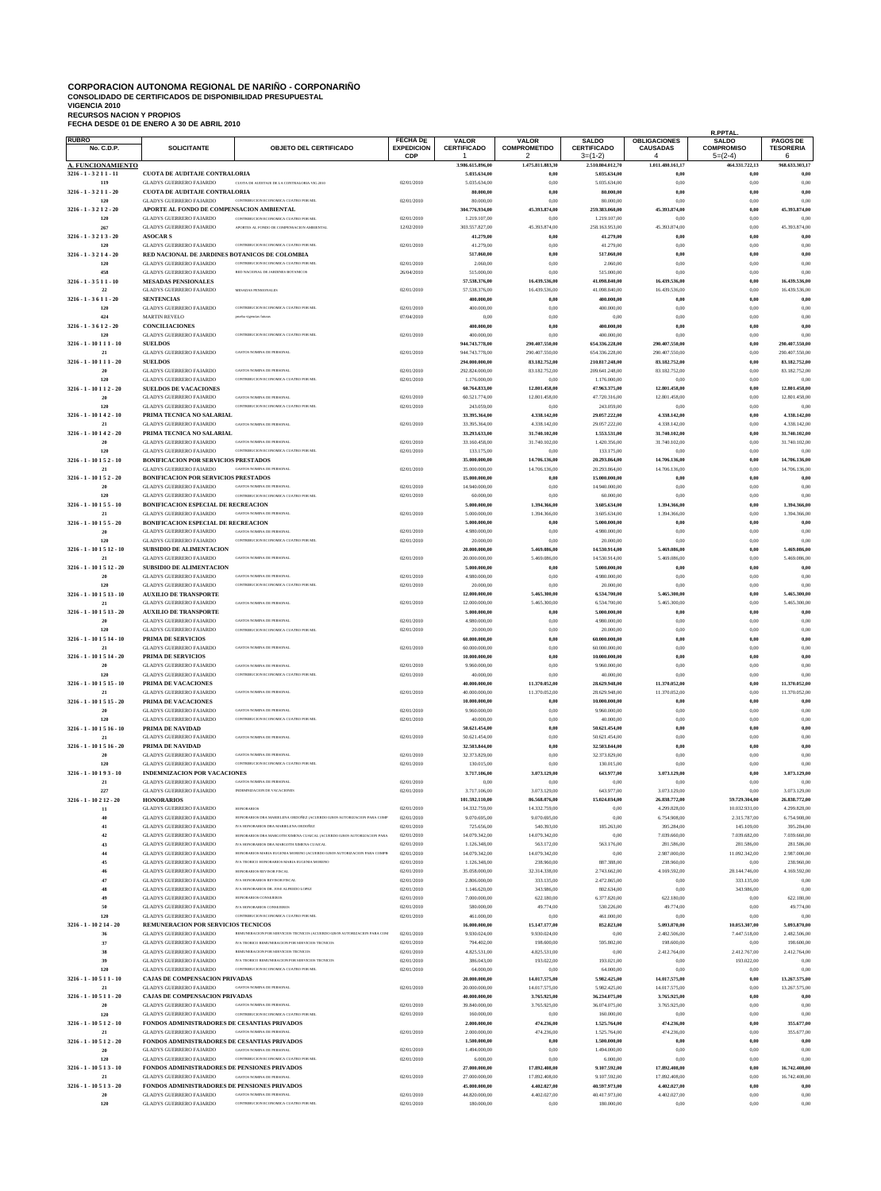# CORPORACION AUTONOMA REGIONAL DE NARIÑO - CORPONARIÑO<br>CONSOLIDADO DE CERTIFICADOS DE DISPONIBILIDAD PRESUPUESTAL<br>VIGENCIA 2010<br>RECURSOS NACION Y PROPIOS<br>RECHA DESDE 01 DE ENERO A 30 DE ABRIL 2010

| <b>RUBRO</b><br><b>No. C.D.P.</b> | <b>SOLICITANTE</b>                                                                    | <b>OBJETO DEL CERTIFICADO</b>                                                                                                | <b>FECHA DE</b><br><b>EXPEDICION</b> | <b>VALOR</b><br><b>CERTIFICADO</b> | VALOR<br><b>COMPROMETIDO</b>   | <b>SALDO</b><br><b>CERTIFICADO</b> | <b>OBLIGACIONES</b><br><b>CAUSADAS</b> | <b>R.PPTAL</b><br><b>SALDO</b><br><b>COMPROMISO</b> | <b>PAGOS DE</b><br><b>TESORERIA</b> |
|-----------------------------------|---------------------------------------------------------------------------------------|------------------------------------------------------------------------------------------------------------------------------|--------------------------------------|------------------------------------|--------------------------------|------------------------------------|----------------------------------------|-----------------------------------------------------|-------------------------------------|
| <b>A. FUNCIONAMIENTO</b>          |                                                                                       |                                                                                                                              | <b>CDP</b>                           | 3.986.615.896.00                   | 2<br>1.475.811.883,30          | $3=(1-2)$<br>2.510.804.012,70      | $\overline{4}$<br>1.011.480.161,17     | $5=(2-4)$<br>464.331.722,13                         | 6<br>968.633.303,17                 |
| 3216 - 1 - 3211 - 11              | <b>CUOTA DE AUDITAJE CONTRALORIA</b>                                                  |                                                                                                                              |                                      | 5.035.634,00                       | $_{0,00}$                      | 5.035.634,00                       | $_{0,00}$                              | 0,00                                                | 0.00                                |
| 119<br>$3216 - 1 - 3211 - 20$     | <b>GLADYS GUERRERO FAJARDO</b><br><b>CUOTA DE AUDITAJE CONTRALORIA</b>                | CUOTA DE AUDITAJE DE LA CONTRALORIA VIG.2010                                                                                 | 02/01/2010                           | 5.035.634,00<br>80.000,00          | 0,00<br>0,00                   | 5.035.634,00<br>80.000,00          | 0,00<br>0,00                           | 0,00<br>0,00                                        | 0,00<br>$_{0,00}$                   |
| 120                               | <b>GLADYS GUERRERO FAJARDO</b>                                                        | CONTRIBUCION ECONOMICA CUATRO POR MIL                                                                                        | 02/01/2010                           | 80.000,00                          | 0,00                           | 80.000,00                          | 0,00                                   | 0,00                                                | 0,00                                |
| 3216 - 1 - 3212 - 20<br>120       | APORTE AL FONDO DE COMPENSACION AMBIENTAL<br><b>GLADYS GUERRERO FAJARDO</b>           | CONTRIBUCION ECONOMICA CUATRO POR MIL                                                                                        | 02/01/2010                           | 304.776.934,00<br>1.219.107,00     | 45.393.874.00<br>0,00          | 259,383,060,00<br>1.219.107,00     | 45.393.874,00<br>0,00                  | 0,00<br>0,00                                        | 45.393.874.00<br>0.00               |
| 267                               | <b>GLADYS GUERRERO FAJARDO</b>                                                        | APORTES AL FONDO DE COMPENSACION AMBIENTAL                                                                                   | 12/02/2010                           | 303.557.827,00                     | 45.393.874,00                  | 258.163.953,00                     | 45.393.874,00                          | 0,00                                                | 45.393.874,00                       |
| $3216 - 1 - 3213 - 20$<br>120     | <b>ASOCARS</b><br><b>GLADYS GUERRERO FAJARDO</b>                                      | CONTRIBUCION ECONOMICA CUATRO POR MIL                                                                                        | 02/01/2010                           | 41.279,00<br>41.279,00             | 0,00<br>0,00                   | 41.279,00<br>41.279,00             | 0,00<br>0,00                           | 0,00<br>0,00                                        | 0,00<br>0,00                        |
| $3216 - 1 - 3214 - 20$            | RED NACIONAL DE JARDINES BOTANICOS DE COLOMBIA<br><b>GLADYS GUERRERO FAJARDO</b>      |                                                                                                                              |                                      | 517.060,00                         | 0,00                           | 517.060,00                         | 0,00                                   | 0,00                                                | $_{0,00}$                           |
| 120<br>458                        | <b>GLADYS GUERRERO FAJARDO</b>                                                        | CONTRIBUCION ECONOMICA CUATRO POR MIL<br>RED NACIONAL DE JARDINES ROTANICOS                                                  | 02/01/2010<br>26/04/2010             | 2.060,00<br>515.000,00             | 0,00<br>0,00                   | 2.060,00<br>515.000,00             | 0,00<br>0,00                           | 0,00<br>0,00                                        | 0.00<br>0.00                        |
| $3216 - 1 - 3511 - 10$<br>22      | <b>MESADAS PENSIONALES</b><br><b>GLADYS GUERRERO FAJARDO</b>                          | MESADAS PENSIONALES                                                                                                          | 02/01/2010                           | 57.538.376,00<br>57.538.376,00     | 16.439.536,00<br>16.439.536,00 | 41.098.840,00<br>41.098.840,00     | 16.439.536,00<br>16.439.536,00         | 0,00<br>0,00                                        | 16.439.536,00<br>16.439.536,00      |
| $3216 - 1 - 3611 - 20$            | <b>SENTENCIAS</b>                                                                     |                                                                                                                              |                                      | 400.000,00                         | 0,00                           | 400.000,00                         | 0,00                                   | 0,00                                                | $_{0,00}$                           |
| 120<br>424                        | <b>GLADYS GUERRERO FAJARDO</b><br><b>MARTIN REVELO</b>                                | CONTRIBUCION ECONOMICA CUATRO POR MIL<br>prueba vigencias futuras                                                            | 02/01/2010<br>07/04/2010             | 400.000,00<br>0,00                 | 0,00<br>0,00                   | 400.000,00<br>0,00                 | 0,00<br>0,00                           | 0,00<br>0,00                                        | 0,00<br>0,00                        |
| $3216 - 1 - 3612 - 20$            | <b>CONCILIACIONES</b>                                                                 |                                                                                                                              |                                      | 400.000,00                         | 0,00                           | 400.000,00                         | 0,00                                   | 0,00                                                | $_{0,00}$                           |
| 120<br>3216 - 1 - 10 1 1 1 - 10   | <b>GLADYS GUERRERO FAJARDO</b><br><b>SUELDOS</b>                                      | CONTRIBUCION ECONOMICA CUATRO POR MIL                                                                                        | 02/01/2010                           | 400.000,00<br>944.743.778,00       | 0,00<br>290.407.550,00         | 400.000,00<br>654.336.228,00       | 0,00<br>290.407.550,00                 | 0,00<br>0,00                                        | 0.00<br>290.407.550,00              |
| 21                                | <b>GLADYS GUERRERO FAJARDO</b>                                                        | <b>GASTOS NOMINA DE PERSONAI</b>                                                                                             | 02/01/2010                           | 944.743.778,00                     | 290.407.550,00                 | 654.336.228,00                     | 290.407.550,00                         | 0,00                                                | 290.407.550,00                      |
| 3216 - 1 - 10 1 1 1 - 20<br>20    | <b>SUELDOS</b><br><b>GLADYS GUERRERO FAJARDO</b>                                      | <b>GASTOS NOMINA DE PERSONAL</b>                                                                                             | 02/01/2010                           | 294.000.000.00<br>292.824.000,00   | 83.182.752,00<br>83.182.752,00 | 210.817.248.00<br>209.641.248,00   | 83.182.752,00<br>83.182.752,00         | 0,00<br>0,00                                        | 83.182.752,00<br>83.182.752.00      |
| 120                               | <b>GLADYS GUERRERO FAJARDO</b>                                                        | CONTRIBUCION ECONOMICA CUATRO POR MII                                                                                        | 02/01/2010                           | 1.176.000,00                       | 0.00                           | 1.176.000,00                       | 0,00                                   | 0,00                                                | 0.00                                |
| 3216 - 1 - 10 1 1 2 - 20<br>20    | <b>SUELDOS DE VACACIONES</b><br><b>GLADYS GUERRERO FAJARDO</b>                        | <b>GASTOS NOMINA DE PERSONAI</b>                                                                                             | 02/01/2010                           | 60.764.833,00<br>60.521.774,00     | 12.801.458,00<br>12.801.458,00 | 47.963.375,00<br>47.720.316,00     | 12.801.458,00<br>12.801.458,00         | 0,00<br>0,00                                        | 12.801.458,00<br>12.801.458,00      |
| 120                               | <b>GLADYS GUERRERO FAJARDO</b>                                                        | CONTRIBUCION ECONOMICA CUATRO POR MIL                                                                                        | 02/01/2010                           | 243.059,00                         | 0,00                           | 243.059,00                         | 0,00                                   | 0,00                                                | 0.00                                |
| 3216 - 1 - 10 1 4 2 - 10<br>21    | PRIMA TECNICA NO SALARIAL<br><b>GLADYS GUERRERO FAJARDO</b>                           | <b>GASTOS NOMINA DE PERSONAL</b>                                                                                             | 02/01/2010                           | 33.395.364,00<br>33.395.364,00     | 4.338.142,00<br>4.338.142,00   | 29.057.222,00<br>29.057.222,00     | 4.338.142,00<br>4.338.142,00           | 0,00<br>0,00                                        | 4.338.142,00<br>4.338.142,00        |
| 3216 - 1 - 10 1 4 2 - 20          | PRIMA TECNICA NO SALARIAL<br><b>GLADYS GUERRERO FAJARDO</b>                           | GASTOS NOMINA DE PERSONAL                                                                                                    |                                      | 33.293.633,00                      | 31.740.102,00                  | 1.553.531,00                       | 31.740.102,00                          | 0,00                                                | 31.740.102,00                       |
| 20<br>120                         | <b>GLADYS GUERRERO FAJARDO</b>                                                        | CONTRIBUCION ECONOMICA CUATRO POR MIL                                                                                        | 02/01/2010<br>02/01/2010             | 33.160.458,00<br>133.175,00        | 31.740.102,00<br>0,00          | 1.420.356,00<br>133.175,00         | 31.740.102,00<br>0,00                  | 0,00<br>0,00                                        | 31.740.102,00<br>0.00               |
| $3216 - 1 - 10152 - 10$<br>21     | <b>BONIFICACION POR SERVICIOS PRESTADOS</b><br><b>GLADYS GUERRERO FAJARDO</b>         | <b>GASTOS NOMINA DE PERSONAL</b>                                                                                             | 02/01/2010                           | 35.000.000,00<br>35.000.000,00     | 14.706.136,00<br>14.706.136,00 | 20.293.864,00<br>20.293.864,00     | 14.706.136,00<br>14.706.136,00         | 0,00<br>0,00                                        | 14.706.136,00<br>14.706.136,00      |
| 3216 - 1 - 10 1 5 2 - 20          | <b>BONIFICACION POR SERVICIOS PRESTADOS</b>                                           |                                                                                                                              |                                      | 15.000.000,00                      | 0.00                           | 15.000.000,00                      | $_{0,00}$                              | 0,00                                                | 0,00                                |
| 20<br>120                         | <b>GLADYS GUERRERO FAJARDO</b><br><b>GLADYS GUERRERO FAJARDO</b>                      | GASTOS NOMINA DE PERSONAL<br>CONTRIBUCION ECONOMICA CUATRO POR MIL                                                           | 02/01/2010<br>02/01/2010             | 14.940.000,00<br>60.000,00         | 0,00<br>0,00                   | 14.940.000,00<br>60.000,00         | 0,00<br>0,00                           | 0,00<br>0,00                                        | 0.00<br>0,00                        |
| 3216 - 1 - 10 1 5 5 - 10          | <b>BONIFICACION ESPECIAL DE RECREACION</b>                                            |                                                                                                                              |                                      | 5.000.000,00                       | 1.394.366,00                   | 3.605.634,00                       | 1.394.366,00                           | 0,00                                                | 1.394.366,00                        |
| 21<br>3216 - 1 - 10 1 5 5 - 20    | <b>GLADYS GUERRERO FAJARDO</b>                                                        | GASTOS NOMINA DE PERSONAL                                                                                                    | 02/01/2010                           | 5.000.000,00<br>5.000.000,00       | 1.394.366,00<br>0,00           | 3.605.634,00<br>5.000.000,00       | 1.394.366,00<br>0,00                   | 0,00<br>0,00                                        | 1.394.366,00<br>0,00                |
| 20                                | <b>BONIFICACION ESPECIAL DE RECREACION</b><br><b>GLADYS GUERRERO FAJARDO</b>          | <b>GASTOS NOMINA DE PERSONAI</b>                                                                                             | 02/01/2010                           | 4.980.000,00                       | 0,00                           | 4.980.000,00                       | 0,00                                   | 0,00                                                | 0.00                                |
| 120<br>3216 - 1 - 10 1 5 12 - 10  | <b>GLADYS GUERRERO FAJARDO</b><br><b>SUBSIDIO DE ALIMENTACION</b>                     | CONTRIBUCION ECONOMICA CUATRO POR MIL                                                                                        | 02/01/2010                           | 20.000,00<br>20.000.000,00         | 0.00<br>5.469.086,00           | 20.000,00<br>14.530.914,00         | 0,00<br>5.469.086,00                   | 0,00<br>0,00                                        | 0.00<br>5.469.086,00                |
| 21                                | <b>GLADYS GUERRERO FAJARDO</b>                                                        | GASTOS NOMINA DE PERSONAL                                                                                                    | 02/01/2010                           | 20.000.000,00                      | 5.469.086,00                   | 14.530.914,00                      | 5.469.086,00                           | 0,00                                                | 5.469.086,00                        |
| $3216 - 1 - 101512 - 20$<br>20    | <b>SUBSIDIO DE ALIMENTACION</b><br><b>GLADYS GUERRERO FAJARDO</b>                     | <b>GASTOS NOMINA DE PERSONAL</b>                                                                                             | 02/01/2010                           | 5.000.000,00<br>4.980.000,00       | 0.00<br>0,00                   | 5.000.000,00<br>4.980.000,00       | 0,00<br>0,00                           | 0,00<br>0,00                                        | 0.00<br>0,00                        |
| 120                               | <b>GLADYS GUERRERO FAJARDO</b>                                                        | CONTRIBUCION ECONOMICA CUATRO POR MIL                                                                                        | 02/01/2010                           | 20.000,00                          | 0,00                           | 20.000,00                          | 0,00                                   | 0,00                                                | 0.00                                |
| 3216 - 1 - 10 1 5 13 - 10<br>21   | <b>AUXILIO DE TRANSPORTE</b><br><b>GLADYS GUERRERO FAJARDO</b>                        | <b>GASTOS NOMINA DE PERSONAL</b>                                                                                             | 02/01/2010                           | 12.000.000,00<br>12.000.000,00     | 5.465.300,00<br>5.465.300,00   | 6.534.700,00<br>6.534.700,00       | 5.465.300,00<br>5.465.300,00           | 0,00<br>0,00                                        | 5.465.300,00<br>5.465.300,00        |
| 3216 - 1 - 10 1 5 13 - 20         | <b>AUXILIO DE TRANSPORTE</b>                                                          |                                                                                                                              |                                      | 5.000.000,00                       | 0,00                           | 5.000.000,00                       | 0,00                                   | 0,00                                                | 0,00                                |
| 20                                | <b>GLADYS GUERRERO FAJARDO</b><br>GLADYS GUERRERO FAJARDO                             | <b>GASTOS NOMINA DE PERSONAI</b>                                                                                             | 02/01/2010<br>02/01/2010             | 4.980.000,00<br>20.000.00          | 0,00                           | 4.980.000,00<br>20.000.00          | 0,00<br>v.v                            | 0,00                                                | 0,00                                |
| 3216 - 1 - 10 1 5 14 - 10         | PRIMA DE SERVICIOS                                                                    |                                                                                                                              |                                      | 60.000.000,00                      | 0,00                           | 60.000.000,00                      | 0,00                                   | 0,00                                                | $_{0,00}$                           |
| 21<br>3216 - 1 - 10 1 5 14 - 20   | <b>GLADYS GUERRERO FAJARDO</b><br>PRIMA DE SERVICIOS                                  | <b>GASTOS NOMINA DE PERSONAL</b>                                                                                             | 02/01/2010                           | 60.000.000,00<br>10.000.000,00     | 0,00<br>0,00                   | 60.000.000,00<br>10.000.000,00     | 0,00<br>0,00                           | 0,00<br>0,00                                        | 0,00<br>0,00                        |
| 20                                | <b>GLADYS GUERRERO FAJARDO</b>                                                        | <b>GASTOS NOMINA DE PERSONAL</b>                                                                                             | 02/01/2010                           | 9.960.000,00                       | 0,00                           | 9.960.000,00                       | 0,00                                   | 0,00                                                | 0,00                                |
| 120<br>3216 - 1 - 10 1 5 15 - 10  | <b>GLADYS GUERRERO FAJARDO</b><br>PRIMA DE VACACIONES                                 | CONTRIBUCION ECONOMICA CUATRO POR MIL                                                                                        | 02/01/2010                           | 40.000,00<br>40.000.000,00         | 0,00<br>11.370.052,00          | 40.000,00<br>28.629.948,00         | 0,00<br>11.370.052,00                  | 0,00<br>0,00                                        | 0,00<br>11.370.052,00               |
| 21                                | <b>GLADYS GUERRERO FAJARDO</b>                                                        | <b>GASTOS NOMINA DE PERSONAI</b>                                                                                             | 02/01/2010                           | 40.000.000,00                      | 11.370.052,00                  | 28.629.948,00                      | 11.370.052,00                          | 0,00                                                | 11.370.052,00                       |
| $3216 - 1 - 101515 - 20$<br>20    | PRIMA DE VACACIONES<br><b>GLADYS GUERRERO FAJARDO</b>                                 | <b>GASTOS NOMINA DE PERSONAL</b>                                                                                             | 02/01/2010                           | 10.000.000,00<br>9.960.000,00      | $_{0,00}$<br>0,00              | 10.000.000,00<br>9.960.000,00      | 0,00<br>0,00                           | 0,00<br>0,00                                        | 0,00<br>0,00                        |
| 120                               | <b>GLADYS GUERRERO FAJARDO</b>                                                        | CONTRIBUCION ECONOMICA CUATRO POR MII                                                                                        | 02/01/2010                           | 40.000,00                          | 0,00                           | 40.000,00                          | 0,00                                   | 0,00                                                | 0,00                                |
| $3216 - 1 - 101516 - 10$<br>21    | PRIMA DE NAVIDAD<br><b>GLADYS GUERRERO FAJARDO</b>                                    | GASTOS NOMINA DE PERSONAL                                                                                                    | 02/01/2010                           | 50.621.454,00<br>50.621.454,00     | 0,00<br>0,00                   | 50.621.454,00<br>50.621.454,00     | 0,00<br>0,00                           | 0,00<br>0,00                                        | $_{0,00}$<br>0,00                   |
| 3216 - 1 - 10 1 5 16 - 20         | PRIMA DE NAVIDAD                                                                      | <b>GASTOS NOMINA DE PERSONAL</b>                                                                                             |                                      | 32.503.844,00                      | 0,00                           | 32.503.844,00                      | 0,00                                   | 0,00                                                | $_{0,00}$                           |
| 20<br>120                         | <b>GLADYS GUERRERO FAJARDO</b><br><b>GLADYS GUERRERO FAJARDO</b>                      | CONTRIBUCION ECONOMICA CUATRO POR MIL                                                                                        | 02/01/2010<br>02/01/2010             | 32.373.829,00<br>130.015,00        | 0,00<br>0,00                   | 32.373.829,00<br>130.015,00        | 0,00<br>0,00                           | 0,00<br>0,00                                        | 0,00<br>0,00                        |
| 3216 - 1 - 10 1 9 3 - 10<br>21    | <b>INDEMNIZACION POR VACACIONES</b><br><b>GLADYS GUERRERO FAJARDO</b>                 | <b>GASTOS NOMINA DE PERSONAL</b>                                                                                             |                                      | 3.717.106,00<br>0,00               | 3.073.129,00                   | 643.977,00                         | 3.073.129,00                           | 0,00<br>0,00                                        | 3.073.129,00<br>0,00                |
| 227                               | <b>GLADYS GUERRERO FAJARDO</b>                                                        | INDEMNIZACION DE VACACIONES                                                                                                  | 02/01/2010<br>02/01/2010             | 3.717.106,00                       | 0,00<br>3.073.129,00           | 0,00<br>643.977,00                 | 0,00<br>3.073.129,00                   | 0,00                                                | 3.073.129,00                        |
| 3216 - 1 - 10 2 12 - 20<br>11     | <b>HONORARIOS</b><br><b>GLADYS GUERRERO FAJARDO</b>                                   | <b>HONORARIOS</b>                                                                                                            | 02/01/2010                           | 101.592.110,00<br>14.332.759,00    | 86.568.076,00<br>14.332.759,00 | 15.024.034,00<br>0,00              | 26.838.772,00<br>4.299.828,00          | 59.729.304,00<br>10.032.931,00                      | 26.838.772,00<br>4.299.828,00       |
| 40                                | <b>GLADYS GUERRERO FAJARDO</b>                                                        | HONORARIOS DRA MARIELENA ORDOÑEZ (ACUERDO 028/09 AUTORIZACION PARA COMP                                                      | 02/01/2010                           | 9.070.695,00                       | 9.070.695,00                   | 0,00                               | 6.754.908,00                           | 2.315.787,00                                        | 6.754.908,00                        |
| 41<br>42                          | <b>GLADYS GUERRERO FAJARDO</b><br><b>GLADYS GUERRERO FAJARDO</b>                      | IVA HONORARIOS DRA MARIELENA ORDOÑEZ<br>HONORARIOS DRA MARGOTH XIMENA CUAICAL (ACUERDO 028/09 AUTORIZACION PARA              | 02/01/2010<br>02/01/2010             | 725.656,00<br>14.079.342,00        | 540.393,00<br>14.079.342,00    | 185.263,00<br>0,00                 | 395.284,00<br>7.039.660,00             | 145.109,00<br>7.039.682,00                          | 395.284,00<br>7.039.660,00          |
| 43                                | <b>GLADYS GUERRERO FAJARDO</b>                                                        | IVA HONORARIOS DRA MARGOTH XIMENA CUAICAL                                                                                    | 02/01/2010                           | 1.126.348,00                       | 563.172,00                     | 563.176,00                         | 281.586,00                             | 281.586,00                                          | 281.586,00                          |
| 44<br>45                          | <b>GLADYS GUERRERO FAJARDO</b><br><b>GLADYS GUERRERO FAJARDO</b>                      | HONORARIOS MARIA EUGENIA MORENO (ACUERDO 028/09 AUTORIZACION PARA COMPR<br>IVA TEORICO HONORARIOS MARIA EUGENIA MORENO       | 02/01/2010<br>02/01/2010             | 14.079.342,00<br>1.126.348,00      | 14.079.342,00<br>238.960,00    | 0,00<br>887.388,00                 | 2.987.000,00<br>238.960,00             | 11.092.342,00<br>0,00                               | 2.987.000,00<br>238.960,00          |
| 46                                | <b>GLADYS GUERRERO FAJARDO</b>                                                        | HONORARIOS REVISOR FISCAL                                                                                                    | 02/01/2010                           | 35.058.000,00                      | 32.314.338,00                  | 2.743.662,00                       | 4.169.592,00                           | 28.144.746,00                                       | 4.169.592,00                        |
| 47<br>48                          | <b>GLADYS GUERRERO FAJARDO</b><br><b>GLADYS GUERRERO FAJARDO</b>                      | IVA HONORARIOS REVISOR FISCAL<br>IVA HONORARIOS DR. JOSE ALFREDO LOPEZ                                                       | 02/01/2010<br>02/01/2010             | 2.806.000,00<br>1.146.620,00       | 333.135,00<br>343.986,00       | 2.472.865,00<br>802.634,00         | 0,00<br>0,00                           | 333.135,00<br>343.986,00                            | 0,00<br>0,00                        |
| 49                                | <b>GLADYS GUERRERO FAJARDO</b>                                                        | HONORARIOS CONSEJEROS                                                                                                        | 02/01/2010                           | 7.000.000,00                       | 622.180,00                     | 6.377.820,00                       | 622.180,00                             | 0,00                                                | 622.180,00                          |
| 50<br>120                         | <b>GLADYS GUERRERO FAJARDO</b><br><b>GLADYS GUERRERO FAJARDO</b>                      | <b>IVA HONORARIOS CONSEJEROS</b><br>CONTRIBUCION ECONOMICA CUATRO POR MIL                                                    | 02/01/2010<br>02/01/2010             | 580.000,00<br>461.000,00           | 49.774,00<br>0,00              | 530.226,00<br>461.000,00           | 49.774,00<br>0,00                      | 0,00<br>0,00                                        | 49.774,00<br>0,00                   |
| 3216 - 1 - 10 2 14 - 20           | REMUNERACION POR SERVICIOS TECNICOS                                                   |                                                                                                                              |                                      | 16.000.000,00                      | 15.147.177,00                  | 852.823,00                         | 5.093.870,00                           | 10.053.307,00                                       | 5.093.870,00                        |
| 36<br>37                          | <b>GLADYS GUERRERO FAJARDO</b><br><b>GLADYS GUERRERO FAJARDO</b>                      | REMUNERACION POR SERVICIOS TECNICOS (ACUERDO 028/09 AUTORIZACION PARA COM<br>IVA TEORICO REMUNERACION POR SERVICIOS TECNICOS | 02/01/2010<br>02/01/2010             | 9.930.024,00<br>794.402,00         | 9.930.024,00<br>198.600,00     | 0,00<br>595.802,00                 | 2.482.506,00<br>198.600,00             | 7.447.518,00<br>0,00                                | 2.482.506,00<br>198.600,00          |
| 38                                | <b>GLADYS GUERRERO FAJARDO</b>                                                        | REMUNERACION POR SERVICIOS TECNICOS                                                                                          | 02/01/2010                           | 4.825.531,00                       | 4.825.531,00                   | 0,00                               | 2.412.764,00                           | 2.412.767,00                                        | 2.412.764,00                        |
| 39<br>120                         | <b>GLADYS GUERRERO FAJARDO</b><br><b>GLADYS GUERRERO FAJARDO</b>                      | IVA TEORICO REMUNERACION POR SERVICIOS TECNICOS<br>CONTRIBUCION ECONOMICA CUATRO POR MII                                     | 02/01/2010<br>02/01/2010             | 386.043,00<br>64.000,00            | 193.022,00<br>0,00             | 193.021,00<br>64.000,00            | 0,00<br>0,00                           | 193.022,00<br>0,00                                  | 0.00<br>0,00                        |
| 3216 - 1 - 10 5 1 1 - 10          | <b>CAJAS DE COMPENSACION PRIVADAS</b>                                                 |                                                                                                                              |                                      | 20.000.000,00                      | 14.017.575,00                  | 5.982.425,00                       | 14.017.575,00                          | 0,00                                                | 13.267.575,00                       |
| 21<br>3216 - 1 - 10 5 1 1 - 20    | <b>GLADYS GUERRERO FAJARDO</b><br><b>CAJAS DE COMPENSACION PRIVADAS</b>               | GASTOS NOMINA DE PERSONAL                                                                                                    | 02/01/2010                           | 20.000.000,00<br>40.000.000,00     | 14.017.575,00<br>3.765.925,00  | 5.982.425,00<br>36.234.075,00      | 14.017.575,00<br>3.765.925,00          | 0,00<br>0,00                                        | 13.267.575,00<br>0,00               |
| 20                                | <b>GLADYS GUERRERO FAJARDO</b>                                                        | <b>GASTOS NOMINA DE PERSONAL</b>                                                                                             | 02/01/2010                           | 39.840.000,00                      | 3.765.925,00                   | 36.074.075,00                      | 3.765.925,00                           | 0,00                                                | 0.00                                |
| 120<br>3216 - 1 - 10 5 1 2 - 10   | <b>GLADYS GUERRERO FAJARDO</b><br>FONDOS ADMINISTRADORES DE CESANTIAS PRIVADOS        | CONTRIBUCION ECONOMICA CUATRO POR MIL                                                                                        | 02/01/2010                           | 160.000,00<br>2.000.000,00         | 0,00<br>474.236,00             | 160.000,00<br>1.525.764,00         | 0,00<br>474.236,00                     | 0,00<br>0,00                                        | 0,00<br>355.677,00                  |
| 21                                | <b>GLADYS GUERRERO FAJARDO</b>                                                        | GASTOS NOMINA DE PERSONAL                                                                                                    | 02/01/2010                           | 2.000.000,00                       | 474.236,00                     | 1.525.764,00                       | 474.236,00                             | 0,00                                                | 355.677,00                          |
| 3216 - 1 - 10 5 1 2 - 20<br>20    | FONDOS ADMINISTRADORES DE CESANTIAS PRIVADOS<br><b>GLADYS GUERRERO FAJARDO</b>        | <b>GASTOS NOMINA DE PERSONAL</b>                                                                                             | 02/01/2010                           | 1.500.000,00<br>1.494.000,00       | 0,00<br>0,00                   | 1.500.000,00<br>1.494.000,00       | 0,00<br>0,00                           | 0,00<br>0,00                                        | 0,00<br>0,00                        |
| 120                               | <b>GLADYS GUERRERO FAJARDO</b>                                                        | CONTRIBUCION ECONOMICA CUATRO POR MIL                                                                                        | 02/01/2010                           | 6.000,00                           | 0,00                           | 6.000,00                           | 0,00                                   | 0,00                                                | 0,00                                |
| 3216 - 1 - 10 5 1 3 - 10<br>21    | <b>FONDOS ADMINISTRADORES DE PENSIONES PRIVADOS</b><br><b>GLADYS GUERRERO FAJARDO</b> | GASTOS NOMINA DE PERSONAL                                                                                                    | 02/01/2010                           | 27.000.000,00<br>27.000.000,00     | 17.892.408,00<br>17.892.408,00 | 9.107.592,00<br>9.107.592,00       | 17.892.408,00<br>17.892.408,00         | 0,00<br>0,00                                        | 16.742.408,00<br>16.742.408,00      |
| 3216 - 1 - 10 5 1 3 - 20          | FONDOS ADMINISTRADORES DE PENSIONES PRIVADOS                                          |                                                                                                                              |                                      | 45.000.000,00                      | 4.402.027,00                   | 40.597.973,00                      | 4.402.027,00                           | 0,00                                                | 0,00                                |
| 20<br>120                         | <b>GLADYS GUERRERO FAJARDO</b><br><b>GLADYS GUERRERO FAJARDO</b>                      | <b>GASTOS NOMINA DE PERSONAL</b><br>CONTRIBUCION ECONOMICA CUATRO POR MIL                                                    | 02/01/2010<br>02/01/2010             | 44.820.000,00<br>180.000,00        | 4.402.027,00<br>0,00           | 40.417.973,00<br>180.000,00        | 4.402.027,00<br>0,00                   | 0,00<br>0,00                                        | 0,00<br>0,00                        |
|                                   |                                                                                       |                                                                                                                              |                                      |                                    |                                |                                    |                                        |                                                     |                                     |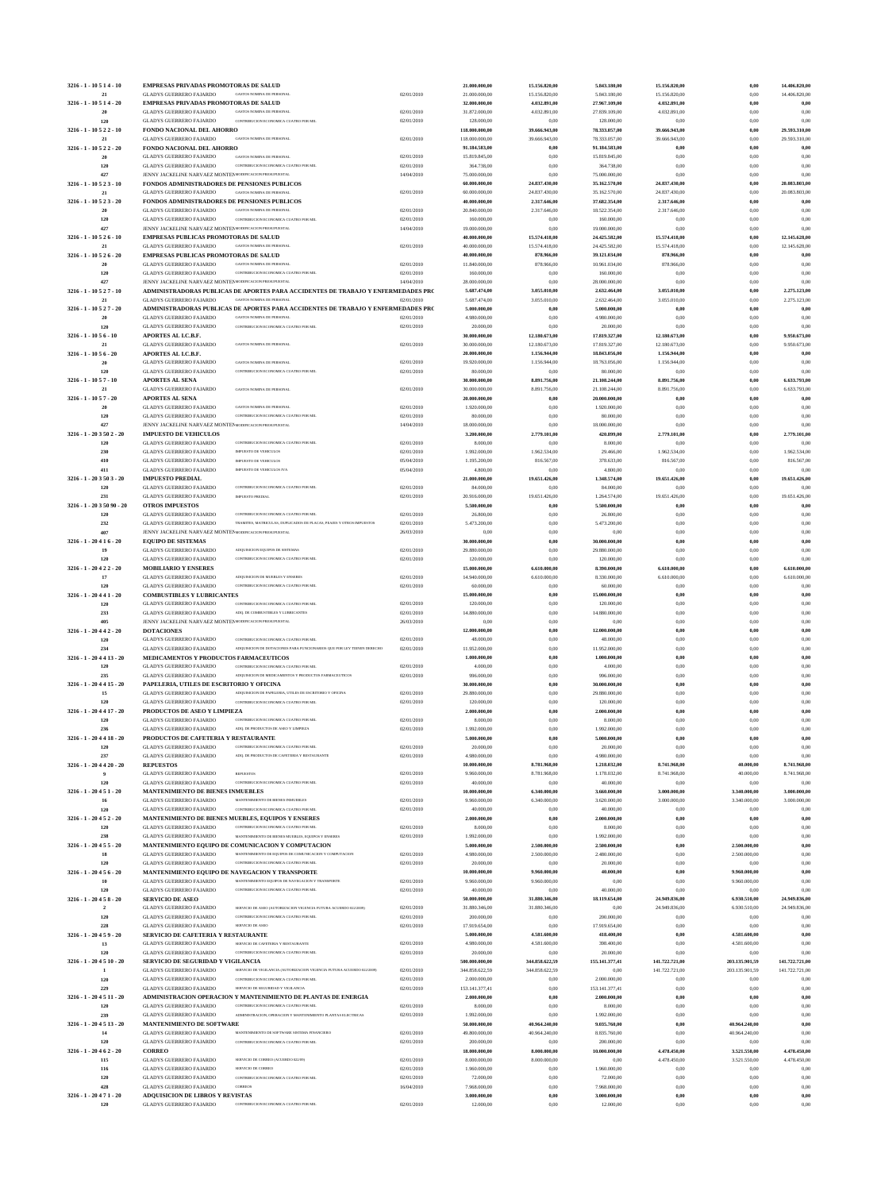| 3216 - 1 - 10 5 1 4 - 10                  | <b>EMPRESAS PRIVADAS PROMOTORAS DE SALUD</b>                                                                                                                                        |                          | 21.000.000,00                  | 15.156.820,00                  | 5.843.180,00                   | 15.156.820.00                  | 0,00                 | 14.406.820,00                  |
|-------------------------------------------|-------------------------------------------------------------------------------------------------------------------------------------------------------------------------------------|--------------------------|--------------------------------|--------------------------------|--------------------------------|--------------------------------|----------------------|--------------------------------|
| 21                                        | <b>GLADYS GUERRERO FAJARDO</b><br><b>GASTOS NOMINA DE PERSONAI</b>                                                                                                                  | 02/01/2010               | 21.000.000,00                  | 15.156.820,00                  | 5.843.180,00                   | 15.156.820,00                  | 0,00                 | 14.406.820,00                  |
| 3216 - 1 - 10 5 1 4 - 20                  | <b>EMPRESAS PRIVADAS PROMOTORAS DE SALUD</b><br><b>GLADYS GUERRERO FAJARDO</b><br><b>GASTOS NOMINA DE PERSONAI</b>                                                                  |                          | 32.000.000,00                  | 4.032.891,00                   | 27.967.109,00                  | 4.032.891,00                   | 0,00<br>0,00         | 0.00                           |
| 20<br>120                                 | <b>GLADYS GUERRERO FAJARDO</b><br>CONTRIBUCION ECONOMICA CUATRO POR MIL                                                                                                             | 02/01/2010<br>02/01/2010 | 31.872.000,00<br>128.000,00    | 4.032.891,00<br>0,00           | 27.839.109,00<br>128.000,00    | 4.032.891,00<br>0,00           | 0,00                 | 0.00<br>0.00                   |
| 3216 - 1 - 10 5 2 2 - 10                  | FONDO NACIONAL DEL AHORRO                                                                                                                                                           |                          | 118.000.000,00                 | 39.666.943,00                  | 78.333.057,00                  | 39.666.943,00                  | 0,00                 | 29.593.310,00                  |
| 21                                        | <b>GASTOS NOMINA DE PERSONAL</b><br><b>GLADYS GUERRERO FAJARDO</b>                                                                                                                  | 02/01/2010               | 118.000.000,00                 | 39.666.943,00                  | 78.333.057,00                  | 39.666.943,00                  | 0,00                 | 29.593.310,00                  |
| 3216 - 1 - 10 5 2 2 - 20                  | FONDO NACIONAL DEL AHORRO                                                                                                                                                           |                          | 91.184.583,00                  | 0,00                           | 91.184.583,00                  | 0,00                           | 0,00                 | 0,00                           |
| 20                                        | GASTOS NOMINA DE PERSONAL<br><b>GLADYS GUERRERO FAJARDO</b>                                                                                                                         | 02/01/2010               | 15.819.845,00                  | 0,00                           | 15.819.845,00                  | 0,00                           | 0,00                 | 0.00                           |
| 120                                       | <b>GLADYS GUERRERO FAJARDO</b><br>CONTRIBUCION ECONOMICA CUATRO POR MIL                                                                                                             | 02/01/2010               | 364.738,00                     | 0,00                           | 364.738,00                     | 0,00                           | 0,00                 | 0,00                           |
| 427                                       | JENNY JACKELINE NARVAEZ MONTE MODIFICACION PRESUPUESTAL                                                                                                                             | 14/04/2010               | 75.000.000,00<br>60.000.000,00 | 0,00                           | 75.000.000,00                  | 0,00                           | 0,00                 | 0.00                           |
| $3216 - 1 - 10523 - 10$<br>21             | FONDOS ADMINISTRADORES DE PENSIONES PUBLICOS<br><b>GLADYS GUERRERO FAJARDO</b><br><b>GASTOS NOMINA DE PERSONAI</b>                                                                  | 02/01/2010               | 60.000.000,00                  | 24.837.430,00<br>24.837.430,00 | 35.162.570,00<br>35.162.570,00 | 24.837.430,00<br>24.837.430,00 | 0,00<br>0,00         | 20.083.803,00<br>20.083.803,00 |
| 3216 - 1 - 10 5 2 3 - 20                  | FONDOS ADMINISTRADORES DE PENSIONES PUBLICOS                                                                                                                                        |                          | 40.000.000,00                  | 2.317.646,00                   | 37.682.354,00                  | 2.317.646,00                   | 0,00                 | 0,00                           |
| 20                                        | <b>GLADYS GUERRERO FAJARDO</b><br><b>GASTOS NOMINA DE PERSONAL</b>                                                                                                                  | 02/01/2010               | 20.840.000,00                  | 2.317.646,00                   | 18.522.354,00                  | 2.317.646,00                   | 0,00                 | 0.00                           |
| 120                                       | <b>GLADYS GUERRERO FAJARDO</b><br>CONTRIBUCION ECONOMICA CUATRO POR MIL                                                                                                             | 02/01/2010               | 160.000,00                     | 0,00                           | 160.000,00                     | 0,00                           | 0,00                 | 0.00                           |
| 427                                       | JENNY JACKELINE NARVAEZ MONTE! MODIFICACION PRESUPUESTAL                                                                                                                            | 14/04/2010               | 19.000.000,00                  | 0,00                           | 19.000.000,00                  | 0,00                           | 0,00                 | 0.00                           |
| $3216 - 1 - 10526 - 10$                   | <b>EMPRESAS PUBLICAS PROMOTORAS DE SALUD</b>                                                                                                                                        |                          | 40.000.000,00                  | 15.574.418,00                  | 24.425.582,00                  | 15.574.418,00                  | 0,00                 | 12.145.628,00                  |
| 21                                        | <b>GLADYS GUERRERO FAJARDO</b><br><b>GASTOS NOMINA DE PERSONAI</b>                                                                                                                  | 02/01/2010               | 40.000.000,00                  | 15.574.418,00                  | 24.425.582,00                  | 15.574.418,00                  | 0,00                 | 12.145.628,00                  |
| 3216 - 1 - 10 5 2 6 - 20<br>20            | <b>EMPRESAS PUBLICAS PROMOTORAS DE SALUD</b><br><b>GASTOS NOMINA DE PERSONAI</b>                                                                                                    | 02/01/2010               | 40.000.000,00<br>11.840.000,00 | 878.966,00                     | 39.121.034,00<br>10.961.034,00 | 878.966,00<br>878.966,00       | 0,00<br>0,00         | 0,00                           |
| 120                                       | <b>GLADYS GUERRERO FAJARDO</b><br><b>GLADYS GUERRERO FAJARDO</b><br>CONTRIBUCION ECONOMICA CUATRO POR MIL                                                                           | 02/01/2010               | 160.000,00                     | 878.966,00<br>0,00             | 160.000,00                     | 0,00                           | 0,00                 | 0,00<br>0.00                   |
| 427                                       | JENNY JACKELINE NARVAEZ MONTE! MODIFICACION PRESUPUESTAL                                                                                                                            | 14/04/2010               | 28.000.000,00                  | 0,00                           | 28.000.000,00                  | 0,00                           | 0,00                 | 0.00                           |
| 3216 - 1 - 10 5 2 7 - 10                  | ADMINISTRADORAS PUBLICAS DE APORTES PARA ACCIDENTES DE TRABAJO Y ENFERMEDADES PRO                                                                                                   |                          | 5.687.474,00                   | 3.055.010,00                   | 2.632.464,00                   | 3.055.010,00                   | 0,00                 | 2.275.123,00                   |
| 21                                        | <b>GASTOS NOMINA DE PERSONAI</b><br><b>GLADYS GUERRERO FAJARDO</b>                                                                                                                  | 02/01/2010               | 5.687.474,00                   | 3.055.010,00                   | 2.632.464,00                   | 3.055.010,00                   | 0,00                 | 2.275.123,00                   |
| $3216 - 1 - 10527 - 20$                   | ADMINISTRADORAS PUBLICAS DE APORTES PARA ACCIDENTES DE TRABAJO Y ENFERMEDADES PRO                                                                                                   |                          | 5.000.000,00                   | 0.00                           | 5.000.000,00                   | 0,00                           | 0,00                 | 0,00                           |
| 20                                        | <b>GLADYS GUERRERO FAJARDO</b><br><b>GASTOS NOMINA DE PERSONAI</b>                                                                                                                  | 02/01/2010               | 4.980.000,00                   | 0,00                           | 4.980.000,00                   | 0,00                           | 0,00                 | 0.00                           |
| 120                                       | <b>GLADYS GUERRERO FAJARDO</b><br>CONTRIBUCION ECONOMICA CUATRO POR MIL                                                                                                             | 02/01/2010               | 20.000,00                      | 0,00                           | 20.000,00                      | 0,00                           | 0,00                 | 0.00                           |
| $3216 - 1 - 1056 - 10$<br>21              | APORTES AL I.C.B.F.<br><b>GLADYS GUERRERO FAJARDO</b><br>GASTOS NOMINA DE PERSONAL                                                                                                  | 02/01/2010               | 30.000.000,00<br>30.000.000,00 | 12.180.673,00<br>12.180.673,00 | 17.819.327,00<br>17.819.327,00 | 12.180.673,00<br>12.180.673,00 | 0,00<br>0,00         | 9.950.673,00<br>9.950.673,00   |
| $3216 - 1 - 1056 - 20$                    | APORTES AL I.C.B.F.                                                                                                                                                                 |                          | 20.000.000,00                  | 1.156.944,00                   | 18.843.056,00                  | 1.156.944,00                   | 0,00                 | 0.00                           |
| 20                                        | <b>GLADYS GUERRERO FAJARDO</b><br><b>GASTOS NOMINA DE PERSONAL</b>                                                                                                                  | 02/01/2010               | 19.920.000,00                  | 1.156.944,00                   | 18.763.056,00                  | 1.156.944,00                   | 0,00                 | 0.00                           |
| 120                                       | <b>GLADYS GUERRERO FAJARDO</b><br>CONTRIBUCION ECONOMICA CUATRO POR MIL                                                                                                             | 02/01/2010               | 80.000,00                      | 0,00                           | 80.000,00                      | 0,00                           | 0,00                 | 0.00                           |
| $3216 - 1 - 1057 - 10$                    | <b>APORTES AL SENA</b>                                                                                                                                                              |                          | 30.000.000,00                  | 8.891.756,00                   | 21.108.244,00                  | 8.891.756,00                   | 0,00                 | 6.633.793,00                   |
| 21                                        | <b>GLADYS GUERRERO FAJARDO</b><br><b>GASTOS NOMINA DE PERSONAL</b>                                                                                                                  | 02/01/2010               | 30.000.000,00                  | 8.891.756,00                   | 21.108.244,00                  | 8.891.756,00                   | 0,00                 | 6.633.793,00                   |
| $3216 - 1 - 1057 - 20$                    | <b>APORTES AL SENA</b>                                                                                                                                                              |                          | 20.000.000,00                  | 0,00                           | 20.000.000,00                  | 0,00                           | 0,00                 | 0,00                           |
| 20                                        | <b>GLADYS GUERRERO FAJARDO</b><br><b>GASTOS NOMINA DE PERSONAL</b>                                                                                                                  | 02/01/2010               | 1.920.000,00                   | 0,00                           | 1.920.000,00                   | 0,00                           | 0,00                 | 0.00                           |
| 120<br>427                                | <b>GLADYS GUERRERO FAJARDO</b><br>CONTRIBUCION ECONOMICA CUATRO POR MIL<br>JENNY JACKELINE NARVAEZ MONTE! MODIFICACION PRESUPUESTAL                                                 | 02/01/2010<br>14/04/2010 | 80.000,00<br>18.000.000,00     | 0,00<br>0,00                   | 80.000,00<br>18.000.000,00     | 0,00<br>0,00                   | 0,00<br>0,00         | 0.00<br>0.00                   |
| 3216 - 1 - 20 3 50 2 - 20                 | <b>IMPUESTO DE VEHICULOS</b>                                                                                                                                                        |                          | 3.200.000,00                   | 2.779.101,00                   | 420.899,00                     | 2.779.101,00                   | 0,00                 | 2.779.101,00                   |
| 120                                       | <b>GLADYS GUERRERO FAJARDO</b><br>CONTRIBUCION ECONOMICA CUATRO POR MIL                                                                                                             | 02/01/2010               | 8.000,00                       | 0,00                           | 8.000,00                       | 0,00                           | 0,00                 |                                |
| 230                                       | <b>GLADYS GUERRERO FAJARDO</b><br>IMPUESTO DE VEHICULOS                                                                                                                             | 02/01/2010               | 1.992.000,00                   | 1.962.534,00                   | 29.466,00                      | 1.962.534,00                   | 0,00                 | 1.962.534,00                   |
| 410                                       | <b>IMPUESTO DE VEHICULOS</b><br><b>GLADYS GUERRERO FAJARDO</b>                                                                                                                      | 05/04/2010               | 1.195.200,00                   | 816.567,00                     | 378.633,00                     | 816.567,00                     | 0,00                 | 816.567,00                     |
| 411                                       | <b>GLADYS GUERRERO FAJARDO</b><br>IMPUESTO DE VEHICULOS IVA                                                                                                                         | 05/04/2010               | 4.800,00                       | 0,00                           | 4.800,00                       | 0,00                           | 0,00                 | 0.00                           |
| 3216 - 1 - 20 3 50 3 - 20                 | <b>IMPUESTO PREDIAL</b>                                                                                                                                                             |                          | 21.000.000,00                  | 19.651.426,00                  | 1.348.574,00                   | 19.651.426,00                  | $_{0,00}$            | 19.651.426,00                  |
| 120                                       | <b>GLADYS GUERRERO FAJARDO</b><br>CONTRIBUCION ECONOMICA CUATRO POR MIL                                                                                                             | 02/01/2010               | 84.000,00                      | 0.00                           | 84.000,00                      | 0,00                           | 0,00                 | 0.00                           |
| 231                                       | <b>GLADYS GUERRERO FAJARDO</b><br>IMPUESTO PREDIAL                                                                                                                                  | 02/01/2010               | 20.916.000,00                  | 19.651.426,00                  | 1.264.574,00                   | 19.651.426,00                  | 0,00<br>0,00         | 19.651.426,00                  |
| 3216 - 1 - 20 3 50 90 - 20<br>120         | <b>OTROS IMPUESTOS</b><br><b>GLADYS GUERRERO FAJARDO</b><br>CONTRIBUCION ECONOMICA CUATRO POR MIL                                                                                   | 02/01/2010               | 5.500.000,00<br>26.800,00      | 0,00<br>0,00                   | 5.500.000,00<br>26.800,00      | 0,00<br>0,00                   | 0,00                 | 0,00<br>0.00                   |
| 232                                       | <b>GLADYS GUERRERO FAJARDO</b><br>TRAMITES, MATRICULAS, DUPLICADOS DE PLACAS, PEAJES Y OTROS IMPUESTOS                                                                              | 02/01/2010               | 5.473.200,00                   | 0,00                           | 5.473.200,00                   | 0,00                           | 0,00                 | 0.00                           |
| 407                                       | JENNY JACKELINE NARVAEZ MONTEP MODIFICACION PRESUPUESTAL                                                                                                                            | 26/03/2010               | 0,00                           | 0,00                           | 0,00                           | 0,00                           | 0,00                 | 0,00                           |
| $3216 - 1 - 20416 - 20$                   | <b>EQUIPO DE SISTEMAS</b>                                                                                                                                                           |                          | 30.000.000,00                  | 0.00                           | 30.000.000,00                  | 0,00                           | 0,00                 | 0.00                           |
| 19                                        | <b>GLADYS GUERRERO FAJARDO</b><br>ADQUISICION EQUIPOS DE SISTEMAS                                                                                                                   | 02/01/2010               | 29.880.000,00                  | 0.00                           | 29.880.000,00                  | 0,00                           | 0,00                 | 0.00                           |
| 120                                       | <b>GLADYS GUERRERO FAJARDO</b><br>CONTRIBUCION ECONOMICA CUATRO POR MIL                                                                                                             | 02/01/2010               | 120.000,00                     | 0,00                           | 120.000,00                     | 0,00                           | 0,00                 | 0.00                           |
| 3216 - 1 - 20 4 2 2 - 20                  | <b>MOBILIARIO Y ENSERES</b>                                                                                                                                                         |                          | 15.000.000,00                  | 6.610.000.00                   | 8.390.000,00                   | 6.610.000,00                   | 0,00                 | 6.610.000,00                   |
| 17<br>120                                 | <b>GLADYS GUERRERO FAJARDO</b><br>ADQUISICION DE MUEBLES Y ENSERES<br>CONTRIBUCION ECONOMICA CUATRO POR MIL                                                                         | 02/01/2010               | 14.940.000,00                  | 6.610.000,00                   | 8.330.000,00                   | 6.610.000,00                   | 0.00<br>0,00         | 6.610.000,00                   |
| $3216 - 1 - 20441 - 20$                   | <b>GLADYS GUERRERO FAJARDO</b><br><b>COMBUSTIBLES Y LUBRICANTES</b>                                                                                                                 | 02/01/2010               | 60.000,00<br>15.000.000,00     | 0,00<br>0,00                   | 60.000,00<br>15.000.000,00     | 0,00<br>0,00                   | 0,00                 | 0,00<br>0,00                   |
| 120                                       | CONTRIBUCION ECONOMICA CUATRO POR MIL<br><b>GLADYS GUERRERO FAJARDO</b>                                                                                                             | 02/01/2010               | 120.000,00                     | 0,00                           | 120.000,00                     | 0,00                           | 0,00                 | 0.00                           |
| 233                                       | GLADYS GUERRERO FAJARDO<br>ADQ. DE COMBUSTIBLES Y LUBRICANTES                                                                                                                       | 02/01/2010               | 14.880.000,00                  | 0,00                           | 14.880.000,00                  | 0,00                           | 0,00                 | 0.00                           |
| 405                                       | JENNY JACKELINE NARVAEZ MONTE MODIFICACION PRESUPUESTAL                                                                                                                             | 26/03/2010               | 0,00                           | 0,00                           | 0,00                           | 0,00                           | 0,00                 | 0.00                           |
| $3216 - 1 - 20442 - 20$                   | <b>DOTACIONES</b>                                                                                                                                                                   |                          | 12.000.000,00                  | 0,00                           | 12.000.000,00                  | 0,00                           | 0,00                 | 0,00                           |
| 120                                       | <b>GLADYS GUERRERO FAJARDO</b><br>CONTRIBUCION ECONOMICA CUATRO POR MIL                                                                                                             | 02/01/2010               | 48.000,00                      | 0,00                           | 48.000,00                      | 0,00                           | 0,00                 | 0,00                           |
| 234                                       | <b>GLADYS GUERRERO FAJARDO</b><br>ADQUISICION DE DOTACIONES PARA FUNCIONARIOS QUE POR LEY TIENEN DERECHO                                                                            | 02/01/2010               | 11.952.000,00                  | 0,00                           | 11.952.000,00                  | 0,00                           | 0,00                 | 0.00                           |
| 3216 - 1 - 20 4 4 13 - 20<br>120          | MEDICAMENTOS Y PRODUCTOS FARMACEUTICOS<br><b>GLADYS GUERRERO FAJARDO</b><br>CONTRIBUCION ECONOMICA CUATRO POR MIL                                                                   | 02/01/2010               | 1.000.000,00<br>4.000,00       | 0,00<br>0,00                   | 1.000.000,00<br>4.000,00       | 0,00<br>0,00                   | 0,00<br>0,00         | 0,00<br>0.00                   |
| 235                                       | <b>GLADYS GUERRERO FAJARDO</b><br>ADQUISICION DE MEDICAMENTOS Y PRODUCTOS FARMACEUTICOS                                                                                             | 02/01/2010               | 996.000,00                     | 0,00                           | 996.000,00                     | 0,00                           | 0,00                 | 0.00                           |
| $3216 - 1 - 204415 - 20$                  | PAPELERIA, UTILES DE ESCRITORIO Y OFICINA                                                                                                                                           |                          | 30.000.000,00                  | 0,00                           | 30.000.000,00                  | 0,00                           | 0,00                 | 0,00                           |
| 15                                        | <b>GLADYS GUERRERO FAJARDO</b><br>ADQUISICION DE PAPELERIA, UTILES DE ESCRITORIO Y OFICINA                                                                                          | 02/01/2010               | 29.880.000,00                  | 0,00                           | 29.880.000,00                  | 0.00                           | 0,00                 | 0.00                           |
| 120                                       | <b>GLADYS GUERRERO FAJARDO</b><br>CONTRIBUCION ECONOMICA CUATRO POR MIL                                                                                                             | 02/01/2010               | 120.000,00                     | 0,00                           | 120.000,00                     | 0,00                           | 0,00                 | 0.00                           |
| $3216 - 1 - 204417 - 20$                  | PRODUCTOS DE ASEO Y LIMPIEZA                                                                                                                                                        |                          | 2.000.000,00                   | 0,00                           | 2.000.000,00                   | 0,00                           | 0,00                 | 0,00                           |
| 120                                       | <b>GLADYS GUERRERO FAJARDO</b><br>CONTRIBUCION ECONOMICA CUATRO POR MIL                                                                                                             | 02/01/2010               | 8.000,00                       | 0,00                           | 8.000,00                       | 0,00                           | 0,00                 | 0.00                           |
| 236                                       | <b>GLADYS GUERRERO FAJARDO</b><br>ADO. DE PRODUCTOS DE ASEO Y LIMPIEZA                                                                                                              | 02/01/2010               | 1.992.000,00                   | 0,00                           | 1.992.000,00                   | 0.00                           | 0,00                 | 0.00                           |
| $3216 - 1 - 204418 - 20$                  | PRODUCTOS DE CAFETERIA Y RESTAURANTE<br>CONTRIBUCION ECONOMICA CUATRO POR MIL                                                                                                       |                          | 5.000.000,00                   | 0,00                           | 5.000.000,00                   | 0,00                           | 0,00                 | 0,00                           |
| 120<br>237                                | <b>GLADYS GUERRERO FAJARDO</b><br><b>GLADYS GUERRERO FAJARDO</b><br>ADO. DE PRODUCTOS DE CAFETERIA Y RESTAURANTE                                                                    | 02/01/2010<br>02/01/2010 | 20.000,00<br>4.980.000,00      | 0,00<br>0,00                   | 20.000,00<br>4.980.000,00      | 0,00<br>0,00                   | 0,00<br>0,00         | 0.00<br>0.00                   |
| $3216 - 1 - 204420 - 20$                  | <b>REPUESTOS</b>                                                                                                                                                                    |                          | 10.000.000,00                  | 8.781.968,00                   | 1.218.032,00                   | 8.741.968,00                   | 40.000,00            | 8.741.968,00                   |
|                                           | <b>GLADYS GUERRERO FAJARDO</b><br><b>REPUESTOS</b>                                                                                                                                  | 02/01/2010               | 9.960.000,00                   | 8.781.968,00                   | 1.178.032,00                   | 8.741.968,00                   | 40.000,00            | 8.741.968,00                   |
| 120                                       | <b>GLADYS GUERRERO FAJARDO</b><br>CONTRIBUCION ECONOMICA CUATRO POR MIL                                                                                                             | 02/01/2010               | 40.000,00                      | 0,00                           | 40.000,00                      | 0,00                           | 0,00                 | 0.00                           |
| $3216 - 1 - 20451 - 20$                   | MANTENIMIENTO DE BIENES INMUEBLES                                                                                                                                                   |                          | 10.000.000,00                  | 6.340.000,00                   | 3.660.000,00                   | 3.000.000,00                   | 3.340.000,00         | 3.000.000,00                   |
| 16                                        | <b>GLADYS GUERRERO FAJARDO</b><br>MANTENIMIENTO DE BIENES INMUEBLES                                                                                                                 | 02/01/2010               | 9.960.000,00                   | 6.340.000,00                   | 3.620.000,00                   | 3.000.000,00                   | 3.340.000,00         | 3.000.000,00                   |
| 120                                       | CONTRIBUCION ECONOMICA CUATRO POR MIL<br>GLADYS GUERRERO FAJARDO                                                                                                                    | 02/01/2010               | 40.000,00                      | 0,00                           | 40.000,00                      | 0,00                           | 0,00                 | 0,00                           |
| $3216 - 1 - 20452 - 20$<br>120            | MANTENIMIENTO DE BIENES MUEBLES, EQUIPOS Y ENSERES<br>CONTRIBUCION ECONOMICA CUATRO POR MIL                                                                                         |                          | 2.000.000,00                   | 0,00                           | 2.000.000,00                   | 0,00                           | 0,00                 | 0,00                           |
| 238                                       | <b>GLADYS GUERRERO FAJARDO</b><br>GLADYS GUERRERO FAJARDO<br>MANTENIMIENTO DE BIENES MUEBLES, EQUIPOS Y ENSERES                                                                     | 02/01/2010<br>02/01/2010 | 8.000,00<br>1.992.000,00       | 0,00<br>0,00                   | 8.000,00<br>1.992.000,00       | 0,00<br>0,00                   | 0,00<br>0,00         | 0.00<br>0.00                   |
| $3216 - 1 - 20455 - 20$                   | MANTENIMIENTO EQUIPO DE COMUNICACION Y COMPUTACION                                                                                                                                  |                          | 5.000.000,00                   | 2.500.000,00                   | 2,500,000,00                   | 0,00                           | 2,500,000,00         | 0,00                           |
| 18                                        | <b>GLADYS GUERRERO FAJARDO</b><br>MANTENIMIENTO DE EQUIPOS DE COMUNICACION Y COMPUTACION                                                                                            | 02/01/2010               | 4.980.000,00                   | 2.500.000,00                   | 2.480.000,00                   | 0,00                           | 2.500.000,00         | 0.00                           |
| 120                                       | GLADYS GUERRERO FAJARDO<br>CONTRIBUCION ECONOMICA CUATRO POR MIL                                                                                                                    | 02/01/2010               | 20.000,00                      | 0,00                           | 20.000,00                      | 0,00                           | 0,00                 | 0.00                           |
| $3216 - 1 - 20456 - 20$                   | MANTENIMIENTO EQUIPO DE NAVEGACION Y TRANSPORTE                                                                                                                                     |                          | 10.000.000,00                  | 9.960.000,00                   | 40.000,00                      | 0,00                           | 9.960.000,00         | 0,00                           |
| 10                                        | <b>GLADYS GUERRERO FAJARDO</b><br>MANTENIMIENTO EOUIPOS DE NAVEGACION Y TRANSPORTE                                                                                                  | 02/01/2010               | 9.960.000,00                   | 9.960.000,00                   | 0,00                           | 0,00                           | 9.960.000,00         | 0.00                           |
| 120                                       | <b>GLADYS GUERRERO FAJARDO</b><br>CONTRIBUCION ECONOMICA CUATRO POR MIL                                                                                                             | 02/01/2010               | 40.000,00                      | 0.00                           | 40.000,00                      | 0.00                           | 0.00                 | 0.00                           |
| $3216 - 1 - 20458 - 20$<br>$\overline{2}$ | <b>SERVICIO DE ASEO</b><br>SERVICIO DE ASEO (AUTORIZACION VIGENCIA FUTURA ACUERDO 022/2009)                                                                                         | 02/01/2010               | 50.000.000,00<br>31.880.346,00 | 31.880.346,00<br>31.880.346,00 | 18.119.654,00<br>0.00          | 24.949.836,00<br>24.949.836,00 | 6.930.510,00         | 24.949.836,00<br>24.949.836,00 |
| 120                                       | <b>GLADYS GUERRERO FAJARDO</b><br><b>GLADYS GUERRERO FAJARDO</b><br>CONTRIBUCION ECONOMICA CUATRO POR MIL                                                                           | 02/01/2010               | 200.000,00                     | 0.00                           | 200.000,00                     | 0,00                           | 6.930.510,00<br>0,00 | 0.00                           |
| 228                                       | <b>GLADYS GUERRERO FAJARDO</b><br>SERVICIO DE ASEO                                                                                                                                  | 02/01/2010               | 17.919.654,00                  | 0,00                           | 17.919.654,00                  | 0,00                           | 0,00                 | 0.00                           |
| $3216 - 1 - 20459 - 20$                   | SERVICIO DE CAFETERIA Y RESTAURANTE                                                                                                                                                 |                          | 5.000.000,00                   | 4.581.600,00                   | 418.400,00                     | 0,00                           | 4.581.600,00         | 0.00                           |
| 13                                        | <b>GLADYS GUERRERO FAJARDO</b><br>SERVICIO DE CAFETERIA Y RESTAURANTE                                                                                                               | 02/01/2010               | 4.980.000,00                   | 4.581.600,00                   | 398.400,00                     | 0,00                           | 4.581.600,00         | 0.00                           |
| 120                                       | <b>GLADYS GUERRERO FAJARDO</b><br>CONTRIBUCION ECONOMICA CUATRO POR MIL                                                                                                             | 02/01/2010               | 20.000,00                      | 0,00                           | 20.000,00                      | 0,00                           | 0,00                 | 0.00                           |
| 3216 - 1 - 20 4 5 10 - 20                 | SERVICIO DE SEGURIDAD Y VIGILANCIA                                                                                                                                                  |                          | 500.000.000,00                 | 344.858.622,59                 | 155.141.377,41                 | 141.722.721,00                 | 203.135.901,59       | 141.722.721,00                 |
| 120                                       | SERVICIO DE VIGILANCIA (AUTORIZACION VIGENCIA FUTURA ACUERDO 022/2009)<br><b>GLADYS GUERRERO FAJARDO</b><br><b>GLADYS GUERRERO FAJARDO</b><br>CONTRIBUCION ECONOMICA CUATRO POR MIL | 02/01/2010               | 344.858.622.59                 | 344.858.622,59                 | 0,00                           | 141.722.721,00                 | 203.135.901.59       | 141.722.721,00                 |
| 229                                       | <b>GLADYS GUERRERO FAJARDO</b><br>SERVICIO DE SEGURIDAD Y VIGILANCIA                                                                                                                | 02/01/2010<br>02/01/2010 | 2.000.000,00<br>153.141.377,41 | 0,00<br>0,00                   | 2.000.000,00<br>153.141.377,41 | 0,00<br>0,00                   | 0,00<br>0,00         | 0.00<br>0.00                   |
| 3216 - 1 - 20 4 5 11 - 20                 | ADMINISTRACION OPERACION Y MANTENIMIENTO DE PLANTAS DE ENERGIA                                                                                                                      |                          | 2.000.000,00                   | 0,00                           | 2.000.000,00                   | 0,00                           | 0,00                 | 0,00                           |
| 120                                       | <b>GLADYS GUERRERO FAJARDO</b><br>CONTRIBUCION ECONOMICA CUATRO POR MIL                                                                                                             | 02/01/2010               | 8.000,00                       | 0,00                           | 8.000,00                       | 0,00                           | 0,00                 | 0.00                           |
| 239                                       | <b>GLADYS GUERRERO FAJARDO</b><br>ADMINISTRACION, OPERACION Y MANTENIMIENTO PLANTAS ELECTRICAS                                                                                      | 02/01/2010               | 1.992.000,00                   | 0,00                           | 1.992.000,00                   | 0,00                           | 0,00                 | 0.00                           |
| 3216 - 1 - 20 4 5 13 - 20                 | <b>MANTENIMIENTO DE SOFTWARE</b>                                                                                                                                                    |                          | 50.000.000,00                  | 40.964.240,00                  | 9.035.760,00                   | 0,00                           | 40.964.240,00        | 0.00                           |
| 14                                        | <b>GLADYS GUERRERO FAJARDO</b><br>MANTENIMIENTO DE SOFTWARE SISTEMA FINANCIERO                                                                                                      | 02/01/2010               | 49.800.000,00                  | 40.964.240,00                  | 8.835.760,00                   | 0,00                           | 40.964.240,00        | 0.00                           |
| 120                                       | <b>GLADYS GUERRERO FAJARDO</b><br>CONTRIBUCION ECONOMICA CUATRO POR MIL                                                                                                             | 02/01/2010               | 200.000,00                     | 0.00                           | 200.000,00                     | 0,00                           | 0.00                 | 0.00                           |
| $3216 - 1 - 20462 - 20$                   | <b>CORREO</b>                                                                                                                                                                       |                          | 18.000.000,00                  | 8.000.000,00                   | 10.000.000,00                  | 4.478.450,00                   | 3.521.550,00         | 4.478.450,00                   |
| 115<br>116                                | <b>GLADYS GUERRERO FAJARDO</b><br>SERVICIO DE CORREO (ACUERDO 022/09)<br><b>GLADYS GUERRERO FAJARDO</b><br>SERVICIO DE CORREO                                                       | 02/01/2010<br>02/01/2010 | 8.000.000,00<br>1.960.000,00   | 8.000.000,00<br>0,00           | 0,00<br>1.960.000,00           | 4.478.450,00<br>0,00           | 3.521.550,00<br>0,00 | 4.478.450,00<br>0.00           |
| 120                                       | GLADYS GUERRERO FAJARDO<br>CONTRIBUCION ECONOMICA CUATRO POR MIL                                                                                                                    | 02/01/2010               | 72.000,00                      | 0,00                           | 72.000,00                      | 0.00                           | 0,00                 | 0.00                           |
| 428                                       | <b>GLADYS GUERRERO FAJARDO</b><br><b>CORREOS</b>                                                                                                                                    | 16/04/2010               | 7.968.000,00                   | 0,00                           |                                |                                |                      |                                |
|                                           |                                                                                                                                                                                     |                          |                                |                                | 7.968.000,00                   | 0,00                           | 0,00                 | 0,00                           |
| $3216 - 1 - 20471 - 20$                   | ADQUISICION DE LIBROS Y REVISTAS                                                                                                                                                    |                          | 3.000.000,00                   | 0,00                           | 3.000.000,00                   | 0,00                           | 0,00                 | 0,00                           |
| 120                                       | <b>GLADYS GUERRERO FAJARDO</b><br>CONTRIBUCION ECONOMICA CUATRO POR MIL                                                                                                             | 02/01/2010               | 12.000,00                      | 0,00                           | 12.000,00                      | 0,00                           | 0,00                 | 0.00                           |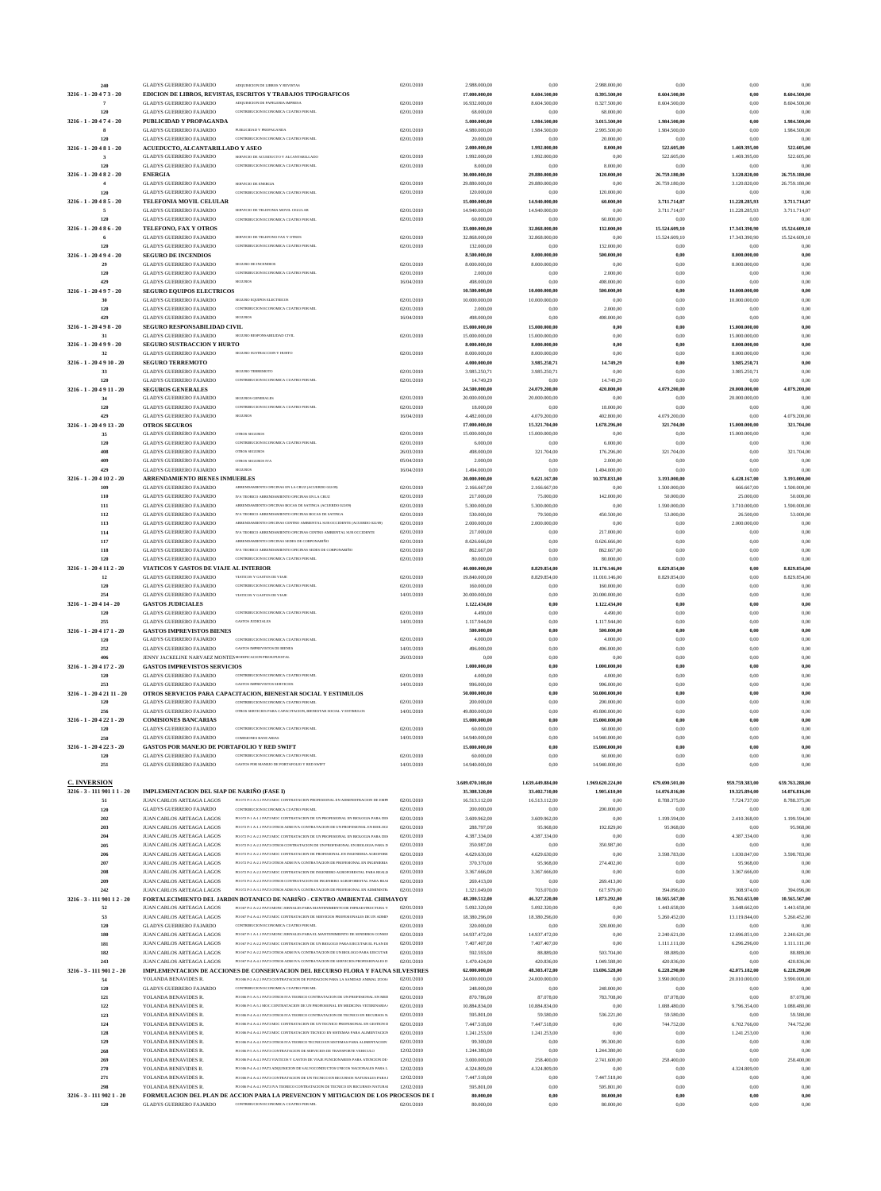| 240                              | <b>GLADYS GUERRERO FAJARDO</b>                                          | ADOUISICION DE LIBROS Y REVISTAS                                                                                                                               | 02/01/2010               | 2.988.000,00                   | 0,00                           | 2.988.000,00                  | 0,00                         | 0,00                           | 0,00                         |
|----------------------------------|-------------------------------------------------------------------------|----------------------------------------------------------------------------------------------------------------------------------------------------------------|--------------------------|--------------------------------|--------------------------------|-------------------------------|------------------------------|--------------------------------|------------------------------|
| 3216 - 1 - 20 4 7 3 - 20         |                                                                         | EDICION DE LIBROS, REVISTAS, ESCRITOS Y TRABAJOS TIPOGRAFICOS                                                                                                  |                          | 17.000.000,00                  | 8.604.500,00                   | 8.395.500,00                  | 8.604.500,00                 | 0,00                           | 8.604.500,00                 |
| 7<br>120                         | <b>GLADYS GUERRERO FAJARDO</b><br><b>GLADYS GUERRERO FAJARDO</b>        | ADOUISICION DE PAPELERIA IMPRESA<br>CONTRIBUCION ECONOMICA CUATRO POR MIL                                                                                      | 02/01/2010<br>02/01/2010 | 16.932.000,00<br>68.000,00     | 8.604.500,00<br>0,00           | 8.327.500,00<br>68.000,00     | 8.604.500,00<br>0,00         | 0,00<br>0,00                   | 8.604.500,00<br>0,00         |
| 3216 - 1 - 20 4 7 4 - 20         | PUBLICIDAD Y PROPAGANDA                                                 |                                                                                                                                                                |                          | 5.000.000,00                   | 1.984.500,00                   | 3.015.500,00                  | 1.984.500,00                 | 0,00                           | 1.984.500,00                 |
|                                  | <b>GLADYS GUERRERO FAJARDO</b>                                          | PUBLICIDAD Y PROPAGANDA                                                                                                                                        | 02/01/2010               | 4.980.000,00                   | 1.984.500,00                   | 2.995.500,00                  | 1.984.500,00                 | 0,00                           | 1.984.500,00                 |
| 120                              | <b>GLADYS GUERRERO FAJARDO</b>                                          | CONTRIBUCION ECONOMICA CUATRO POR MIL                                                                                                                          | 02/01/2010               | 20.000,00                      | 0,00                           | 20.000,00                     | 0,00                         | 0,00                           | 0.00                         |
| $3216 - 1 - 20481 - 20$<br>3     | ACUEDUCTO, ALCANTARILLADO Y ASEO<br><b>GLADYS GUERRERO FAJARDO</b>      | SERVICIO DE ACUEDUCTO Y ALCANTARILLADO                                                                                                                         | 02/01/2010               | 2.000.000,00<br>1.992.000,00   | 1.992.000,00<br>1.992.000,00   | 8.000,00<br>0,00              | 522.605,00<br>522.605,00     | 1.469.395,00<br>1.469.395,00   | 522.605,00<br>522.605,00     |
| 120                              | <b>GLADYS GUERRERO FAJARDO</b>                                          | CONTRIBUCION ECONOMICA CUATRO POR MIL                                                                                                                          | 02/01/2010               | 8.000,00                       | 0,00                           | 8.000,00                      | 0,00                         | 0,00                           | 0.00                         |
| $3216 - 1 - 20482 - 20$          | <b>ENERGIA</b>                                                          |                                                                                                                                                                |                          | 30.000.000,00                  | 29.880.000,00                  | 120.000,00                    | 26.759.180,00                | 3.120.820,00                   | 26.759.180,00                |
| $\overline{4}$                   | <b>GLADYS GUERRERO FAJARDO</b>                                          | SERVICIO DE ENERGIA                                                                                                                                            | 02/01/2010               | 29.880.000,00                  | 29.880.000,00                  | 0,00                          | 26.759.180,00                | 3.120.820,00                   | 26.759.180,00                |
| 120                              | <b>GLADYS GUERRERO FAJARDO</b>                                          | CONTRIBUCION ECONOMICA CUATRO POR MIL                                                                                                                          | 02/01/2010               | 120.000,00                     | 0,00                           | 120.000,00                    | 0,00                         | 0,00                           | 0.00                         |
| 3216 - 1 - 20 4 8 5 - 20<br>5    | TELEFONIA MOVIL CELULAR<br><b>GLADYS GUERRERO FAJARDO</b>               | SERVICIO DE TELEFONIA MOVIL CELULAR                                                                                                                            | 02/01/2010               | 15.000.000,00<br>14.940.000,00 | 14.940.000,00<br>14.940.000,00 | 60.000,00<br>0,00             | 3.711.714,07<br>3.711.714,07 | 11.228.285,93<br>11.228.285,93 | 3.711.714,07<br>3.711.714,07 |
| 120                              | <b>GLADYS GUERRERO FAJARDO</b>                                          | CONTRIBUCION ECONOMICA CUATRO POR MIL                                                                                                                          | 02/01/2010               | 60.000,00                      | 0,00                           | 60.000,00                     | 0,00                         | 0,00                           | 0,00                         |
| 3216 - 1 - 20 4 8 6 - 20         | TELEFONO, FAX Y OTROS                                                   |                                                                                                                                                                |                          | 33.000.000,00                  | 32.868.000,00                  | 132.000,00                    | 15.524.609,10                | 17.343.390,90                  | 15.524.609,10                |
|                                  | <b>GLADYS GUERRERO FAJARDO</b>                                          | SERVICIO DE TELEFONO FAX Y OTROS                                                                                                                               | 02/01/2010               | 32.868.000,00                  | 32.868.000,00                  | 0,00                          | 15.524.609,10                | 17.343.390,90                  | 15.524.609,10                |
| 120                              | <b>GLADYS GUERRERO FAJARDO</b>                                          | CONTRIBUCION ECONOMICA CUATRO POR MIL                                                                                                                          | 02/01/2010               | 132.000,00                     | 0,00                           | 132.000,00                    | 0,00                         | 0,00                           | 0,00                         |
| 3216 - 1 - 20 4 9 4 - 20         | <b>SEGURO DE INCENDIOS</b>                                              |                                                                                                                                                                |                          | 8.500.000,00                   | 8.000.000,00                   | 500.000,00                    | 0,00                         | 8.000.000,00                   | $_{0,00}$                    |
| 29<br>120                        | <b>GLADYS GUERRERO FAJARDO</b><br><b>GLADYS GUERRERO FAJARDO</b>        | <b>SEGURO DE INCENDIOS</b><br>CONTRIBUCION ECONOMICA CUATRO POR MIL                                                                                            | 02/01/2010<br>02/01/2010 | 8.000.000,00<br>2.000,00       | 8.000.000,00<br>0,00           | 0,00<br>2.000,00              | 0,00<br>0,00                 | 8.000.000,00<br>0,00           | 0,00<br>0,00                 |
| 429                              | <b>GLADYS GUERRERO FAJARDO</b>                                          | <b>SEGUROS</b>                                                                                                                                                 | 16/04/2010               | 498.000,00                     | 0,00                           | 498.000,00                    | 0,00                         | 0,00                           | 0,00                         |
| 3216 - 1 - 20 4 9 7 - 20         | <b>SEGURO EQUIPOS ELECTRICOS</b>                                        |                                                                                                                                                                |                          | 10.500.000,00                  | 10.000.000,00                  | 500.000,00                    | 0,00                         | 10.000.000,00                  | 0,00                         |
| 30                               | <b>GLADYS GUERRERO FAJARDO</b>                                          | SEGURO EQUIPOS ELECTRICOS                                                                                                                                      | 02/01/2010               | 10.000.000,00                  | 10.000.000,00                  | 0,00                          | 0,00                         | 10.000.000,00                  | 0,00                         |
| 120                              | <b>GLADYS GUERRERO FAJARDO</b>                                          | CONTRIBUCION ECONOMICA CUATRO POR MIL                                                                                                                          | 02/01/2010               | 2.000,00                       | 0,00                           | 2.000,00                      | 0,00                         | 0,00                           | 0,00                         |
| 429                              | <b>GLADYS GUERRERO FAJARDO</b>                                          | <b>SEGUROS</b>                                                                                                                                                 | 16/04/2010               | 498.000,00                     | 0,00                           | 498.000,00                    | 0,00                         | 0,00                           | 0,00                         |
| 3216 - 1 - 20 4 9 8 - 20         | SEGURO RESPONSABILIDAD CIVIL<br><b>GLADYS GUERRERO FAJARDO</b>          | SEGURO RESPONSABILIDAD CIVIL                                                                                                                                   | 02/01/2010               | 15.000.000,00<br>15.000.000,00 | 15.000.000,00<br>15.000.000,00 | 0,00<br>0,00                  | 0,00<br>0,00                 | 15.000.000,00<br>15.000.000,00 | 0,00<br>0,00                 |
| $3216 - 1 - 20499 - 20$          | SEGURO SUSTRACCION Y HURTO                                              |                                                                                                                                                                |                          | 8.000.000,00                   | 8.000.000,00                   | 0,00                          | 0,00                         | 8.000.000,00                   | 0,00                         |
| 32                               | <b>GLADYS GUERRERO FAJARDO</b>                                          | SEGURO SUSTRACCION Y HURTO                                                                                                                                     | 02/01/2010               | 8.000.000,00                   | 8.000.000,00                   | 0,00                          | 0,00                         | 8.000.000,00                   | 0,00                         |
| 3216 - 1 - 20 4 9 10 - 20        | <b>SEGURO TERREMOTO</b>                                                 |                                                                                                                                                                |                          | 4.000.000,00                   | 3.985.250,71                   | 14.749,29                     | 0,00                         | 3.985.250,71                   | $_{0,00}$                    |
| 33                               | <b>GLADYS GUERRERO FAJARDO</b>                                          | SEGURO TERREMOTO                                                                                                                                               | 02/01/2010               | 3.985.250,71                   | 3.985.250,71                   | 0,00                          | 0,00                         | 3.985.250,71                   | 0,00                         |
| 120                              | <b>GLADYS GUERRERO FAJARDO</b>                                          | CONTRIBUCION ECONOMICA CUATRO POR MIL                                                                                                                          | 02/01/2010               | 14.749,29                      | 0,00                           | 14.749,29                     | 0,00                         | 0,00                           | 0,00                         |
| 3216 - 1 - 20 4 9 11 - 20        | <b>SEGUROS GENERALES</b>                                                |                                                                                                                                                                |                          | 24.500.000,00                  | 24.079.200,00                  | 420.800,00                    | 4.079.200,00                 | 20.000.000,00                  | 4.079.200,00                 |
| 34<br>120                        | <b>GLADYS GUERRERO FAJARDO</b><br><b>GLADYS GUERRERO FAJARDO</b>        | SEGUROS GENERALES<br>CONTRIBUCION ECONOMICA CUATRO POR MIL                                                                                                     | 02/01/2010<br>02/01/2010 | 20.000.000,00<br>18.000,00     | 20.000.000,00<br>0,00          | 0,00<br>18.000,00             | 0,00<br>0,00                 | 20.000.000,00<br>0,00          | 0,00<br>0,00                 |
| 429                              | <b>GLADYS GUERRERO FAJARDO</b>                                          | <b>SEGUROS</b>                                                                                                                                                 | 16/04/2010               | 4.482.000,00                   | 4.079.200,00                   | 402.800,00                    | 4.079.200,00                 | 0,00                           | 4.079.200,00                 |
| 3216 - 1 - 20 4 9 13 - 20        | <b>OTROS SEGUROS</b>                                                    |                                                                                                                                                                |                          | 17.000.000,00                  | 15.321.704,00                  | 1.678.296,00                  | 321.704,00                   | 15.000.000,00                  | 321.704,00                   |
| 35                               | <b>GLADYS GUERRERO FAJARDO</b>                                          | OTROS SEGUROS                                                                                                                                                  | 02/01/2010               | 15.000.000,00                  | 15.000.000,00                  | 0,00                          | 0,00                         | 15.000.000,00                  | 0.00                         |
| 120                              | <b>GLADYS GUERRERO FAJARDO</b>                                          | CONTRIBUCION ECONOMICA CUATRO POR MIL                                                                                                                          | 02/01/2010               | 6.000,00                       | 0,00                           | 6.000,00                      | 0,00                         | 0,00                           | 0.00                         |
| 408                              | <b>GLADYS GUERRERO FAJARDO</b>                                          | <b>OTROS SEGUROS</b>                                                                                                                                           | 26/03/2010               | 498.000,00                     | 321.704,00                     | 176.296,00                    | 321.704,00                   | 0,00                           | 321.704,00                   |
| 409                              | <b>GLADYS GUERRERO FAJARDO</b>                                          | OTROS SEGUROS IVA                                                                                                                                              | 05/04/2010               | 2.000,00                       | 0,00                           | 2.000,00                      | 0,00                         | 0,00                           | 0,00                         |
| 429<br>3216 - 1 - 20 4 10 2 - 20 | <b>GLADYS GUERRERO FAJARDO</b><br><b>ARRENDAMIENTO BIENES INMUEBLES</b> | <b>SEGUROS</b>                                                                                                                                                 | 16/04/2010               | 1.494.000,00<br>20.000.000,00  | 0,00<br>9.621.167,00           | 1.494.000,00<br>10.378.833,00 | 0,00<br>3.193.000,00         | 0,00<br>6.428.167,00           | 0.00                         |
| 109                              | <b>GLADYS GUERRERO FAJARDO</b>                                          | ARRENDAMIENTO OFICINAS EN LA CRUZ (ACUERDO 022/09)                                                                                                             | 02/01/2010               | 2.166.667,00                   | 2.166.667,00                   | 0,00                          | 1.500.000,00                 | 666.667,00                     | 3.193.000,00<br>1.500.000,00 |
| 110                              | <b>GLADYS GUERRERO FAJARDO</b>                                          | IVA TEORICO ARRENDAMIENTO OFICINAS EN LA CRUZ                                                                                                                  | 02/01/2010               | 217.000,00                     | 75.000,00                      | 142.000,00                    | 50.000,00                    | 25.000,00                      | 50.000,00                    |
| 111                              | <b>GLADYS GUERRERO FAJARDO</b>                                          | ARRENDAMIENTO OFICINAS BOCAS DE SATINGA (ACUERDO 022/09)                                                                                                       | 02/01/2010               | 5.300.000,00                   | 5.300.000,00                   | 0,00                          | 1.590.000,00                 | 3.710.000,00                   | 1.590.000,00                 |
| 112                              | <b>GLADYS GUERRERO FAJARDO</b>                                          | IVA TEORICO ARRENDAMIENTO OFICINAS BOCAS DE SATINGA                                                                                                            | 02/01/2010               | 530.000,00                     | 79.500,00                      | 450.500,00                    | 53.000,00                    | 26.500,00                      | 53.000,00                    |
| 113                              | <b>GLADYS GUERRERO FAJARDO</b>                                          | ARRENDAMIENTO OFICINAS CENTRO AMBIENTAL SUR OCCIDENTE (ACUERDO 022/09)                                                                                         | 02/01/2010               | 2.000.000,00                   | 2.000.000,00                   | 0,00                          | 0,00                         | 2.000.000,00                   | 0,00                         |
| 114                              | <b>GLADYS GUERRERO FAJARDO</b>                                          | IVA TEORICO ARRENDAMIENTO OFICINAS CENTRO AMBIENTAL SUR OCCIDENTE<br>ARRENDAMIENTO OFICINAS SEDES DE CORPONARIÑO                                               | 02/01/2010               | 217.000,00                     | 0,00                           | 217.000,00                    | 0,00                         | 0,00                           | 0,00                         |
| 117<br>118                       | <b>GLADYS GUERRERO FAJARDO</b><br><b>GLADYS GUERRERO FAJARDO</b>        | IVA TEORICO ARRENDAMIENTO OFICINAS SEDES DE CORPONARIÑO                                                                                                        | 02/01/2010<br>02/01/2010 | 8.626.666,00<br>862.667,00     | 0,00<br>0,00                   | 8.626.666,00<br>862.667,00    | 0,00<br>0,00                 | 0,00<br>0,00                   | 0,00<br>0,00                 |
| 120                              | <b>GLADYS GUERRERO FAJARDO</b>                                          | CONTRIBUCION ECONOMICA CUATRO POR MIL                                                                                                                          | 02/01/2010               | 80.000,00                      | 0,00                           | 80.000,00                     | 0,00                         | 0,00                           | 0,00                         |
| 3216 - 1 - 20 4 11 2 - 20        | VIATICOS Y GASTOS DE VIAJE AL INTERIOR                                  |                                                                                                                                                                |                          | 40.000.000,00                  | 8.829.854,00                   | 31.170.146,00                 | 8.829.854,00                 | 0,00                           | 8.829.854,00                 |
|                                  | GLADYS GUERRERO FAJARDO                                                 | VIATICOS Y GASTOS DE VIAJE                                                                                                                                     | 02/01/2010               | 19.840.000,00                  | 8.829.854,00                   | 11.010.146,00                 | 8.829.854,00                 | 0.00                           | 8.829.854,00                 |
| 120                              | <b>GLADYS GUERRERO FAJARDO</b>                                          | CONTRIBUCION ECONOMICA CUATRO POR MIL                                                                                                                          | 02/01/2010               | 160.000,00                     | 0,00                           | 160.000,00                    | 0,00                         | 0,00                           | 0,00                         |
| 254                              | <b>GLADYS GUERRERO FAJARDO</b>                                          | VIATICOS Y GASTOS DE VLAJE                                                                                                                                     | 14/01/2010               | 20.000.000,00                  | 0,00                           | 20.000.000,00                 | 0,00                         | 0,00                           | 0,00                         |
| $3216 - 1 - 20414 - 20$<br>120   | <b>GASTOS JUDICIALES</b><br><b>GLADYS GUERRERO FAJARDO</b>              | CONTRIBUCION ECONOMICA CUATRO POR MIL                                                                                                                          | 02/01/2010               | 1.122.434,00<br>4.490,00       | 0,00<br>0,00                   | 1.122.434,00<br>4.490,00      | $_{0,00}$<br>0,00            | 0,00<br>0,00                   | $_{0,00}$<br>0,00            |
| 255                              | <b>GLADYS GUERRERO FAJARDO</b>                                          | <b>GASTOS JUDICIALES</b>                                                                                                                                       | 14/01/2010               | 1.117.944,00                   | 0,00                           | 1.117.944,00                  | 0,00                         | 0,00                           | 0,00                         |
|                                  | <b>GASTOS IMPREVISTOS BIENES</b>                                        |                                                                                                                                                                |                          | 500.000,00                     | 0,00                           | 500.000,00                    | $0,\!00$                     | 0,00                           | $_{0,00}$                    |
|                                  |                                                                         |                                                                                                                                                                |                          |                                |                                |                               |                              |                                |                              |
| 3216 - 1 - 20 4 17 1 - 20<br>120 | <b>GLADYS GUERRERO FAJARDO</b>                                          | CONTRIBUCION ECONOMICA CUATRO POR MIL                                                                                                                          | 02/01/2010               | 4.000,00                       | 0,00                           | 4.000,00                      | 0,00                         | 0,00                           | 0,00                         |
| 252                              | <b>GLADYS GUERRERO FAJARDO</b>                                          | <b>GASTOS IMPREVISTOS DE BIENES</b>                                                                                                                            | 14/01/2010               | 496.000,00                     | 0,00                           | 496.000,00                    | 0,00                         | 0,00                           | 0,00                         |
| 406                              | JENNY JACKELINE NARVAEZ MONTE MODIFICACION PRESUPUESTAL                 |                                                                                                                                                                | 26/03/2010               | 0,00                           | 0,00                           | 0,00                          | 0,00                         | 0,00                           | 0,00                         |
| 3216 - 1 - 20 4 17 2 - 20        | <b>GASTOS IMPREVISTOS SERVICIOS</b>                                     |                                                                                                                                                                |                          | 1.000.000,00                   | 0,00                           | 1.000.000,00                  | 0,00                         | 0,00                           | 0,00                         |
| 120                              | <b>GLADYS GUERRERO FAJARDO</b>                                          | CONTRIBUCION ECONOMICA CUATRO POR MIL                                                                                                                          | 02/01/2010               | 4.000,00                       | 0,00                           | 4.000,00                      | 0,00                         | 0,00                           | 0,00                         |
| 253                              | <b>GLADYS GUERRERO FAJARDO</b>                                          | <b>GASTOS IMPREVISTOS SERVICIOS</b>                                                                                                                            | 14/01/2010               | 996.000,00                     | 0,00                           | 996.000,00                    | 0,00                         | 0,00                           | 0,00                         |
| 3216 - 1 - 20 4 21 11 - 20       | <b>GLADYS GUERRERO FAJARDO</b>                                          | OTROS SERVICIOS PARA CAPACITACION, BIENESTAR SOCIAL Y ESTIMULOS<br>CONTRIBUCION ECONOMICA CUATRO POR MIL                                                       | 02/01/2010               | 50.000.000,00<br>200.000,00    | 0,00<br>0,00                   | 50.000.000,00<br>200.000,00   | 0,00<br>0,00                 | 0,00<br>0,00                   | 0,00<br>0,00                 |
| 120<br>256                       | <b>GLADYS GUERRERO FAJARDO</b>                                          | OTROS SERVICIOS PARA CAPACITACION, BIENESTAR SOCIAL Y ESTIMULOS                                                                                                | 14/01/2010               | 49.800.000,00                  | 0,00                           | 49.800.000,00                 | 0,00                         | 0,00                           | 0,00                         |
| 3216 - 1 - 20 4 22 1 - 20        | <b>COMISIONES BANCARIAS</b>                                             |                                                                                                                                                                |                          | 15.000.000,00                  | 0,00                           | 15.000.000,00                 | 0,00                         | 0,00                           | 0,00                         |
| 120                              | <b>GLADYS GUERRERO FAJARDO</b>                                          | CONTRIBUCION ECONOMICA CUATRO POR MIL                                                                                                                          | 02/01/2010               | 60.000,00                      | 0,00                           | 60.000,00                     | 0,00                         | 0,00                           | 0,00                         |
| 250                              | <b>GLADYS GUERRERO FAJARDO</b>                                          | <b>COMISIONES BANCARIAS</b>                                                                                                                                    | 14/01/2010               | 14.940.000,00                  | 0,00                           | 14.940.000,00                 | 0.00                         | 0,00                           | 0,00                         |
| 3216 - 1 - 20 4 22 3 - 20        | GASTOS POR MANEJO DE PORTAFOLIO Y RED SWIFT                             |                                                                                                                                                                |                          | 15.000.000,00                  | 0.00                           | 15.000.000,00                 | 0,00                         | 0,00                           | 0,00                         |
| 120                              | <b>GLADYS GUERRERO FAJARDO</b>                                          | CONTRIBUCION ECONOMICA CUATRO POR MIL<br>GASTOS POR MANEJO DE PORTAFOLIO Y RED SWIFT                                                                           | 02/01/2010               | 60.000,00                      | 0,00                           | 60.000,00                     | 0,00                         | 0,00                           | 0,00                         |
| 251                              | <b>GLADYS GUERRERO FAJARDO</b>                                          |                                                                                                                                                                | 14/01/2010               | 14.940.000,00                  | 0,00                           | 14.940.000,00                 | 0,00                         | 0,00                           | 0,00                         |
| <b>C. INVERSION</b>              |                                                                         |                                                                                                                                                                |                          | 3.609.070.108,00               | 1.639.449.884,00               | 1.969.620.224,00              | 679.690.501,00               | 959.759.383,00                 | 659.763.288,00               |
| 3216 - 3 - 111 901 11 - 20       | IMPLEMENTACION DEL SIAP DE NARIÑO (FASE I)                              |                                                                                                                                                                |                          | 35.308.320,00                  | 33.402.710,00                  | 1.905.610,00                  | 14.076.816,00                | 19.325.894,00                  | 14.076.816,00                |
| 51                               | JUAN CARLOS ARTEAGA LAGOS                                               | PO 072 P-3 A-3.1 PAT3 MOC CONTRATACION PROFESIONAL EN ADMINISTRACION DE EMPF                                                                                   | 02/01/2010               | 16.513.112,00                  | 16.513.112,00                  | 0,00                          | 8.788.375,00                 | 7.724.737,00                   | 8.788.375,00                 |
| 120                              | <b>GLADYS GUERRERO FAJARDO</b>                                          | CONTRIBUCION ECONOMICA CUATRO POR MIL                                                                                                                          | 02/01/2010               | 200.000,00                     | 0,00                           | 200.000,00                    | 0,00                         | 0,00                           | 0.00                         |
| 202<br>203                       | JUAN CARLOS ARTEAGA LAGOS<br>JUAN CARLOS ARTEAGA LAGOS                  | PO 072 P-1 A-1.1 PAT3 MOC CONTRATACION DE UN PROFESIONAL EN BIOLOGIA PARA DES<br>PO 072 P-1 A-1.1 PAT3 OTROS ADM IVA CONTRATACION DE UN PROFESIONAL EN BIOLOGI | 02/01/2010<br>02/01/2010 | 3.609.962,00<br>288.797,00     | 3.609.962,00<br>95.968,00      | 0,00<br>192.829,00            | 1.199.594,00<br>95.968,00    | 2.410.368,00<br>0,00           | 1.199.594,00<br>95.968,00    |
| 204                              | JUAN CARLOS ARTEAGA LAGOS                                               | PO 072 P-2 A-2.3 PAT3 MOC CONTRATACION DE UN PROFESIONAL EN BIOLOGIA PARA DES                                                                                  | 02/01/2010               | 4.387.334,00                   | 4.387.334,00                   | 0,00                          | 0,00                         | 4.387.334,00                   | 0,00                         |
| 205                              | JUAN CARLOS ARTEAGA LAGOS                                               | PO 072 P-2 A-2.3 PAT3 OTROS CONTRATACION DE UN PROFESIONAL EN BIOLOGIA PARA D                                                                                  | 02/01/2010               | 350.987,00                     | 0,00                           | 350.987,00                    | 0,00                         | 0,00                           | 0.00                         |
| 206                              | JUAN CARLOS ARTEAGA LAGOS                                               | PO 072 P-2 A-2.1 PAT3 MOC CONTRATACION DE PROFESIONAL EN INGENIERIA AGROFORE                                                                                   | 02/01/2010               | 4.629.630,00                   | 4.629.630,00                   | 0,00                          | 3.598.783,00                 | 1.030.847,00                   | 3.598.783,00                 |
| 207                              | JUAN CARLOS ARTEAGA LAGOS                                               | PO 072 P-2 A-2.1 PAT3 OTROS ADM IVA CONTRATACION DE PROFESIONAL EN INGENIERIA                                                                                  | 02/01/2010               | 370.370,00                     | 95.968,00                      | 274.402,00                    | 0,00                         | 95.968,00                      | 0,00                         |
| 208                              | JUAN CARLOS ARTEAGA LAGOS                                               | PO 072 P-2 A-2.3 PAT3 MOC CONTRATACION DE INGENIERO AGROFORESTAL PARA REALIZ<br>PO 072 P-2 A-2.3 PAT3 OTROS CONTRATACION DE INGENIERO AGROFORESTAL PARA REAI   | 02/01/2010               | 3.367.666,00                   | 3.367.666,00                   | 0,00                          | 0,00                         | 3.367.666,00                   | 0,00                         |
| 209<br>242                       | JUAN CARLOS ARTEAGA LAGOS<br>JUAN CARLOS ARTEAGA LAGOS                  | PO 072 P-3 A-3.1 PAT3 OTROS ADM IVA CONTRATACION DE PROFESIONAL EN ADMINISTR.                                                                                  | 02/01/2010<br>02/01/2010 | 269.413,00<br>1.321.049,00     | 0,00<br>703.070,00             | 269.413,00<br>617.979,00      | 0,00<br>394.096,00           | 0,00<br>308.974,00             | 0,00<br>394.096,00           |
| 3216 - 3 - 111 901 12 - 20       |                                                                         | FORTALECIMIENTO DEL JARDIN BOTANICO DE NARIÑO - CENTRO AMBIENTAL CHIMAYOY                                                                                      |                          | 48.200.512,00                  | 46.327.220,00                  | 1.873.292,00                  | 10.565.567,00                | 35.761.653,00                  | 10.565.567,00                |
| 52                               | JUAN CARLOS ARTEAGA LAGOS                                               | PO 067 P-2 A-2.2 PAT3 MONC JORNALES PARA MANTENIMIENTO DE INFRAESTRUCTURA Y                                                                                    | 02/01/2010               | 5.092.320,00                   | 5.092.320,00                   | 0,00                          | 1.443.658,00                 | 3.648.662,00                   | 1.443.658,00                 |
| 53                               | JUAN CARLOS ARTEAGA LAGOS                                               | PO 067 P-4 A-4.1 PAT3 MOC CONTRATACION DE SERVICIOS PROFESIONALES DE UN ADMIN                                                                                  | 02/01/2010               | 18.380.296,00                  | 18.380.296,00                  | 0,00                          | 5.260.452,00                 | 13.119.844,00                  | 5.260.452,00                 |
| 120                              | <b>GLADYS GUERRERO FAJARDO</b>                                          | CONTRIBUCION ECONOMICA CUATRO POR MIL                                                                                                                          | 02/01/2010               | 320.000,00                     | 0,00                           | 320.000,00                    | 0,00                         | 0,00                           | 0,00                         |
| 180                              | JUAN CARLOS ARTEAGA LAGOS<br>JUAN CARLOS ARTEAGA LAGOS                  | PO 067 P-1 A-1.1 PAT3 MONC JORNALES PARA EL MANTENIMIENTO DE SENDEROS CONSER<br>PO 067 P-2 A-2.2 PAT3 MOC CONTRATACION DE UN BIOLOGO PARA EJECUTAR EL PLAN DE  | 02/01/2010<br>02/01/2010 | 14.937.472,00                  | 14.937.472,00                  | 0,00                          | 2.240.621,00                 | 12.696.851,00<br>6.296.296,00  | 2.240.621,00<br>1.111.111.00 |
| 181<br>182                       | JUAN CARLOS ARTEAGA LAGOS                                               | PO 067 P-2 A-2.2 PAT3 OTROS ADM IVA CONTRATACION DE UN BIOLOGO PARA EJECUTAR                                                                                   | 02/01/2010               | 7.407.407,00<br>592.593,00     | 7.407.407,00<br>88.889,00      | 0,00<br>503.704,00            | 1.111.111,00<br>88.889,00    | 0,00                           | 88.889,00                    |
| 243                              | JUAN CARLOS ARTEAGA LAGOS                                               | PO 067 P-4 A-4.1 PAT3 OTROS ADM IVA CONTRATACION DE SERVICIOS PROFESIONALES DI                                                                                 | 02/01/2010               | 1.470.424,00                   | 420.836,00                     | 1.049.588,00                  | 420.836,00                   | 0,00                           | 420.836,00                   |
| 3216 - 3 - 111 901 2 - 20        |                                                                         | IMPLEMENTACION DE ACCIONES DE CONSERVACION DEL RECURSO FLORA Y FAUNA SILVESTRES                                                                                |                          | 62.000.000,00                  | 48.303.472,00                  | 13.696.528,00                 | 6.228.290,00                 | 42.075.182,00                  | 6.228.290,00                 |
| 54                               | YOLANDA BENAVIDES R.                                                    | PO 006 P-2 A-2.1 PAT3 CONTRATACION DE FUNDACION PARA LA SANIDAD ANIMAL ZOOS/                                                                                   | 02/01/2010               | 24.000.000,00                  | 24.000.000,00                  | 0,00                          | 3.990.000,00                 | 20.010.000,00                  | 3.990.000,00                 |
| 120                              | <b>GLADYS GUERRERO FAJARDO</b>                                          | CONTRIBUCION ECONOMICA CUATRO POR MIL                                                                                                                          | 02/01/2010               | 248.000,00                     | 0,00                           | 248.000,00                    | 0,00                         | 0,00                           | 0,00                         |
| 121                              | YOLANDA BENAVIDES R.                                                    | PO 006 P-5 A-5.1 PAT3 OTROS IVA TEORICO CONTRATACION DE UN PROFESIONAL EN MED<br>PO 006 P-5 A-5.1 MOC CONTRATACION DE UN PROFESIONAL EN MEDICINA VETERINARIA ( | 02/01/2010               | 870.786,00                     | 87.078,00                      | 783.708,00                    | 87.078,00                    | 0,00                           | 87.078,00                    |
| 122<br>123                       | YOLANDA BENAVIDES R.<br>YOLANDA BENAVIDES R.                            | PO 006 P-4 A-4.1 PAT3 OTROS IVA TEORICO CONTRATACION DE TECNICO EN RECURSOS N.                                                                                 | 02/01/2010<br>02/01/2010 | 10.884.834,00<br>595.801,00    | 10.884.834,00<br>59.580,00     | 0,00<br>536.221,00            | 1.088.480,00<br>59.580,00    | 9.796.354,00<br>0,00           | 1.088.480,00<br>59.580,00    |
| 124                              | YOLANDA BENAVIDES R.                                                    | PO 006 P.4 A.4 I PAT3 MOC CONTRATACION DE UN TECNICO PROFESIONAL EN GESTION D                                                                                  | 02/01/2010               | 7.447.518,00                   | 7.447.518,00                   | 0,00                          | 744.752,00                   | 6.702.766,00                   | 744.752,00                   |
| 128                              | YOLANDA BENAVIDES R.                                                    | PO 006 P-4 A-4.1 PAT3 MOC CONTRATACION TECNICO EN SISTEMAS PARA ALIMENTACION                                                                                   | 02/01/2010               | 1.241.253,00                   | 1.241.253,00                   | 0,00                          | 0,00                         | 1.241.253,00                   | 0,00                         |
| 129                              | YOLANDA BENAVIDES R.                                                    | PO 006 P-4 A-4.1 PAT3 OTROS IVA TEORICO TECNICO EN SISTEMAS PARA ALIMENTACION                                                                                  | 02/01/2010               | 99.300,00                      | 0,00                           | 99.300,00                     | 0,00                         | 0,00                           | 0,00                         |
| 268                              | YOLANDA BENAVIDES R.                                                    | PO 006 P-5 A-5.1 PAT3 CONTRATACION DE SERVICIOS DE TRANSPORTE VEHICULO                                                                                         | 12/02/2010               | 1.244.380,00                   | 0,00                           | 1.244.380,00                  | 0,00                         | 0,00                           | 0,00                         |
| 269                              | YOLANDA BENAVIDES R.                                                    | PO 006 P-4 A-4.1 PAT3 VIATICOS Y GASTOS DE VIAJE FUNCIONARIOS PARA ATENCION DE                                                                                 | 12/02/2010               | 3.000.000,00                   | 258.400,00                     | 2.741.600,00                  | 258.400,00                   | 0,00                           | 258.400,00                   |
| 270                              | YOLANDA BENEVIDES R.                                                    | PO 006 P-4 A-4.1 PAT3 ADQUISICION DE SALVOCONDUCTOS UNICOS NACIONALES PARA L                                                                                   | 12/02/2010               | 4.324.809,00                   | 4.324.809,00                   | 0,00                          | 0,00<br>0.00                 | 4.324.809,00                   | 0,00                         |
| 271<br>298                       | YOLANDA BENAVIDES R<br>YOLANDA BENAVIDES R.                             | PO 006 P-4 A-4.1 PAT3 CONTRATACION DE UN TECNICO EN RECURSOS NATURALES PARA l<br>PO 006 P-4 A-4.1 PAT3 IVA TEORICO CONTRATACION DE TECNICO EN RECURSOS NATURAL | 12/02/2010<br>12/02/2010 | 7.447.518,00<br>595.801,00     | 0,00<br>0,00                   | 7.447.518,00<br>595.801,00    | 0,00                         | 0,00<br>0,00                   | 0,00<br>0,00                 |
| 3216 - 3 - 111 902 1 - 20        |                                                                         | FORMULACION DEL PLAN DE ACCION PARA LA PREVENCION Y MITIGACION DE LOS PROCESOS DE I                                                                            |                          | 80.000,00                      | $_{0,00}$                      | 80.000,00                     | 0,00                         | 0,00                           | 0,00                         |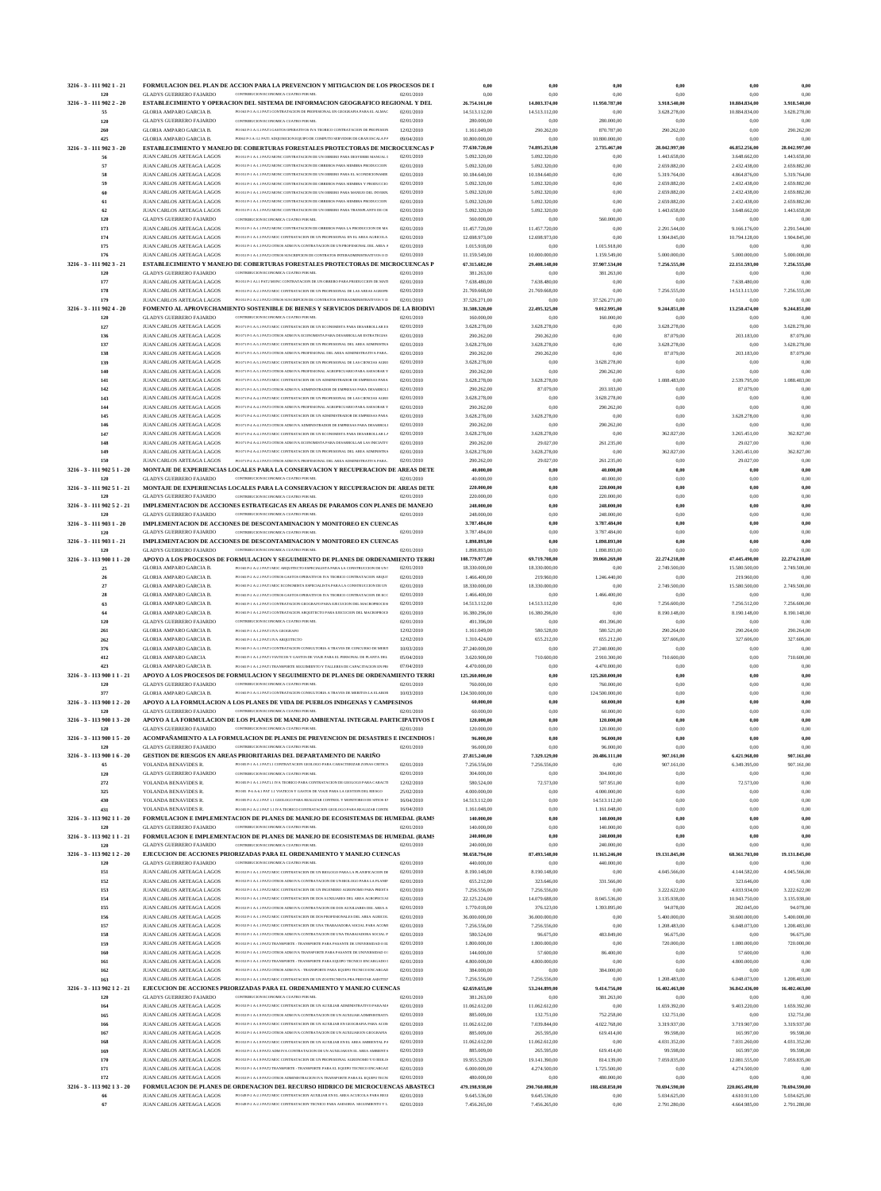|                                    |                                                               | FORMULACION DEL PLAN DE ACCION PARA LA PREVENCION Y MITIGACION DE LOS PROCESOS DE I                                                                              |                          | 0,00                          | 0,00                           | 0,00                         | 0,00                          | 0,00                          | 0,00                          |
|------------------------------------|---------------------------------------------------------------|------------------------------------------------------------------------------------------------------------------------------------------------------------------|--------------------------|-------------------------------|--------------------------------|------------------------------|-------------------------------|-------------------------------|-------------------------------|
| 120                                | <b>GLADYS GUERRERO FAJARDO</b>                                | CONTRIBUCION ECONOMICA CUATRO POR MIL                                                                                                                            | 02/01/2010               | 0,00                          | 0,00                           | 0,00                         | 0,00                          | 0,00                          | 0.00                          |
| 3216 - 3 - 111 902 2 - 20          |                                                               | ESTABLECIMIENTO Y OPERACION DEL SISTEMA DE INFORMACION GEOGRAFICO REGIONAL Y DEL                                                                                 |                          | 26.754.161,00                 | 14.803.374,00                  | 11.950.787,00                | 3.918.540,00                  | 10.884.834,00                 | 3.918.540,00                  |
| 55                                 | GLORIA AMPARO GARCIA B.                                       | PO 063 P-3 A-3.1 PAT1 CONTRATACION DE PROFESIONAL EN GEOGRAFIA PARA EL ALMAC                                                                                     | 02/01/2010               | 14.513.112,00                 | 14.513.112,00                  | 0,00                         | 3.628.278,00                  | 10.884.834,00                 | 3.628.278,00                  |
| 120<br>260                         | <b>GLADYS GUERRERO FAJARDO</b><br>GLORIA AMPARO GARCIA B.     | CONTRIBUCION ECONOMICA CUATRO POR MIL<br>PO 063 P-3 A-3.1 PAT1 GASTOS OPERATIVOS IVA TEORICO CONTRATACION DE PROFESION                                           | 02/01/2010<br>12/02/2010 | 280.000,00<br>1.161.049,00    | 0,00<br>290.262,00             | 280.000,00<br>870.787,00     | 0,00<br>290.262,00            | 0,00<br>0,00                  | 0.00<br>290.262,00            |
| 425                                | GLORIA AMPARO GARCIA B.                                       | PO063 P-3 A-3.1 PAT1 ADOUISICION EQUIPO DE COMPUTO SERVIDOR DE GRAN ESCALA PA                                                                                    | 09/04/2010               | 10.800.000,00                 | 0,00                           | 10.800.000,00                | 0.00                          | 0,00                          | 0.00                          |
| 3216 - 3 - 111 902 3 - 20          |                                                               | ESTABLECIMIENTO Y MANEJO DE COBERTURAS FORESTALES PROTECTORAS DE MICROCUENCAS P                                                                                  |                          | 77.630.720,00                 | 74.895.253,00                  | 2.735.467,00                 | 28.042.997,00                 | 46.852.256,00                 | 28.042.997,00                 |
| 56                                 | JUAN CARLOS ARTEAGA LAGOS                                     | PO 051 P.1 A.1 I PAT2 MONC CONTRATACION DE UN OBRERO PARA DESYERRE MANUAL I                                                                                      | 02/01/2010               | 5.092.320,00                  | 5.092.320,00                   | 0,00                         | 1.443.658,00                  | 3.648.662,00                  | 1.443.658,00                  |
| 57                                 | JUAN CARLOS ARTEAGA LAGOS                                     | PO 051 P-1 A-1.1 PAT2 MONC CONTRATACION DE OBREROS PARA SIEMBRA PRODUCCION                                                                                       | 02/01/2010               | 5.092.320,00                  | 5.092.320,00                   | 0,00                         | 2.659.882,00                  | 2.432.438,00                  | 2.659.882,00                  |
| 58                                 | JUAN CARLOS ARTEAGA LAGOS                                     | PO 051 P-1 A-1.1 PAT2 MONC CONTRATACION DE UN OBRERO PARA EL ACONDICIONAMIE                                                                                      | 02/01/2010               | 10.184.640,00                 | 10.184.640,00                  | 0,00                         | 5.319.764,00                  | 4.864.876,00                  | 5.319.764.00                  |
| 59                                 | JUAN CARLOS ARTEAGA LAGOS                                     | PO 051 P-1 A-1.1 PAT2 MONC CONTRATACION DE OBREROS PARA SIEMBRA Y PRODUCCIO                                                                                      | 02/01/2010               | 5.092.320,00                  | 5.092.320,00                   | 0,00                         | 2.659.882,00                  | 2.432.438,00                  | 2.659.882,00                  |
| 60                                 | JUAN CARLOS ARTEAGA LAGOS                                     | PO 051 P-1 A-1.1 PAT2 MONC CONTRATACION DE UN OBRERO PARA MANEJO DEL INVERN.                                                                                     | 02/01/2010               | 5.092.320,00                  | 5.092.320,00                   | 0.00                         | 2.659.882,00                  | 2.432.438,00                  | 2.659.882.00                  |
| 61                                 | JUAN CARLOS ARTEAGA LAGOS                                     | PO 051 P-1 A-1 1 PAT2 MONC CONTRATACION DE OBREROS PARA SIEMBRA PRODUCCION                                                                                       | 02/01/2010               | 5.092.320,00                  | 5.092.320,00                   | 0,00                         | 2.659.882,00                  | 2.432.438,00                  | 2.659.882,00                  |
| 62                                 | JUAN CARLOS ARTEAGA LAGOS                                     | PO 051 P-1 A-1.1 PAT2 MONC CONTRATACION DE UN OBRERO PARA TRANSPLANTE DE CH                                                                                      | 02/01/2010               | 5.092.320,00                  | 5.092.320,00                   | 0,00                         | 1.443.658,00                  | 3.648.662,00                  | 1.443.658.00                  |
| 120                                | <b>GLADYS GUERRERO FAJARDO</b>                                | CONTRIBUCION ECONOMICA CUATRO POR MIL                                                                                                                            | 02/01/2010               | 560.000,00                    | 0,00                           | 560.000,00                   | 0,00                          | 0,00                          | 0.00                          |
| 173                                | JUAN CARLOS ARTEAGA LAGOS                                     | PO 051 P-1 A-1.1 PAT2 MONC CONTRATACION DE OBREROS PARA LA PRODUCCION DE MA                                                                                      | 02/01/2010               | 11.457.720,00                 | 11.457.720,00                  | 0,00                         | 2.291.544,00                  | 9.166.176,00                  | 2.291.544,00                  |
| 174                                | JUAN CARLOS ARTEAGA LAGOS                                     | PO 051 P-1 A-1.3 PAT2 MOC CONTRATACION DE UN PROFESIONAL EN EL AREA AGRICOLA                                                                                     | 02/01/2010               | 12.698.973,00                 | 12.698.973,00                  | 0,00                         | 1.904.845.00                  | 10.794.128,00                 | 1.904.845,00                  |
| 175<br>176                         | JUAN CARLOS ARTEAGA LAGOS<br>JUAN CARLOS ARTEAGA LAGOS        | PO 051 P-1 A-1.3 PAT2 OTROS ADM IVA CONTRATACION DE UN PROFESIONAL DEL AREA A<br>PO 051 P-1 A-1.3 PAT2 OTROS SUSCRIPCION DE CONTRATOS INTERADMINISTRATIVOS O D   | 02/01/2010<br>02/01/2010 | 1.015.918,00<br>11.159.549,00 | 0.00                           | 1.015.918,00<br>1.159.549,00 | 0,00<br>5.000.000,00          | 0,00<br>5.000.000,00          | 0.00<br>5.000.000,00          |
| 3216 - 3 - 111 902 3 - 21          |                                                               | ESTABLECIMIENTO Y MANEJO DE COBERTURAS FORESTALES PROTECTORAS DE MICROCUENCAS P                                                                                  |                          | 67.315.682,00                 | 10.000.000,00<br>29.408.148,00 | 37.907.534,00                | 7.256.555,00                  | 22.151.593,00                 | 7.256.555,00                  |
| 120                                | <b>GLADYS GUERRERO FAJARDO</b>                                | CONTRIBUCION ECONOMICA CUATRO POR MIL                                                                                                                            | 02/01/2010               | 381.263,00                    | 0.00                           | 381.263,00                   | 0,00                          | 0,00                          | 0.00                          |
| 177                                | JUAN CARLOS ARTEAGA LAGOS                                     | PO 051 P-1 A1.1 PAT2 MONC CONTRATACION DE UN OBRERO PARA PRODUCCION DE MATI                                                                                      | 02/01/2010               | 7.638.480,00                  | 7.638.480,00                   | 0,00                         | 0,00                          | 7.638.480,00                  | 0.00                          |
| 178                                | JUAN CARLOS ARTEAGA LAGOS                                     | PO 051 P-2 A-2.1 PAT2 MOC CONTRATACION DE UN PROFESIONAL DE LAS AREAS AGROPE                                                                                     | 02/01/2010               | 21.769.668,00                 | 21.769.668,00                  | 0,00                         | 7.256.555,00                  | 14.513.113,00                 | 7.256.555,00                  |
| 179                                | JUAN CARLOS ARTEAGA LAGOS                                     | PO 051 P-2 A-2.1 PAT2 OTROS SUSCRIPCION DE CONTRATOS INTERADMINISTRATIVOS Y D                                                                                    | 02/01/2010               | 37.526.271,00                 | 0.00                           | 37.526.271,00                | 0,00                          | 0,00                          | 0.00                          |
| 3216 - 3 - 111 902 4 - 20          |                                                               | FOMENTO AL APROVECHAMIENTO SOSTENIBLE DE BIENES Y SERVICIOS DERIVADOS DE LA BIODIVI                                                                              |                          | 31.508.320,00                 | 22.495.325,00                  | 9.012.995,00                 | 9.244.851,00                  | 13.250.474,00                 | 9.244.851,00                  |
| 120                                | <b>GLADYS GUERRERO FAJARDO</b>                                | CONTRIBUCION ECONOMICA CUATRO POR MIL                                                                                                                            | 02/01/2010               | 160.000,00                    | 0,00                           | 160.000,00                   | 0,00                          | 0,00                          | 0.00                          |
| 127                                | JUAN CARLOS ARTEAGA LAGOS                                     | PO 071 P-5 A-5 1 PAT3 MOC CONTRATACION DE UN ECONOMISTA PARA DESARROLLAR ES                                                                                      | 02/01/2010               | 3.628.278,00                  | 3.628.278,00                   | 0,00                         | 3.628.278,00                  | 0,00                          | 3.628.278,00                  |
| 136                                | JUAN CARLOS ARTEAGA LAGOS                                     | PO 071 P-5 A-5.1 PAT3 OTROS ADM IVA ECONOMISTA PARA DESARROLLAR ESTRATEGIAS                                                                                      | 02/01/2010               | 290.262,00                    | 290.262,00                     | 0,00                         | 87.079,00                     | 203.183,00                    | 87.079,00                     |
| 137                                | JUAN CARLOS ARTEAGA LAGOS                                     | PO 071 P-5 A-5.1 PAT3 MOC CONTRATACION DE UN PROFESIONAL DEL AREA ADMINISTRA                                                                                     | 02/01/2010               | 3.628.278,00                  | 3.628.278.00                   | 0,00                         | 3.628.278,00                  | 0,00                          | 3.628.278,00                  |
| 138                                | JUAN CARLOS ARTEAGA LAGOS                                     | PO 071 P-5 A-5.1 PAT3 OTROS ADM IVA PROFESIONAL DEL AREA ADMINISTRATIVA PARA.                                                                                    | 02/01/2010               | 290.262,00                    | 290.262,00                     | 0,00                         | 87.079,00                     | 203.183,00                    | 87.079,00                     |
| 139                                | JUAN CARLOS ARTEAGA LAGOS                                     | PO 071 P-5 A-5.1 PAT3 MOC CONTRATACION DE UN PROFESIONAL DE LAS CIENCIAS AGRO                                                                                    | 02/01/2010               | 3.628.278,00                  | 0,00                           | 3.628.278,00                 | 0.00                          | 0,00                          | 0.00                          |
| 140                                | JUAN CARLOS ARTEAGA LAGOS                                     | PO 071 P-5 A-5.1 PAT3 OTROS ADM IVA PROFESIONAL AGROPECUARIO PARA ASESORAR Y                                                                                     | 02/01/2010               | 290.262,00                    | 0,00                           | 290.262,00                   | 0,00                          | 0,00                          | 0.00                          |
| 141                                | JUAN CARLOS ARTEAGA LAGOS                                     | PO 071 P-5 A-5 1 PAT3 MOC CONTRATACION DE UN ADMINISTRADOR DE EMPRESAS PARA                                                                                      | 02/01/2010               | 3.628.278,00                  | 3.628.278,00                   | 0,00                         | 1.088.483,00                  | 2.539.795,00                  | 1.088.483,00                  |
| 142                                | JUAN CARLOS ARTEAGA LAGOS                                     | PO 071 P-5 A-5.1 PAT3 OTROS ADM IVA ADMINISTRADOR DE EMPRESAS PARA DESARROLI                                                                                     | 02/01/2010               | 290.262,00                    | 87.079,00                      | 203.183,00                   | 0,00                          | 87.079,00                     |                               |
| 143                                | JUAN CARLOS ARTEAGA LAGOS                                     | PO 071 P-4 A-4.1 PAT3 MOC CONTRATACION DE UN PROFESIONAL DE LAS CIENCIAS AGRO                                                                                    | 02/01/2010               | 3.628.278,00                  | 0,00                           | 3.628.278,00                 | 0,00                          | 0,00                          | 0.00                          |
| 144                                | JUAN CARLOS ARTEAGA LAGOS                                     | PO 071 P-4 A-4.1 PAT3 OTROS ADM IVA PROFESIONAL AGROPECUARIO PARA ASESORAR Y                                                                                     | 02/01/2010               | 290.262,00                    | 0,00                           | 290.262,00                   | 0,00                          | 0,00                          | 0.00                          |
| 145                                | JUAN CARLOS ARTEAGA LAGOS                                     | PO 071 P-4 A-4.1 PAT3 MOC CONTRATACION DE UN ADMINISTRADOR DE EMPRESAS PARA                                                                                      | 02/01/2010               | 3.628.278,00                  | 3.628.278,00                   | 0,00                         | 0,00                          | 3.628.278,00                  | 0.00                          |
| 146                                | JUAN CARLOS ARTEAGA LAGOS                                     | PO 071 P-4 A-4.1 PAT3 OTROS ADM IVA ADMINISTRADOR DE EMPRESAS PARA DESARROLI                                                                                     | 02/01/2010               | 290.262,00                    | 0,00                           | 290.262,00                   | 0,00                          | 0,00                          | 0.00                          |
| 147                                | JUAN CARLOS ARTEAGA LAGOS                                     | PO 071 P-4 A-4.1 PAT3 MOC CONTRATACION DE UN ECONOMISTA PARA DESARROLLAR LA                                                                                      | 02/01/2010               | 3.628.278,00                  | 3.628.278,00                   | 0,00                         | 362.827,00                    | 3.265.451,00                  | 362.827,00                    |
| 148                                | JUAN CARLOS ARTEAGA LAGOS                                     | PO 071 P-4 A-4.1 PAT3 OTROS ADM IVA ECONOMISTA PARA DESARROLLAR LAS INICIATIV                                                                                    | 02/01/2010               | 290.262,00                    | 29.027,00                      | 261.235,00                   | 0,00                          | 29.027,00                     | 0.00                          |
| 149                                | JUAN CARLOS ARTEAGA LAGOS                                     | PO 071 P-4 A-4.1 PAT3 MOC CONTRATACION DE UN PROFESIONAL DEL AREA ADMINISTRA<br>PO 071 P-4 A-4.1 PAT3 OTROS ADM IVA PROFESIONAL DEL AREA ADMINISTRATIVA PARA.    | 02/01/2010               | 3.628.278,00                  | 3.628.278,00                   | 0,00                         | 362.827,00                    | 3.265.451,00                  | 362.827,00                    |
| 150<br>3216 - 3 - 111 902 5 1 - 20 | JUAN CARLOS ARTEAGA LAGOS                                     | MONTAJE DE EXPERIENCIAS LOCALES PARA LA CONSERVACION Y RECUPERACION DE AREAS DETE                                                                                | 02/01/2010               | 290.262,00<br>40.000,00       | 29.027,00<br>0,00              | 261.235,00<br>40.000,00      | 0,00<br>0,00                  | 29.027,00<br>0,00             | 0.00<br>0.00                  |
| 120                                | <b>GLADYS GUERRERO FAJARDO</b>                                | CONTRIBUCION ECONOMICA CUATRO POR MIL                                                                                                                            | 02/01/2010               | 40.000,00                     | 0,00                           | 40.000,00                    | 0,00                          | 0,00                          | 0.00                          |
| 3216 - 3 - 111 902 5 1 - 21        |                                                               | MONTAJE DE EXPERIENCIAS LOCALES PARA LA CONSERVACION Y RECUPERACION DE AREAS DETE                                                                                |                          | 220.000,00                    | 0,00                           | 220.000,00                   | 0,00                          | 0,00                          | 0.00                          |
| 120                                | <b>GLADYS GUERRERO FAJARDO</b>                                | CONTRIBUCION ECONOMICA CUATRO POR MIL                                                                                                                            | 02/01/2010               | 220.000,00                    | 0,00                           | 220.000,00                   | 0,00                          | 0,00                          | 0.00                          |
| 3216 - 3 - 111 902 5 2 - 21        |                                                               | IMPLEMENTACION DE ACCIONES ESTRATEGICAS EN AREAS DE PARAMOS CON PLANES DE MANEJO                                                                                 |                          | 248.000,00                    | 0,00                           | 248.000,00                   | 0,00                          | 0,00                          | 0,00                          |
| 120                                | <b>GLADYS GUERRERO FAJARDO</b>                                | CONTRIBUCION ECONOMICA CUATRO POR MIL                                                                                                                            | 02/01/2010               | 248.000,00                    | 0.00                           | 248.000,00                   | 0.00                          | 0,00                          | 0.00                          |
| 3216 - 3 - 111 903 1 - 20          |                                                               | IMPLEMENTACION DE ACCIONES DE DESCONTAMINACION Y MONITOREO EN CUENCAS                                                                                            |                          | 3.787.484,00                  | 0.00                           | 3.787.484,00                 | 0,00                          | 0,00                          | 0.00                          |
| 120                                | <b>GLADYS GUERRERO FAJARDO</b>                                | CONTRIBUCION ECONOMICA CUATRO POR MIL                                                                                                                            | 02/01/2010               | 3.787.484,00                  | 0,00                           | 3.787.484,00                 | 0.00                          | 0,00                          | 0.00                          |
| 3216 - 3 - 111 903 1 - 21          |                                                               | IMPLEMENTACION DE ACCIONES DE DESCONTAMINACION Y MONITOREO EN CUENCAS                                                                                            |                          | 1.898.893,00                  | 0,00                           | 1.898.893,00                 | 0,00                          | 0,00                          | 0,00                          |
| 120                                | <b>GLADYS GUERRERO FAJARDO</b>                                | CONTRIBUCION ECONOMICA CUATRO POR MIL                                                                                                                            | 02/01/2010               | 1.898.893,00                  | 0.00                           | 1.898.893,00                 | 0.00                          | 0,00                          | 0.00                          |
| 3216 - 3 - 113 900 11 - 20         |                                                               | APOYO A LOS PROCESOS DE FORMULACION Y SEGUIMIENTO DE PLANES DE ORDENAMIENTO TERRI                                                                                |                          | 108.779.977,00                | 69.719.708,00                  | 39.060.269,00                | 22.274.218,00                 | 47.445.490,00                 | 22.274.218,00                 |
| 25                                 | GLORIA AMPARO GARCIA B.                                       | PO 065 P-2 A-2.1 PAT1 MOC ARQUITECTO ESPECIALISTA PARA LA CONSTRUCCION DE UN !                                                                                   | 02/01/2010               | 18.330.000,00                 | 18.330.000,00                  | 0,00                         | 2.749.500,00                  | 15.580.500,00                 | 2.749.500,00                  |
| 26                                 | GLORIA AMPARO GARCIA B.                                       | PO 065 P.2 A.2 I PATI OTROS GASTOS OPERATIVOS IVA TEORICO CONTRATACION AROUT                                                                                     | 02/01/2010               | 1.466.400,00                  | 219.960,00                     | 1.246.440,00                 | 0.00                          | 219.960,00                    |                               |
| $\bf 27$                           | GLORIA AMPARO GARCIA B.<br><b>GLORIA AMPARO GARCIA B.</b>     | PO 065 P-2 A-2.1 PAT1 MOC ECONOMISTA ESPECIALISTA PARA LA CONSTRUCCION DE UN                                                                                     | 02/01/2010               | 18.330.000,00                 | 18.330.000,00                  | 0,00                         | 2.749.500.00                  | 15.580.500,00                 | 2.749.500,00                  |
| 28<br>63                           | GLORIA AMPARO GARCIA B.                                       | PO 065 P-2 A-2.1 PAT1 OTROS GASTOS OPERATIVOS IVA TEORICO CONTRATACION DE ECC<br>PO 065 P.1 A.1 2 PAT1 CONTRATACION GEOGRAFO PARA EIECUCION DEL MACROPROCESI     | 02/01/2010               | 1.466.400,00<br>14.513.112,00 | 0,00<br>14.513.112,00          | 1.466.400,00                 | 0,00                          | 0,00                          | 0.00                          |
|                                    |                                                               |                                                                                                                                                                  | 02/01/2010               |                               |                                | 0,00                         | 7.256.600,00                  | 7.256.512,00                  | 7.256.600,00                  |
|                                    |                                                               |                                                                                                                                                                  |                          |                               |                                |                              |                               |                               |                               |
| 64                                 | GLORIA AMPARO GARCIA B.                                       | PO 065 P-1 A-1.2 PAT1 CONTRATACION ARQUITECTO PARA EJECUCION DEL MACROPROCE                                                                                      | 02/01/2010               | 16.380.296,00                 | 16.380.296,00                  | 0,00                         | 8.190.148.00                  | 8.190.148,00                  | 8.190.148,00                  |
| 120                                | <b>GLADYS GUERRERO FAJARDO</b>                                | CONTRIBUCION ECONOMICA CUATRO POR MIL                                                                                                                            | 02/01/2010               | 491.396,00                    | 0,00                           | 491.396,00                   | 0,00                          | 0,00                          | 0.00                          |
| 261                                | GLORIA AMPARO GARCIA B.                                       | PO 065 P-1 A-1.2 PAT1 IVA GEOGRAFO                                                                                                                               | 12/02/2010               | 1.161.049,00                  | 580.528,00                     | 580.521,00                   | 290.264,00                    | 290.264,00                    | 290.264,00                    |
| 262                                | GLORIA AMPARO GARCIA B.                                       | PO 065 P-1 A-1.2 PAT1 IVA ARQUITECTO<br>PO 065 P.3 A.3 I PATI CONTRATACION CONSULTORIA A TRAVES DE CONCURSO DE MERIT                                             | 12/02/2010               | 1.310.424,00                  | 655.212,00                     | 655.212,00                   | 327.606,00                    | 327.606,00                    | 327.606,00                    |
| 376                                | <b>GLORIA AMPARO GARCIA B.</b>                                | PO 065 P-1 A-1.2 PAT1 VIATICOS Y GASTOS DE VIAJE PARA EL PERSONAL DE PLANTA DEL                                                                                  | 10/03/2010               | 27.240.000,00<br>3.620.900,00 | 0,00                           | 27.240.000,00                | 0,00                          | 0,00                          | 0.00                          |
| 412<br>423                         | <b>GLORIA AMPARO GARCIA</b><br><b>GLORIA AMPARO GARCIA B.</b> | PO 065 P-1 A-1.2 PAT1 TRANSPORTE SEGUIMIENTO Y TALLERES DE CAPACITACION EN PRO                                                                                   | 05/04/2010<br>07/04/2010 | 4.470.000,00                  | 710.600,00<br>0,00             | 2.910.300,00<br>4.470.000,00 | 710.600,00<br>0,00            | 0,00<br>0,00                  | 710.600,00<br>0.00            |
| 3216 - 3 - 113 900 11 - 21         |                                                               | APOYO A LOS PROCESOS DE FORMULACION Y SEGUIMIENTO DE PLANES DE ORDENAMIENTO TERRI                                                                                |                          | 125.260.000,00                | 0,00                           | 125.260.000,00               | 0,00                          | 0,00                          | 0,00                          |
| 120                                | <b>GLADYS GUERRERO FAJARDO</b>                                | CONTRIBUCION ECONOMICA CUATRO POR MIL                                                                                                                            | 02/01/2010               | 760.000,00                    | 0.00                           | 760.000,00                   | 0,00                          | 0,00                          | 0.00                          |
| 377                                | GLORIA AMPARO GARCIA B.                                       | PO 065 P-3 A-3.1 PAT1 CONTRATACION CONSULTORIA A TRAVES DE MERITOS LA ELABOR                                                                                     | 10/03/2010               | 124.500.000,00                | 0,00                           | 124.500.000,00               | 0,00                          | 0,00                          | 0.00                          |
| 3216 - 3 - 113 900 12 - 20         |                                                               | APOYO A LA FORMULACION A LOS PLANES DE VIDA DE PUEBLOS INDIGENAS Y CAMPESINOS                                                                                    |                          | 60.000,00                     | 0,00                           | 60.000,00                    | 0,00                          | 0,00                          | 0,00                          |
| 120                                | <b>GLADYS GUERRERO FAJARDO</b>                                | CONTRIBUCION ECONOMICA CUATRO POR MIL                                                                                                                            | 02/01/2010               | 60.000,00                     | 0,00                           | 60.000,00                    | 0,00                          | 0,00                          | 0.00                          |
| 3216 - 3 - 113 900 13 - 20         |                                                               | APOYO A LA FORMULACION DE LOS PLANES DE MANEJO AMBIENTAL INTEGRAL PARTICIPATIVOS I                                                                               |                          | 120.000,00                    | 0.00                           | 120.000,00                   | 0,00                          | 0,00                          | 0,00                          |
| 120                                | <b>GLADYS GUERRERO FAJARDO</b>                                | CONTRIBUCION ECONOMICA CUATRO POR MIL                                                                                                                            | 02/01/2010               | 120.000,00                    | 0,00                           | 120.000,00                   | 0,00                          | 0,00                          | 0.00                          |
| 3216 - 3 - 113 900 15 - 20         |                                                               | ACOMPAÑAMIENTO A LA FORMULACION DE PLANES DE PREVENCION DE DESASTRES E INCENDIOS I                                                                               |                          | 96.000,00                     | 0,00                           | 96.000,00                    | 0,00                          | 0,00                          | 0,00                          |
| 120                                | <b>GLADYS GUERRERO FAJARDO</b>                                | CONTRIBUCION ECONOMICA CUATRO POR MIL                                                                                                                            | 02/01/2010               | 96.000,00                     | 0,00                           | 96.000,00                    | 0,00                          | 0,00                          | 0.00                          |
| 3216 - 3 - 113 900 1 6 - 20        |                                                               | <b>GESTION DE RIESGOS EN AREAS PRIORITARIAS DEL DEPARTAMENTO DE NARIÑO</b>                                                                                       |                          | 27.815.240,00                 | 7.329.129,00                   | 20.486.111,00                | 907.161,00                    | 6.421.968,00                  | 907.161,00                    |
| 65                                 | YOLANDA BENAVIDES R                                           | PO 005 P-1 A-1.1 PAT1.1 CONTRATACION GEOLOGO PARA CARACTERIZAR ZONAS CRITICA                                                                                     | 02/01/2010               | 7.256.556,00                  | 7.256.556,00                   | 0,00                         | 907.161,00                    | 6.349.395,00                  | 907.161,00                    |
| 120                                | <b>GLADYS GUERRERO FAJARDO</b>                                | CONTRIBUCION ECONOMICA CUATRO POR MIL                                                                                                                            | 02/01/2010               | 304.000,00                    | 0,00                           | 304.000,00                   | 0,00                          | 0,00                          | 0.00                          |
| 272                                | YOLANDA BENAVIDES R                                           | PO 005 P-1 A-1.1 PAT1.1 IVA TEORICO PARA CONTRATACION DE GEOLOGO PARA CARACTI                                                                                    | 12/02/2010               | 580.524,00                    | 72.573,00                      | 507.951,00                   | 0,00                          | 72.573,00                     | 0.00                          |
| 325                                | YOLANDA BENAVIDES R                                           | PO 005 P-6 A-6.1 PAT 1.1 VIATICOS Y GASTOS DE VIAJE PARA LA GESTION DEL RIESGO                                                                                   | 25/02/2010               | 4.000.000,00                  | 0,00                           | 4.000.000,00                 | 0,00                          | 0,00                          | 0.00                          |
| 430                                | YOLANDA BENAVIDES R                                           | PO 005 P-2 A-2.1 PAT 1.1 GEOLOGO PARA REALIZAR CONTROL Y MONITOREO DE SITIOS EX<br>PO 005 P-2 A-2.1 PAT 1.1 IVA TEORICO CONTRATACION GEOLOGO PARA REALIZAR CONTR | 16/04/2010               | 14.513.112,00                 | 0,00                           | 14.513.112,00                | 0,00                          | 0,00                          | 0.00                          |
| 431                                | YOLANDA BENAVIDES R.                                          |                                                                                                                                                                  | 16/04/2010               | 1.161.048,00                  | 0,00                           | 1.161.048,00                 | 0,00                          | 0,00                          | 0.00                          |
| 3216 - 3 - 113 902 11 - 20         |                                                               | FORMULACION E IMPLEMENTACION DE PLANES DE MANEJO DE ECOSISTEMAS DE HUMEDAL (RAMS<br>CONTRIBUCION ECONOMICA CUATRO POR MIL                                        |                          | 140.000,00                    | 0,00                           | 140.000,00                   | 0,00<br>0.00                  | 0,00                          | 0,00                          |
| 120<br>3216 - 3 - 113 902 1 1 - 21 | <b>GLADYS GUERRERO FAJARDO</b>                                | FORMULACION E IMPLEMENTACION DE PLANES DE MANEJO DE ECOSISTEMAS DE HUMEDAL (RAMS                                                                                 | 02/01/2010               | 140.000,00<br>240.000,00      | 0,00<br>0,00                   | 140.000,00<br>240.000,00     | 0.00                          | 0,00<br>0,00                  | 0.00<br>0,00                  |
| 120                                | <b>GLADYS GUERRERO FAJARDO</b>                                | CONTRIBUCION ECONOMICA CUATRO POR MIL                                                                                                                            | 02/01/2010               | 240.000,00                    | 0,00                           | 240.000,00                   | 0,00                          | 0,00                          | 0.00                          |
| 3216 - 3 - 113 902 1 2 - 20        |                                                               | EJECUCION DE ACCIONES PRIORIZADAS PARA EL ORDENAMIENTO Y MANEJO CUENCAS                                                                                          |                          | 98.658.794,00                 | 87.493.548,00                  | 11.165.246,00                | 19.131.845,00                 | 68.361.703,00                 | 19.131.845,00                 |
| 120                                | <b>GLADYS GUERRERO FAJARDO</b>                                | CONTRIBUCION ECONOMICA CUATRO POR MIL                                                                                                                            | 02/01/2010               | 440.000,00                    | 0.00                           | 440.000,00                   | 0.00                          | 0,00                          | 0.00                          |
| 151                                | JUAN CARLOS ARTEAGA LAGOS                                     | PO 053 P-1 A-1.1 PAT2 MOC CONTRATACION DE UN BIOLOGO PARA LA PLANIFICACION DE                                                                                    | 02/01/2010               | 8.190.148,00                  | 8.190.148,00                   | 0,00                         | 4.045.566,00                  | 4.144.582,00                  | 4.045.566,00                  |
| 152                                | JUAN CARLOS ARTEAGA LAGOS                                     | PO 053 P-1 A-1.1 PAT2 OTROS ADM IVA CONTRATACION DE UN BIOLOGO PARA LA PLANIF                                                                                    | 02/01/2010               | 655.212,00                    | 323.646,00                     | 331.566,00                   | 0,00                          | 323.646,00                    | 0.00                          |
| 153                                | JUAN CARLOS ARTEAGA LAGOS                                     | PO 053 P-1 A-1.1 PAT2 MOC CONTRATACION DE UN INGENIERO AGRONOMO PARA PRESTA                                                                                      | 02/01/2010               | 7.256.556,00                  | 7.256.556,00                   | 0,00                         | 3.222.622,00                  | 4.033.934,00                  | 3.222.622,00                  |
| 154                                | JUAN CARLOS ARTEAGA LAGOS                                     | PO 053 P-1 A-1.1 PAT2 MOC CONTRATACION DE DOS AUXILIARES DEL AREA AGROPECUAL                                                                                     | 02/01/2010               | 22.125.224,00                 | 14.079.688,00                  | 8.045.536,00                 | 3.135.938,00                  | 10.943.750,00                 | 3.135.938,00                  |
| 155                                | JUAN CARLOS ARTEAGA LAGOS                                     | PO 053 P-1 A-1.1 PAT2 OTROS ADM IVA CONTRATACION DE DOS AUXILIARES DEL AREA A                                                                                    | 02/01/2010               | 1.770.018,00                  | 376.123,00                     | 1.393.895,00                 | 94.078,00                     | 282.045,00                    | 94.078,00                     |
| 156                                | JUAN CARLOS ARTEAGA LAGOS                                     | PO 053 P-1 A-1.1 PAT2 MOC CONTRATACION DE DOS PROFESIONALES DEL AREA AGRICOL                                                                                     | 02/01/2010               | 36.000.000,00                 | 36.000.000,00                  | 0,00                         | 5.400.000,00                  | 30.600.000,00                 | 5.400.000,00                  |
| 157                                | JUAN CARLOS ARTEAGA LAGOS                                     | PO 053 P-1 A-1.1 PAT2 MOC CONTRATACION DE UNA TRABAJADORA SOCIAL PARA ACOMI                                                                                      | 02/01/2010               | 7.256.556,00                  | 7.256.556,00                   | 0,00                         | 1.208.483,00                  | 6.048.073,00                  | 1.208.483,00                  |
| 158                                | JUAN CARLOS ARTEAGA LAGOS                                     | PO 053 P-1 A-1.1 PAT2 OTROS ADM IVA CONTRATACION DE UNA TRABAJADORA SOCIAL P                                                                                     | 02/01/2010               | 580.524,00                    | 96.675,00                      | 483.849,00                   | 96.675,00                     | 0,00                          | 96.675,00                     |
| 159                                | <b>JUAN CARLOS ARTEAGA LAGOS</b>                              | PO 053 P-1 A-1.1 PAT2 TRANSPORTE - TRANSPORTE PARA PASANTE DE UNIVERSIDAD O EL                                                                                   | 02/01/2010               | 1.800.000,00                  | 1.800.000,00                   | 0,00                         | 720.000,00                    | 1.080.000,00                  | 720.000,00                    |
| 160                                | JUAN CARLOS ARTEAGA LAGOS                                     | PO 053 P-1 A-1.1 PAT2 OTROS ADM IVA TRANSPORTE PARA PASANTE DE UNIVERSIDAD O 1                                                                                   | 02/01/2010               | 144.000,00                    | 57.600,00                      | 86.400,00                    | 0,00                          | 57.600,00                     | 0.00                          |
| 161                                | JUAN CARLOS ARTEAGA LAGOS                                     | PO 053 P-1 A-1.1 PAT2 TRANSPORTE - TRANSPORTE PARA EQUIPO TECNICO ENCARGADO I<br>PO 053 P-1 A-1.1 PAT2 OTROS ADM IVA - TRANSPORTE PARA EQUIPO TECNICO ENCARGAD   | 02/01/2010               | 4.800.000,00                  | 4.800.000.00                   | 0,00                         | 0,00<br>0.00                  | 4.800,000,00                  | 0.00<br>0.00                  |
| 162<br>163                         | JUAN CARLOS ARTEAGA LAGOS                                     | PO 053 P.1 A.1 1 PAT2 MOC CONTRATACION DE UN ZOOTECNISTA PRA PRESTAR ASISTEP                                                                                     | 02/01/2010<br>02/01/2010 | 384.000,00                    | 0,00                           | 384.000,00                   |                               | 0,00                          |                               |
| 3216 - 3 - 113 902 1 2 - 21        | JUAN CARLOS ARTEAGA LAGOS                                     | EJECUCION DE ACCIONES PRIORIZADAS PARA EL ORDENAMIENTO Y MANEJO CUENCAS                                                                                          |                          | 7.256.556,00<br>62.659.655,00 | 7.256.556,00<br>53.244.899,00  | 0,00<br>9.414.756,00         | 1.208.483,00<br>16.402.463,00 | 6.048.073,00<br>36.842.436.00 | 1.208.483,00<br>16.402.463,00 |
| 120                                | <b>GLADYS GUERRERO FAJARDO</b>                                | CONTRIBUCION ECONOMICA CUATRO POR MIL                                                                                                                            | 02/01/2010               | 381.263,00                    | 0.00                           | 381.263,00                   | 0.00                          | 0,00                          | 0.00                          |
| 164                                | JUAN CARLOS ARTEAGA LAGOS                                     | PO 053 P-1 A-1.9 PAT2 MOC CONTRATACION DE UN AUXILIAR ADMINISTRATIVO PARA MA                                                                                     | 02/01/2010               | 11.062.612,00                 | 11.062.612,00                  | 0,00                         | 1.659.392,00                  | 9.403.220,00                  | 1.659.392,00                  |
| 165                                | <b>JUAN CARLOS ARTEAGA LAGOS</b>                              | PO 053 P-1 A-1.9 PAT2 OTROS ADM IVA CONTRATACION DE UN AUXILIAR ADMINISTRATIV                                                                                    | 02/01/2010               | 885.009,00                    | 132.751,00                     | 752.258,00                   | 132.751,00                    | 0,00                          | 132.751,00                    |
| 166                                | JUAN CARLOS ARTEAGA LAGOS                                     | PO 053 P-LA-L9 PAT2 MOC CONTRATACION DE UN AUXILIAR EN GEOGRAFIA PARA ACOM                                                                                       | 02/01/2010               | 11.062.612,00                 | 7.039.844,00                   | 4.022.768,00                 | 3.319.937,00                  | 3.719.907,00                  | 3.319.937,00                  |
| 167                                | JUAN CARLOS ARTEAGA LAGOS                                     | PO 053 P-1 A-1.9 PAT2 OTROS ADM IVA CONTRATACION DE UN AUXILIAR EN GEOGRAFIA                                                                                     | 02/01/2010               | 885.009,00                    | 265.595,00                     | 619.414,00                   | 99.598,00                     | 165.997,00                    | 99.598,00                     |
| 168                                | <b>JUAN CARLOS ARTEAGA LAGOS</b>                              | PO 053 P-1 A-1.9 PAT2 MOC CONTRATACION DE UN AUXILIAR EN EL AREA AMBIENTAL PA                                                                                    | 02/01/2010               | 11.062.612,00                 | 11.062.612,00                  | 0,00                         | 4.031.352,00                  | 7.031.260,00                  | 4.031.352,00                  |
| 169                                | JUAN CARLOS ARTEAGA LAGOS                                     | PO 053 P.L A. L9 PAT2 ADM IVA CONTRATACION DE UN AUXILIAR EN EL AREA AMBIENTA                                                                                    | 02/01/2010               | 885.009,00                    | 265.595,00                     | 619.414,00                   | 99.598,00                     | 165.997,00                    | 99.598.00                     |
| 170                                | JUAN CARLOS ARTEAGA LAGOS                                     | PO 053 P-1 A-1.9 PAT2 MOC CONTRATACION DE UN PROFESIONAL AGRONOMO Y/O BIOLO                                                                                      | 02/01/2010               | 19.955.529,00                 | 19.141.390,00                  | 814.139,00                   | 7.059.835,00                  | 12.081.555,00                 | 7.059.835,00                  |
| 171                                | JUAN CARLOS ARTEAGA LAGOS                                     | PO 053 P-1 A-1.9 PAT2 TRANSPORTE - TRANSPORTE PARA EL EQUIPO TECNICO ENCARGAD                                                                                    | 02/01/2010               | 6.000.000,00                  | 4.274.500,00                   | 1.725.500,00                 | 0,00                          | 4.274.500,00                  | 0.00                          |
| 172                                | JUAN CARLOS ARTEAGA LAGOS                                     | PO 053 P-1 A-1.9 PAT2 OTROS ADMINISTRACION IVA TRANSPORTE PARA EL EQUIPO TECNI                                                                                   | 02/01/2010               | 480.000,00                    | 0,00                           | 480.000,00                   | 0,00                          | 0,00                          |                               |
| 3216 - 3 - 113 902 13 - 20         |                                                               | FORMULACION DE PLANES DE ORDENACION DEL RECURSO HIDRICO DE MICROCUENCAS ABASTECI                                                                                 |                          | 479.198.938,00                | 290.760.088,00                 | 188,438,850,00               | 70.694.590,00                 | 220.065.498,00                | 70.694.590,00                 |
| 66<br>67                           | JUAN CARLOS ARTEAGA LAGOS<br>JUAN CARLOS ARTEAGA LAGOS        | PO 049 P-2 A-2.1 PAT2 MOC CONTRATACION AUXILIAR EN EL AREA ACUICOLA PARA REGI<br>PO 049 P-2 A-2.1 PAT2 MOC CONTRATACION TECNICO PARA ASESORIA SEGUIMIENTO Y L    | 02/01/2010<br>02/01/2010 | 9.645.536,00<br>7.456.265,00  | 9.645.536,00<br>7.456.265,00   | 0,00<br>0,00                 | 5.034.625,00<br>2.791.280,00  | 4.610.911,00<br>4.664.985,00  | 5.034.625,00<br>2.791.280,00  |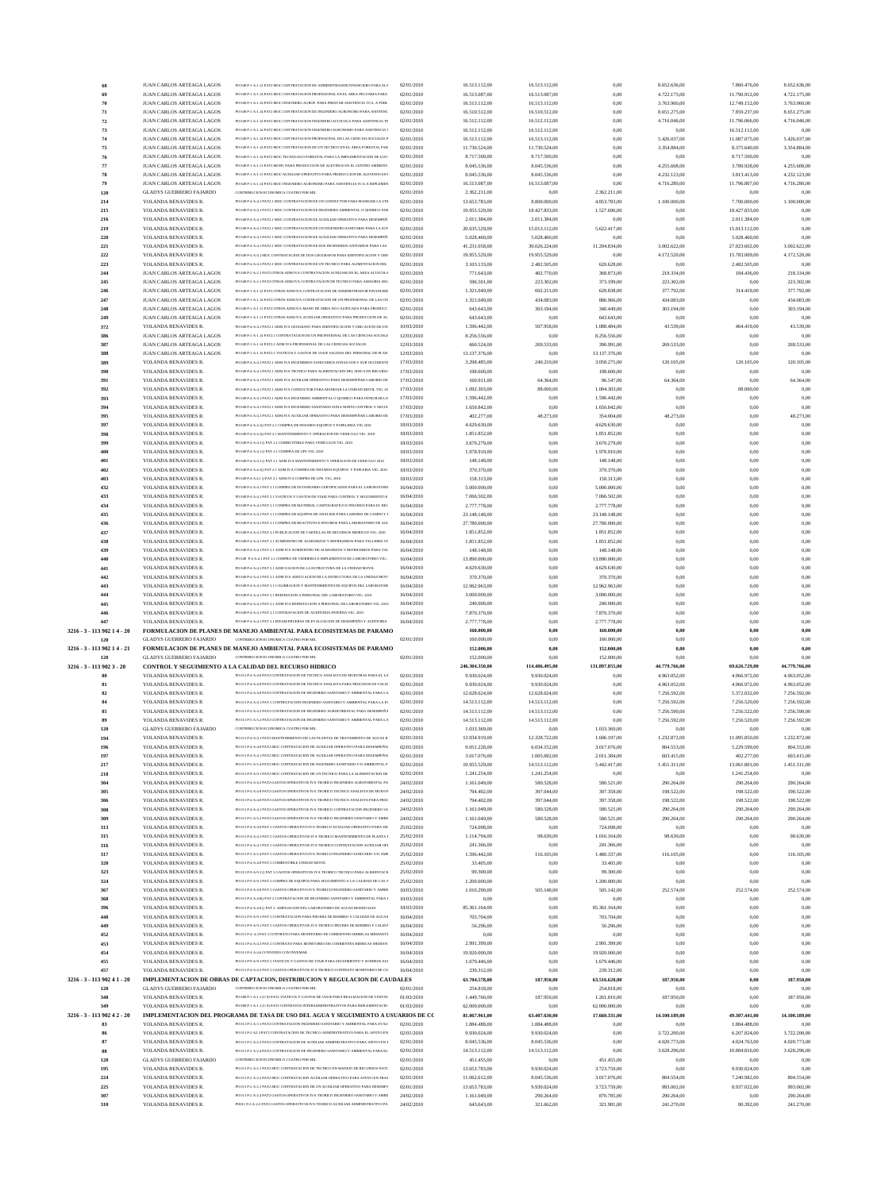| 68                          | JUAN CARLOS ARTEAGA LAGOS      | PO 049 P-1 A-1.12 PAT2 MOC CONTRATACION DE ADMINISTRADOR FINANCIERO PARA EL/            | 02/01/2010 | 16.513.112,00  | 16.513.112,00  | 0,00           | 8.652.636,00  | 7.860.476,00  | 8.652.636,00  |
|-----------------------------|--------------------------------|-----------------------------------------------------------------------------------------|------------|----------------|----------------|----------------|---------------|---------------|---------------|
| 69                          | JUAN CARLOS ARTEAGA LAGOS      | PO 049 P-1 A-1.14 PAT2 MOC CONTRATACION PROFESIONAL EN EL AREA PECUARIA PARA            | 02/01/2010 | 16.513.087,00  | 16.513.087,00  | 0,00           | 4.722.175,00  | 11.790.912,00 | 4.722.175,00  |
| 70                          | JUAN CARLOS ARTEAGA LAGOS      | PO 049 P-1 A-1.14 PAT2 MOC INGENIERO AGROF. PARA PRESTAR ASISTENCIA TCA. A POBL         | 02/01/2010 | 16.513.112,00  | 16.513.112,00  | 0,00           | 3.763.960,00  | 12.749.152,00 | 3.763.960,00  |
| 71                          | JUAN CARLOS ARTEAGA LAGOS      | PO 049 P-1 A-1.14 PAT2 MOC CONTRATACION DE INGENIERO AGRONOMO PARA ASISTENC             | 02/01/2010 | 16.510.512,00  | 16.510.512,00  | 0,00           | 8.651.275,00  | 7.859.237,00  | 8.651.275,00  |
| 72                          | JUAN CARLOS ARTEAGA LAGOS      | PO 049 P-1 A-1.14 PAT2 MOC CONTRATACION INGENIERO ACUICOLA PARA ASISTENCIA TE           | 02/01/2010 | 16.512.112,00  | 16.512.112,00  | 0.00           | 4.716.046,00  | 11.796.066,00 | 4.716.046,00  |
| 73                          | JUAN CARLOS ARTEAGA LAGOS      | PO 049 P-1 A-1.14 PAT2 MOC CONTRATACION INGENIERO AGRONOMO PARA ASISTENCIA 1            | 02/01/2010 | 16.512.112,00  | 16.512.112,00  | 0,00           | 0,00          | 16.512.112,00 | 0.00          |
| 74                          | JUAN CARLOS ARTEAGA LAGOS      | PO 049 P-1 A-1.14 PAT2 MOC CONTRATACION PROFESIONAL DE LAS CIENCIAS SOCIALES P          | 02/01/2010 | 16.513.112,00  | 16.513.112,00  | 0.00           | 5.426.037,00  | 11.087.075,00 | 5.426.037,00  |
| 75                          | JUAN CARLOS ARTEAGA LAGOS      | PO 049 P-1 A-1.14 PAT2 MOC CONTRATACION DE UN TECNICO EN EL AREA FORESTAL PAR           | 02/01/2010 | 11.730.524,00  | 11.730.524,00  | 0.00           | 3.354.884,00  | 8.375.640,00  | 3.354.884,00  |
|                             |                                | PO 049 PJ LAJ 14 PAT2 MOC TECNOLOGO FORESTAL PARA LA IMPLEMENTACION DE LOS L            |            |                |                |                |               |               |               |
| 76                          | JUAN CARLOS ARTEAGA LAGOS      |                                                                                         | 02/01/2010 | 8.717.500,00   | 8.717.500,00   | 0,00           | 0,00          | 8.717.500,00  | 0.00          |
| 77                          | JUAN CARLOS ARTEAGA LAGOS      | PO 049 P-1 A-1.11 PAT2 MONC PARA PRODUCCION DE ALEVINOS EN EL CENTRO AMBIENT.           | 02/01/2010 | 8.045.536,00   | 8.045.536,00   | 0.00           | 4.255.608,00  | 3.789.928,00  | 4.255.608,00  |
| 78                          | JUAN CARLOS ARTEAGA LAGOS      | PO 049 P-1 A-1.11 PAT2 MOC AUXILIAR OPERATIVO PARA PRODUCCION DE ALEVINOS EN I          | 02/01/2010 | 8.045.536,00   | 8.045.536,00   | 0.00           | 4.232.123,00  | 3.813.413,00  | 4.232.123,00  |
| 79                          | JUAN CARLOS ARTEAGA LAGOS      | PO 049 P-1 A-1.14 PAT2 MOC INGENIERO AGRONOMO PARA ASISTENCIA TCA. E IMPLEMEN           | 02/01/2010 | 16.513.087,00  | 16.513.087,00  | 0,00           | 4.716.280,00  | 11.796.807,00 | 4.716.280,00  |
| 120                         | <b>GLADYS GUERRERO FAJARDO</b> | CONTRIBUCION ECONOMICA CUATRO POR MIL                                                   | 02/01/2010 | 2.362.211,00   | 0,00           | 2.362.211,00   | 0,00          | 0,00          | 0.00          |
| 214                         | YOLANDA BENAVIDES R.           | PO 049 P-4 A-4.1 PAT2.1 MOC CONTRATACION DE UN CONDUCTOR PARA MANEJAR LA UNI            | 02/01/2010 | 13.653.783,00  | 8.800.000,00   | 4.853.783,00   | 1.100.000,00  | 7.700.000,00  | 1.100.000,00  |
| 215                         | YOLANDA BENAVIDES R.           | PO 049 P-4 A-4.1 PAT2.1 MOC CONTRATACION DE INGENIERO AMBIENTAL O OUIMICO PAR           | 02/01/2010 | 19.955.529,00  | 18.427.833,00  | 1.527.696,00   | 0,00          | 18.427.833,00 | 0.00          |
| 216                         | YOLANDA BENAVIDES R.           | PO 049 P-4 A-4.1 PAT2.1 MOC CONTRATACION DE AUXILIAR OPERATIVO PARA DESEMPEÑ.           | 02/01/2010 | 2.011.384,00   | 2.011.384,00   | 0,00           | 0,00          | 2.011.384,00  | 0.00          |
| 219                         | YOLANDA BENAVIDES R.           | PO 049 P.4 A.4   PAT2   MOC CONTRATACION DE UN INGENIERO SANITARIO PARA LA ZON          | 02/01/2010 | 20.635.529,00  | 15.013.112,00  | 5.622.417,00   | 0,00          | 15.013.112,00 | 0.00          |
| 220                         |                                | PO 049 P-4 A-4.1 PAT2.1 MOC CONTRATACION DE AUXILIAR OPERATIVO PARA DESEMPEÑ.           | 02/01/2010 |                |                | 0.00           | 0,00          |               | 0.00          |
|                             | YOLANDA BENAVIDES R.           |                                                                                         |            | 5.028.460,00   | 5.028.460,00   |                |               | 5.028.460,00  |               |
| 221                         | YOLANDA BENAVIDES R.           | PO 049 P-4 A-4.1 PAT2.1 MOC CONTRATACION DE DOS INGENIEROS ANITARIOS PARA LAS :         | 02/01/2010 | 41.231.058,00  | 30.026.224,00  | 11.204.834,00  | 3.002.622,00  | 27.023.602,00 | 3.002.622,00  |
| 222                         | YOLANDA BENAVIDES R.           | PO 049 P-4 A-4.1 MOC CONTRATACION DE DOS GEOGRAFOS PARA IDENTIFICACION Y UBIO           | 02/01/2010 | 19.955.529,00  | 19.955.529,00  | 0,00           | 4.172.520,00  | 15.783.009,00 | 4.172.520,00  |
| 223                         | YOLANDA BENAVIDES R.           | PO 049 P-4 A-4.1 PAT2.1 MOC CONTRATACION DE UN TECNICO PARA ALIMENTACION DEL            | 02/01/2010 | 3.103.133,00   | 2.482.505,00   | 620.628,00     | 0,00          | 2.482.505,00  | 0.00          |
| 244                         | JUAN CARLOS ARTEAGA LAGOS      | PO 049 P-2 A-2.1 PAT2 OTROS ADM IVA CONTRATACION AUXILIAR EN EL AREA ACUICOLJ           | 02/01/2010 | 771.643,00     | 402.770,00     | 368.873,00     | 218.334,00    | 184.436,00    | 218.334,00    |
| 245                         | JUAN CARLOS ARTEAGA LAGOS      | PO 049 P-2 A-2.1 PAT2 OTROS ADM IVA CONTRATACION DE TECNICO PARA ASESORIA SEG           | 02/01/2010 | 596.501,00     | 223.302,00     | 373.199,00     | 223.302,00    | 0,00          | 223.302,00    |
| 246                         | JUAN CARLOS ARTEAGA LAGOS      | PO 049 P-1 A-1.12 PAT2 OTROS ADM IVA CONTRATACION DE ADMINISTRADOR FINANCIER            | 02/01/2010 | 1.321.049,00   | 692.211,00     | 628.838,00     | 377.792,00    | 314.419,00    | 377.792,00    |
| 247                         | JUAN CARLOS ARTEAGA LAGOS      | PO 049 P-1 A-1.14 PAT2 OTROS ADM IVA CONTRATACION DE UN PROFESIONAL DE LAS CIE          | 02/01/2010 | 1.321.049,00   | 434.083,00     | 886.966,00     | 434.083,00    | 0,00          | 434.083,00    |
| 248                         | JUAN CARLOS ARTEAGA LAGOS      | PO 049 P-1 A-1.11 PAT2 OTROS ADM IVA MANO DE OBRA NO CALIFICADA PARA PRODUCC            | 02/01/2010 | 643.643,00     | 303.194,00     | 340.449,00     | 303.194,00    | 0,00          | 303.194,00    |
| 249                         | JUAN CARLOS ARTEAGA LAGOS      | PO 049 P-1 A-1.11 PAT2 OTROS ADM IVA AUXILIAR OPERATIVO PARA PRODUCCION DE AL           | 02/01/2010 | 643.643,00     | 0,00           | 643.643,00     | 0,00          | 0,00          | 0.00          |
|                             |                                |                                                                                         |            |                |                |                |               |               |               |
| 372                         | YOLANDA BENAVIDES R.           | PO 049 P.4 A .4 LPAT2 LADM IVA GEOGRAFO PARA IDENTIFICACION Y LIBICACION DE LIST        | 10/03/2010 | 1.596.442,00   | 507.958,00     | 1.088.484,00   | 43.539,00     | 464.419,00    | 43.539,00     |
| 386                         | JUAN CARLOS ARTEAGA LAGOS      | PO 049 P-1 A-1.14 PAT2.1 CONTRATACION DE UN PROFESIONAL DE LAS CIENCIAS SOCIALE         | 12/03/2010 | 8.256.556,00   | 0,00           | 8.256.556,00   | 0,00          | 0,00          | 0.00          |
| 387                         | JUAN CARLOS ARTEAGA LAGOS      | PO 049 P-1 A-1.14 PAT2.1 ADM IVA PROFESIONAL DE LAS CIENCIAS SOCIALES                   | 12/03/2010 | 660.524,00     | 269.533,00     | 390.991,00     | 269.533,00    | 0,00          | 269.533,00    |
| 388                         | JUAN CARLOS ARTEAGA LAGOS      | PO 049 P.J. A.J. 15 PAT2 1 VIATICOS Y GASTOS DE VIAIE SALIDAS DEL PERSONAL DE PLAN      | 12/03/2010 | 13.137.376,00  | 0,00           | 13.137.376,00  | 0,00          | 0,00          | 0.00          |
| 389                         | YOLANDA BENAVIDES R.           | PO 049 P-4 A-4.1 PAT2.1 ADM IVA INGENIEROS SANITARIOS ZONAS SUR Y SUR OCCIDENTE         | 17/03/2010 | 3.298.485,00   | 240.210,00     | 3.058.275,00   | 120.105,00    | 120.105,00    | 120.105,00    |
| 390                         | YOLANDA BENAVIDES R.           | PO 049 P-4 A-4.1 PAT2.1 ADM IVA TECNICO PARA ALIMENTACION DEL SINCA EN RECURSO          | 17/03/2010 | 198.600,00     | 0,00           | 198.600,00     | 0,00          | 0,00          | 0.00          |
| 391                         | YOLANDA BENAVIDES R.           | PO 049 P.4 A.4   PAT2   ADM IVA AUXILIAR OPERATIVO PARA DESEMPEÑAR LARORES DE           | 17/03/2010 | 160.911,00     | 64.364,00      | 96.547,00      | 64.364,00     | 0,00          | 64.364,00     |
| 392                         | YOLANDA BENAVIDES R.           | PO 049 P-4 A-4.1 PAT2.1 ADM IVA CONDUCTOR PARA MANEJAR LA UNIDAD MOVIL VIG. 20          | 17/03/2010 | 1.092.303,00   | 88.000,00      | 1.004.303,00   | 0,00          | 88.000,00     | 0.00          |
|                             |                                |                                                                                         |            |                |                |                |               |               |               |
| 393                         | YOLANDA BENAVIDES R.           | PO 049 P-4 A-4.1 PAT2.1 ADM IVA INGENIERO AMBIENTAL O QUIMICO PARA INTEGRAR LO          | 17/03/2010 | 1.596.442,00   | 0,00           | 1.596.442,00   | 0,00          | 0,00          | 0.00          |
| 394                         | YOLANDA BENAVIDES R.           | PO 049 P-4 A-4.1 PAT2.1 ADM IVA INGENIERO SANITARIO ZONA NORTE CONTROL Y SEGUI          | 17/03/2010 | 1.650.842,00   | 0,00           | 1.650.842,00   | 0,00          | 0,00          | 0.00          |
| 395                         | YOLANDA BENAVIDES R.           | PO 049 P-4 A-4.1 PAT2.1 ADM IVA AUXILIAR OPERATIVO PARA DESEMPEÑAR LABORES DE           | 17/03/2010 | 402.277,00     | 48.273,00      | 354.004,00     | 48.273,00     | 0,00          | 48.273,00     |
| 397                         | YOLANDA BENAVIDES R.           | PO 049 P-4 A-4.10 PAT 2.1 COMPRA DE INSUMOS EQUIPOS Y PAPELERIA VIG 2010                | 18/03/2010 | 4.629.630,00   | 0,00           | 4.629.630,00   | 0,00          | 0,00          | 0,00          |
| 398                         | YOLANDA BENAVIDES R.           | PO 049 P-4 A-4.1() PAT 2.1 MANTENIMIENTO Y OPERACION DE VEHICULO VIG. 2010              | 18/03/2010 | 1.851.852,00   | 0,00           | 1.851.852,00   | 0,00          | 0,00          | 0.00          |
| 399                         | YOLANDA BENAVIDES R.           | PO 049 P-4 A-4.1 () PAT 2.1 COMBUSTIBLE PARA VEHICULOS VIG. 2010                        | 18/03/2010 | 3.670.279,00   | 0,00           | 3.670.279,00   | 0,00          | 0,00          | 0.00          |
| 400                         | YOLANDA BENAVIDES R.           | PO 049 P-4 A-4.1 O PAT 2.1 COMPRA DE GPS VIG. 2010                                      | 18/03/2010 | 1.978.910,00   | 0,00           | 1.978.910,00   | 0,00          | 0,00          | 0,00          |
| 401                         | YOLANDA BENAVIDES R.           | PO 049 P-4 A-4.1 () PAT 2.1 ADM IVA MANTENIMIENTO Y OPERACION DE VEHICULO 2010          | 18/03/2010 | 148.148,00     | 0,00           | 148.148,00     | 0,00          | 0,00          | 0.00          |
|                             |                                |                                                                                         |            |                |                |                |               |               |               |
| 402                         | YOLANDA BENAVIDES R.           | PO 049 P-4 A-4.1() PAT 2.1 ADM IVA COMPRA DE INSUMOS EQUIPOS Y PAPLERIA VIG. 2010       | 18/03/2010 | 370.370,00     | 0,00           | 370.370,00     | 0,00          | 0,00          | 0.00          |
| 403                         | YOLANDA BENAVIDES R.           | PO 049 P-4 A.4.1 O PAT 2.1 ADM IVA COMPRA DE GPS. VIG. 2010                             | 18/03/2010 | 158.313,00     | 0,00           | 158.313,00     | 0,00          | 0,00          | 0,00          |
| 432                         | YOLANDA BENAVIDES R.           | PO 049 P-4 A-4.1 PAT 2.1 COMPRA DE ESTANDARES CERTIFICADOS PARA EL LABORATORIO          | 16/04/2010 | 5.000.000,00   | 0,00           | 5.000.000,00   | 0,00          | 0,00          | 0.00          |
| 433                         | YOLANDA BENAVIDES R.           | PO 049 P-4 A-4.1 PAT 2.1 VIATICOS Y GASTOS DE VIAJE PARA CONTROL Y SEGUIMIENTO E        | 16/04/2010 | 7.066.502,00   | 0,00           | 7.066.502,00   | 0,00          | 0,00          | 0,00          |
| 434                         | YOLANDA BENAVIDES R.           | PO 049 P-4 A-4.1 PAT 2.1 COMPRA DE MATERIAL CARTOGRAFICO E INSUMOS PARA EL REC          | 16/04/2010 | 2.777.778,00   | 0,00           | 2.777.778,00   | 0,00          | 0,00          | 0,00          |
| 435                         | YOLANDA BENAVIDES R.           | PO 049 P-4 A-4.1 PAT 2.1 COMPRA DE EQUIPOS DE ANALISIS PARA LABORES DE CAMPO Y I        | 16/04/2010 | 23.148.148,00  | 0,00           | 23.148.148,00  | 0,00          | 0,00          | 0.00          |
| 436                         | YOLANDA BENAVIDES R.           | PO 049 P-4 A-4.1 PAT 2.1 COMPRA DE REACTIVOS E INSUMOS PARA LABORATORIO DE AGU          | 16/04/2010 | 27.780.000,00  | 0,00           | 27.780.000,00  | 0,00          | 0,00          | 0,00          |
| 437                         | YOLANDA BENAVIDES R.           | PO 049 P-4 A-4.1 PAT 2.1 PUBLICACION DE CARTILLAS DE RECURSOS HIDRICOS VIG. 2010        | 16/04/2010 | 1.851.852,00   | 0,00           | 1.851.852,00   | 0,00          | 0,00          | 0,00          |
| 438                         | YOLANDA BENAVIDES R.           | PO 049 P-4 A-4.1 PAT 2.1 SUMINISTRO DE ALMUERZOS Y REFRIGERIOS PARA TALLERES VI         | 16/04/2010 |                |                |                | 0,00          | 0,00          | 0.00          |
|                             |                                |                                                                                         |            | 1.851.852,00   | 0,00           | 1.851.852,00   |               |               |               |
| 439                         | YOLANDA BENAVIDES R.           | PO 049 P.4 A .4   PAT 2   ADM IVA SUMINISTRO DE ALMUERZOS Y REFRIGERIOS PARA TAL        | 16/04/2010 | 148.148,00     | 0,00           | 148.148,00     | 0,00          | 0,00          | 0.00          |
| 440                         | YOLANDA BENAVIDES R.           | PO 049 P-4 A-4.1 PAT 2.1 COMPRA DE VIDRIERIA E IMPLEMENTOS DE LABORATORIO VIG.          | 16/04/2010 | 13.890.000,00  | 0,00           | 13.890.000,00  | 0,00          | 0,00          | 0,00          |
| 441                         | YOLANDA BENAVIDES R.           | PO 049 P-4 A-4.1 PAT 2.1 ADECUACION DE LA ESTRUCTURA DE LA UNIDAD MOVIL                 | 16/04/2010 | 4.629.630,00   | 0,00           | 4.629.630,00   | 0,00          | 0,00          | 0,00          |
| 442                         | YOLANDA BENAVIDES R.           | PO 049 P.4 A .4   PAT 2   ADM IVA ADECUACION DE LA ESTRUCTURA DE LA UNIDAD MOVI         | 16/04/2010 | 370.370,00     | 0.00           | 370.370,00     | 0.00          | 0.00          | 0.00          |
|                             |                                |                                                                                         |            |                |                |                |               | 0,00          | 0.00          |
| 443                         | YOLANDA BENAVIDES R.           | PO 049 P-4 A-4.1 PAT 2.1 CALIBRACION Y MANTENIMIENTO DE EQUIPOS DEL LABORATORI          | 16/04/2010 | 12.962.963,00  | 0,00           | 12.962.963,00  | 0,00          |               |               |
| 444                         | YOLANDA BENAVIDES R            | PO 049 P-4 A-4.1 PAT 2.1 REINDUCION A PERSONAL DEL LABORATORIO VIG. 2010                | 16/04/2010 | 3.000.000,00   |                | 3.000.000,00   | 0,00          | 0,00          | 0.00          |
|                             |                                | PO 049 P.4 A 4 LPAT 2 LADM IVA REINDUCCION A PERSONAL DE LABORATORIO VIG. 2010          |            |                | 0,00           |                |               |               |               |
| 445                         | YOLANDA BENAVIDES R.           |                                                                                         | 16/04/2010 | 240.000,00     | 0,00           | 240.000,00     | 0,00          | 0,00          | 0.00          |
| 446                         | YOLANDA BENAVIDES R.           | PO 049 P-4 A-4.1 PAT 2.1 CONTRATACION DE AUDITORIA INTERNA VIG. 2010                    | 16/04/2010 | 7.870.370,00   | 0,00           | 7.870.370,00   | 0,00          | 0,00          | 0.00          |
| 447                         | YOLANDA BENAVIDES R.           | PO 049 P-4 A-4.1 PAT 2.1 IDEAM PRUEBAS DE EVALUACION DE DESEMPEÑO Y AUDITORIA           | 16/04/2010 | 2.777.778,00   | 0,00           | 2.777.778,00   | 0,00          | 0,00          | 0.00          |
| 3216 - 3 - 113 902 1 4 - 20 |                                | <b>FORMULACION DE PLANES DE MANEJO AMBIENTAL PARA ECOSISTEMAS DE PARAMO</b>             |            | 160.000,00     | 0,00           | 160.000,00     | 0,00          | 0.00          | 0.00          |
| 120                         | <b>GLADYS GUERRERO FAJARDO</b> | CONTRIBUCION ECONOMICA CUATRO POR MIL                                                   | 02/01/2010 | 160.000,00     | 0,00           | 160.000,00     | 0.00          | 0,00          | 0.00          |
| 3216 - 3 - 113 902 1 4 - 21 |                                | FORMULACION DE PLANES DE MANEJO AMBIENTAL PARA ECOSISTEMAS DE PARAMO                    |            | 152.000,00     | 0,00           | 152.000,00     | 0,00          | 0,00          | 0,00          |
| 120                         | <b>GLADYS GUERRERO FAJARDO</b> | CONTRIBUCION ECONOMICA CUATRO POR MIL                                                   | 02/01/2010 | 152.000,00     | 0,00           | 152.000,00     | 0,00          | 0,00          | 0.00          |
| 3216 - 3 - 113 902 3 - 20   |                                | CONTROL Y SEGUIMIENTO A LA CALIDAD DEL RECURSO HIDRICO                                  |            | 246.304.350,00 | 114.406.495,00 | 131.897.855.00 | 44.779.766,00 | 69.626.729,00 | 44.779.766,00 |
|                             | YOLANDA BENAVIDES R.           | PO 011 P-4 A-4.8 PAT2 CONTRATACION DE TECNICO ANALISTA DE MUESTRAS PARA EL LA           | 02/01/2010 | 9.930.024,00   | 9.930.024,00   | 0,00           | 4.963.052,00  | 4.966.972,00  | 4.963.052,00  |
| 81                          | YOLANDA BENAVIDES R.           | PO 011 P-4 A-4.8 PAT2 CONTRATACION DE TECNICO ANALISTA PARA PROCESOS DE VALID           | 02/01/2010 | 9.930.024,00   | 9.930.024,00   | 0.00           | 4.963.052,00  | 4.966.972,00  | 4.963.052,00  |
|                             |                                | PO 011 P-4 A-4.8 PAT2 CONTRATACION DE INGENIERO SANITARIO Y AMBIENTAL PARA LA           |            |                |                |                |               |               |               |
| 82                          | YOLANDA BENAVIDES R.           |                                                                                         | 02/01/2010 | 12.628.624,00  | 12.628.624,00  | 0.00           | 7.256.592,00  | 5.372.032,00  | 7.256.592,00  |
| 84                          | YOLANDA BENAVIDES R            | PO 011 P.4 A.4 1 PAT 2 CONTRATACION INGENIERO SANITARIO Y AMBIENTAL PARA LA FV          | 02/01/2010 | 14.513.112,00  | 14.513.112,00  | 0,00           | 7.256.592,00  | 7.256.520,00  | 7.256.592,00  |
| 85                          | YOLANDA BENAVIDES R.           | PO 011 P-4 A-4.3 PAT2 CONTRATACION DE INGENIERO AGROFORESTAL PARA DESEMPEÑA             | 02/01/2010 | 14.513.112,00  | 14.513.112,00  | 0.00           | 7.256.590,00  | 7.256.522,00  | 7.256.590,00  |
| 89                          | YOLANDA BENAVIDES R.           | PO 011 P-5 A-5.2 PAT2 CONTRATACION DE INGENIERO SANITARIO Y AMBIENTAL PARA LA           | 02/01/2010 | 14.513.112,00  | 14.513.112,00  | 0.00           | 7.256.592,00  | 7.256.520,00  | 7.256.592,00  |
| 120                         | <b>GLADYS GUERRERO FAJARDO</b> | CONTRIBUCION ECONOMICA CUATRO POR MIL                                                   | 02/01/2010 | 1.033.369,00   | 0,00           | 1.033.369,00   | 0,00          | 0,00          | 0.00          |
| 194                         | YOLANDA BENAVIDES R.           | PO 011 P-4 A-4.1 PAT2 MANTENIMIENTO DE LAS PLANTAS DE TRATAMIENTO DE AGUAS R            | 02/01/2010 | 13.934.919,00  | 12.328.722,00  | 1.606.197,00   | 1.232.872,00  | 11.095.850,00 | 1.232.872,00  |
| 196                         | YOLANDA BENAVIDES R.           | PO 011 P-4 A-4.8 PAT2 MOC CONTRATACION DE AUXILIAR OPERATIVO PARA DESEMPEÑAI            | 02/01/2010 | 9.051.228,00   | 6.034.152,00   | 3.017.076,00   | 804.553,00    | 5.229.599,00  | 804.553,00    |
| 197                         | YOLANDA BENAVIDES R.           | PO 011 P-4 A-4.1 PAT2 MOC CONTRATACION DE AUXILIAR OPERATIVO PARA DESEMPEÑAI            | 02/01/2010 | 3.017.076,00   | 1.005.692,00   | 2.011.384,00   | 603.415,00    | 402.277,00    | 603.415,00    |
|                             |                                | PO 011 P-5 A-5.4 PAT2 MOC CONTRATACION DE INGENIERO SANITARIO Y/O AMBIENTAL P.          |            |                |                |                |               |               |               |
| 217                         | YOLANDA BENAVIDES R.           | PO 011 P-9 A-9.1 PAT2 MOC CONTRATACION DE UN TECNICO PARA LA ALIMENTACION DE            | 02/01/2010 | 19.955.529,00  | 14.513.112,00  | 5.442.417,00   | 1.451.311,00  | 13.061.801,00 | 1.451.311,00  |
| 218                         | YOLANDA BENAVIDES R.           |                                                                                         | 02/01/2010 | 1.241.254,00   | 1.241.254,00   | 0,00           | 0,00          | 1.241.254,00  | 0.00          |
| 304                         | YOLANDA BENAVIDES R.           | PO 011 P-4 A-4.3 PAT2 GASTOS OPERATIVOS IVA TEORICO INGENIERO AGROFORESTAL PA           | 24/02/2010 | 1.161.049,00   | 580.528,00     | 580.521,00     | 290.264,00    | 290.264,00    | 290.264,00    |
| 305                         | YOLANDA BENAVIDES R.           | PO 011 P-4 A-4.8 PAT2 GASTOS OPERATIVOS IVA TEORICO TECNICO ANALISTA DE MUESTI          | 24/02/2010 | 794.402,00     | 397.044,00     | 397.358,00     | 198.522,00    | 198.522,00    | 198.522,00    |
| 306                         | YOLANDA BENAVIDES R.           | PO 011 P-4 A-4.8 PAT2 GASTOS OPERATIVOS IVA TEORICO TECNICO ANALISTA PARA PROC          | 24/02/2010 | 794.402,00     | 397.044,00     | 397.358,00     | 198.522,00    | 198.522,00    | 198.522,00    |
| 308                         | YOLANDA BENAVIDES R.           | PO 011 P-4 A-4.1 PAT2 GASTOS OPERATIVOS IVA TEORICO CONTRATACION INGENIERO SA           | 24/02/2010 | 1.161.049,00   | 580.528,00     | 580.521,00     | 290.264,00    | 290.264,00    | 290.264,00    |
| 309                         | YOLANDA BENAVIDES R.           | PO 011 P-5 A-5.2 PAT2 GASTOS OPERATIVOS IVA TEORICO INGENIERO SANITARIO Y AMBI          | 24/02/2010 | 1.161.049,00   | 580.528,00     | 580.521,00     | 290.264,00    | 290.264,00    | 290.264,00    |
| 313                         | YOLANDA BENAVIDES R.           | PO 011 P-4 A-4.8 PAT 2 GASTOS OPERATIVO IVA TEORICO AUXILIAR OPERATIVO PARA DE:         | 25/02/2010 | 724.098,00     | 0,00           | 724.098,00     | 0,00          | 0,00          | 0.00          |
| 315                         | YOLANDA BENAVIDES R.           | PO 011 P-4 A-4.1 PAT 2 GASTOS OPERATIVOS IVA TEORICO MANTENIMIENTO DE PLANTA I          | 25/02/2010 | 1.114.794,00   | 98.630,00      | 1.016.164,00   | 98.630,00     | 0,00          | 98.630,00     |
| 316                         | YOLANDA BENAVIDES R.           | PO 011 P-4 A-4.1 PAT 2 GASTOS OPERATIVOS IVA TEORICO CONTRATACION AUXILIAR OPI          | 25/02/2010 | 241.366,00     | 0,00           | 241.366,00     | 0,00          | 0,00          | 0.00          |
| 317                         | YOLANDA BENAVIDES R.           | PO 011 P-5 A-5.4 PAT 2 GASTOS OPERATIVO IVA TEORICO INGENIERO SANITARIO Y/O AME         | 25/02/2010 | 1.596.442,00   | 116.105,00     | 1.480.337,00   | 116.105,00    | 0,00          | 116.105,00    |
|                             |                                | PO 011 P-4 A-4.8 PAT 2 COMBUSTIBLE UNIDAD MOVIL                                         |            |                |                |                | 0.00          |               |               |
| 320                         | YOLANDA BENAVIDES R.           |                                                                                         | 25/02/2010 | 33.405,00      | 0,00           | 33.405,00      |               | 0,00          |               |
| 323                         | YOLANDA BENAVIDES R.           | PO 011 P-9 A-9.1 () PAT 2 GASTOS OPERATIVOS IVA TEORICO TECNICO PARA ALIMENTACI         | 25/02/2010 | 99.300,00      | 0,00           | 99.300,00      | 0,00          | 0,00          | 0.00          |
| 324                         | YOLANDA BENAVIDES R.           | PO 011 P-9 A-9.1 PAT 2 COMPRA DE EQUIPOS PARA SEGUIMIENTO A LA CALIDAD DE LAS $\Lambda$ | 25/02/2010 | 1.200.000,00   | 0,00           | 1.200.000,00   | 0,00          | 0,00          | 0.00          |
| 367                         | YOLANDA BENAVIDES R.           | PO 011 P-4 A-4.8 PAT 2 GASTOS OPERATIVO IVA TEORICO INGENIERO SANITARIO Y AMBIE         | 10/03/2010 | 1.010.290,00   | 505.148,00     | 505.142,00     | 252.574,00    | 252.574,00    | 252.574,00    |
| 368                         | YOLANDA BENAVIDES R.           | PO 011 P-4 A-4.8() PAT 2 CONTRATACION DE INGENIERO SANITARIO Y AMBIENTAL PARA I         | 10/03/2010 | 0,00           | 0,00           | 0,00           | 0,00          | 0,00          | 0.00          |
| 396                         | YOLANDA BENAVIDES R.           | PO 011 P-4 A-4.8 () PAT 2. AMPLIACION DEL LABORATORIO DE AGUAS RESIDUALES               | 18/03/2010 | 85.361.164,00  | 0,00           | 85.361.164,00  | 0,00          | 0,00          | 0.00          |
| 448                         | YOLANDA BENAVIDES R.           | PO 011 P-9 A-9.1 PAT 2 CONTRATACION PARA PRUEBA DE BOMBEO Y CALIDAD DE AGUAS            | 16/04/2010 | 703.704,00     | 0,00           | 703.704,00     | 0,00          | 0,00          | 0.00          |
| 449                         | YOLANDA BENAVIDES R.           | PO 011 P-9 A-9.1 PAT 2 GASTOS OPERATIVOS IVA TEORICO PRUEBA DE BOMBEO Y CALIDA          | 16/04/2010 | 56.296,00      | 0,00           | 56.296,00      | 0,00          | 0,00          | 0.00          |
| 452                         | YOLANDA BENAVIDES R.           | PO 011 P-4 -4.3 PAT 2 CONTRATO PARA MONITOREO DE CORRIENTES HIDRICAS MEDIANTI           | 16/04/2010 | 0,00           | 0,00           | 0,00           | 0.00          | 0,00          | 0.00          |
| 453                         | YOLANDA BENAVIDES R.           | PO 011 P-4 A-4.3 PAT 2 CONTRATO PARA MONITOREO DE CORRIENTES HIDRICAS MEDIAN'           | 16/04/2010 | 2.991.399,00   | 0,00           | 2.991.399,00   | 0,00          | 0,00          | 0.00          |
|                             |                                |                                                                                         |            |                |                |                |               |               |               |
| 454                         | YOLANDA BENAVIDES R.           | PO 011 P-4 A-4.6 CONVENIO CON INVEMAR                                                   | 16/04/2010 | 19.920.000,00  | 0,00           | 19.920.000,00  | 0,00          | 0,00          | 0.00          |
| 455                         | YOLANDA BENAVIDES R.           | PO 011 P-9 A-9.1 PAT 2 VIATICOS Y GASTOS DE VIAJE PARA SEGUIMIENTO Y SONDEOS ELI        | 16/04/2010 | 1.679.446,00   | 0,00           | 1.679.446,00   | 0.00          | 0,00          | 0.00          |
| 457                         | YOLANDA BENAVIDES R.           | PO 011 P-4 A-4.3 PAT 2 GASTOS OPERATIVOS IVA TEORICO CONTRATO MONITOREO DE CO           | 16/04/2010 | 239.312,00     | 0,00           | 239.312,00     | 0,00          | 0,00          | 0.00          |
| 3216 - 3 - 113 902 4 1 - 20 |                                | IMPLEMENTACION DE OBRAS DE CAPTACION, DISTRIBUCION Y REGULACION DE CAUDALES             |            | 63.704.578,00  | 187.950,00     | 63.516.628,00  | 187.950,00    | $_{\bf0,00}$  | 187.950,00    |
| 120                         | <b>GLADYS GUERRERO FAJARDO</b> | CONTRIBUCION ECONOMICA CUATRO POR MIL                                                   | 02/01/2010 | 254.818,00     | 0,00           | 254.818,00     | 0,00          | 0,00          | 0.00          |
| 348                         | YOLANDA BENAVIDES R.           | PO 008 P-LA-LL(C 9) PAT2 VIATICOS Y GASTOS DE VIA JE PAR A REALIZACION DE VISITAS       | 01/03/2010 | 1.449.760,00   | 187.950,00     | 1.261.810,00   | 187.950,00    | 0,00          | 187.950,00    |
| 349                         | YOLANDA BENAVIDES R.           | PO 008 P-1 A-1.1 (C.9) PAT2 CONTRATOS INTERADMINISTRATIVOS PARA IMPLEMENTACIO           | 01/03/2010 | 62.000.000,00  | 0,00           | 62.000.000,00  | 0.00          | 0,00          | 0.00          |
| 3216 - 3 - 113 902 4 2 - 20 |                                | IMPLEMENTACION DEL PROGRAMA DE TASA DE USO DEL AGUA Y SEGUIMIENTO A USUARIOS DE CC      |            | 81.067.961,00  | 63.407.630,00  | 17.660.331,00  | 14.100.189,00 | 49.307.441,00 | 14.100.189,00 |
| 83                          | YOLANDA BENAVIDES R.           | PO 011 P.3 A.3 1 PAT2 CONTRATACION INGENIERO SANITARIO Y AMBIENTAL PARA EVALL           | 02/01/2010 | 1.884.488,00   | 1.884.488,00   | 0,00           | 0,00          | 1.884.488,00  | 0.00          |
|                             |                                |                                                                                         |            |                |                |                |               |               |               |
| 86                          | YOLANDA BENAVIDES R.           | PO 011 P-2 A2.3 PAT2 CONTRATACION DE TECNICO ADMINISTRATIVO PARA EL APOYO EN            | 02/01/2010 | 9.930.024,00   | 9.930.024,00   | 0.00           | 3.722.200,00  | 6.207.824,00  | 3.722.200,00  |
| 87                          | YOLANDA BENAVIDES R.           | PO 011 P-2 A-2.2 PAT2 CONTRATACION DE AUXILIAR ADMINISTRATIVO PARA APOYO EN 1           | 02/01/2010 | 8.045.536,00   | 8.045.536,00   | 0,00           | 4.020.773,00  | 4.024.763,00  | 4.020.773,00  |
| 88                          | YOLANDA BENAVIDES R.           | PO 011 P.2 A.2 4 PAT2 CONTRATACION DE INGENIERO SANITARIO Y AMBIENTAL PARA EL           | 02/01/2010 | 14.513.112,00  | 14.513.112,00  | 0,00           | 3.628.296,00  | 10.884.816,00 | 3.628.296,00  |
| 120                         | <b>GLADYS GUERRERO FAJARDO</b> | CONTRIBUCION ECONOMICA CUATRO POR MIL                                                   | 02/01/2010 | 451.455,00     | 0,00           | 451.455,00     | 0,00          | 0,00          | 0.00          |
| 195                         | YOLANDA BENAVIDES R.           | PO 011 P-2 A-2.1 PAT2 MOC CONTRATACION DE TECNICO EN MANEJO DE RECURSOS NATU            | 02/01/2010 | 13.653.783,00  | 9.930.024,00   | 3.723.759,00   | 0,00          | 9.930.024,00  | 0.00          |
| 224                         | YOLANDA BENAVIDES R            | PO 011 P-2 A-2.2 PAT2 MOC CONTRATACION AUXILIAR OPERATIVO PARA APOYO EN TRAM            | 02/01/2010 | 11.062.612,00  | 8.045.536,00   | 3.017.076,00   | 804.554,00    | 7.240.982,00  | 804.554,00    |
| 225                         | YOLANDA BENAVIDES R.           | PO 011 P-2 A-2.1 PAT2 MOC CONTRATACION DE UN AUXILIAR OPERATIVO PARA DESEMPA            | 02/01/2010 | 13.653.783,00  | 9.930.024,00   | 3.723.759,00   | 993.002,00    | 8.937.022,00  | 993.002,00    |
| 307                         | YOLANDA BENAVIDES R.           | PO 011 P.2 A.2 4 PAT2 GASTOS OPERATIVOS IVA TEORICO INGENIERO SANITARIO Y AMBIL         | 24/02/2010 | 1.161.049,00   | 290.264,00     | 870.785,00     | 290.264,00    | 0,00          | 290.264,00    |
| 310                         | YOLANDA BENAVIDES R.           | PO011 P-2 A-2.2 PAT2 GASTOS OPERATIVOS IVA TEORICO AUXILIAR ADMINISTRATIVO PA           | 24/02/2010 | 643.643,00     | 321.662,00     | 321.981,00     | 241.270,00    | 80.392,00     | 241.270,00    |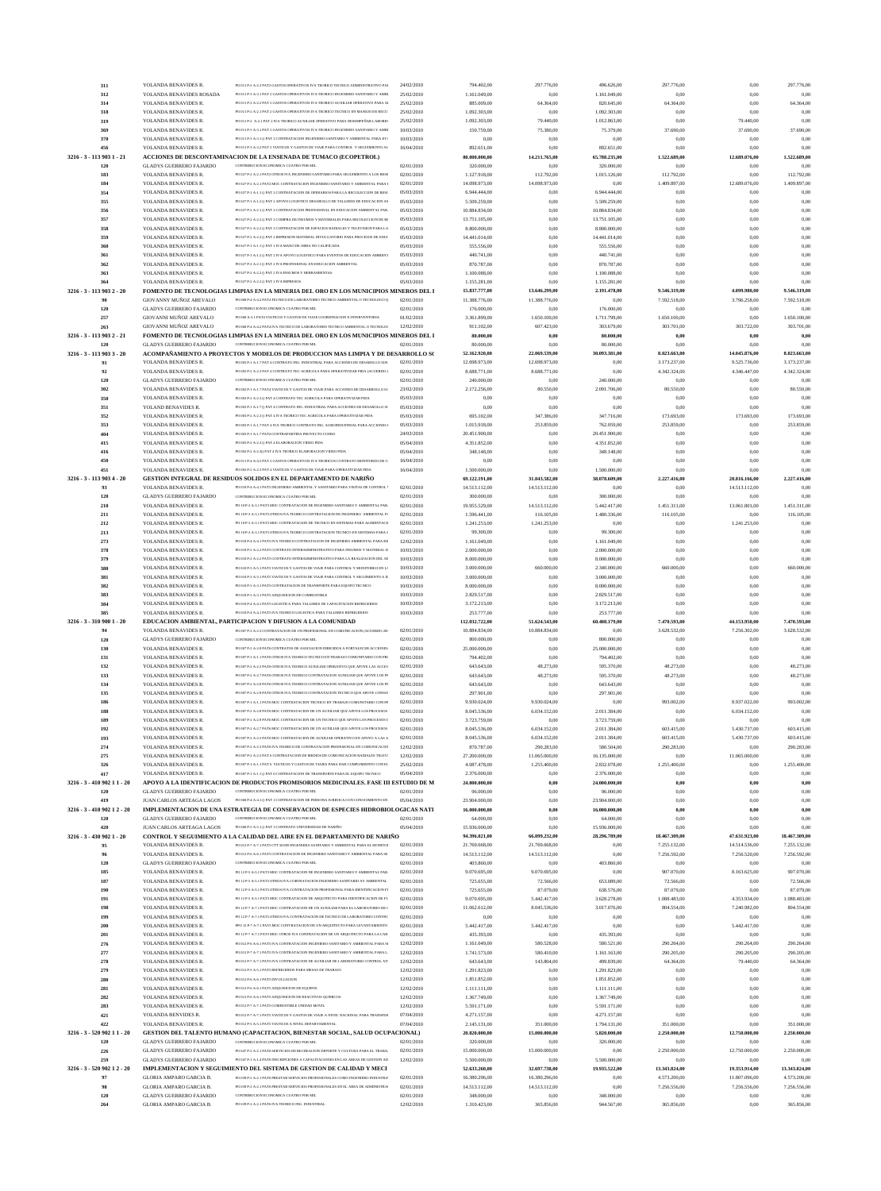| 311                         | YOLANDA BENAVIDES R.                                             | PO 011 P-2 A-2.3 PAT2 GASTOS OPERATIVOS IVA TEORICO TECNICO ADMINISTRATIVO PAI                                                                                   | 24/02/2010               | 794.402,00                    | 297.776,00                  | 496.626,00                    | 297.776,00                 | 0,00                         | 297.776,00                 |
|-----------------------------|------------------------------------------------------------------|------------------------------------------------------------------------------------------------------------------------------------------------------------------|--------------------------|-------------------------------|-----------------------------|-------------------------------|----------------------------|------------------------------|----------------------------|
| 312                         | YOLANDA BENAVIDES ROSADA                                         | PO 011 P-3 A-3 1 PAT 2 GASTOS OPER ATIVOS IVA TEORICO INGENIERO SANITARIO Y AMBI                                                                                 | 25/02/2010               | 1.161.049,00                  | 0,00                        | 1.161.049,00                  | 0,00                       | 0,00                         | 0.00                       |
| 314                         | YOLANDA BENAVIDES R                                              | PO 011 P-2 A-2.2 PAT 2 GASTOS OPERATIVOS IVA TEORICO AUXILIAR OPERATIVO PARA AI                                                                                  | 25/02/2010               | 885.009,00                    | 64.364,00                   | 820.645,00                    | 64.364,00                  | 0,00                         | 64.364,00                  |
| 318                         | YOLANDA BENAVIDES R                                              | PO 011 P-2 A-2.1 PAT 2 GASTOS OPERATIVOS IVA TEORICO TECNICO EN MANEJO DE RECU                                                                                   | 25/02/2010               | 1.092.303,00                  | 0,00                        | 1.092.303,00                  | 0,00                       | 0,00                         | 0.00                       |
| 319                         | YOLANDA BENAVIDES R                                              | PO 011 P-2 A-2.1 PAT 2 IVA TEORICO AUXILIAR OPERATIVO PARA DESEMPEÑAR LABORES                                                                                    | 25/02/2010               | 1.092.303,00                  | 79.440,00                   | 1.012.863,00                  | 0,00                       | 79.440,00                    | 0.00                       |
| 369                         | YOLANDA BENAVIDES R                                              | PO 011 P-3 A-3.1 PAT 2 GASTOS OPERATIVOS IVA TEORICO INGENIERO SANITARIO Y AMBI                                                                                  | 10/03/2010               | 150.759,00                    | 75.380,00                   | 75.379,00                     | 37.690,00                  | 37.690,00                    | 37.690,00                  |
| 370                         | YOLANDA BENAVIDES R                                              | PO 011 P-3 A-3.1 () PAT 2 CONTRATACION INGENIERO SANITARIO Y AMBIENTAL PARA EV/                                                                                  | 10/03/2010               | 0.00                          | 0.00                        | 0,00                          | 0,00                       | 0,00                         | 0.00                       |
| 456                         | YOLANDA BENAVIDES R                                              | PO 011 P-3 A-3.2 PAT 2 VIATICOS Y GASTOS DE VIAJE PARA CONTROL Y SEGUIMIENTO AL                                                                                  | 16/04/2010               | 892.651,00                    | 0,00                        | 892.651,00                    | 0,00                       | 0,00                         | 0.00                       |
| 3216 - 3 - 113 903 1 - 21   |                                                                  | ACCIONES DE DESCONTAMINACION DE LA ENSENADA DE TUMACO (ECOPETROL)<br>CONTRIBUCION ECONOMICA CUATRO POR MIL                                                       |                          | 80.000.000,00                 | 14.211.765,00               | 65.788.235,00                 | 1.522.689,00               | 12.689.076,00                | 1.522.689,00               |
| 120                         | <b>GLADYS GUERRERO FAJARDO</b>                                   |                                                                                                                                                                  | 02/01/2010               | 320.000,00                    | 0,00                        | 320.000,00                    | 0,00                       | 0.00                         | 0.00                       |
| 183<br>184                  | YOLANDA BENAVIDES R<br>YOLANDA BENAVIDES R                       | PO 027 P-2 A-2.1 PAT2 OTROS IVA INGENIERO SANITARIO PARA SEGUIMIENTO A LOS RESI<br>PO 027 P-2 A-2.1 PAT2 MOC CONTRATACION INGENIERO SANITARIO Y AMBIENTAL PARA I | 02/01/2010<br>02/01/2010 | 1.127.918,00<br>14.098.973,00 | 112.792,00<br>14.098.973,00 | 1.015.126,00<br>0,00          | 112.792,00<br>1.409.897,00 | 0.00<br>12.689.076,00        | 112.792,00<br>1.409.897,00 |
|                             | YOLANDA BENAVIDES R                                              | PO 027 P-LA-LLO PAT 2 CONTRATACION DE OPERARIOS PARA LA RECOLECCION DE RESI                                                                                      | 05/03/2010               | 6.944.444,00                  | 0,00                        | 6.944.444,00                  | 0,00                       | 0.00                         | 0.00                       |
| 354<br>355                  | YOLANDA BENAVIDES R                                              | PO 027 P-1 A-1.2 O PAT 2 APOYO LOGISTICO DESAROLLO DE TALLERES DE EDUCACION AM                                                                                   | 05/03/2010               | 5.509.259,00                  | 0,00                        | 5.509.259,00                  | 0,00                       | 0,00                         | 0.00                       |
| 356                         | YOLANDA BENAVIDES R                                              | PO 027 P-2 A-2.1 () PAT 2 CONTRATACION PROFESIONAL EN EDUCACION AMBIENTAL PAR.                                                                                   | 05/03/2010               | 10.884.834,00                 | 0,00                        | 10.884.834,00                 | 0,00                       | 0,00                         | 0.00                       |
| 357                         | YOLANDA BENAVIDES R                                              | PO 027 P-2 A-2 2 O PAT 2 COMPRA DE INSUMOS Y MATERIALES PARA RECOLECCION DE RE                                                                                   | 05/03/2010               | 13.751.105,00                 | 0,00                        | 13.751.105,00                 | 0,00                       | 0.00                         | 0.00                       |
| 358                         | YOLANDA BENAVIDES R                                              | PO 027 P-2 A-2.2 () PAT 2 CONTRATACION DE ESPACIOS RADIALES Y TELEVISION PARA LA                                                                                 | 05/03/2010               | 8.800.000,00                  | 0,00                        | 8.800.000,00                  | 0,00                       | 0,00                         | 0.00                       |
| 359                         | YOLANDA BENAVIDES R                                              | PO 027 P-2 A-2.2 () PAT 2 IMPRESION MATERIAL DIVULGATORIO PARA PROCESOS DE EDUC                                                                                  | 05/03/2010               | 14.441.014,00                 | 0,00                        | 14.441.014,00                 | 0,00                       | 0.00                         | 0.00                       |
| 360                         | YOLANDA BENAVIDES R                                              | PO 027 P-1 A-1.1 () PAT 2 IVA MANO DE OBRA NO CALIFICADA                                                                                                         | 05/03/2010               | 555.556,00                    | 0,00                        | 555.556,00                    | 0,00                       | 0.00                         | 0.00                       |
| 361                         | YOLANDA BENAVIDES R                                              | PO 027 P-1 A-1.2 () PAT 2 IVA APOYO LOGISTICO PARA EVENTOS DE EDUCACION AMBIENT                                                                                  | 05/03/2010               | 440.741,00                    | 0,00                        | 440.741,00                    | 0,00                       | 0,00                         | 0.00                       |
| 362                         | YOLANDA BENAVIDES R                                              | PO 027 P-2 A-2.1 O PAT 2 IVA PROFESIONAL EN EDUCACION AMBIENTAL                                                                                                  | 05/03/2010               | 870.787,00                    | 0,00                        | 870.787,00                    | 0,00                       | 0,00                         | 0.00                       |
| 363                         | YOLANDA BENAVIDES R                                              | PO 027 P-2 A-2.2 () PAT 2 IVA INSUMOS Y HERRAMIENTAS                                                                                                             | 05/03/2010               | 1.100.088,00                  | 0,00                        | 1.100.088,00                  | 0,00                       | 0.00                         | 0.00                       |
| 364                         | YOLANDA BENAVIDES R.                                             | PO 027 P-2 A-2.2 () PAT 2 IVA IMPRESOS                                                                                                                           | 05/03/2010               | 1.155.281,00                  | 0,00                        | 1.155.281,00                  | 0,00                       | 0,00                         | 0.00                       |
| 3216 - 3 - 113 903 2 - 20   |                                                                  | FOMENTO DE TECNOLOGIAS LIMPIAS EN LA MINERIA DEL ORO EN LOS MUNICIPIOS MINEROS DEL 1                                                                             |                          | 15.837.777,00                 | 13.646.299,00               | 2.191.478,00                  | 9.546.319,00               | 4.099.980,00                 | 9.546.319,00               |
| 90                          | GIOVANNY MUÑOZ AREVALO                                           | PO 068 P-4 A-4.2 PAT4 TECNICO DE LABORATORIO TECNICO AMBIENTAL O TECNOLOGO Q                                                                                     | 02/01/2010               | 11.388.776,00                 | 11.388.776,00               | 0,00                          | 7.592.518,00               | 3.796.258,00                 | 7.592.518,00               |
| 120                         | <b>GLADYS GUERRERO FAJARDO</b>                                   | CONTRIBUCION ECONOMICA CUATRO POR MIL                                                                                                                            | 02/01/2010               | 176.000,00                    | 0,00                        | 176.000,00                    | 0,00                       | 0,00                         | 0,00                       |
| 257                         | GIOVANNI MUÑOZ AREVALO                                           | PO 068 A 3 1 PAT4 VIATICOS Y GASTOS DE VIAIE COORDINACION E INTERVENTORIA                                                                                        | 01/02/2010               | 3.361.899,00                  | 1.650.100,00                | 1.711.799,00                  | 1.650.100,00               | 0,00                         | 1.650.100,00               |
| 263                         | GIOVANNI MUÑOZ AREVALO                                           | PO 068 P-4 A-4.2 PAT4 IVA TECNICO DE LABORATORIO TECNICO AMBIENTAL O TECNOLOG                                                                                    | 12/02/2010               | 911.102,00                    | 607.423,00                  | 303.679,00                    | 303.701,00                 | 303.722,00                   | 303.701,00                 |
| 3216 - 3 - 113 903 2 - 21   |                                                                  | FOMENTO DE TECNOLOGIAS LIMPIAS EN LA MINERIA DEL ORO EN LOS MUNICIPIOS MINEROS DEL 1                                                                             |                          | 80.000,00                     | 0.00                        | 80.000,00                     | 0,00                       | 0,00                         | 0,00                       |
| 120                         | <b>GLADYS GUERRERO FAJARDO</b>                                   | CONTRIBUCION ECONOMICA CUATRO POR MIL                                                                                                                            | 02/01/2010               | 80.000,00                     | 0,00                        | 80.000,00                     | 0,00                       | 0,00                         | 0,00                       |
| 3216 - 3 - 113 903 3 - 20   |                                                                  | ACOMPAÑAMIENTO A PROYECTOS Y MODELOS DE PRODUCCION MAS LIMPIA Y DE DESARROLLO S(                                                                                 |                          | 52.162.920,00                 | 22.069.539,00               | 30.093.381.00                 | 8.023.663,00               | 14.045.876,00                | 8.023.663,00               |
| 91                          | YOLANDA BENAVIDES R                                              | PO 003 P-1 A-1.7 PAT 4 CONTRATO ING. INDUSTRIAL PARA ACCIONES DE DESAROLLO SOS                                                                                   | 02/01/2010               | 12.698.973,00                 | 12.698.973,00               | 0,00                          | 3.173.237,00               | 9.525.736,00                 | 3.173.237,00               |
| 92                          | YOLANDA BENAVIDES R                                              | PO 003 P-2 A-2.3 PAT 4 CONTRATO TEC AGRICOLA PARA OPERATIVIZAR PIDA (ACUERDO 2                                                                                   | 02/01/2010               | 8.688.771,00                  | 8.688.771,00                | 0,00                          | 4.342.324,00               | 4.346.447,00                 | 4.342.324,00               |
| 120                         | <b>GLADYS GUERRERO FAJARDO</b>                                   | CONTRIBUCION ECONOMICA CUATRO POR MIL                                                                                                                            | 02/01/2010               | 240.000,00                    | 0,00                        | 240.000,00                    | 0,00                       | 0,00                         | 0.00                       |
| 302                         | YOLANDA BENAVIDES R                                              | PO 003 P-1 A-1.7 PAT4 VIATICOS Y GASTOS DE VIAJE PARA ACCIONES DE DESARROLLO SC                                                                                  | 23/02/2010               | 2.172.256,00                  | 80.550,00                   | 2.091.706,00                  | 80.550,00                  | 0,00                         | 80.550,00                  |
| 350                         | YOLANDA BENAVIDES R<br>YOLAND BENAVIDES R.                       | PO 003 P-2 A-2.3 () PAT 4 CONTRATO TEC AGRICOLA PARA OPERATIVIZAR PIDA<br>PO 003 P-1 A-1.7 () PAT 4 CONTRATO ING. INDUSTRIAL PARA ACCIONES DE DESAROLLO SC       | 05/03/2010               | 0,00<br>0.00                  | 0,00<br>0,00                | 0,00                          | 0,00<br>0,00               | 0,00<br>0,00                 | 0.00<br>0.00               |
| 351                         |                                                                  | PO 003 P-2 A-2.3 O PAT 4 IVA TEORICO TEC AGRICOLA PARA OPERATIVIZAR PIDA                                                                                         | 05/03/2010               |                               |                             | 0,00                          |                            |                              |                            |
| 352                         | YOLANDA BENAVIDES R                                              |                                                                                                                                                                  | 05/03/2010               | 695.102,00                    | 347.386,00                  | 347.716,00                    | 173.693,00                 | 173.693,00                   | 173.693,00                 |
| 353                         | YOLANDA BENAVIDES R<br>YOLANDA BENAVIDES R                       | PO 003 P-1 A-1.7 PAT 4 IVA TEORICO CONTRATO ING. AGROINDUSTRIAL PARA ACCIONES 1<br>PO 003 P-1 A-1.7 PAT4 CONTRAPARTIDA PROYECTO CUERO                            | 05/03/2010<br>24/03/2010 | 1.015.918,00                  | 253.859,00<br>0,00          | 762.059,00                    | 253.859,00<br>0,00         | 0.00<br>0,00                 | 253.859,00<br>0.00         |
| 404                         |                                                                  | PO 003 P-2 A-2.3 O PAT 4 ELABORACION VIDEO PIDA                                                                                                                  |                          | 20.451.900,00                 |                             | 20.451.900,00                 |                            |                              |                            |
| 415<br>416                  | YOLANDA BENAVIDES R<br>YOLANDA BENAVIDES R                       | PO 003 P-2 A-2.3() PAT 4 IVA TEORICO ELABORACION VIDEO PIDA                                                                                                      | 05/04/2010<br>05/04/2010 | 4.351.852,00<br>348.148,00    | 0,00<br>0,00                | 4.351.852,00<br>348.148,00    | 0,00<br>0,00               | 0.00<br>0,00                 | 0.00<br>0.00               |
| 450                         | YOLANDA BENAVIDES R                                              | PO 011 P-4 A-4.3 PAT 2 GASTOS OPERATIVOS IVA TEORICOS CONTRATO MONITOREO DE C                                                                                    | 16/04/2010               | 0,00                          | 0,00                        | 0,00                          | 0,00                       | 0,00                         | 0.00                       |
| 451                         | YOLANDA BENAVIDES R                                              | PO 003 P-2 A-2.3 PAT 4 VIATICOS Y GASTOS DE VIAJE PARA OPERATIVIZAR PIDA                                                                                         | 16/04/2010               | 1.500.000,00                  | 0,00                        | 1.500.000,00                  | 0,00                       | 0,00                         | 0,00                       |
| 3216 - 3 - 113 903 4 - 20   |                                                                  | <b>GESTION INTEGRAL DE RESIDUOS SOLIDOS EN EL DEPARTAMENTO DE NARIÑO</b>                                                                                         |                          | 69.122.191,00                 | 31.043.582,00               | 38.078.609,00                 | 2.227.416,00               | 28.816.166,00                | 2.227.416,00               |
| 93                          | YOLANDA BENAVIDES R                                              | PO 010 P-4 A-4.1 PAT5 INGENIERO AMBIENTAL Y SANITARIO PARA VISITAS DE CONTROL Y                                                                                  | 02/01/2010               | 14.513.112,00                 | 14.513.112,00               | 0,00                          | 0,00                       | 14.513.112,00                | 0.00                       |
| 120                         | <b>GLADYS GUERRERO FAJARDO</b>                                   | CONTRIBUCION ECONOMICA CUATRO POR MIL                                                                                                                            | 02/01/2010               | 300.000,00                    | 0,00                        | 300.000,00                    | 0,00                       | 0,00                         | 0.00                       |
| 210                         | YOLANDA BENAVIDES R                                              | PO 10 P-3 A-3.1 PAT5 MOC CONTRATACION DE INGENIERO SANITARIO Y AMBIENTAL PAR.                                                                                    | 02/01/2010               | 19.955.529,00                 | 14.513.112,00               | 5.442.417,00                  | 1.451.311,00               | 13.061.801,00                | 1.451.311,00               |
| 211                         | YOLANDA BENAVIDES R                                              | PO 10 P.3 A 3 1 PATS OTROS IVA TEORICO CONTRATACION DE INGENIERO AMBIENTAL P/                                                                                    | 02/01/2010               | 1.596.441,00                  | 116.105,00                  | 1.480.336,00                  | 116.105,00                 | 0,00                         | 116.105,00                 |
| 212                         | YOLANDA BENAVIDES R                                              | PO 10 P-3 A-3.1 PAT5 MOC CONTRATACION DE TECNICO EN SISTEMAS PARA ALIMENTACIO                                                                                    | 02/01/2010               | 1.241.253,00                  | 1.241.253,00                | 0,00                          | 0,00                       | 1.241.253,00                 | 0.00                       |
| 213                         | YOLANDA BENAVIDES R                                              | PO 10 P-3 A-3.1 PAT5 OTROS IVA TEORICO CONTRATACION TECNICO EN SISTEMAS PARA I                                                                                   | 02/01/2010               | 99.300,00                     | 0,00                        | 99.300,00                     | 0,00                       | 0,00                         | 0.00                       |
| 273                         | YOLANDA BENAVIDES R                                              | PO 010 P.4 A.4 1 PATS IVA TEORICO CONTRATACION DE INGENIERO AMBIENTAL PARA RE                                                                                    | 12/02/2010               | 1.161.049,00                  | 0,00                        | 1.161.049,00                  | 0,00                       | 0,00                         | 0,00                       |
| 378                         | YOLANDA BENAVIDES R                                              | PO 010 P-2 A-2.2 PATS CONTRATO INTERADMINISTRATIVO PARA INSUMOS Y MATERIAL D                                                                                     | 10/03/2010               | 2.000.000,00                  | 0,00                        | 2.000.000,00                  | 0.00                       | 0.00                         | 0.00                       |
| 379                         | YOLANDA BENAVIDES R                                              | PO 010 P-2 A-2.2 PATS CONTRATO INTERADMINISTRATIVO PARA LA REALIZACION DEL SE                                                                                    | 10/03/2010               | 8.000.000,00                  | 0.00                        | 8.000.000.00                  | 0,00                       | 0.00                         | 0.00                       |
| 380                         | YOLANDA BENAVIDES R                                              | PO 010 P-5 A-5.1 PATS VIATICOS Y GASTOS DE VIAJE PARA CONTROL Y MONITOREO EN L/                                                                                  | 10/03/2010               | 3.000.000,00                  | 660.000,00                  | 2.340.000,00                  | 660.000,00                 | 0,00                         | 660.000,00                 |
| 381                         | YOLANDA BENAVIDES R                                              | PO 010 P-3 A-3.1 PATS VIATICOS Y GASTOS DE VIAJE PARA CONTROL Y SEGUIMIENTO A EL                                                                                 | 10/03/2010               | 3.000.000,00                  | 0.00                        | 3.000.000.00                  |                            | 0.00                         |                            |
| 382                         | YOLANDA BENAVIDES R                                              | PO 010 P-3 A-3.1 PATS CONTRATACION DE TRANSPORTE PARA EQUIPO TECNICO                                                                                             | 10/03/2010               | 8.000.000,00                  | 0,00                        | 8.000.000,00                  | 0,00                       | 0,00                         | 0.00                       |
| 383                         | YOLANDA BENAVIDES R                                              | PO 010 P-3 A-3.1 PATS ADQUISICION DE COMBUSTIBLE                                                                                                                 | 10/03/2010               | 2.829.517,00                  | 0,00                        | 2.829.517,00                  | 0,00                       | 0,00                         | 0.00                       |
| 384                         | YOLANDA BENAVIDES R                                              | PO 010 P-4 A-4.1 PATS LOGISTICA PARA TALLERES DE CAPACITACION REFRIGERIOS                                                                                        |                          |                               |                             |                               | 0,00                       | 0,00                         | 0.00                       |
|                             |                                                                  |                                                                                                                                                                  | 10/03/2010               | 3.172.213,00                  | 0,00                        | 3.172.213,00                  |                            |                              |                            |
| 385                         | YOLANDA BENAVIDES R                                              | PO 010 P.4 A 4 1 PATS IVA TEORICO LOGISTICA PARA TALLERES REFRIGERIOS                                                                                            | 10/03/2010               | 253.777,00                    | 0,00                        | 253.777,00                    | 0,00                       | 0.00                         | 0.00                       |
| 3216 - 3 - 310 900 1 - 20   |                                                                  | EDUCACION AMBIENTAL, PARTICIPACION Y DIFUSION A LA COMUNIDAD                                                                                                     |                          | 112.032.722,00                | 51.624.543,00               | 60.408.179,00                 | 7.470.593,00               | 44.153.950,00                | 7.470.593,00               |
| 94                          | YOLANDA BENAVIDES R                                              | PO 007 P-2 A-2.5 CONTRATACION DE UN PROFESIONAL EN COMUNICACION (ACUERDO 28/                                                                                     | 02/01/2010               | 10.884.834,00                 | 10.884.834,00               | 0,00                          | 3.628.532.00               | 7.256.302.00                 | 3.628.532,00               |
| 120                         | <b>GLADYS GUERRERO FAJARDO</b>                                   | CONTRIBUCION ECONOMICA CUATRO POR MIL                                                                                                                            | 02/01/2010               | 800.000,00                    | 0.00                        | 800.000,00                    | 0,00                       | 0.00                         | 0.00                       |
| 130                         | YOLANDA BENAVIDES R                                              | PO 007 P-2 A-2.8 PAT6 CONTRATOS DE ASOCIACION DIRIGIDOS A FORTALECER ACCIONES                                                                                    | 02/01/2010               | 25.000.000,00                 | 0,00                        | 25.000.000,00                 | 0,00                       | 0,00                         | 0.00                       |
| 131                         | YOLANDA BENAVIDES R                                              | PO 007 P-1 A-1.1 PAT6 OTROS IVA TEORICO TECNICO EN TRABAJO COMUNITARIO CON PRO                                                                                   | 02/01/2010               | 794.402,00                    | 0,00                        | 794.402,00                    | 0,00                       | 0,00                         | 0.00                       |
| 132                         | YOLANDA BENAVIDES R                                              | PO 007 P.2 A .2 5 PAT6 OTROS IVA TEORICO ALIXILIAR OPERATIVO OUE APOVE LAS ACCIO                                                                                 | 02/01/2010               | 643.643,00                    | 48.273,00                   | 595.370,00                    | 48.273,00                  | 0,00                         | 48.273,00                  |
| 133                         | YOLANDA BENAVIDES R                                              | PO 007 P-2 A-2.7 PAT6 OTROS IVA TEORICO CONTRATACION AUXILIAR OUE APOYE LOS PI                                                                                   | 02/01/2010               | 643.643,00                    | 48.273,00                   | 595.370,00                    | 48.273,00                  | 0.00                         | 48.273,00                  |
| 134                         | YOLANDA BENAVIDES R                                              | PO 007 P-2 A-2.8 PAT6 OTROS IVA TEORICO CONTRATACION AUXILIAR QUE APOYE LOS PF                                                                                   | 02/01/2010               | 643.643,00                    | 0,00                        | 643.643,00                    | 0,00                       | 0,00                         | 0.00                       |
| 135                         | YOLANDA BENAVIDES R                                              | PO 007 P-2 A-2.9 PAT6 OTROS IVA TEORICO CONTRATACION TECNICO QUE APOYE CONSOI                                                                                    | 02/01/2010               | 297.901,00                    | 0,00                        | 297.901,00                    | 0,00                       | 0,00                         | 0.00                       |
| 186                         | YOLANDA BENAVIDES R                                              | PO 007 P-1 A-1.1 PAT6 MOC CONTRATACION TECNICO EN TRABAJO COMUNITARIO CON PR                                                                                     | 02/01/2010               | 9.930.024,00                  | 9.930.024,00                | 0,00                          | 993.002,00                 | 8.937.022,00                 | 993.002,00                 |
| 188                         | YOLANDA BENAVIDES R                                              | PO 007 P-2 A-2.8 PAT6 MOC CONTRATACION DE UN AUXILIAR QUE APOYE LOS PROCESOS                                                                                     | 02/01/2010               | 8.045.536,00                  | 6.034.152,00                | 2.011.384,00                  | 0,00                       | 6.034.152,00                 | 0.00                       |
| 189                         | YOLANDA BENAVIDES R                                              | PO 007 P-2 A-2.9 PAT6 MOC CONTRATACION DE UN TECNICO QUE APOYE LOS PROCESOS I                                                                                    | 02/01/2010               | 3.723.759,00                  | 0,00                        | 3.723.759,00                  | 0,00                       | 0,00                         | 0.00                       |
| 192                         | YOLANDA BENAVIDES R<br>YOLANDA BENAVIDES R                       | PO 007 P-2 A-2.7 PAT6 MOC CONTRATACION DE UN AUXILIAR QUE APOYE LOS PROCESOS<br>PO 007 P-2 A-2.5 PAT6 MOC CONTRATACION DE AUXILIAR OPERATIVO EN APOYO A LAS A    | 02/01/2010<br>02/01/2010 | 8.045.536,00                  | 6.034.152,00                | 2.011.384,00                  | 603.415,00                 | 5.430.737,00<br>5.430.737,00 | 603.415,00                 |
| 193                         |                                                                  | PO 007 P-2 A-2.5 PAT6 IVA TEORICO DE CONTRATACION PROFESIONAL EN COMUNICACIO                                                                                     | 12/02/2010               | 8.045.536,00                  | 6.034.152,00                | 2.011.384,00                  | 603.415,00                 |                              | 603.415,00<br>290.283,00   |
| 274<br>275                  | YOLANDA BENAVIDES R<br>YOLANDA BENAVIDES R                       | PO 007 P-2 A-2.5 PAT 6 CONTRATACION DE MEDIOS DE COMUNICACION RADIALES TELEVI                                                                                    | 12/02/2010               | 870.787,00                    | 290.283,00<br>11.065.000,00 | 580.504,00                    | 290.283,00<br>0,00         | 0,00                         | 0,00                       |
| 326                         | YOLANDA BENAVIDES R                                              | PO 007 P-1 A-1.1 PAT 6 VIATICOS Y GASTOS DE VIAJES PARA DAR CUMPLIMIENTO CON EL                                                                                  | 25/02/2010               | 27.200.000,00<br>4.087.478,00 | 1.255.400,00                | 16.135.000,00<br>2.832.078,00 | 1.255.400,00               | 11.065.000,00<br>0,00        | 1.255.400,00               |
| 417                         | YOLANDA BENAVIDES R                                              | PO 007 P-1 A-1.1 () PAT 6 CONTRATACION DE TRANSPORTE PARA EL EQUIPO TECNICO                                                                                      | 05/04/2010               | 2.376.000,00                  | 0.00                        | 2.376.000,00                  | 0,00                       | 0,00                         | 0.00                       |
| 3216 - 3 - 410 902 11 - 20  |                                                                  | APOYO A LA IDENTIFICACION DE PRODUCTOS PROMISORIOS MEDICINALES. FASE III ESTUDIO DE M                                                                            |                          | 24.000.000,00                 | 0,00                        | 24.000.000,00                 | 0,00                       | 0,00                         | 0.00                       |
| 120                         | <b>GLADYS GUERRERO FAJARDO</b>                                   | CONTRIBUCION ECONOMICA CUATRO POR MIL                                                                                                                            | 02/01/2010               | 96.000,00                     | 0,00                        | 96.000,00                     | 0,00                       | 0,00                         | 0.00                       |
| 419                         | JUAN CARLOS ARTEAGA LAGOS                                        | PO 060 P-4 A-4.1 () PAT 3 CONTRATACION DE PERSONA JURIDICA CON CONOCIMIENTO EN                                                                                   | 05/04/2010               | 23.904.000,00                 | 0,00                        | 23.904.000,00                 | 0,00                       | 0.00                         | 0.00                       |
| 3216 - 3 - 410 902 12 - 20  |                                                                  | IMPLEMENTACION DE UNA ESTRATEGIA DE CONSERVACION DE ESPECIES HIDROBIOLOGICAS NATI                                                                                |                          | 16.000.000,00                 | 0,00                        | 16.000.000,00                 | 0,00                       | 0,00                         | 0,00                       |
| 120                         | <b>GLADYS GUERRERO FAJARDO</b>                                   | CONTRIBUCION ECONOMICA CUATRO POR MIL                                                                                                                            | 02/01/2010               | 64.000,00                     | 0,00                        | 64.000,00                     | 0,00                       | 0,00                         | 0.00                       |
| 420                         | JUAN CARLOS ARTEAGA LAGOS                                        | PO 060 P-5 A-5.1 () PAT 3 CONTRATO UNIVERSIDAD DE NARIÑO                                                                                                         | 05/04/2010               | 15.936.000,00                 | 0,00                        | 15.936.000,00                 | 0,00                       | 0.00                         | 0.00                       |
| 3216 - 3 - 430 902 1 - 20   |                                                                  | CONTROL Y SEGUIMIENTO A LA CALIDAD DEL AIRE EN EL DEPARTAMENTO DE NARIÑO                                                                                         |                          | 94.396.021,00                 | 66.099.232,00               | 28.296.789,00                 | 18.467.309,00              | 47.631.923,00                | 18.467.309,00              |
| 95                          | YOLANDA BENAVIDES R                                              | PO 012 P-7 A-7.1 PATS CTT 503/09 INGENIERA SANITARIA Y AMBIENTAL PARA EL MONITOR                                                                                 | 02/01/2010               | 21.769.668,00                 | 21.769.668,00               | 0,00                          | 7.255.132,00               | 14.514.536,00                | 7.255.132,00               |
| 96                          | YOLANDA BENAVIDES R                                              | PO 012 P-6 A-6.1 PATS CONTRATACION DE INGENIERO SANITARIO Y AMBIENTAL PARA SE                                                                                    | 02/01/2010               | 14.513.112,00                 | 14.513.112,00               | 0,00                          | 7.256.592,00               | 7.256.520,00                 | 7.256.592,00               |
| 120                         | <b>GLADYS GUERRERO FAJARDO</b>                                   | CONTRIBUCION ECONOMICA CUATRO POR MIL                                                                                                                            | 02/01/2010               | 403.860,00                    | 0,00                        | 403.860,00                    | 0,00                       | 0,00                         | 0,00                       |
| 185                         | YOLANDA BENAVIDES R                                              | PO 12 P-5 A-5.1 PAT5 MOC CONTRATACION DE INGENIERO SANITARIO Y AMBIENTAL PAR                                                                                     | 02/01/2010               | 9.070.695,00                  | 9.070.695,00                | 0,00                          | 907.070,00                 | 8.163.625,00                 | 907.070,00                 |
| 187                         | YOLANDA BENAVIDES R                                              | PO 12 P-5 A-5.1 PAT5 OTROS IVA COBTRATACION INGENIERO SANITARIO AY AMBIENTAL                                                                                     | 02/01/2010               | 725.655,00                    | 72.566,00                   | 653.089,00                    | 72.566,00                  | 0,00                         | 72.566,00                  |
| 190                         | YOLANDA BENAVIDES R                                              | PO 12 P-5 A-5.1 PAT5 OTROS IVA CONTRATACION PROFESIONAL PARA IDENTIFICACION FU                                                                                   | 02/01/2010               | 725.655,00                    | 87.079,00                   | 638.576,00                    | 87.079,00                  | 0,00                         | 87.079.00                  |
| 191                         | YOLANDA BENAVIDES R                                              | PO 12 P-5 A-5.1 PAT5 MOC CONTRATACION DE ARQUITECTO PARA IDENTIFICACION DE FU                                                                                    | 02/01/2010               | 9.070.695,00                  | 5.442.417,00                | 3.628.278,00                  | 1.088.483,00               | 4.353.934,00                 | 1.088.483,00               |
| 198                         | YOLANDA BENAVIDES R                                              | PO 12 P-7 A-7.1 PATS MOC CONTRATACION DE UN AUXILIAR PARA EL LABORATORIO DE C                                                                                    | 02/01/2010               | 11.062.612,00                 | 8.045.536,00                | 3.017.076,00                  | 804.554,00                 | 7.240.982,00                 | 804.554,00<br>0.00         |
| 199                         | YOLANDA BENAVIDES R                                              | PO 12 P-7 A-7.1 PAT5 OTROS IVA CONTRATACION DE TECNICO DE LABORATORIO CONTRO<br>PPO 12 P-7 A-7.1 PAT5 MOC CONTRATACION DE UN ARQUITECTO PARA LEVANTAMIENTO       | 02/01/2010<br>02/01/2010 | 0,00                          | 0,00<br>5.442.417,00        | 0,00                          | 0,00<br>0,00               | 0,00                         | 0.00                       |
| 200                         | YOLANDA BENAVIDES R<br>YOLANDA BENAVIDES R                       | PO 12 P-7 A-7.1 PAT5 MOC OTROS IVA CONTRATACION DE UN ARQUITECTO PARA LA CAR                                                                                     | 02/01/2010               | 5.442.417,00                  |                             | 0,00                          | 0,00                       | 5.442.417,00<br>0,00         | 0.00                       |
| 201<br>276                  | YOLANDA BENAVIDES R                                              | PO 012 P-6 A-6.1 PAT5 IVA CONTRATACION INGENIERO SANITARIO Y AMBIENTAL PARA SI                                                                                   | 12/02/2010               | 435.393,00<br>1.161.049,00    | 0,00<br>580.528,00          | 435.393,00<br>580.521,00      | 290.264,00                 | 290.264,00                   | 290.264,00                 |
| 277                         | YOLANDA BENAVIDES R                                              | PO 012 P-7 A-7.1 PATS IVA CONTRATACION INGENIERO SANITARIO Y AMBIENTAL PARA L.                                                                                   | 12/02/2010               | 1.741.573,00                  | 580.410,00                  | 1.161.163,00                  | 290.205,00                 | 290.205,00                   | 290.205,00                 |
| 278                         | YOLANDA BENAVIDES R                                              | PO 012 P-7 A-7 LPATS IVA CONTRATACION DE AUXILIAR DE LARORATORIO CONTROL ATL                                                                                     | 12/02/2010               | 643.643,00                    | 143.804,00                  | 499.839,00                    | 64.364,00                  | 79.440,00                    | 64.364,00                  |
| 279                         | YOLANDA BENAVIDES R                                              | PO 012 P-5 A-5.1 PAT5 REFRIGERIOS PARA MESAS DE TRABAJO                                                                                                          | 12/02/2010               | 1.291.823,00                  | 0,00                        | 1.291.823,00                  | 0,00                       | 0,00                         | 0.00                       |
| 280                         | YOLANDA BENAVIDES R                                              | PO 012 P-6 A-6.1 PAT5 DIVULGACION                                                                                                                                | 12/02/2010               | 1.851.852,00                  | 0,00                        | 1.851.852,00                  | 0,00                       | 0,00                         | 0.00                       |
| 281                         | YOLANDA BENAVIDES R.                                             | PO 012 P-6 A-6.1 PATS ADQUISICION DE EQUIPOS                                                                                                                     | 12/02/2010               | 1.111.111,00                  | 0,00                        | 1.111.111,00                  | 0,00                       | 0,00                         | 0.00                       |
| 282                         | YOLANDA BENAVIDES R                                              | PO 012 P-6 A-6.1 PAT5 ADQUISICION DE REACTIVOS QUIMICOS                                                                                                          | 12/02/2010               | 1.367.749,00                  | 0,00                        | 1.367.749,00                  | 0,00                       | 0,00                         | 0.00                       |
| 283                         | YOLANDA BENAVIDES R                                              | PO 012 P-7 A-7.1 PATS COMBUSTIBLE UNIDAD MOVIL                                                                                                                   | 12/02/2010               | 5.591.171,00                  | 0,00                        | 5.591.171,00                  | 0,00                       | 0,00                         | 0.00                       |
| 421                         | YOLANDA BENVIDES R.                                              | PO 012 P-7 A-7.1 PATS VIATICOS Y GASTOS DE VIAJE A NIVEL NACIONAL PARA TRANSFER                                                                                  | 07/04/2010               | 4.271.157,00                  | 0,00                        | 4.271.157,00                  | 0,00                       | 0,00                         | 0.00                       |
| 422                         | YOLANDA BENAVIDES R                                              | PO 012 P-5 A-5.1 PAT5 VIATICOS A NIVEL DEPARTAMENTAL                                                                                                             | 07/04/2010               | 2.145.131,00                  | 351.000,00                  | 1.794.131,00                  | 351.000,00                 | 0.00                         | 351.000,00                 |
| 3216 - 3 - 520 902 11 - 20  |                                                                  | GESTION DEL TALENTO HUMANO (CAPACITACION, BIENESTAR SOCIAL, SALUD OCUPACIONAL)                                                                                   |                          | 20.820.000,00                 | 15.000.000,00               | 5.820.000,00                  | 2.250.000,00               | 12.750.000.00                | 2,250,000,00               |
| 120                         | <b>GLADYS GUERRERO FAJARDO</b>                                   | CONTRIBUCION ECONOMICA CUATRO POR MIL                                                                                                                            | 02/01/2010               | 320.000,00                    | 0,00                        | 320.000,00                    | 0,00                       | 0.00                         | 0.00                       |
| 226                         | <b>GLADYS GUERRERO FAJARDO</b>                                   | PO 047 P-2 A-2.1 PAT6 SERVICIOS DE RECREACION DEPORTE Y CULTURA PARA EL TRABAJ                                                                                   | 02/01/2010               | 15.000.000.00                 | 15.000.000,00               | 0,00                          | 2.250.000,00               | 12.750.000,00                | 2.250.000,00               |
| 259                         | <b>GLADYS GUERRERO FAJARDO</b>                                   | PO 047 P.1 A.1 4 PAT6 INSCRIPCIONES A CAPACITACIONES EN LAS AREAS DE GESTION AD                                                                                  | 12/02/2010               | 5.500.000,00                  | 0,00                        | 5.500.000,00                  | 0,00                       | 0,00                         | 0.00                       |
| 3216 - 3 - 520 902 1 2 - 20 |                                                                  | IMPLEMENTACION Y SEGUIMIENTO DEL SISTEMA DE GESTION DE CALIDAD Y MECI                                                                                            |                          | 52,633,260,00                 | 32.697.738,00               | 19.935.522,00                 | 13.343.824,00              | 19.353.914,00                | 13.343.824,00              |
|                             | GLORIA AMPARO GARCIA R                                           | PO 039 P-2 A-2.1 PAT6 PRESTAR SERVICIOS PROFESIONALES COMO INGENIERO INDUSTRIA                                                                                   | 02/01/2010               | 16.380.296.00                 | 16.380.296.00               | 0.00                          | 4.573.200.00               | 11.807.096.00                | 4.573.200.00               |
| 98                          | <b>GLORIA AMPARO GARCIA B.</b>                                   | PO 039 P-2 A-2.1 PAT6 PRESTAR SERVICIOS PROFESIONALES EN EL AREA DE ADMINISTRA                                                                                   | 02/01/2010               | 14.513.112,00                 | 14.513.112,00               | 0,00                          | 7.256.556,00               | 7.256.556,00                 | 7.256.556,00               |
| 120<br>264                  | <b>GLADYS GUERRERO FAJARDO</b><br><b>GLORIA AMPARO GARCIA B.</b> | CONTRIBUCION ECONOMICA CUATRO POR MIL<br>PO 039 P-2 A-2.1 PAT6 IVA TEORICO ING. INDUSTRIAL                                                                       | 02/01/2010<br>12/02/2010 | 348.000,00<br>1.310.423,00    | 0,00<br>365.856,00          | 348.000,00<br>944.567,00      | 0,00<br>365.856,00         | 0,00<br>0,00                 | 0,00<br>365.856,00         |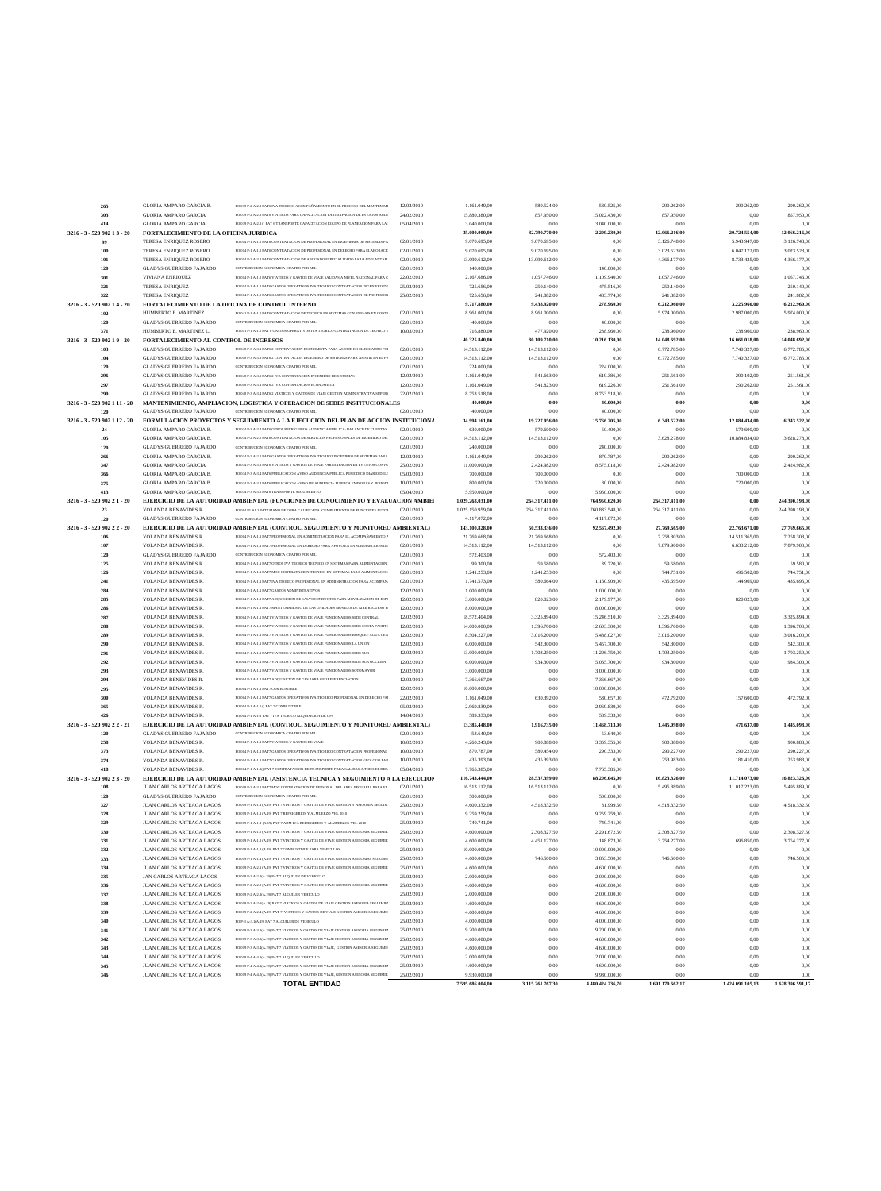| 265                          | <b>GLORIA AMPARO GARCIA B.</b>                   | PO 039 P.2 A.2 I PAT6 IVA TEORICO ACOMPAÑAMIENTO EN EL PROCESO DEL MANTENIMI         | 12/02/2010 | 1.161.049,00     | 580.524,00       | 580.525,00       | 290.262,00       | 290.262,00       | 290.262,00       |
|------------------------------|--------------------------------------------------|--------------------------------------------------------------------------------------|------------|------------------|------------------|------------------|------------------|------------------|------------------|
|                              |                                                  |                                                                                      |            |                  |                  |                  |                  |                  |                  |
| 303                          | <b>GLORIA AMPARO GARCIA</b>                      | PO 039 P-2 A-2.3 PAT6 VIATICOS PARA CAPACITACION PARTICIPACION DE EVENTOS AUDI       | 24/02/2010 | 15.880.380,00    | 857.950,00       | 15.022.430,00    | 857.950,00       | 0,00             | 857.950,00       |
| 414                          | <b>GLORIA AMPARO GARCIA</b>                      | PO 039 P-2 A-2.3 () PAT 6 TRANSPORTE CAPACITACION EQUIPO DE PLANEACION PARA LA :     | 05/04/2010 | 3.040.000,00     | 0,00             | 3.040.000,00     | 0,00             | 0,00             | 0.00             |
| 3216 - 3 - 520 902 1 3 - 20  | FORTALECIMIENTO DE LA OFICINA JURIDICA           |                                                                                      |            | 35.000.000,00    | 32.790.770,00    | 2.209.230,00     | 12.066.216,00    | 20.724.554,00    | 12.066.216,00    |
| 99                           | TERESA ENRIQUEZ ROSERO                           | PO 014 P-1 A-1.2 PAT6 CONTRATACION DE PROFESIONAL EN INGENIERIA DE SISTEMAS PA       | 02/01/2010 | 9.070.695,00     | 9.070.695,00     | 0,00             | 3.126.748,00     | 5.943.947,00     | 3.126.748,00     |
|                              |                                                  |                                                                                      |            |                  |                  |                  |                  |                  |                  |
| 100                          | TERESA ENRIQUEZ ROSERO                           | PO 014 P-1 A-1.2 PAT6 CONTRATACION DE PROFESIONAL EN DERECHO PARA ELABORACIO         | 02/01/2010 | 9.070.695,00     | 9.070.695,00     | 0,00             | 3.023.523,00     | 6.047.172,00     | 3.023.523,00     |
| 101                          | TERESA ENRIQUEZ ROSERO                           | PO 014 P-3 A-3.1 PAT6 CONTRATACION DE ABOGADO ESPECIALIZADO PARA ADELANTAR           | 02/01/2010 | 13.099.612,00    | 13.099.612,00    | 0,00             | 4.366.177,00     | 8.733.435,00     | 4.366.177,00     |
| 120                          | <b>GLADYS GUERRERO FAJARDO</b>                   | CONTRIBUCION ECONOMICA CUATRO POR MIL                                                | 02/01/2010 | 140.000,00       | 0,00             | 140.000,00       | 0,00             | 0,00             | 0.00             |
| 301                          | VIVIANA ENRIQUEZ                                 | PO 014 P-1 A-1.2 PAT6 VIATICOS Y GASTOS DE VIAJE SALIDAS A NIVEL NACIONAL PARA C     | 22/02/2010 | 2.167.686,00     | 1.057.746,00     | 1.109.940,00     | 1.057.746,00     | 0,00             | 1.057.746,00     |
|                              |                                                  |                                                                                      |            |                  |                  |                  |                  |                  |                  |
| 321                          | <b>TERESA ENRIQUEZ</b>                           | PO 014 P-1 A-1.2 PAT6 GASTOS OPERATIVOS IVA TEORICO CONTRATACION INGENIERO DE        | 25/02/2010 | 725.656,00       | 250.140,00       | 475.516,00       | 250.140,00       | 0,00             | 250.140,00       |
| 322                          | <b>TERESA ENRIQUEZ</b>                           | PO 014 P-1 A-1.2 PAT6 GASTOS OPERATIVOS IVA TEORICO CONTRATACION DE PROFESION        | 25/02/2010 | 725.656,00       | 241.882,00       | 483.774,00       | 241.882,00       | 0,00             | 241.882,00       |
| 3216 - 3 - 520 902 14 - 20   | FORTALECIMIENTO DE LA OFICINA DE CONTROL INTERNO |                                                                                      |            | 9.717.880,00     | 9.438.920,00     | 278.960,00       | 6.212.960,00     | 3.225.960,00     | 6.212.960,00     |
| 102                          | HUMBERTO E. MARTINEZ                             | PO 041 P-1 A-1.2 PAT6 CONTRATACION DE TECNICO EN SISTEMAS CON ENFASIS EN CONT/       | 02/01/2010 | 8.961.000,00     | 8.961.000,00     | 0,00             | 5.974.000.00     | 2.987.000,00     | 5.974.000,00     |
|                              |                                                  |                                                                                      |            |                  |                  |                  |                  |                  |                  |
| 120                          | <b>GLADYS GUERRERO FAJARDO</b>                   | CONTRIBUCION ECONOMICA CUATRO POR MIL                                                | 02/01/2010 | 40.000,00        | 0,00             | 40.000,00        | 0,00             | 0,00             | 0.00             |
| 371                          | HUMBERTO E. MARTINEZ L.                          | PO 041 P-1 A-1.2 PAT 6 GASTOS OPERATIVOS IVA TEORICO CONTRATACION DE TECNICO E       | 10/03/2010 | 716.880,00       | 477.920,00       | 238.960,00       | 238.960,00       | 238.960,00       | 238.960,00       |
| 3216 - 3 - 520 902 19 - 20   | FORTALECIMIENTO AL CONTROL DE INGRESOS           |                                                                                      |            | 40.325.840,00    | 30.109.710,00    | 10.216.130,00    | 14.048.692,00    | 16.061.018,00    | 14.048.692,00    |
|                              |                                                  | PO 048 P-3 A-3.1 PAT6.2 CONTRATACION ECONOMISTA PARA ASISTIR EN EL RECAUDO POI       | 02/01/2010 |                  |                  |                  |                  |                  |                  |
| 103                          | <b>GLADYS GUERRERO FAJARDO</b>                   |                                                                                      |            | 14.513.112,00    | 14.513.112,00    | 0,00             | 6.772.785,00     | 7.740.327,00     | 6.772.785,00     |
| 104                          | <b>GLADYS GUERRERO FAJARDO</b>                   | PO 048 P-3 A-3.3 PAT6.2 CONTRATACION INGENIERO DE SISTEMAS PARA ASISTIR EN EL PR     | 02/01/2010 | 14.513.112,00    | 14.513.112,00    | 0,00             | 6.772.785,00     | 7.740.327,00     | 6.772.785,00     |
| 120                          | <b>GLADYS GUERRERO FAJARDO</b>                   | CONTRIBUCION ECONOMICA CUATRO POR MIL                                                | 02/01/2010 | 224.000,00       | 0,00             | 224.000,00       | 0,00             | 0,00             | 0.00             |
| 296                          | <b>GLADYS GUERRERO FAJARDO</b>                   | PO 048 P-3 A-3.3 PAT6.2 IVA CONTRATACION INGENIERO DE SISTEMAS                       | 12/02/2010 | 1.161.049,00     | 541.663,00       | 619.386,00       | 251.561,00       | 290.102,00       | 251.561,00       |
|                              |                                                  |                                                                                      |            |                  |                  |                  |                  |                  |                  |
| 297                          | <b>GLADYS GUERRERO FAJARDO</b>                   | PO 048 P-3 A-3.1 PAT6.2 IVA CONTRATACION ECONOMISTA                                  | 12/02/2010 | 1.161.049,00     | 541.823,00       | 619.226,00       | 251.561,00       | 290.262,00       | 251.561,00       |
| 299                          | <b>GLADYS GUERRERO FAJARDO</b>                   | PO 048 P-3 A-3.4 PAT6.2 VIATICOS Y GASTOS DE VIAJE GESTION ADMINISTRATIVA SUPERV     | 22/02/2010 | 8.753.518,00     | 0,00             | 8.753.518,00     | 0,00             | 0,00             | 0.00             |
| 3216 - 3 - 520 902 1 11 - 20 |                                                  | MANTENIMIENTO, AMPLIACION, LOGISTICA Y OPERACION DE SEDES INSTITUCIONALES            |            | 40.000,00        | 0,00             | 40.000,00        | 0,00             | 0,00             | 0,00             |
| 120                          | <b>GLADYS GUERRERO FAJARDO</b>                   | CONTRIBUCION ECONOMICA CUATRO POR MIL                                                | 02/01/2010 | 40.000,00        | 0,00             | 40.000,00        | 0.00             | 0,00             | 0.00             |
|                              |                                                  |                                                                                      |            |                  |                  |                  |                  |                  |                  |
| 3216 - 3 - 520 902 1 12 - 20 |                                                  | FORMULACION PROYECTOS Y SEGUIMIENTO A LA EJECUCION DEL PLAN DE ACCION INSTITUCIONA   |            | 34.994.161,00    | 19.227.956,00    | 15.766.205,00    | 6.343.522,00     | 12.884.434,00    | 6.343.522,00     |
| $\bf{24}$                    | GLORIA AMPARO GARCIA B.                          | PO 034 P-3 A-3.4 PAT6 OTROS REFRIGERIOS AUDIENCIA PUBLICA- BALANCE DE CUENTAS        | 02/01/2010 | 630.000,00       | 579.600,00       | 50.400,00        | 0.00             | 579.600,00       | 0.00             |
| 105                          | GLORIA AMPARO GARCIA B.                          | PO 034 P-2 A-2.2 PAT6 CONTRATACION DE SERVICIOS PROFESIONALES DE INGENIERO DE :      | 02/01/2010 | 14.513.112,00    | 14.513.112,00    | 0,00             | 3.628.278,00     | 10.884.834,00    | 3.628.278,00     |
|                              | <b>GLADYS GUERRERO FAJARDO</b>                   |                                                                                      |            |                  |                  |                  |                  |                  |                  |
| 120                          |                                                  | CONTRIBUCION ECONOMICA CUATRO POR MIL                                                | 02/01/2010 | 240.000,00       | 0,00             | 240.000,00       | 0,00             | 0,00             | 0.00             |
| 266                          | GLORIA AMPARO GARCIA B.                          | PO 034 P-2 A-2.2 PAT6 GASTOS OPERATIVOS IVA TEORICO INGENIERO DE SISTEMAS PARA       | 12/02/2010 | 1.161.049,00     | 290.262,00       | 870.787,00       | 290.262,00       | 0,00             | 290.262,00       |
| 347                          | GLORIA AMPARO GARCIA                             | PO 034 P-3 A-3.3 PAT6 VIATICOS Y GASTOS DE VIAJE PARTICIPACION EN EVENTOS CONVC      | 25/02/2010 | 11.000.000,00    | 2.424.982,00     | 8.575.018,00     | 2.424.982,00     | 0,00             | 2.424.982,00     |
| 366                          | <b>GLORIA AMPARO GARCIA B.</b>                   | PO 034 P-3 A-3.4 PAT6 PUBLICACION AVISO AUDIENCIA PUBLICA PERIODICO DIARIO DEL :     | 05/03/2010 | 700.000,00       | 700.000,00       | 0,00             | 0,00             | 700.000,00       | 0.00             |
|                              |                                                  |                                                                                      |            |                  |                  |                  |                  |                  |                  |
| 375                          | GLORIA AMPARO GARCIA B.                          | PO 034 P-3 A-3.4 PAT6 PUBLICACION AVISO DE AUDIENCIA PUBLICA EMISORAS Y PERIODI      | 10/03/2010 | 800.000,00       | 720.000,00       | 80.000,00        | 0,00             | 720.000,00       | 0.00             |
| 413                          | GLORIA AMPARO GARCIA B.                          | PO 034 P-3 A-3.2 PAT6 TRANSPORTE SEGUIMIENTO                                         | 05/04/2010 | 5.950.000,00     | 0,00             | 5.950,000,00     | 0,00             | 0,00             | 0.00             |
| 3216 - 3 - 520 902 21 - 20   |                                                  | EJERCICIO DE LA AUTORIDAD AMBIENTAL (FUNCIONES DE CONOCIMIENTO Y EVALUACION AMBIE)   |            | 1.029.268.031,00 | 264.317.411,00   | 764.950.620,00   | 264.317.411,00   | 0,00             | 244.390.198,00   |
| 23                           |                                                  | PO 004 P1 A1.1 PAT7 MANO DE OBRA CALIFICADA (CUMPLIMIENTO DE FUNCIONES AUTOI         | 02/01/2010 |                  |                  |                  |                  | 0,00             |                  |
|                              | YOLANDA BENAVIDES R                              |                                                                                      |            | 1.025.150.959,00 | 264.317.411,00   | 760.833.548,00   | 264.317.411,00   |                  | 244.390.198,00   |
| 120                          | <b>GLADYS GUERRERO FAJARDO</b>                   | CONTRIBUCION ECONOMICA CUATRO POR MIL                                                | 02/01/2010 | 4.117.072.00     | 0,00             | 4.117.072,00     | 0,00             | 0,00             | 0.00             |
| 3216 - 3 - 520 902 2 2 - 20  |                                                  | EJERCICIO DE LA AUTORIDAD AMBIENTAL (CONTROL, SEGUIMIENTO Y MONITOREO AMBIENTAL)     |            | 143.100.828,00   | 50.533.336,00    | 92.567.492,00    | 27.769.665,00    | 22.763.671,00    | 27.769.665,00    |
| 106                          | YOLANDA BENAVIDES R                              | PO 004 P-1 A-1.1 PAT7 PROFESIONAL EN ADMINISTRACION PARA EL ACOMPAÑAMIENTO /         | 02/01/2010 | 21.769.668,00    | 21.769.668,00    | 0,00             | 7.258.303,00     | 14.511.365,00    | 7.258.303,00     |
|                              |                                                  |                                                                                      |            |                  |                  |                  |                  |                  |                  |
| 107                          | YOLANDA BENAVIDES R.                             | PO 004 P-1 A-1.1 PAT7 PROFESIONAL EN DERECHO PARA APOYO EN LA SUBDIRECCION DE        | 02/01/2010 | 14.513.112,00    | 14.513.112,00    | 0,00             | 7.879.900,00     | 6.633.212,00     | 7.879.900,00     |
| 120                          | <b>GLADYS GUERRERO FAJARDO</b>                   | CONTRIBUCION ECONOMICA CUATRO POR MIL                                                | 02/01/2010 | 572.403,00       | 0,00             | 572.403,00       | 0,00             | 0,00             | 0.00             |
| 125                          | YOLANDA BENAVIDES R                              | PO 004 P-1 A-1.1 PAT7 OTROS IVA TEORICO TECNICO EN SISTEMAS PARA ALIMENTACION        | 02/01/2010 | 99.300,00        | 59.580,00        | 39.720,00        | 59.580,00        | 0,00             | 59.580,00        |
| 126                          | YOLANDA BENAVIDES R.                             | PO 004 P-1 A-1.1 PAT7 MOC CONTRATACION TECNICO EN SISTEMAS PARA ALIMENTACION         | 02/01/2010 |                  | 1.241.253,00     | 0,00             | 744.751,00       | 496.502,00       | 744.751,00       |
|                              |                                                  |                                                                                      |            | 1.241.253,00     |                  |                  |                  |                  |                  |
| 241                          | YOLANDA BENAVIDES R                              | PO 004 P-1 A-1.1 PAT7 IVA TEORICO PROFESIONAL EN ADMINISTRACION PARA ACOMPAÑ.        | 02/01/2010 | 1.741.573,00     | 580.664,00       | 1.160.909,00     | 435.695,00       | 144.969,00       | 435.695,00       |
| 284                          | YOLANDA BENAVIDES R.                             | PO 004 P-1 A-1.1 PAT7 GASTOS ADMINISTRATIVOS                                         | 12/02/2010 | 1.000.000,00     | 0,00             | 1.000.000,00     | 0,00             | 0,00             | 0.00             |
| 285                          | YOLANDA BENAVIDES R.                             | PO 004 P-1 A-1.1 PAT7 ADQUISICION DE SALVOCONDUCTOS PARA MOVILIZACION DE ESPI        | 12/02/2010 | 3.000.000,00     | 820.023,00       | 2.179.977,00     | 0,00             | 820.023,00       | 0.00             |
|                              |                                                  |                                                                                      |            |                  |                  |                  |                  |                  |                  |
| 286                          | YOLANDA BENAVIDES R                              | PO 004 P-1 A-1.1 PAT7 MANTENIMIENTO DE LAS UNIDADES MOVILES DE AIRE RECURSO H        | 12/02/2010 | 8.000.000,00     | 0,00             | 8.000.000,00     | 0,00             | 0,00             | 0.00             |
| 287                          | YOLANDA BENAVIDES R.                             | PO 004 P-1 A-1.1 PAT1 VIATICOS Y GASTOS DE VIAJE FUNCIONARIOS SEDE CENTRAL           | 12/02/2010 | 18.572.404,00    | 3.325.894,00     | 15.246.510,00    | 3.325.894,00     | 0,00             | 3.325.894,00     |
| 288                          | YOLANDA BENAVIDES R                              | PO 004 P-1 A-1.1 PAT7 VIATICOS Y GASTOS DE VIAJE FUNCIONARIOS SEDE COSTA PACIFIC     | 12/02/2010 | 14.000.000,00    | 1.396.700,00     | 12.603.300,00    | 1.396.700,00     | 0,00             | 1.396.700,00     |
|                              |                                                  | PO 004 P-1 A-1.1 PAT7 VIATICOS Y GASTOS DE VIAJE FUNCIONARIOS BOSQUE - AGUA CEN      |            |                  |                  |                  |                  |                  |                  |
| 289                          | YOLANDA BENAVIDES R                              |                                                                                      | 12/02/2010 | 8.504.227,00     | 3.016.200,00     | 5.488.027,00     | 3.016.200,00     | 0,00             | 3.016.200,00     |
| 290                          | YOLANDA BENAVIDES R.                             | PO 004 P-1 A-1.1 PAT7 VIATICOS Y GASTOS DE VIAJE FUNCIONARIOS LA UNION               | 12/02/2010 | 6.000.000,00     | 542.300,00       | 5.457.700,00     | 542.300,00       | 0,00             | 542.300,00       |
| 291                          | YOLANDA BENAVIDES R.                             | PO 004 PJ A-LI PAT7 VIATICOS Y GASTOS DE VIAIE FUNCIONARIOS SEDE SUR                 | 12/02/2010 | 13.000.000,00    | 1.703.250,00     | 11.296.750,00    | 1.703.250,00     | 0,00             | 1.703.250,00     |
| 292                          | YOLANDA BENAVIDES R                              | PO 004 P-1 A-1.1 PAT7 VIATICOS Y GASTOS DE VIAJE FUNCIONARIOS SEDE SUR OCCIDENT      | 12/02/2010 | 6.000.000,00     | 934.300,00       | 5.065.700,00     | 934.300,00       | 0,00             | 934.300,00       |
|                              |                                                  |                                                                                      |            |                  |                  |                  |                  |                  |                  |
| 293                          | YOLANDA BENAVIDES R.                             | PO 004 P-1 A-1.1 PAT7 VIATICOS Y GASTOS DE VIAJE FUNCIONARIOS SOTOMAYOR              | 12/02/2010 | 3.000.000,00     | 0,00             | 3.000.000,00     | 0,00             | 0,00             | 0.00             |
| 294                          | YOLANDA BENEVIDES R.                             | PO 004 P-1 A-1.1 PAT7 ADQUISICION DE GPS PARA GEOREFERENCIACION                      | 12/02/2010 | 7.366.667,00     | 0,00             | 7.366.667,00     | 0,00             | 0,00             | 0.00             |
| 295                          | YOLANDA BENAVIDES R                              | PO 004 P-1 A-1.1 PAT7 COMBUSTIBLE                                                    | 12/02/2010 | 10.000.000,00    | 0,00             | 10.000.000,00    | 0,00             | 0,00             | 0.00             |
| 300                          |                                                  | PO 004 P-1 A-1.1 PAT7 GASTOS OPERATIVOS IVA TEORICO PROFESIONAL EN DERECHO PAI       |            |                  | 630.392.00       |                  |                  |                  | 472.792.00       |
|                              | YOLANDA BENAVIDES R                              |                                                                                      | 22/02/2010 | 1.161.049,00     |                  | 530.657,00       | 472.792,00       | 157.600,00       |                  |
| 365                          | YOLANDA BENAVIDES R.                             | PO 004 P-1 A-1.1 () PAT 7 COMBUSTIBLE                                                | 05/03/2010 | 2.969.839,00     | 0,00             | 2.969.839,00     | 0,00             | 0,00             | 0,00             |
| 426                          | YOLANDA BENAVIDES R                              | PO 004 P-1 A-1-1 PAT 7 IVA TEORICO ADQUISICION DE GPS                                | 14/04/2010 | 589.333,00       | 0,00             | 589.333,00       | 0,00             | 0,00             | 0.00             |
| 3216 - 3 - 520 902 2 2 - 21  |                                                  | EJERCICIO DE LA AUTORIDAD AMBIENTAL (CONTROL, SEGUIMIENTO Y MONITOREO AMBIENTAL)     |            | 13.385.448,00    | 1.916.735,00     | 11.468.713,00    | 1.445.098,00     | 471.637,00       | 1.445.098,00     |
|                              | <b>GLADYS GUERRERO FAJARDO</b>                   | CONTRIBUCION ECONOMICA CUATRO POR MIL                                                |            |                  |                  |                  |                  |                  |                  |
| 120                          |                                                  |                                                                                      | 02/01/2010 | 53.640,00        | 0.00             | 53.640,00        | 0,00             | 0,00             | 0.00             |
| 258                          | YOLANDA BENAVIDES R.                             | PO 004 P-1 A-1.1 PAT7 VIATICOS Y GASTOS DE VIAJE                                     | 10/02/2010 | 4.260.243,00     | 900.888,00       | 3.359.355,00     | 900.888,00       | 0,00             | 900.888,00       |
| 373                          | YOLANDA BENAVIDES R.                             | PO 004 P-LA-LI PAT7 GASTOS OPERATIVOS IVA TEORICO CONTRATACION PROFESIONAL           | 10/03/2010 | 870.787,00       | 580.454,00       | 290.333,00       | 290.227,00       | 290.227,00       | 290.227,00       |
| 374                          | YOLANDA BENAVIDES R.                             | PO 004 P-1 A-1.1 PAT7 GASTOS OPERATIVOS IVA TEORICO CONTRATACION GEOLOGO PAR         | 10/03/2010 | 435.393,00       | 435.393,00       | 0,00             | 253.983,00       | 181.410,00       | 253.983,00       |
|                              |                                                  | PO 004 P-1 A-1.1() PAT 7 CONTRATACION DE TRANSPORTE PARA SALIDAS A TODO EL DEP.      |            |                  |                  |                  |                  |                  |                  |
| 418                          | YOLANDA BENAVIDES R.                             |                                                                                      | 05/04/2010 | 7.765.385,00     | 0.00             | 7.765.385,00     | 0,00             | 0,00             | 0.00             |
| 3216 - 3 - 520 902 2 3 - 20  |                                                  | EJERCICIO DE LA AUTORIDAD AMBIENTAL (ASISTENCIA TECNICA Y SEGUIMIENTO A LA EJECUCION |            | 116.743.444,00   | 28.537.399,00    | 88.206.045,00    | 16.823.326,00    | 11.714.073,00    | 16.823.326,00    |
| 108                          | JUAN CARLOS ARTEAGA LAGOS                        | PO 019 P-3 A-3.1 PAT7 MOC CONTRATACION DE PERSONAL DEL AREA PECUARIA PARA EL         | 02/01/2010 | 16.513.112,00    | 16.513.112,00    | 0,00             | 5.495.889.00     | 11.017.223,00    | 5.495.889,00     |
| 120                          | <b>GLADYS GUERRERO FAJARDO</b>                   | CONTRIBUCION ECONOMICA CUATRO POR MIL                                                | 02/01/2010 | 500.000,00       | 0,00             | 500.000,00       | 0,00             | 0,00             | 0.00             |
|                              |                                                  |                                                                                      |            |                  |                  |                  |                  |                  |                  |
| 327                          | JUAN CARLOS ARTEAGA LAGOS                        | PO 019 P-1 A-1.1 (A.19) PAT 7 VIATICOS Y GASTOS DE VIAJE GESTION Y ASESORIA SEGUIM   | 25/02/2010 | 4.600.332,00     | 4.518.332,50     | 81.999,50        | 4.518.332,50     | 0,00             | 4.518.332,50     |
| 328                          | JUAN CARLOS ARTEAGA LAGOS                        | PO 019 P-1 A-1.1 (A.19) PAT 7 REFRIGERIOS Y ALMUERZO VIG. 2010                       | 25/02/2010 | 9.259.259,00     | 0.00             | 9.259.259,00     | 0,00             | 0,00             | 0.00             |
| 329                          | JUAN CARLOS ARTEAGA LAGOS                        | PO 019 P-1 A-1-1 (A.19) PAT 7 ADM IVA REFRIGERIOS Y ALMUERZOS VIG. 2010              | 25/02/2010 | 740.741,00       | 0,00             | 740.741,00       | 0,00             | 0,00             | 0.00             |
| 330                          | JUAN CARLOS ARTEAGA LAGOS                        | PO 019 P-1 A-1.2 (A-19) PAT 7 VIATICOS Y GASTOS DE VIAJE GESTION ASESORIA SEGUIMIE   | 25/02/2010 | 4.600.000,00     | 2.308.327,50     | 2.291.672,50     | 2.308.327,50     | 0,00             | 2.308.327,50     |
|                              |                                                  |                                                                                      |            |                  |                  |                  |                  |                  |                  |
| 331                          | JUAN CARLOS ARTEAGA LAGOS                        | PO 019 P-1 A-1.3 (A.19) PAT 7 VIATICOS Y GASTOS DE VIAJE GESTION ASESORIA SEGUIMIE   | 25/02/2010 | 4.600.000,00     | 4.451.127,00     | 148.873,00       | 3.754.277,00     | 696.850,00       | 3.754.277,00     |
| 332                          | JUAN CARLOS ARTEAGA LAGOS                        | PO 019 P-1 A-1.3 (A.19) PAT 7 COMBUSTIBLE PARA VEHICULOS                             | 25/02/2010 | 10.000.000,00    | 0,00             | 10.000.000,00    | 0,00             | 0,00             | 0.00             |
| 333                          | JUAN CARLOS ARTEAGA LAGOS                        | PO 019 P-1 A-1.4 (A.19) PAT 7 VIATICOS Y GASTOS DE VIAJE GESTION ASESORIAS SEGUIMI   | 25/02/2010 | 4.600.000,00     | 746.500,00       | 3.853.500,00     | 746.500,00       | 0,00             | 746.500,00       |
| 334                          | JUAN CARLOS ARTEAGA LAGOS                        | PO 019 P-2 A-2.1 (A.19) PAT 7 VIATICOS Y GASTOS DE VIAJE GESTION ASESORIA SEGUIMIE   | 25/02/2010 | 4.600.000,00     | 0,00             | 4.600.000,00     | 0,00             | 0,00             | 0.00             |
|                              |                                                  |                                                                                      |            |                  |                  |                  |                  |                  |                  |
| 335                          | JAN CARLOS ARTEAGA LAGOS                         | PO 019 P-2 A-2.1(A.19) PAT 7 ALQUILER DE VEHICULO                                    | 25/02/2010 | 2.000.000,00     | 0,00             | 2.000.000,00     | 0,00             | 0,00             | 0.00             |
| 336                          | JUAN CARLOS ARTEAGA LAGOS                        | PO 019 P-2 A-2.2 (A.19) PAT 7 VIATICOS Y GASTOS DE VIAJE GESTION ASESORIA SEGUIMIE   | 25/02/2010 | 4.600.000,00     | 0,00             | 4.600.000,00     | 0,00             | 0,00             | 0.00             |
| 337                          | JUAN CARLOS ARTEAGA LAGOS                        | PO 019 P-2 A-2.3(A.19) PAT 7 ALQUILER VEHICULO                                       | 25/02/2010 | 2.000.000,00     | 0,00             | 2.000.000,00     | 0,00             | 0,00             | 0.00             |
|                              |                                                  |                                                                                      |            |                  |                  |                  |                  |                  |                  |
| 338                          | JUAN CARLOS ARTEAGA LAGOS                        | PO 019 P-2 A-2-3(A.19) PAT 7 VIATICOS Y GASTOS DE VIAJE GESTION ASESORIA SEGUIMIE?   | 25/02/2010 | 4.600.000,00     | 0,00             | 4.600.000,00     | 0,00             | 0,00             | 0.00             |
| 339                          | JUAN CARLOS ARTEAGA LAGOS                        | PO 019 P-2 A-2.4 (A.19) PAT 7 VIATICOS Y GASTOS DE VIAJE GESTION ASESORIA SEGUIMIE   | 25/02/2010 | 4.600.000,00     | 0,00             | 4.600.000,00     | 0,00             | 0,00             | 0.00             |
| 340                          | JUAN CARLOS ARTEAGA LAGOS                        | PO P-3 A-3.1(A.19) PAT 7 ALQUILER DE VEHICULO                                        | 25/02/2010 | 4.000.000,00     | 0,00             | 4.000.000,00     | 0.00             | 0,00             | 0.00             |
| 341                          | JUAN CARLOS ARTEAGA LAGOS                        | PO 019 P-3 A-3.1(A.19) PAT 7 VIATICOS Y GASTOS DE VIAJE GESTION ASESORIA SEGUIMIE?   | 25/02/2010 | 9.200.000,00     | 0,00             | 9.200.000,00     | 0,00             | 0,00             | 0,00             |
|                              |                                                  |                                                                                      |            |                  |                  |                  |                  |                  |                  |
| 342                          | JUAN CARLOS ARTEAGA LAGOS                        | PO 019 P-3 A-3.2(A.19) PAT 7 VIATICOS Y GASTOS DE VIAJE GESTION ASESORIA SEGUIMIE?   | 25/02/2010 | 4.600.000,00     | 0,00             | 4.600.000,00     | 0,00             | 0,00             | 0.00             |
| 343                          | JUAN CARLOS ARTEAGA LAGOS                        | PO 019 P-3 A-3.4(A,19) PAT 7 VIATICOS Y GASTOS DE VIAJE. GESTION ASESORIA SEGUIMIE   | 25/02/2010 | 4.600.000,00     | 0,00             | 4.600.000,00     | 0,00             | 0,00             | 0.00             |
| 344                          | JUAN CARLOS ARTEAGA LAGOS                        | PO 019 P-4 A-4.1(A.19) PAT 7 ALQUILER VEHICULO                                       | 25/02/2010 | 2.000.000,00     | 0.00             | 2.000.000,00     | 0,00             | 0,00             | 0.00             |
|                              |                                                  |                                                                                      |            |                  |                  |                  |                  |                  |                  |
| 345                          | JUAN CARLOS ARTEAGA LAGOS                        | PO 019 P-4 A-4.1(A.19) PAT 7 VIATICOS Y GASTOS DE VIAJE GESTION ASESORIA SEGUIMIEN   | 25/02/2010 | 4.600.000,00     | 0,00             | 4.600.000,00     | 0,00             | 0,00             | 0.00             |
| 346                          | JUAN CARLOS ARTEAGA LAGOS                        | PO 019 P-4 A-4.2(A.19) PAT 7 VIATICOS Y GASTOS DE VIAJE, GESTION ASESORIA SEGUIMIE   | 25/02/2010 | 9.930.000,00     | 0.00             | 9.930.000.00     | 0.00             | 0.00             | 0.00             |
|                              |                                                  |                                                                                      |            |                  |                  |                  |                  |                  |                  |
|                              |                                                  | <b>TOTAL ENTIDAD</b>                                                                 |            | 7.595.686.004,00 | 3.115.261.767,30 | 4.480.424.236,70 | 1.691.170.662,17 | 1.424.091.105,13 | 1.628.396.591,17 |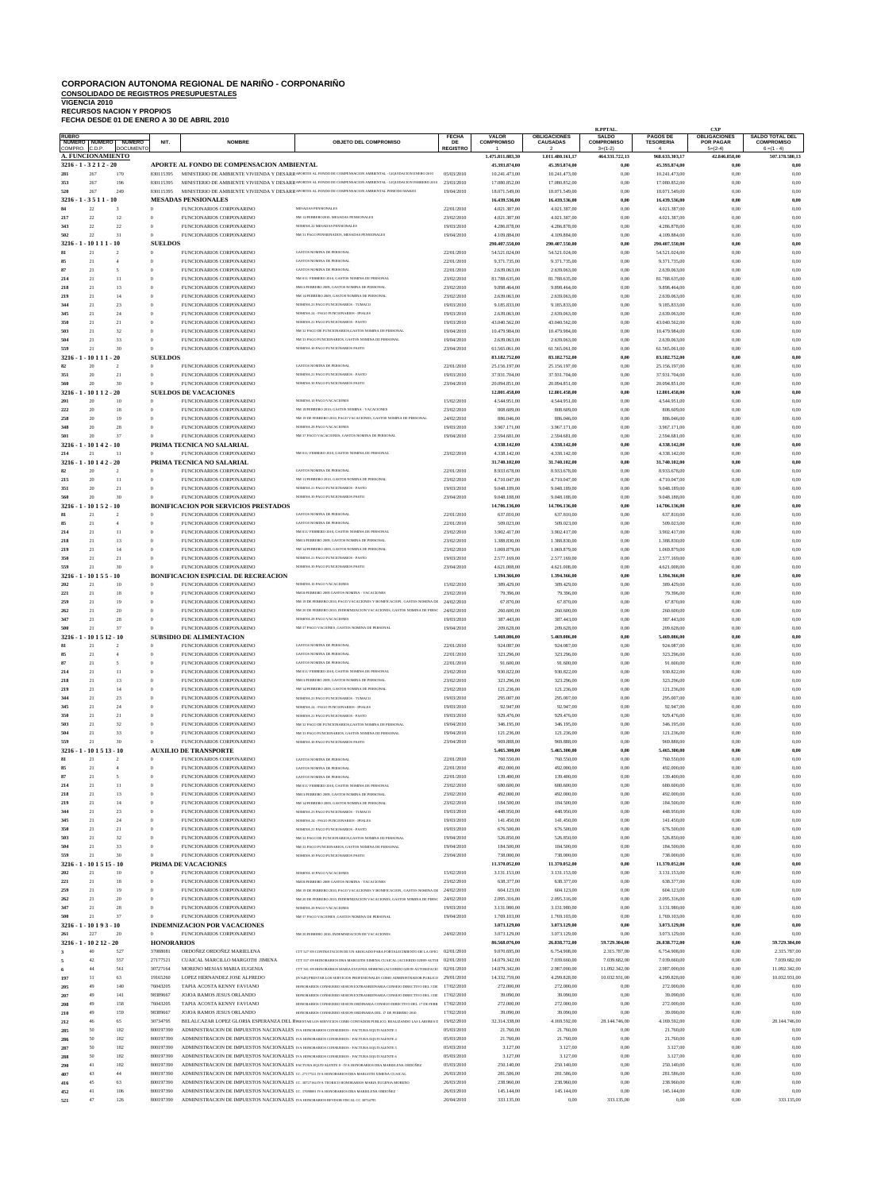# **CORPORACION AUTONOMA REGIONAL DE NARIÑO - CORPONARIÑO CONSOLIDADO DE REGISTROS PRESUPUESTALES VIGENCIA 2010 RECURSOS NACION Y PROPIOS FECHA DESDE 01 DE ENERO A 30 DE ABRIL 2010**

|                   |                                    |                                            |                                  |                                                                                                                                                                                      |                                                                                                                                                   |                          |                               |                                        | R.PPTAL.                          |                                     | <b>CXP</b>                              |                                             |
|-------------------|------------------------------------|--------------------------------------------|----------------------------------|--------------------------------------------------------------------------------------------------------------------------------------------------------------------------------------|---------------------------------------------------------------------------------------------------------------------------------------------------|--------------------------|-------------------------------|----------------------------------------|-----------------------------------|-------------------------------------|-----------------------------------------|---------------------------------------------|
| <b>RUBRO</b>      | NUMERO NUMERO                      | <b>NUMERO</b>                              | NIT.                             | <b>NOMBRE</b>                                                                                                                                                                        | <b>OBJETO DEL COMPROMISO</b>                                                                                                                      | <b>FECHA</b><br>DE       | VALOR<br><b>COMPROMISO</b>    | <b>OBLIGACIONES</b><br><b>CAUSADAS</b> | <b>SALDO</b><br><b>COMPROMISO</b> | <b>PAGOS DE</b><br><b>TESORERIA</b> | <b>OBLIGACIONES</b><br><b>POR PAGAR</b> | <b>SALDO TOTAL DEL</b><br><b>COMPROMISO</b> |
| COMPRO.           | C.D.P.<br><b>A. FUNCIONAMIENTO</b> | <b>DOCUMENTO</b>                           |                                  |                                                                                                                                                                                      |                                                                                                                                                   | <b>REGISTRO</b>          | 1.475.811.883,30              | $\mathcal{P}$<br>1.011.480.161,17      | $3=(1-2)$<br>464.331.722,13       | $\Delta$<br>968.633.303,17          | $5=(2-4)$<br>42.846.858,00              | $6 = (1 - 4)$<br>507.178.580.13             |
|                   | $3216 - 1 - 3212 - 20$             |                                            |                                  | APORTE AL FONDO DE COMPENSACION AMBIENTAL                                                                                                                                            |                                                                                                                                                   |                          | 45.393.874,00                 | 45.393.874,00                          | $_{0,00}$                         | 45.393.874,00                       | 0,00                                    | 0,00                                        |
| 281               | 267                                | 170                                        | 830115395                        |                                                                                                                                                                                      | MINISTERIO DE AMBIENTE VIVIENDA Y DESARRAPORTES AL FONDO DE COMPENSACION AMBIENTAL - LIQUIDACION ENERO 2010                                       | 05/03/2010               | 10.241.473,00                 | 10.241.473,00                          | 0,00                              | 10.241.473,00                       | 0,00                                    | 0,00                                        |
| 353               | 267                                | 196                                        | 830115395                        |                                                                                                                                                                                      | MINISTERIO DE AMBIENTE VIVIENDA Y DESARRAPORTES AL FONDO DE COMPENSACION AMBIENTAL - LIQUIDACION FEBRERO 2010                                     | 23/03/2010               | 17.080.852,00                 | 17.080.852,00                          | 0,00                              | 17.080.852,00                       | 0,00                                    | 0,00                                        |
| 520               | 267                                | 249                                        | 830115395                        |                                                                                                                                                                                      | MINISTERIO DE AMBIENTE VIVIENDA Y DESARRAPORTES AL FONDO DE COMPENSACION AMBIENTAL PERIODO MARZO                                                  | 19/04/2010               | 18.071.549,00                 | 18.071.549,00                          | 0,00                              | 18.071.549,00                       | 0,00                                    | 0,00                                        |
| 3216              | $-3511 - 10$                       | $\mathbf{3}$                               |                                  | <b>MESADAS PENSIONALES</b>                                                                                                                                                           |                                                                                                                                                   |                          | 16.439.536,00                 | 16.439.536,00                          | 0,00                              | 16.439.536,00                       | 0,00                                    | $_{0,00}$                                   |
| 84<br>217         | $22\,$<br>$22\,$                   | 12                                         | $\bf{0}$<br>$\overline{0}$       | FUNCIONARIOS CORPONARINO<br>FUNCIONARIOS CORPONARINO                                                                                                                                 | MESADAS PENSIONALES<br>NM 12/FEBRERO2010, MESADAS PENSIONALES                                                                                     | 22/01/2010<br>23/02/2010 | 4.021.387,00<br>4.021.387,00  | 4.021.387,00<br>4.021.387,00           | 0,00<br>0,00                      | 4.021.387,00<br>4.021.387,00        | 0,00<br>0,00                            | 0,00<br>0,00                                |
| 343               | $22\,$                             | 22                                         | $\theta$                         | FUNCIONARIOS CORPONARINO                                                                                                                                                             | NOMINA 22 MESADAS PENSIONALES                                                                                                                     | 19/03/2010               | 4.286.878,00                  | 4.286.878,00                           | 0,00                              | 4.286.878,00                        | 0,00                                    | 0,00                                        |
| 502               | $22\,$                             | 31                                         | $\Omega$                         | FUNCIONARIOS CORPONARINO                                                                                                                                                             | NM 31 PAGO PENSIONADOS, MESADAS PENSIONALES                                                                                                       | 19/04/2010               | 4.109.884,00                  | 4.109.884,00                           | 0,00                              | 4.109.884,00                        | 0,00                                    | 0,00                                        |
| 3216              | 10 1                               | - 10                                       | <b>SUELDOS</b>                   |                                                                                                                                                                                      |                                                                                                                                                   |                          | 290.407.550,00                | 290.407.550,00                         | 0,00                              | 290.407.550,00                      | 0,00                                    | 0,00                                        |
| 81                | 21                                 | $\overline{2}$                             | $\theta$                         | FUNCIONARIOS CORPONARINO                                                                                                                                                             | <b>GASTOS NOMINA DE PERSONAL</b>                                                                                                                  | 22/01/2010               | 54.521.024,00                 | 54.521.024,00                          | 0,00                              | 54.521.024,00                       | 0,00                                    | 0,00                                        |
| 85<br>87          | 21<br>21                           | $\overline{4}$<br>$\overline{\phantom{a}}$ | $\overline{0}$<br>$\theta$       | FUNCIONARIOS CORPONARINO<br>FUNCIONARIOS CORPONARINO                                                                                                                                 | <b>GASTOS NOMINA DE PERSONAL</b><br><b>GASTOS NOMINA DE PERSONAL</b>                                                                              | 22/01/2010               | 9.371.735,00                  | 9.371.735,00                           | 0,00                              | 9.371.735,00                        | 0,00                                    | 0,00                                        |
| 214               | 21                                 | 11                                         | $\theta$                         | FUNCIONARIOS CORPONARINO                                                                                                                                                             | NM 011/ FEBRERO 2010, GASTOS NOMINA DE PERSONAL                                                                                                   | 22/01/2010<br>23/02/2010 | 2.639.063,00<br>81.788.635,00 | 2.639.063,00<br>81.788.635,00          | 0,00<br>0,00                      | 2.639.063,00<br>81.788.635,00       | 0,00<br>0,00                            | 0,00<br>0,00                                |
| 218               | 21                                 | 13                                         | $\overline{0}$                   | FUNCIONARIOS CORPONARINO                                                                                                                                                             | NM13/FEBRERO 2009, GASTOS NOMINA DE PERSONAL                                                                                                      | 23/02/2010               | 9.898.464,00                  | 9.898.464,00                           | 0,00                              | 9.898.464,00                        | 0,00                                    | 0,00                                        |
| 219               | 21                                 | 14                                         | $\theta$                         | FUNCIONARIOS CORPONARINO                                                                                                                                                             | NM 14/FEBRERO 2009, GASTOS NOMINA DE PERSONAL                                                                                                     | 23/02/2010               | 2.639.063,00                  | 2.639.063,00                           | 0,00                              | 2.639.063,00                        | 0,00                                    | 0,00                                        |
| 344               | 21                                 | 23                                         | $\overline{0}$                   | FUNCIONARIOS CORPONARINO                                                                                                                                                             | NOMINA 23 PAGO FUNCIONARIOS - TUMACO                                                                                                              | 19/03/2010               | 9.185.833,00                  | 9.185.833,00                           | 0.00                              | 9.185.833,00                        | 0,00                                    | 0,00                                        |
| 345               | 21                                 | 24                                         | $\overline{0}$                   | FUNCIONARIOS CORPONARINO                                                                                                                                                             | NOMINA 24 - PAGO FUNCIONARIOS - IPIALES                                                                                                           | 19/03/2010               | 2.639.063,00                  | 2.639.063,00                           | 0,00                              | 2.639.063,00                        | 0,00                                    | 0,00                                        |
| 350               | 21<br>21                           | 21<br>32                                   | $\overline{0}$<br>$\theta$       | FUNCIONARIOS CORPONARINO                                                                                                                                                             | NOMINA 21 PAGO FUNCIONARIOS - PASTO<br>NM 32 PAGO DE FUNCIONARIOS, GASTOS NOMINA DE PERSONAL                                                      | 19/03/2010               | 43.040.562,00                 | 43.040.562,00                          | 0,00                              | 43.040.562,00                       | 0,00                                    | 0,00                                        |
| 503<br>504        | 21                                 | 33                                         | $\overline{0}$                   | FUNCIONARIOS CORPONARINO<br>FUNCIONARIOS CORPONARINO                                                                                                                                 | NM 33 PAGO FUNCIONARIOS, GASTOS NOMINA DE PERSONAL                                                                                                | 19/04/2010<br>19/04/2010 | 10.479.984,00<br>2.639.063,00 | 10.479.984,00<br>2.639.063,00          | 0,00<br>0,00                      | 10.479.984,00<br>2.639.063,00       | 0,00<br>0,00                            | 0,00<br>0,00                                |
| 559               | 21                                 | 30                                         | $\Omega$                         | FUNCIONARIOS CORPONARINO                                                                                                                                                             | NOMINA 30 PAGO FUNCIONARIOS PASTO                                                                                                                 | 23/04/2010               | 61.565.061,00                 | 61.565.061,00                          | 0,00                              | 61.565.061,00                       | 0,00                                    | 0,00                                        |
| 3216              | 10 1                               | $-20$                                      | <b>SUELDOS</b>                   |                                                                                                                                                                                      |                                                                                                                                                   |                          | 83.182.752,00                 | 83.182.752,00                          | 0,00                              | 83.182.752,00                       | 0,00                                    | 0,00                                        |
| 82                | 20                                 | $\overline{2}$                             | $\overline{0}$                   | FUNCIONARIOS CORPONARINO                                                                                                                                                             | <b>GASTOS NOMINA DE PERSONAL</b>                                                                                                                  | 22/01/2010               | 25.156.197,00                 | 25.156.197,00                          | 0,00                              | 25.156.197,00                       | 0,00                                    | 0,00                                        |
| 351               | 20                                 | 21                                         | $\bf{0}$                         | FUNCIONARIOS CORPONARINO                                                                                                                                                             | NOMINA 21 PAGO FUNCIONARIOS - PASTO                                                                                                               | 19/03/2010               | 37.931.704,00                 | 37.931.704.00                          | 0,00                              | 37.931.704,00                       | 0,00                                    | 0,00                                        |
| 560               | 20<br>$-10112 - 20$                | 30                                         | $\theta$                         | FUNCIONARIOS CORPONARINO<br><b>SUELDOS DE VACACIONES</b>                                                                                                                             | NOMINA 30 PAGO FUNCIONARIOS PASTO                                                                                                                 | 23/04/2010               | 20.094.851,00                 | 20.094.851,00<br>12.801.458,00         | 0,00                              | 20.094.851,00                       | 0,00                                    | 0,00                                        |
| 3216<br>201       | 20                                 | 10                                         | $\overline{0}$                   | FUNCIONARIOS CORPONARINO                                                                                                                                                             | NOMINA 10 PAGO VACACIONES                                                                                                                         | 15/02/2010               | 12.801.458,00<br>4.544.951,00 | 4.544.951,00                           | $_{0,00}$<br>0,00                 | 12.801.458,00<br>4.544.951,00       | 0,00<br>0,00                            | 0,00<br>0,00                                |
| 222               | 20                                 | 18                                         | $\overline{0}$                   | FUNCIONARIOS CORPONARINO                                                                                                                                                             | NM 18/FEBRERO 2010; GASTOS NOMINA - VACACIONES                                                                                                    | 23/02/2010               | 808.609,00                    | 808.609,00                             | 0,00                              | 808.609,00                          | 0,00                                    | 0,00                                        |
| 258               | 20                                 | 19                                         | $\theta$                         | FUNCIONARIOS CORPONARINO                                                                                                                                                             | NM 19 DE FEBRERO 2010, PAGO VACACIONES, GASTOS NOMINA DE PERSONAL                                                                                 | 24/02/2010               | 886.046,00                    | 886.046,00                             | 0,00                              | 886.046,00                          | 0,00                                    | 0,00                                        |
| 348               | 20                                 | 28                                         | $\overline{0}$                   | FUNCIONARIOS CORPONARINO                                                                                                                                                             | NOMINA 28 PAGO VACACIONES                                                                                                                         | 19/03/2010               | 3.967.171,00                  | 3.967.171,00                           | 0,00                              | 3.967.171,00                        | 0,00                                    | 0,00                                        |
| 501               | 20                                 | 37                                         | $\theta$                         | FUNCIONARIOS CORPONARINO                                                                                                                                                             | NM 37 PAGO VACACIONES, GASTOS NOMINA DE PERSONAL                                                                                                  | 19/04/2010               | 2.594.681,00                  | 2.594.681,00                           | 0,00                              | 2.594.681,00                        | 0,00                                    | 0,00                                        |
| 3216 - 1<br>214   | $-10142$<br>21                     | - 10<br>11                                 | $\Omega$                         | PRIMA TECNICA NO SALARIAL<br>FUNCIONARIOS CORPONARINO                                                                                                                                | NM 011/ FEBRERO 2010, GASTOS NOMINA DE PERSONAI                                                                                                   | 23/02/2010               | 4.338.142,00<br>4.338.142,00  | 4.338.142,00<br>4.338.142,00           | 0,00<br>0,00                      | 4.338.142,00<br>4.338.142,00        | 0.00<br>0,00                            | 0,00<br>0,00                                |
| 3216 - 1          | - 10 1 4 2 - 20                    |                                            |                                  | PRIMA TECNICA NO SALARIAL                                                                                                                                                            |                                                                                                                                                   |                          | 31.740.102,00                 | 31.740.102,00                          | $_{0,00}$                         | 31.740.102,00                       | 0,00                                    | 0,00                                        |
| 82                | 20                                 |                                            | $\overline{0}$                   | FUNCIONARIOS CORPONARINO                                                                                                                                                             | <b>GASTOS NOMINA DE PERSONAL</b>                                                                                                                  | 22/01/2010               | 8.933.678,00                  | 8.933.678,00                           | 0,00                              | 8.933.678,00                        | 0,00                                    | 0,00                                        |
| 215               | 20                                 | 11                                         | $\overline{0}$                   | FUNCIONARIOS CORPONARINO                                                                                                                                                             | NM 11/FEBRERO 2010, GASTOS NOMINA DE PERSONAL                                                                                                     | 23/02/2010               | 4.710.047,00                  | 4.710.047,00                           | 0,00                              | 4.710.047,00                        | 0,00                                    | 0,00                                        |
| 351               | 20                                 | 21                                         | $\Omega$                         | FUNCIONARIOS CORPONARINO                                                                                                                                                             | NOMINA 21 PAGO FUNCIONARIOS - PASTO                                                                                                               | 19/03/2010               | 9.048.189,00                  | 9.048.189,00                           | 0,00                              | 9.048.189,00                        | 0,00                                    | 0,00                                        |
| 560               | 20                                 | 30                                         | $\theta$                         | FUNCIONARIOS CORPONARINO                                                                                                                                                             | NOMINA 30 PAGO FUNCIONARIOS PASTO                                                                                                                 | 23/04/2010               | 9.048.188,00                  | 9.048.188,00                           | 0,00                              | 9.048.188,00                        | 0,00                                    | 0,00                                        |
| $3216 - 1$        | $-10152 - 10$<br>21                | $\overline{2}$                             | $\overline{0}$                   | <b>BONIFICACION POR SERVICIOS PRESTADOS</b>                                                                                                                                          | <b>GASTOS NOMINA DE PERSONAL</b>                                                                                                                  |                          | 14.706.136,00                 | 14.706.136,00                          | $_{0,00}$                         | 14.706.136,00                       | 0,00<br>0,00                            | $_{0,00}$<br>0,00                           |
| 85                | 21                                 | $\overline{4}$                             | $\overline{0}$                   | FUNCIONARIOS CORPONARINO<br>FUNCIONARIOS CORPONARINO                                                                                                                                 | GASTOS NOMINA DE PERSONAL                                                                                                                         | 22/01/2010<br>22/01/2010 | 637.810,00<br>509.023,00      | 637.810,00<br>509.023,00               | 0,00<br>0,00                      | 637.810,00<br>509.023,00            | 0,00                                    | 0,00                                        |
| 214               | 21                                 | 11                                         | $\theta$                         | FUNCIONARIOS CORPONARINO                                                                                                                                                             | NM 011/ FEBRERO 2010, GASTOS NOMINA DE PERSONAI                                                                                                   | 23/02/2010               | 3.902.417,00                  | 3.902.417,00                           | 0,00                              | 3.902.417,00                        | 0,00                                    | 0,00                                        |
| 218               | 21                                 | 13                                         | $\overline{0}$                   | FUNCIONARIOS CORPONARINO                                                                                                                                                             | NM13/FEBRERO 2009, GASTOS NOMINA DE PERSONAL                                                                                                      | 23/02/2010               | 1.388.830,00                  | 1.388.830,00                           | 0,00                              | 1.388.830,00                        | 0,00                                    | 0,00                                        |
| 219               | 21                                 | 14                                         | $\overline{0}$                   | FUNCIONARIOS CORPONARINO                                                                                                                                                             | NM 14/FEBRERO 2009, GASTOS NOMINA DE PERSONAL                                                                                                     | 23/02/2010               | 1.069.879,00                  | 1.069.879,00                           | 0,00                              | 1.069.879,00                        | 0,00                                    | 0,00                                        |
| 350               | 21                                 | 21                                         | $\overline{0}$                   | FUNCIONARIOS CORPONARINO                                                                                                                                                             | NOMINA 21 PAGO FUNCIONARIOS - PASTO                                                                                                               | 19/03/2010               | 2.577.169,00                  | 2.577.169,00                           | 0.00                              | 2.577.169,00                        | 0.00                                    | 0,00                                        |
| 559<br>3216       | 21<br>10 1 5                       | 30<br>- 10                                 | $\Omega$                         | FUNCIONARIOS CORPONARINO<br><b>BONIFICACION ESPECIAL DE RECREACION</b>                                                                                                               | NOMINA 30 PAGO FUNCIONARIOS PASTO                                                                                                                 | 23/04/2010               | 4.621.008,00<br>1.394.366,00  | 4.621.008,00<br>1.394.366,00           | 0,00<br>0,00                      | 4.621.008,00<br>1.394.366,00        | 0,00<br>0,00                            | 0,00<br>0,00                                |
| 202               | 21                                 | 10                                         | $\overline{0}$                   | FUNCIONARIOS CORPONARINO                                                                                                                                                             | NOMINA 10 PAGO VACACIONES                                                                                                                         | 15/02/2010               | 389.429,00                    | 389.429,00                             | 0,00                              | 389.429,00                          | 0,00                                    | 0,00                                        |
| 221               | 21                                 | 18                                         | $\overline{0}$                   | FUNCIONARIOS CORPONARINO                                                                                                                                                             | NM18/FEBRERO 2009 GASTOS NOMINA - VACACIONES                                                                                                      | 23/02/2010               | 79.396,00                     | 79.396,00                              | 0.00                              | 79.396,00                           | 0,00                                    | 0,00                                        |
| 259               | 21                                 | 19                                         | $\theta$                         | FUNCIONARIOS CORPONARINO                                                                                                                                                             | NM 19 DE FEBRERO 2010. PAGO VACACIONES Y BONIFICACION . GASTOS NOMINA DE                                                                          | 24/02/2010               | 67.870,00                     | 67.870,00                              | 0,00                              | 67.870,00                           | 0,00                                    | 0,00                                        |
| 262               | 21                                 | 20                                         | $\overline{0}$                   | FUNCIONARIOS CORPONARINO                                                                                                                                                             | NM 20 DE FEBRERO 2010. INDEMNIZACION VACACIONES. GASTOS NOMINA DE PERSC                                                                           | 24/02/2010               | 260.600,00                    | 260.600,00                             | 0,00                              | 260.600,00                          | 0,00                                    | 0,00                                        |
| 347               | 21                                 | 28                                         | $\theta$                         | FUNCIONARIOS CORPONARINO                                                                                                                                                             | NOMINA 28 PAGO VACACIONES                                                                                                                         | 19/03/2010               | 387.443,00                    | 387.443,00                             | 0,00                              | 387.443,00                          | 0.00                                    | 0,00                                        |
|                   | 21<br>3216 - 1 - 10 1 5 12 - 10    | 37                                         | $\theta$                         | FUNCIONARIOS CORPONARINO                                                                                                                                                             | NM 37 PAGO VACIONES .GASTOS NOMINA DE PERSONAL                                                                                                    | 19/04/2010               | 209.628,00<br>5.469.086,00    | 209.628,00                             | 0,00<br>0,00                      | 209.628,00                          | 0,00                                    | 0,00<br>0,00                                |
| 81                | 21                                 | $\mathcal{D}$                              | $\overline{0}$                   | <b>SUBSIDIO DE ALIMENTACION</b><br>FUNCIONARIOS CORPONARINO                                                                                                                          | <b>GASTOS NOMINA DE PERSONAL</b>                                                                                                                  | 22/01/2010               | 924.087,00                    | 5.469.086,00<br>924.087,00             | 0,00                              | 5.469.086,00<br>924.087,00          | 0,00<br>0,00                            | 0,00                                        |
| 85                | 21                                 | $\overline{4}$                             | $\overline{0}$                   | FUNCIONARIOS CORPONARINO                                                                                                                                                             | <b>GASTOS NOMINA DE PERSONAL</b>                                                                                                                  | 22/01/2010               | 323.296,00                    | 323.296,00                             | 0,00                              | 323.296,00                          | 0,00                                    | 0,00                                        |
| 87                | 21                                 | $\overline{\phantom{a}}$                   | $\overline{0}$                   | FUNCIONARIOS CORPONARINO                                                                                                                                                             | <b>GASTOS NOMINA DE PERSONAL</b>                                                                                                                  | 22/01/2010               | 91.600,00                     | 91.600,00                              | 0,00                              | 91.600,00                           | 0,00                                    | 0,00                                        |
| 214               | 21                                 | 11                                         | $\overline{0}$                   | FUNCIONARIOS CORPONARINO                                                                                                                                                             | NM 011/ FEBRERO 2010, GASTOS NOMINA DE PERSONAL                                                                                                   | 23/02/2010               | 930.822,00                    | 930.822,00                             | 0,00                              | 930.822,00                          | 0,00                                    | 0,00                                        |
| 218               | 21                                 | 13                                         | $\overline{0}$                   | FUNCIONARIOS CORPONARINO                                                                                                                                                             | NM13/FEBRERO 2009, GASTOS NOMINA DE PERSONAL                                                                                                      | 23/02/2010               | 323.296,00                    | 323.296,00                             | 0,00                              | 323.296,00                          | 0,00                                    | 0,00                                        |
| 219<br>344        | 21<br>21                           | 14<br>23                                   | $\overline{0}$<br>$\overline{0}$ | FUNCIONARIOS CORPONARINO<br>FUNCIONARIOS CORPONARINO                                                                                                                                 | NM 14/FEBRERO 2009, GASTOS NOMINA DE PERSONAL<br>NOMINA 23 PAGO FUNCIONARIOS - TUMACO                                                             | 23/02/2010<br>19/03/2010 | 121.236,00<br>295.007,00      | 121.236,00<br>295.007,00               | 0,00<br>0.00                      | 121.236,00<br>295.007,00            | 0,00                                    | 0,00<br>0,00                                |
| 345               | 21                                 | 24                                         | $\overline{0}$                   | FUNCIONARIOS CORPONARINO                                                                                                                                                             | NOMINA 24 - PAGO FUNCIONARIOS - IPIALES                                                                                                           | 19/03/2010               | 92.947,00                     | 92.947,00                              | 0,00                              | 92.947,00                           | 0,00<br>0,00                            | 0,00                                        |
| 350               | 21                                 | 21                                         | $\overline{0}$                   | FUNCIONARIOS CORPONARINO                                                                                                                                                             | NOMINA 21 PAGO FUNCIONARIOS - PASTO                                                                                                               | 19/03/2010               | 929.476,00                    | 929.476,00                             | 0,00                              | 929.476,00                          | 0,00                                    | 0,00                                        |
| 503               | 21                                 | 32                                         | $\overline{0}$                   | FUNCIONARIOS CORPONARINO                                                                                                                                                             | NM 32 PAGO DE FUNCIONARIOS.GASTOS NOMINA DE PERSONAL                                                                                              | 19/04/2010               | 346.195,00                    | 346.195,00                             | 0,00                              | 346.195,00                          | 0,00                                    | 0,00                                        |
| 504               | 21                                 | 33                                         | $\overline{0}$                   | FUNCIONARIOS CORPONARINO                                                                                                                                                             | NM 33 PAGO FUNCIONARIOS, GASTOS NOMINA DE PERSONAL                                                                                                | 19/04/2010               | 121.236,00                    | 121.236,00                             | 0,00                              | 121.236,00                          | 0,00                                    | 0,00                                        |
| 559               | 21                                 | 30                                         | $\theta$                         | FUNCIONARIOS CORPONARINO                                                                                                                                                             | NOMINA 30 PAGO FUNCIONARIOS PASTO                                                                                                                 | 23/04/2010               | 969.888,00                    | 969.888,00                             | 0,00                              | 969.888,00                          | 0,00                                    | 0,00                                        |
| 3216<br>81        | $-1015$<br>21                      | 13 - 10<br>$\overline{2}$                  | $\bf{0}$                         | <b>AUXILIO DE TRANSPORTE</b><br>FUNCIONARIOS CORPONARINO                                                                                                                             | <b>GASTOS NOMINA DE PERSONAL</b>                                                                                                                  | 22/01/2010               | 5.465.300,00<br>760.550,00    | 5.465.300,00<br>760.550,00             | $_{0,00}$<br>0,00                 | 5.465.300,00<br>760.550,00          | 0,00<br>0,00                            | 0,00<br>0,00                                |
| 85                | 21                                 | $\overline{4}$                             | $\bf{0}$                         | FUNCIONARIOS CORPONARINO                                                                                                                                                             | <b>GASTOS NOMINA DE PERSONAL</b>                                                                                                                  | 22/01/2010               | 492.000,00                    | 492.000,00                             | 0,00                              | 492.000,00                          | 0,00                                    | 0,00                                        |
| 87                | 21                                 | $\overline{\phantom{a}}$                   | $\overline{0}$                   | FUNCIONARIOS CORPONARINO                                                                                                                                                             | <b>GASTOS NOMINA DE PERSONAL</b>                                                                                                                  | 22/01/2010               | 139.400,00                    | 139.400,00                             | 0,00                              | 139.400,00                          | 0,00                                    | 0,00                                        |
| 214               | 21                                 | 11                                         | $\overline{0}$                   | FUNCIONARIOS CORPONARINO                                                                                                                                                             | NM 011/ FEBRERO 2010, GASTOS NOMINA DE PERSONAL                                                                                                   | 23/02/2010               | 680.600,00                    | 680.600,00                             | 0,00                              | 680.600,00                          | 0,00                                    | 0,00                                        |
| 218               | 21                                 | 13                                         | $\overline{0}$                   | FUNCIONARIOS CORPONARINO                                                                                                                                                             | NM13/FEBRERO 2009, GASTOS NOMINA DE PERSONAL                                                                                                      | 23/02/2010               | 492.000,00                    | 492.000,00                             | 0,00                              | 492.000,00                          | 0,00                                    | 0,00                                        |
| 219<br>344        | 21<br>21                           | 14<br>23                                   | $\overline{0}$<br>$\overline{0}$ | FUNCIONARIOS CORPONARINO<br>FUNCIONARIOS CORPONARINO                                                                                                                                 | NM 14/FEBRERO 2009, GASTOS NOMINA DE PERSONAL<br>NOMINA 23 PAGO FUNCIONARIOS - TUMACO                                                             | 23/02/2010<br>19/03/2010 | 184.500,00<br>448.950,00      | 184.500,00<br>448.950,00               | 0,00<br>0.00                      | 184.500,00<br>448.950,00            | 0,00<br>0,00                            | 0,00<br>0,00                                |
| 345               | 21                                 | 24                                         | $\overline{0}$                   | FUNCIONARIOS CORPONARINO                                                                                                                                                             | NOMINA 24 - PAGO FUNCIONARIOS - IPIALES                                                                                                           | 19/03/2010               | 141.450,00                    | 141.450,00                             | 0,00                              | 141.450,00                          | 0,00                                    | 0,00                                        |
| 350               | 21                                 | 21                                         | $\overline{0}$                   | FUNCIONARIOS CORPONARINO                                                                                                                                                             | NOMINA 21 PAGO FUNCIONARIOS - PASTO                                                                                                               | 19/03/2010               | 676.500,00                    | 676.500,00                             | 0,00                              | 676.500,00                          | 0,00                                    | 0,00                                        |
| 503               | 21                                 | 32                                         | $\overline{0}$                   | FUNCIONARIOS CORPONARINO                                                                                                                                                             | NM 32 PAGO DE FUNCIONARIOS, GASTOS NOMINA DE PERSONAL                                                                                             | 19/04/2010               | 526.850,00                    | 526.850,00                             | 0,00                              | 526.850,00                          | 0,00                                    | 0,00                                        |
| 504               | 21                                 | 33                                         | $\overline{0}$                   | FUNCIONARIOS CORPONARINO                                                                                                                                                             | NM 33 PAGO FUNCIONARIOS, GASTOS NOMINA DE PERSONAL                                                                                                | 19/04/2010               | 184.500,00                    | 184.500,00                             | 0,00                              | 184.500,00                          | 0,00                                    | 0,00                                        |
| 559<br>3216       | 21<br>$-10$ 1 5 15 - 10            | 30                                         | $\bf{0}$                         | FUNCIONARIOS CORPONARINO<br>PRIMA DE VACACIONES                                                                                                                                      | NOMINA 30 PAGO FUNCIONARIOS PASTO                                                                                                                 | 23/04/2010               | 738.000,00<br>11.370.052,00   | 738.000,00<br>11.370.052,00            | 0,00<br>$_{0,00}$                 | 738.000,00<br>11.370.052,00         | 0,00<br>0,00                            | 0,00<br>0,00                                |
| 202               | 21                                 | 10                                         | $\theta$                         | FUNCIONARIOS CORPONARINO                                                                                                                                                             | NOMINA 10 PAGO VACACIONES                                                                                                                         | 15/02/2010               | 3.131.153,00                  | 3.131.153,00                           | 0,00                              | 3.131.153,00                        | 0,00                                    | 0,00                                        |
| 221               | 21                                 | 18                                         | $\bf{0}$                         | FUNCIONARIOS CORPONARINO                                                                                                                                                             | NM18/FEBRERO 2009 GASTOS NOMINA - VACACIONES                                                                                                      | 23/02/2010               | 638.377,00                    | 638.377,00                             | 0,00                              | 638.377,00                          | 0,00                                    | 0,00                                        |
| 259               | 21                                 | 19                                         | $\overline{0}$                   | FUNCIONARIOS CORPONARINO                                                                                                                                                             | NM 19 DE FEBRERO 2010, PAGO VACACIONES Y BONIFICACION , GASTOS NOMINA DE                                                                          | 24/02/2010               | 604.123,00                    | 604.123,00                             | 0,00                              | 604.123,00                          | 0,00                                    | 0,00                                        |
| 262               | 21                                 | 20                                         | $\overline{0}$                   | FUNCIONARIOS CORPONARINO                                                                                                                                                             | NM 20 DE FEBRERO 2010, INDEMNIZACION VACACIONES, GASTOS NOMINA DE PERSC                                                                           | 24/02/2010               | 2.095.316,00                  | 2.095.316,00                           | 0,00                              | 2.095.316,00                        | 0,00                                    | 0,00                                        |
| 347               | 21                                 | 28                                         | $\overline{0}$                   | FUNCIONARIOS CORPONARINO                                                                                                                                                             | NOMINA 28 PAGO VACACIONES                                                                                                                         | 19/03/2010               | 3.131.980,00                  | 3.131.980,00                           | 0,00                              | 3.131.980,00                        | 0,00                                    | 0,00                                        |
| 500<br>$3216 - 1$ | 21<br>$-10193-10$                  | 37                                         | $\theta$                         | FUNCIONARIOS CORPONARINO<br><b>INDEMNIZACION POR VACACIONES</b>                                                                                                                      | NM 37 PAGO VACIONES , GASTOS NOMINA DE PERSONAL                                                                                                   | 19/04/2010               | 1.769.103,00<br>3.073.129,00  | 1.769.103,00<br>3.073.129,00           | 0,00<br>$_{0,00}$                 | 1.769.103,00<br>3.073.129,00        | 0,00<br>0.00                            | 0,00<br>0.00                                |
| 261               | 227                                | 20                                         | $\mathbf{0}$                     | FUNCIONARIOS CORPONARINO                                                                                                                                                             | NM 20 FEBRERO 2010. INDEMNIZACION DE VACACIONES                                                                                                   | 24/02/2010               | 3.073.129,00                  | 3.073.129,00                           | 0,00                              | 3.073.129,00                        | 0,00                                    | 0,00                                        |
|                   | 3216 - 1 - 10 2 12 - 20            |                                            | <b>HONORARIOS</b>                |                                                                                                                                                                                      |                                                                                                                                                   |                          | 86.568.076,00                 | 26.838.772,00                          | 59.729.304,00                     | 26.838.772,00                       | 0,00                                    | 59.729.304,00                               |
|                   | 40                                 | 527                                        | 37088081                         | ORDOÑEZ ORDOÑEZ MARIELENA                                                                                                                                                            | CTT 527/09 CONTRATACION DE UN ABOGADO PARA FORTALECIMIENTO DE LA OFICI                                                                            | 02/01/2010               | 9.070.695,00                  | 6.754.908,00                           | 2.315.787,00                      | 6.754.908,00                        | 0,00                                    | 2.315.787,00                                |
|                   | 42                                 | 557                                        | 27177521                         | CUAICAL MARCILLO MARGOTH JIMENA                                                                                                                                                      | CTT 557/09 HONORARIOS DRA MARGOTH XIMENA CUAICAL (ACUERDO 028/09 AUTOI                                                                            | 02/01/2010               | 14.079.342,00                 | 7.039.660,00                           | 7.039.682,00                      | 7.039.660,00                        | 0,00                                    | 7.039.682,00                                |
|                   | 44<br>11                           | 561                                        | 30727164<br>19165260             | MORENO MESIAS MARIA EUGENIA                                                                                                                                                          | CTT 561 /09 HONORARIOS MARIA EUGENIA MORENO (ACUERDO 028/09 AUTORIZACIO<br>(IVA48) PRESTAR LOS SERVICIOS PROFESIONALES COMO ADMINISTRADOR PUBLICO | 02/01/2010<br>29/01/2010 | 14.079.342,00                 | 2.987.000,00                           | 11.092.342,00                     | 2.987.000,00                        | 0,00                                    | 11.092.342,00<br>10.032.931,00              |
| 197<br>205        | 49                                 | 63<br>140                                  | 76043205                         | LOPEZ HERNANDEZ JOSE ALFREDO<br>TAPIA ACOSTA KENNY FAVIANO                                                                                                                           | HONORARIOS CONSEJERO SESION EXTRAORDINARIA CONSEJO DIRECTIVO DEL 3 DE                                                                             | 17/02/2010               | 14.332.759,00<br>272.000,00   | 4.299.828,00<br>272.000,00             | 10.032.931,00<br>0,00             | 4.299.828,00<br>272.000,00          | 0,00<br>0,00                            | 0,00                                        |
| 207               | 49                                 | 141                                        | 98389667                         | JOJOA RAMOS JESUS ORLANDO                                                                                                                                                            | HONORARIOS CONSEJERO SESION EXTRAORDINARIA CONSEJO DIRECTIVO DEL 3 DE                                                                             | 17/02/2010               | 39.090,00                     | 39.090,00                              | 0,00                              | 39.090,00                           | 0,00                                    | 0,00                                        |
| 208               | 49                                 | 158                                        | 76043205                         | TAPIA ACOSTA KENNY FAVIANO                                                                                                                                                           | HONORARIOS CONSEJERO SESION ORDINARIA CONSEJO DIRECTIVO DEL 17 DE FEBRI                                                                           | 17/02/2010               | 272.000,00                    | 272.000,00                             | 0,00                              | 272.000,00                          | 0,00                                    | 0,00                                        |
| 210               | 49                                 | 159                                        | 98389667                         | JOJOA RAMOS JESUS ORLANDO                                                                                                                                                            | HONORARIOS CONSEJERO SESION ORDINARIA DEL 17 DE FEBRERO 2010                                                                                      | 17/02/2010               | 39.090,00                     | 39.090,00                              | 0,00                              | 39.090,00                           | 0,00                                    | 0.00                                        |
| 212               | 46                                 | 65                                         | 30734795                         |                                                                                                                                                                                      | BELALCAZAR LOPEZ GLORIA ESPERANZA DEL RPRESTAR LOS SERVICIOS COMO CONTADOR PUBLICO, REALIZANDO LAS LABORES D                                      | 19/02/2010               | 32.314.338,00                 | 4.169.592,00                           | 28.144.746,00                     | 4.169.592,00                        | 0,00                                    | 28.144.746,00                               |
| 285               | 50<br>50                           | 182                                        | 800197390                        | ADMINISTRACION DE IMPUESTOS NACIONALES IVA HONORARIOS CONSEJEROS - FACTURA EQUIVALENTE 3<br>ADMINISTRACION DE IMPUESTOS NACIONALES IVA HONORARIOS CONSEJEROS - FACTURA EQUIVALENTE 4 |                                                                                                                                                   | 05/03/2010               | 21.760,00                     | 21.760,00                              | 0,00                              | 21.760,00                           | 0,00                                    | 0,00                                        |
| 286<br>287        | 50                                 | 182<br>182                                 | 800197390<br>800197390           | ADMINISTRACION DE IMPUESTOS NACIONALES IVA HONORARIOS CONSEJEROS - FACTURA EQUIVALENTE 5                                                                                             |                                                                                                                                                   | 05/03/2010<br>05/03/2010 | 21.760,00<br>3.127,00         | 21.760,00<br>3.127,00                  | 0,00<br>0,00                      | 21.760,00<br>3.127,00               | 0,00<br>0,00                            | 0,00<br>0,00                                |
| 288               | 50                                 | 182                                        | 800197390                        | ADMINISTRACION DE IMPUESTOS NACIONALES IVA HONORARIOS CONSEJEROS - FACTURA EQUIVALENTE 6                                                                                             |                                                                                                                                                   | 05/03/2010               | 3.127,00                      | 3.127,00                               | 0,00                              | 3.127,00                            | 0,00                                    | 0,00                                        |
| 290               | 41                                 | 182                                        | 800197390                        |                                                                                                                                                                                      | ADMINISTRACION DE IMPUESTOS NACIONALES FACTURA EQUIVALENTE 8 - IVA HONORARIOS DRA MARIELENA ORDOÑEZ                                               | 05/03/2010               | 250.140,00                    | 250.140,00                             | 0,00                              | 250.140,00                          | 0,00                                    | 0,00                                        |
| 407               | 43                                 | 44                                         | 800197390                        | ADMINISTRACION DE IMPUESTOS NACIONALES CC. 27177521 IVA HONORARIOS DRA MARGOTH XIMENA CUAICAL                                                                                        |                                                                                                                                                   | 26/03/2010               | 281.586,00                    | 281.586,00                             | 0,00                              | 281.586,00                          | 0,00                                    | 0,00                                        |
| 416               | 45                                 | 63                                         | 800197390                        |                                                                                                                                                                                      | ADMINISTRACION DE IMPUESTOS NACIONALES CC. 30727164 IVA TEORICO HONORARIOS MARIA EUGENIA MORENO                                                   | 26/03/2010               | 238.960,00                    | 238.960,00                             | 0,00                              | 238.960,00                          | 0,00                                    | 0,00                                        |
| 452<br>521        | 41<br>47                           | 106<br>126                                 | 800197390<br>800197390           | ADMINISTRACION DE IMPUESTOS NACIONALES CC. 37088081 IVA HONORARIOS DRA MARIELENA ORDOÑEZ<br>ADMINISTRACION DE IMPUESTOS NACIONALES IVA HONORARIOS REVISOR FISCAL CC 30734795         |                                                                                                                                                   | 26/03/2010<br>20/04/2010 | 145.144,00<br>333.135,00      | 145.144,00<br>0,00                     | 0,00<br>333.135,00                | 145.144,00<br>0,00                  | 0.00<br>0,00                            | 0.00<br>333.135,00                          |
|                   |                                    |                                            |                                  |                                                                                                                                                                                      |                                                                                                                                                   |                          |                               |                                        |                                   |                                     |                                         |                                             |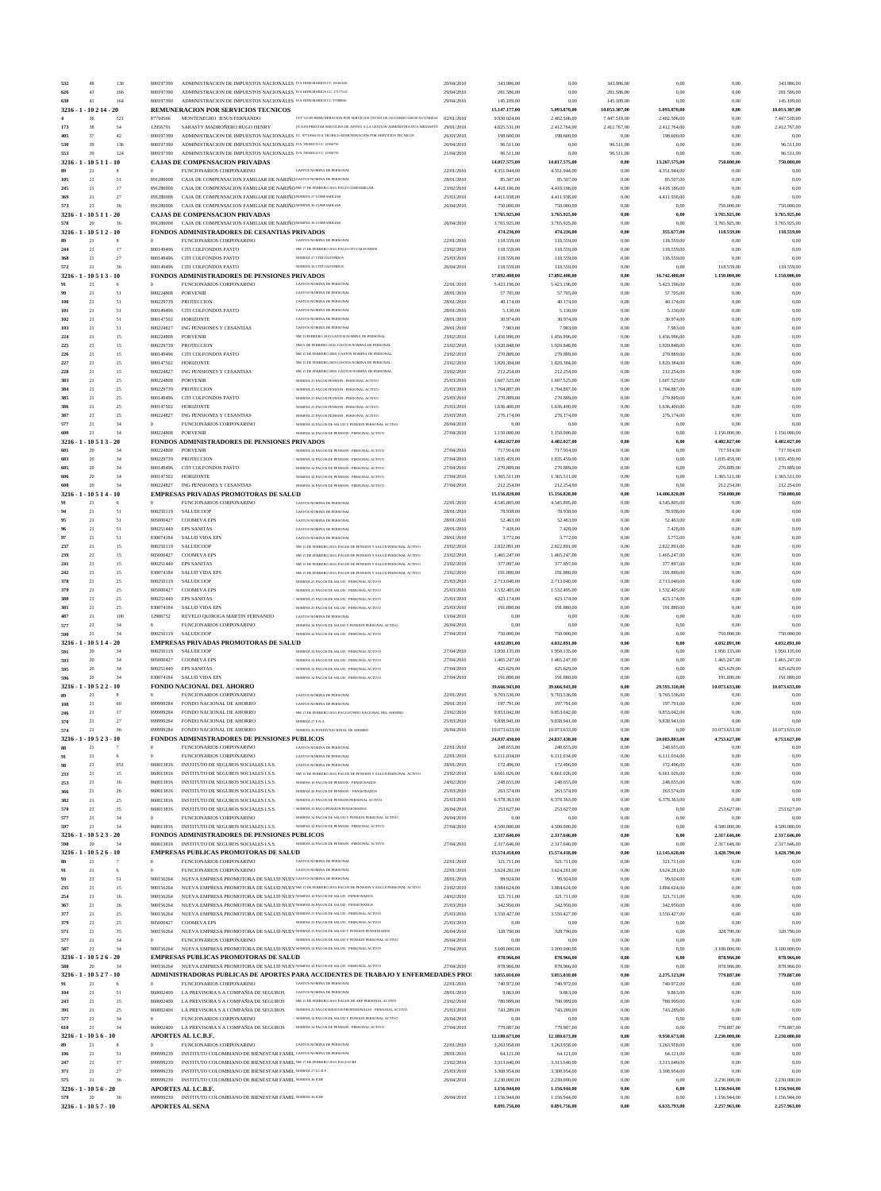| 532                             | 48                    |               | 138            | 800197390              | ADMINISTRACION DE IMPUESTOS NACIONALES IVA HONORARIOS CC 19165260                                                                       |                                                                                                                                    | 20/04/2010               | 343.986,00                    | 0,00                          | 343.986,00               | 0,00                         | 0,00                         | 343.986,00                   |
|---------------------------------|-----------------------|---------------|----------------|------------------------|-----------------------------------------------------------------------------------------------------------------------------------------|------------------------------------------------------------------------------------------------------------------------------------|--------------------------|-------------------------------|-------------------------------|--------------------------|------------------------------|------------------------------|------------------------------|
| 626                             | 43<br>41              |               | 166<br>164     | 800197390<br>800197390 | ADMINISTRACION DE IMPUESTOS NACIONALES IVA HONORARIOS CC. 27177521<br>ADMINISTRACION DE IMPUESTOS NACIONALES IVA HONORARIOS CC 37088081 |                                                                                                                                    | 29/04/2010<br>29/04/2010 | 281.586,00<br>145.109,00      | 0,00<br>0.00                  | 281.586,00<br>145.109,00 | 0,00<br>0,00                 | 0,00<br>0,00                 | 281.586,00<br>145.109,00     |
| 630<br>3216 - 1                 |                       | $-10214-20$   |                |                        | REMUNERACION POR SERVICIOS TECNICOS                                                                                                     |                                                                                                                                    |                          | 15.147.177,00                 | 5.093.870,00                  | 10.053.307,00            | 5.093.870,00                 | 0,00                         | 10.053.307,00                |
|                                 | 36                    |               | 521            | 87710566               | MONTENEGRO JESUS FERNANDO                                                                                                               | CTT 521/09 REMUNERACION POR SERVICIOS TECNICOS (ACUERDO 028/09 AUTORIZAC                                                           | 02/01/2010               | 9.930.024,00                  | 2.482.506,00                  | 7.447.518,00             | 2.482.506,00                 | 0,00                         | 7.447.518,00                 |
| 173                             | 38                    |               | 54             | 12956791               | SARASTY MADROÑERO HUGO HENRY                                                                                                            | (IVA39) PRESTAR SERVICIOS DE APOYO A LA GESTION ADMINISTRATIVA MEDIANTE                                                            | 29/01/2010               | 4.825.531,00                  | 2.412.764,00                  | 2.412.767,00             | 2.412.764,00                 | 0,00                         | 2.412.767,00                 |
| 405<br>530                      | 37<br>39              |               | 42<br>136      | 800197390<br>800197390 | ADMINISTRACION DE IMPUESTOS NACIONALES IVA TEORICO CC 12956791                                                                          | ADMINISTRACION DE IMPUESTOS NACIONALES CC. 87710566 IVA TEORICO REMUNERACION POR SERVICIOS TECNICOS                                | 26/03/2010<br>20/04/2010 | 198.600,00<br>96.511,00       | 198.600,00<br>0,00            | 0,00<br>96.511,00        | 198.600,00<br>0,00           | 0,00<br>0,00                 | 0,00<br>96.511,00            |
| 553                             | 39                    |               | 124            | 800197390              | ADMINISTRACION DE IMPUESTOS NACIONALES IVA TEORICO CC 12956791                                                                          |                                                                                                                                    | 21/04/2010               | 96.511,00                     | 0,00                          | 96.511,00                | 0,00                         | 0,00                         | 96.511,00                    |
| $3216 - 1$                      | 1051                  | - 10          |                |                        | <b>CAJAS DE COMPENSACION PRIVADAS</b>                                                                                                   |                                                                                                                                    |                          | 14.017.575,00                 | 14.017.575,00                 | 0,00                     | 13.267.575,00                | 750,000,00                   | 750.000,00                   |
| 105                             | 21<br>21              |               | 51             | $\Omega$<br>891280008  | FUNCIONARIOS CORPONARINO<br>CAJA DE COMPENSACION FAMILIAR DE NARIÑO GASTOS NOMINA DE PERSONAL                                           | <b>GASTOS NOMINA DE PERSONAL</b>                                                                                                   | 22/01/2010<br>28/01/2010 | 4.351.944,00<br>85.507,00     | 4.351.944,00<br>85.507,00     | 0,00<br>0,00             | 4.351.944,00<br>85.507,00    | 0,00<br>0,00                 | 0,00<br>0,00                 |
| 245                             | 21                    |               | 17             | 891280008              | CAJA DE COMPENSACION FAMILIAR DE NARIÑO NM 17 DE FEBRERO 2010, PAGO COMFAMILIAR                                                         |                                                                                                                                    | 23/02/2010               | 4.418.186,00                  | 4.418.186,00                  | 0,00                     | 4.418.186,00                 | 0,00                         | 0,00                         |
| 369                             | 21                    |               | 27             | 891280008              | CAJA DE COMPENSACION FAMILIAR DE NARIÑO NOMINA 27 COMFAMILIAR                                                                           |                                                                                                                                    | 25/03/2010               | 4.411.938,00                  | 4.411.938,00                  | 0,00                     | 4.411.938,00                 | 0.00                         | 0,00                         |
| 573                             | 21                    |               | 36             | 891280008              | CAJA DE COMPENSACION FAMILIAR DE NARIÑO NOMINA 36 COMFAMILIAR                                                                           |                                                                                                                                    | 26/04/2010               | 750,000,00                    | 750.000,00                    | 0,00                     | 0,00                         | 750.000,00                   | 750.000,00                   |
| 3216 - 1 - 10 5 1 1 - 20<br>578 | $\overline{20}$       |               | 36             | 891280008              | <b>CAJAS DE COMPENSACION PRIVADAS</b><br>CAJA DE COMPENSACION FAMILIAR DE NARIÑO NOMINA 36 COMFAMILIAR                                  |                                                                                                                                    | 26/04/2010               | 3.765.925,00<br>3.765.925,00  | 3.765.925,00<br>3.765.925,00  | 0,00<br>0,00             | 0,00<br>0,00                 | 3.765.925,00<br>3.765.925,00 | 3.765.925,00<br>3.765.925,00 |
| 3216 - 1 - 10 5 1 2 - 10        |                       |               |                |                        | <b>FONDOS ADMINISTRADORES DE CESANTIAS PRIVADOS</b>                                                                                     |                                                                                                                                    |                          | 474.236,00                    | 474.236,00                    | 0,00                     | 355.677,00                   | 118.559,00                   | 118.559,00                   |
|                                 | 21                    |               | 8              | $\mathbf{0}$           | FUNCIONARIOS CORPONARINO                                                                                                                | <b>GASTOS NOMINA DE PERSONA</b>                                                                                                    | 22/01/2010               | 118.559,00                    | 118.559,00                    | 0,00                     | 118.559,00                   | 0,00                         | 0,00                         |
| 244<br>368                      | 21<br>21              |               | 17<br>27       | 800149496<br>800149496 | CITI COLFONDOS PASTO                                                                                                                    | NM 17 DE FEBRERO 2010, PAGO CITI COLFONDOS<br>NOMINA 27 CITICOLFONDOS                                                              | 23/02/2010               | 118.559,00                    | 118.559,00                    | 0,00                     | 118.559,00                   | 0,00                         | 0,00<br>0.00                 |
| 572                             | 21                    |               | 36             | 800149496              | CITI COLFONDOS PASTO<br>CITI COLFONDOS PASTO                                                                                            | NOMINA 36 CITICOLFONDOS                                                                                                            | 25/03/2010<br>26/04/2010 | 118.559,00<br>118.559,00      | 118.559,00<br>118.559,00      | 0,00<br>0,00             | 118.559,00<br>0,00           | 0,00<br>118.559,00           | 118.559,00                   |
| 3216 - 1                        | - 10 5 1              | $-10$         |                |                        | <b>FONDOS ADMINISTRADORES DE PENSIONES PRIVADOS</b>                                                                                     |                                                                                                                                    |                          | 17.892.408,00                 | 17.892.408,00                 | 0,00                     | 16.742.408,00                | 1.150.000,00                 | 1.150.000,00                 |
| 91                              | 21                    |               |                |                        | FUNCIONARIOS CORPONARINO                                                                                                                | GASTOS NOMINA DE PERSONAL                                                                                                          | 22/01/2010               | 5.423.196,00                  | 5.423.196,00                  | 0.00                     | 5.423.196,00                 | 0,00                         | 0,00                         |
| 100                             | $21\,$<br>$21\,$      |               | 51<br>51       | 800224808<br>800229739 | <b>PORVENIR</b><br>PROTECCION                                                                                                           | <b>GASTOS NOMINA DE PERSONAL</b><br><b>GASTOS NOMINA DE PERSONAL</b>                                                               | 28/01/2010<br>28/01/2010 | 57.705,00<br>40.174,00        | 57.705,00<br>40.174,00        | 0,00<br>0,00             | 57.705,00<br>40.174,00       | 0,00<br>0,00                 | 0,00<br>0,00                 |
| 101                             | 21                    |               | 51             | 800149496              | CITI COLFONDOS PASTO                                                                                                                    | <b>GASTOS NOMINA DE PERSONA</b>                                                                                                    | 28/01/2010               | 5.130,00                      | 5.130,00                      | 0,00                     | 5.130,00                     | 0,00                         | 0,00                         |
| 102                             | 21                    |               | 51             | 800147502              | <b>HORIZONTE</b>                                                                                                                        | <b>GASTOS NOMINA DE PERSONA</b>                                                                                                    | 28/01/2010               | 30.974,00                     | 30.974,00                     | 0,00                     | 30.974,00                    | 0,00                         | 0,00                         |
| 103                             | 21                    |               | 51             | 800224827              | ING PENSIONES Y CESANTIAS                                                                                                               | <b>GASTOS NOMINA DE PERSONAL</b>                                                                                                   | 28/01/2010               | 7.983,00                      | 7.983,00                      | 0,00                     | 7.983,00                     | 0,00                         | 0,00                         |
| 224<br>225                      | 21<br>21              |               | 15<br>15       | 800224808<br>800229739 | <b>PORVENIR</b><br>PROTECCION                                                                                                           | NM 15/FEBRERO 2010 GASTOS NOMINA DE PERSONAL<br>NM15 DE FEBRERO 2010; GASTOS NOMINA DE PERSONAI                                    | 23/02/2010<br>23/02/2010 | 1.456.996,00<br>1.920.848,00  | 1.456.996,00<br>1.920.848,00  | 0,00<br>0,00             | 1.456.996,00<br>1.920.848,00 | 0,00<br>0,00                 | 0,00<br>0,00                 |
| 226                             | 21                    |               | 15             | 800149496              | CITI COLFONDOS PASTO                                                                                                                    | NM 15 DE FEBRERO 2009; GASTOS NOMINA DE PERSONAL                                                                                   | 23/02/2010               | 270.889,00                    | 270.889,00                    | 0,00                     | 270.889,00                   | 0,00                         | 0,00                         |
| $\bf 227$                       | 21                    |               | 15             | 800147502              | <b>HORIZONTE</b>                                                                                                                        | NM 15 DE FEBRERO 2009 GASTOS NOMINA DE PERSONAL                                                                                    | 23/02/2010               | 1.820.384,00                  | 1.820.384,00                  | 0,00                     | 1.820.384,00                 | 0,00                         | 0,00                         |
| 228                             | 21                    |               | 15             | 800224827              | ING PENSIONES Y CESANTIAS                                                                                                               | NM 15 DE FEBRERO 2009, GASTOS NOMINA DE PERSONAL                                                                                   | 23/02/2010               | 212.254,00                    | 212.254,00                    | 0,00                     | 212.254,00                   | 0,00                         | 0,00                         |
| 383<br>384                      | 21<br>21              |               | 25<br>25       | 800224808<br>800229739 | <b>PORVENIR</b><br>PROTECCION                                                                                                           | NOMINA 25 PAGOS PENSION - PERSONAL ACTIVO<br>NOMINA 25 PAGOS PENSION - PERSONAL ACTIVO                                             | 25/03/2010<br>25/03/2010 | 1.607.525,00<br>1.704.887,00  | 1.607.525,00<br>1.704.887,00  | 0,00<br>0,00             | 1.607.525,00<br>1.704.887,00 | 0,00<br>0,00                 | 0,00<br>0,00                 |
| 385                             | 21                    |               | 25             | 800149496              | CITI COLFONDOS PASTO                                                                                                                    | NOMINA 25 PAGOS PENSION - PERSONAL ACTIVO                                                                                          | 25/03/2010               | 270.889,00                    | 270.889,00                    | 0,00                     | 270.889,00                   | 0,00                         | 0,00                         |
| 386                             | 21                    |               | 25             | 800147502              | <b>HORIZONTE</b>                                                                                                                        | NOMINA 25 PAGOS PENSION - PERSONAL ACTIVO                                                                                          | 25/03/2010               | 1.636.400,00                  | 1.636.400,00                  | 0,00                     | 1.636.400,00                 | 0,00                         | 0,00                         |
| 387<br>577                      | 21<br>21              |               | 25<br>34       | 800224827<br>$\theta$  | ING PENSIONES Y CESANTIAS                                                                                                               | NOMINA 25 PAGOS PENSION - PERSONAL ACTIVO<br>NOMINA 34 PAGOS DE SALUD Y PENSION PERSONAL ACTIVO                                    | 25/03/2010               | 276.174,00<br>0,00            | 276.174,00<br>0.00            | 0,00<br>0,00             | 276.174,00                   | 0,00<br>0.00                 | 0,00<br>0.00                 |
| 600                             | 21                    |               | 34             | 800224808              | FUNCIONARIOS CORPONARINO<br><b>PORVENIR</b>                                                                                             | NOMINA 34 PAGOS DE PENSION - PERSONAL ACTIVO                                                                                       | 26/04/2010<br>27/04/2010 | 1.150.000,00                  | 1.150.000,00                  | 0,00                     | 0,00<br>0,00                 | 1.150.000,00                 | 1.150.000,00                 |
| 3216                            | $-1051$               | $3 - 20$      |                |                        | FONDOS ADMINISTRADORES DE PENSIONES PRIVADOS                                                                                            |                                                                                                                                    |                          | 4.402.027,00                  | 4.402.027,00                  | 0,00                     | $_{0,00}$                    | 4.402.027,00                 | 4.402.027,00                 |
| 601                             | 20                    |               | 34             | 800224808              | <b>PORVENIR</b>                                                                                                                         | NOMINA 34 PAGOS DE PENSION - PERSONAL ACTIVO                                                                                       | 27/04/2010               | 717.914,00                    | 717.914,00                    | 0.00                     | 0,00                         | 717.914,00                   | 717.914,00                   |
| 603<br>605                      | 20<br>20              |               | 34<br>34       | 800229739<br>800149496 | <b>PROTECCION</b><br>CITI COLFONDOS PASTO                                                                                               | NOMINA 34 PAGOS DE PENSION - PERSONAL ACTIVO<br>NOMINA 34 PAGOS DE PENSION - PERSONAL ACTIVO                                       | 27/04/2010<br>27/04/2010 | 1.835.459,00<br>270.889,00    | 1.835.459,00<br>270.889,00    | 0,00<br>0,00             | 0,00<br>0,00                 | 1.835.459,00<br>270.889,00   | 1.835.459,00<br>270.889,00   |
| 606                             | 20                    |               | 34             | 800147502              | <b>HORIZONTE</b>                                                                                                                        | NOMINA 34 PAGOS DE PENSION - PERSONAL ACTIVO                                                                                       | 27/04/2010               | 1.365.511,00                  | 1.365.511,00                  | 0,00                     | 0,00                         | 1.365.511,00                 | 1.365.511,00                 |
| 608                             | 20                    |               | 34             | 800224827              | ING PENSIONES Y CESANTIAS                                                                                                               | NOMINA 34 PAGOS DE PENSION - PERSONAL ACTIVO                                                                                       | 27/04/2010               | 212.254,00                    | 212.254,00                    | 0,00                     | 0,00                         | 212.254,00                   | 212.254,00                   |
| 3216                            | 10 5 1                | $-10$         |                |                        | <b>EMPRESAS PRIVADAS PROMOTORAS DE SALUD</b>                                                                                            |                                                                                                                                    |                          | 15.156.820,00                 | 15.156.820,00                 | 0,00                     | 14.406.820,00                | 750,000,00                   | 750.000,00                   |
| 91<br>94                        | 21<br>$21\,$          |               | 6<br>51        | $\theta$<br>800250119  | FUNCIONARIOS CORPONARINO<br>SALUDCOOP                                                                                                   | <b>GASTOS NOMINA DE PERSONA</b><br><b>GASTOS NOMINA DE PERSONAL</b>                                                                | 22/01/2010<br>28/01/2010 | 4.545.805,00<br>78.938,00     | 4.545.805,00<br>78.938,00     | 0,00<br>0,00             | 4.545.805,00<br>78.938,00    | 0,00<br>0,00                 | 0,00<br>0,00                 |
| 95                              | 21                    |               | 51             | 805000427              | <b>COOMEVA EPS</b>                                                                                                                      | <b>GASTOS NOMINA DE PERSONAL</b>                                                                                                   | 28/01/2010               | 52.463,00                     | 52.463,00                     | 0,00                     | 52.463,00                    | 0,00                         | 0,00                         |
| 96                              | 21                    |               | 51             | 800251440              | <b>EPS SANITAS</b>                                                                                                                      | <b>GASTOS NOMINA DE PERSONAL</b>                                                                                                   | 28/01/2010               | 7.428,00                      | 7.428,00                      | 0,00                     | 7.428,00                     | 0,00                         | 0,00                         |
| 97                              | 21<br>21              |               | 51             | 830074184              | <b>SALUD VIDA EPS</b>                                                                                                                   | <b>GASTOS NOMINA DE PERSONAL</b>                                                                                                   | 28/01/2010               | 3.772,00                      | 3.772,00                      | 0.00                     | 3.772,00                     | 0,00                         | 0,00                         |
| 237<br>239                      | 21                    |               | 15<br>15       | 800250119<br>805000427 | SALUDCOOP<br><b>COOMEVA EPS</b>                                                                                                         | NM 15 DE FEBRERO 2010, PAGOS DE PENSION Y SALUD PERSONAL ACTIVO<br>NM 15 DE FEBRERO 2010, PAGOS DE PENSION Y SALUD PERSONAL ACTIVO | 23/02/2010<br>23/02/2010 | 2.822.891,00<br>1.465.247,00  | 2.822.891,00<br>1.465.247,00  | 0,00<br>0,00             | 2.822.891,00<br>1.465.247,00 | 0,00<br>0,00                 | 0,00<br>0,00                 |
| 241                             | 21                    |               | 15             | 800251440              | <b>EPS SANITAS</b>                                                                                                                      | NM 15 DE FEBRERO 2010, PAGOS DE PENSION Y SALUD PERSONAL ACTIVO                                                                    | 23/02/2010               | 377.897,00                    | 377.897,00                    | 0.00                     | 377.897,00                   | 0.00                         | 0,00                         |
| 242                             | 21                    |               | 15             | 830074184              | <b>SALUD VIDA EPS</b>                                                                                                                   | NM 15 DE FEBRERO 2010, PAGOS DE PENSION Y SALUD PERSONAL ACTIVO                                                                    | 23/02/2010               | 191.880,00                    | 191.880,00                    | 0.00                     | 191.880,00                   | 0,00                         | 0.00                         |
| 378                             | 21                    |               | 25             | 800250119              | SALUDCOOP                                                                                                                               | NOMINA 25 PAGOS DE SALUD - PERSONAL ACTIVO                                                                                         | 25/03/2010               | 2.713.040,00                  | 2.713.040,00                  | 0,00                     | 2.713.040,00                 | 0,00                         | 0,00                         |
| 379                             | $21\,$<br>21          |               | 25<br>25       | 805000427<br>800251440 | <b>COOMEVA EPS</b><br><b>EPS SANITAS</b>                                                                                                | NOMINA 25 PAGOS DE SALUD - PERSONAL ACTIVO<br>NOMINA 25 PAGOS DE SALUD - PERSONAL ACTIVO                                           | 25/03/2010<br>25/03/2010 | 1.532.405,00<br>423.174,00    | 1.532.405,00<br>423.174,00    | 0,00<br>0,00             | 1.532.405,00<br>423.174,00   | 0,00<br>0,00                 | 0,00<br>0,00                 |
| 381                             | 21                    |               | 25             | 830074184              | <b>SALUD VIDA EPS</b>                                                                                                                   | NOMINA 25 PAGOS DE SALUD - PERSONAL ACTIVO                                                                                         | 25/03/2010               | 191.880,00                    | 191.880,00                    | 0,00                     | 191.880,00                   | 0,00                         | 0,00                         |
| 487                             | 21                    |               | 100            | 12986752               | REVELO QUIROGA MARTIN FERNANDO                                                                                                          | <b>GASTOS NOMINA DE PERSONAL</b>                                                                                                   | 13/04/2010               | 0,00                          | 0,00                          | 0,00                     | 0,00                         | 0,00                         | 0.00                         |
| 577                             | 21                    |               | 34             | $\Omega$               | FUNCIONARIOS CORPONARINO                                                                                                                | NOMINA 34 PAGOS DE SALUD Y PENSION PERSONAL ACTIVO                                                                                 | 26/04/2010               | 0,00                          | 0,00                          | 0,00                     | 0,00                         | 0,00                         | 0,00                         |
| 590<br>3216                     | 21<br>1051            | .20           | 34             | 800250119              | SALUDCOOP<br><b>EMPRESAS PRIVADAS PROMOTORAS DE SALUD</b>                                                                               | NOMINA 34 PAGOS DE SALUD - PERSONAL ACTIVO                                                                                         | 27/04/2010               | 750.000,00<br>4.032.891,00    | 750.000,00<br>4.032.891,00    | 0,00<br>0,00             | 0,00<br>0,00                 | 750,000,00<br>4.032.891,00   | 750.000,00<br>4.032.891,00   |
| 591                             | 20                    |               | 34             | 800250119              | SALUDCOOP                                                                                                                               | NOMINA 34 PAGOS DE SALUD - PERSONAL ACTIVO                                                                                         | 27/04/2010               | 1.950.135,00                  | 1.950.135,00                  | 0,00                     | 0,00                         | 1.950.135,00                 | 1.950.135,00                 |
| 593                             | $20\,$                |               | 34             | 805000427              | <b>COOMEVA EPS</b>                                                                                                                      | NOMINA 34 PAGOS DE SALUD - PERSONAL ACTIVO                                                                                         | 27/04/2010               | 1.465.247,00                  | 1.465.247,00                  | 0,00                     | 0,00                         | 1.465.247,00                 | 1.465.247,00                 |
| 595<br>596                      | 20<br>$\overline{20}$ |               | 34<br>34       | 800251440<br>830074184 | <b>EPS SANITAS</b>                                                                                                                      | NOMINA 34 PAGOS DE SALUD - PERSONAL ACTIVO<br>NOMINA 34 PAGOS DE SALUD - PERSONAL ACTIVO                                           | 27/04/2010               | 425.629,00                    | 425.629,00                    | 0,00                     | 0,00<br>0,00                 | 425.629,00                   | 425.629,00<br>191.880,00     |
| 3216                            |                       | $10522 - 10$  |                |                        | <b>SALUD VIDA EPS</b><br><b>FONDO NACIONAL DEL AHORRO</b>                                                                               |                                                                                                                                    | 27/04/2010               | 191.880,00<br>39.666.943,00   | 191.880,00<br>39.666.943,00   | 0,00<br>0,00             | 29.593.310,00                | 191.880,00<br>10.073.633,00  | 10.073.633,00                |
|                                 | 21                    |               | 8              | $\theta$               | FUNCIONARIOS CORPONARINO                                                                                                                | <b>GASTOS NOMINA DE PERSONAL</b>                                                                                                   | 22/01/2010               | 9.703.536,00                  | 9.703.536,00                  | 0,00                     | 9.703.536,00                 | 0,00                         | 0,00                         |
| 108                             | $21\,$                |               | 60             | 899999284              | FONDO NACIONAL DE AHORRO                                                                                                                | <b>GASTOS NOMINA DE PERSONAL</b>                                                                                                   | 29/01/2010               | 197.791,00                    | 197.791,00                    | 0,00                     | 197.791,00                   | 0,00                         | 0,00                         |
| 246<br>370                      | 21<br>21              |               | 17<br>27       | 899999284<br>899999284 | FONDO NACIONAL DE AHORRO<br>FONDO NACIONAL DE AHORRO                                                                                    | NM 17 DE FEBRERO 2010, PAGO FONDO NACIONAL DEL AHORRO<br>NOMINA 27 F.N.A                                                           | 23/02/2010<br>25/03/2010 | 9.853.042,00<br>9.838.941,00  | 9.853.042,00<br>9.838.941,00  | 0,00<br>0,00             | 9.853.042,00<br>9.838.941,00 | 0,00<br>0.00                 | 0,00<br>0.00                 |
| 574                             | 21                    |               | 36             | 899999284              | FONDO NACIONAL DE AHORRO                                                                                                                | NOMINA 36 FONDO NACIONAL DE AHORRO                                                                                                 | 26/04/2010               | 10.073.633,00                 | 10.073.633,00                 | 0,00                     | 0,00                         | 10.073.633,00                | 10.073.633,00                |
| $3216 - 1$                      |                       | $10523 - 10$  |                |                        | <b>FONDOS ADMINISTRADORES DE PENSIONES PUBLICOS</b>                                                                                     |                                                                                                                                    |                          | 24.837.430,00                 | 24.837.430,00                 | 0,00                     | 20.083.803,00                | 4.753.627,00                 | 4.753.627,00                 |
|                                 | 21                    |               |                | $\theta$               | FUNCIONARIOS CORPONARINO                                                                                                                | <b>GASTOS NOMINA DE PERSONA</b>                                                                                                    | 22/01/2010               | 248.655,00                    | 248.655,00                    | 0,00                     | 248.655,00                   | 0,00                         | 0.00                         |
| 91                              | 21                    |               | 6              | $\theta$               | FUNCIONARIOS CORPONARINO                                                                                                                | <b>GASTOS NOMINA DE PERSONA</b>                                                                                                    | 22/01/2010               | 6.111.034,00                  | 6.111.034,00                  | 0,00                     | 6.111.034,00                 | 0,00                         | 0,00                         |
| 98<br>233                       | 21<br>21              |               | 051<br>15      | 860013816<br>860013816 | INSTITUTO DE SEGUROS SOCIALES I.S.S.<br>INSTITUTO DE SEGUROS SOCIALES I.S.S.                                                            | <b>GASTOS NOMINA DE PERSONAL</b><br>NM 15 DE FEBRERO 2010, PAGOS DE PENSION Y SALUD PERSONAL ACTIVO                                | 28/01/2010<br>23/02/2010 | 172.496,00<br>6.661.026,00    | 172.496,00<br>6.661.026,00    | 0,00<br>0,00             | 172.496,00<br>6.661.026,00   | 0,00<br>0,00                 | 0,00<br>0,00                 |
| 253                             | 21                    |               | 16             | 860013816              | INSTITUTO DE SEGUROS SOCIALES I.S.S.                                                                                                    | NOMINA 16 PAGOS DE PENSION - PENSIONADOS                                                                                           | 24/02/2010               | 248.655,00                    | 248.655,00                    | 0,00                     | 248.655,00                   | 0,00                         | 0,00                         |
| 366                             | 21                    |               | 26             | 860013816              | INSTITUTO DE SEGUROS SOCIALES I.S.S.                                                                                                    | NOMINA 26 PAGOS DE PENSION - PENSIONADOS                                                                                           | 25/03/2010               | 263.574,00                    | 263.574,00                    | 0.00                     | 263.574,00                   | 0,00                         | 0.00                         |
| 382<br>570                      | 21<br>21              |               | 25<br>35       | 860013816<br>860013816 | INSTITUTO DE SEGUROS SOCIALES I.S.S.<br>INSTITUTO DE SEGUROS SOCIALES I.S.S.                                                            | NOMINA 25 PAGOS DE PENSION PERSONAL ACTIVO<br>NOMINA 35 PAGO PENSION PENSIONADOS                                                   | 25/03/2010<br>26/04/2010 | 6.378.363,00<br>253.627,00    | 6.378.363,00<br>253.627,00    | 0,00<br>0,00             | 6.378.363,00<br>0,00         | 0,00<br>253.627,00           | 0,00<br>253.627,00           |
| 577                             | 21                    |               | 34             |                        | FUNCIONARIOS CORPONARINO                                                                                                                | NOMINA 34 PAGOS DE SALUD Y PENSION PERSONAL ACTIVO                                                                                 | 26/04/2010               | 0.00                          | 0,00                          | 0,00                     | 0,00                         | 0.00                         | 0.00                         |
| 597                             | 21                    |               | 34             | 860013816              | INSTITUTO DE SEGUROS SOCIALES I.S.S.                                                                                                    | NOMINA 34 PAGOS DE PENSION - PERSONAL ACTIVO                                                                                       | 27/04/2010               | 4.500.000,00                  | 4.500.000,00                  | 0,00                     | 0,00                         | 4.500.000,00                 | 4.500.000,00                 |
| 3216 - 1 - 10 5 2 3 - 20        |                       |               |                |                        | FONDOS ADMINISTRADORES DE PENSIONES PUBLICOS                                                                                            |                                                                                                                                    |                          | 2.317.646,00                  | 2.317.646,00                  | 0,00                     | $_{0,00}$                    | 2.317.646,00                 | 2.317.646,00                 |
| 598<br>$3216 - 1 - 10526 - 10$  | $\overline{20}$       |               | 34             | 860013816              | INSTITUTO DE SEGUROS SOCIALES I.S.S<br><b>EMPRESAS PUBLICAS PROMOTORAS DE SALUD</b>                                                     | NOMINA 34 PAGOS DE PENSION - PERSONAL ACTIVO                                                                                       | 27/04/2010               | 2.317.646,00<br>15.574.418,00 | 2.317.646,00<br>15.574.418,00 | 0,00<br>0,00             | 0,00<br>12.145.628,00        | 2.317.646,00<br>3.428.790,00 | 2.317.646,00<br>3.428.790,00 |
|                                 | 21                    |               | $\overline{7}$ | $\mathbf{0}$           | FUNCIONARIOS CORPONARINO                                                                                                                | <b>GASTOS NOMINA DE PERSONAL</b>                                                                                                   | 22/01/2010               | 321.711,00                    | 321.711,00                    | 0,00                     | 321.711,00                   | 0,00                         | 0,00                         |
| 91                              | 21                    |               | 6              | $\Omega$               | FUNCIONARIOS CORPONARINO                                                                                                                | <b>GASTOS NOMINA DE PERSONAL</b>                                                                                                   | 22/01/2010               | 3.624.281,00                  | 3.624.281,00                  | 0,00                     | 3.624.281,00                 | 0,00                         | 0,00                         |
| 93                              | 21                    |               | 51             | 900156264              | NUEVA EMPRESA PROMOTORA DE SALUD NUEV GASTOS NOMINA DE PERSONAL                                                                         |                                                                                                                                    | 28/01/2010               | 99.924,00                     | 99.924,00                     | 0,00                     | 99.924,00                    | 0,00                         | 0,00                         |
| 235<br>254                      | 21<br>21              |               | 15<br>16       | 900156264<br>900156264 | NUEVA EMPRESA PROMOTORA DE SALUD NUEVNOMINA 16 PAGOS DE SALUD - PENSIONADOS                                                             | NUEVA EMPRESA PROMOTORA DE SALUD NUEV NM 15 DE FEBRERO 2010, PAGOS DE PENSION Y SALUD PERSONAL ACTIVO                              | 23/02/2010<br>24/02/2010 | 3.884.624,00<br>321.711,00    | 3.884.624,00<br>321.711,00    | 0,00<br>0,00             | 3.884.624,00<br>321.711,00   | 0,00<br>0,00                 | 0,00<br>0,00                 |
| 367                             | 21                    |               | 26             | 900156264              | NUEVA EMPRESA PROMOTORA DE SALUD NUEVNOMINA 26 PAGOS DE SALUD - PENSIONADOS                                                             |                                                                                                                                    | 25/03/2010               | 342.950,00                    | 342.950,00                    | 0,00                     | 342.950,00                   | 0,00                         | 0,00                         |
| 377                             | 21                    |               | 25             | 900156264              | NUEVA EMPRESA PROMOTORA DE SALUD NUEV NOMINA 25 PAGOS DE SALUD - PERSONAL ACTIVO                                                        |                                                                                                                                    | 25/03/2010               | 3.550.427,00                  | 3.550.427,00                  | 0,00                     | 3.550.427,00                 | 0,00                         | 0,00                         |
| 379                             | 21                    |               | 25             | 805000427              | <b>COOMEVA EPS</b>                                                                                                                      | NOMINA 25 PAGOS DE SALUD - PERSONAL ACTIVO                                                                                         | 25/03/2010               | 0,00                          | 0,00                          | 0,00                     | 0,00                         | 0,00                         | 0,00                         |
| 571<br>577                      | 21<br>21              |               | 35<br>34       | 900156264<br>$\theta$  | NUEVA EMPRESA PROMOTORA DE SALUD NUEV NOMINA 35 PAGOS DE SALUD Y PENSION PENSIONADOS<br>FUNCIONARIOS CORPONARINO                        | NOMINA 34 PAGOS DE SALUD Y PENSION PERSONAL ACTIVO                                                                                 | 26/04/2010<br>26/04/2010 | 328.790,00<br>0,00            | 328.790,00<br>0,00            | 0,00<br>0,00             | 0,00<br>0,00                 | 328.790,00<br>0.00           | 328.790,00<br>0.00           |
| 587                             | 21                    |               | 34             | 900156264              | NUEVA EMPRESA PROMOTORA DE SALUD NUEV NOMINA 34 PAGOS DE SALUD - PERSONAL ACTIVO                                                        |                                                                                                                                    | 27/04/2010               | 3.100.000,00                  | 3.100.000,00                  | 0,00                     | 0,00                         | 3.100.000,00                 | 3.100.000,00                 |
| $3216 -$                        |                       | $10526 - 20$  |                |                        | EMPRESAS PUBLICAS PROMOTORAS DE SALUD                                                                                                   |                                                                                                                                    |                          | 878.966,00                    | 878.966,00                    | 0.00                     | 0,00                         | 878.966,00                   | 878.966,00                   |
| 588                             | 20                    |               | 34             | 900156264              | NUEVA EMPRESA PROMOTORA DE SALUD NUEV NOMINA 34 PAGOS DE SALUD - PERSONAL ACTIVO                                                        |                                                                                                                                    | 27/04/2010               | 878.966,00                    | 878.966,00                    | 0,00                     | 0,00                         | 878.966,00                   | 878.966,00                   |
| 3216 - 1 - 10 5 2 7 - 10<br>91  | 21                    |               | 6              | $\Omega$               | FUNCIONARIOS CORPONARINO                                                                                                                | ADMINISTRADORAS PUBLICAS DE APORTES PARA ACCIDENTES DE TRABAJO Y ENFERMEDADES PRO<br><b>GASTOS NOMINA DE PERSONAL</b>              | 22/01/2010               | 3.055.010,00<br>740.972,00    | 3.055.010,00<br>740.972,00    | 0,00<br>0,00             | 2.275.123,00<br>740.972,00   | 779.887,00<br>0,00           | 779.887,00<br>0,00           |
| 104                             | $21\,$                |               | 51             | 860002400              | LA PREVISORA S A COMPAÑIA DE SEGUROS                                                                                                    | <b>GASTOS NOMINA DE PERSONAL</b>                                                                                                   | 28/01/2010               | 9.863,00                      | 9.863,00                      | 0,00                     | 9.863,00                     | 0,00                         | 0,00                         |
| 243                             | 21                    |               | 15             | 860002400              | LA PREVISORA S A COMPAÑIA DE SEGUROS                                                                                                    | NM 15 DE FEBRERO 2010, PAGOS DE ARP PERSONAL ACTIVO                                                                                | 23/02/2010               | 780.999,00                    | 780.999,00                    | 0,00                     | 780.999,00                   | 0,00                         | 0,00                         |
| 391                             | 21                    |               | 25             | 860002400              | LA PREVISORA S A COMPAÑIA DE SEGUROS                                                                                                    | NOMINA 25 PAGOS RIESGOS PROFESIONALES - PERSONAL ACTIVO                                                                            | 25/03/2010               | 743.289,00                    | 743.289,00                    | 0,00                     | 743.289,00                   | 0,00                         | 0,00                         |
| 577<br>610                      | 21<br>21              |               | 34<br>34       | $\Omega$<br>860002400  | FUNCIONARIOS CORPONARINO<br>LA PREVISORA S A COMPAÑIA DE SEGUROS                                                                        | NOMINA 34 PAGOS DE SALUD Y PENSION PERSONAL ACTIVO<br>NOMINA 34 PAGOS DE PENSION - PERSONAL ACTIVO                                 | 26/04/2010               | 0,00                          | 0,00                          | 0,00                     | 0,00                         | 0,00                         | 0.00                         |
| $3216 - 1$                      |                       | - 10 5 6 - 10 |                |                        | APORTES AL I.C.B.F.                                                                                                                     |                                                                                                                                    | 27/04/2010               | 779.887,00<br>12.180.673,00   | 779.887,00<br>12.180.673,00   | 0,00<br>0,00             | 0,00<br>9.950.673,00         | 779.887,00<br>2.230.000,00   | 779.887,00<br>2.230.000,00   |
|                                 | 21                    |               | -8             | $\Omega$               | FUNCIONARIOS CORPONARINO                                                                                                                | <b>GASTOS NOMINA DE PERSONAL</b>                                                                                                   | 22/01/2010               | 3.263.958,00                  | 3.263.958,00                  | 0.00                     | 3.263.958,00                 | 0,00                         | 0.00                         |
| 106                             | 21                    |               | 51             | 899999239              | INSTITUTO COLOMBIANO DE BIENESTAR FAMIL GASTOS NOMINA DE PERSONAL                                                                       |                                                                                                                                    | 28/01/2010               | 64.121,00                     | 64.121,00                     | 0,00                     | 64.121,00                    | 0,00                         | 0,00                         |
| 247<br>371                      | 21                    |               | 17<br>27       | 899999239<br>899999239 | INSTITUTO COLOMBIANO DE BIENESTAR FAMIL NM 17 DE FEBRERO 2010, PAGO ICBF<br>INSTITUTO COLOMBIANO DE BIENESTAR FAMIL NOMINA 27 LC.B.F    |                                                                                                                                    | 23/02/2010<br>25/03/2010 | 3.313.640,00<br>3.308.954,00  | 3.313.640,00<br>3.308.954.00  | 0,00<br>0.00             | 3.313.640,00<br>3.308.954,00 | 0,00<br>0.00                 | 0,00<br>0.00                 |
|                                 |                       |               |                |                        |                                                                                                                                         |                                                                                                                                    |                          |                               |                               |                          |                              |                              |                              |
| 575                             | 21<br>21              |               |                |                        | 899999239 INSTITUTO COLOMBIANO DE BIENESTAR FAMIL NOMINA 36 ICBF                                                                        |                                                                                                                                    | 26/04/2010               | 2.230.000,00                  | 2.230.000,00                  | 0,00                     | 0,00                         | 2.230.000,00                 | 2.230.000,00                 |
| $3216 - 1 - 1056 - 20$          |                       |               |                |                        | APORTES AL I.C.B.F.                                                                                                                     |                                                                                                                                    |                          | 1.156.944,00                  | 1.156.944,00                  | 0,00                     | 0,00                         | 1.156.944,00                 | 1.156.944,00                 |
| 579<br>$3216 - 1 - 1057 - 10$   | 20                    |               | 36             |                        | 899999239 INSTITUTO COLOMBIANO DE BIENESTAR FAMIL NOMINA 36 ICBF<br><b>APORTES AL SENA</b>                                              |                                                                                                                                    | 26/04/2010               | 1.156.944,00<br>8.891.756,00  | 1.156.944,00<br>8.891.756,00  | 0,00<br>$_{0,00}$        | 0,00<br>6.633.793,00         | 1.156.944,00<br>2.257.963,00 | 1.156.944,00<br>2.257.963,00 |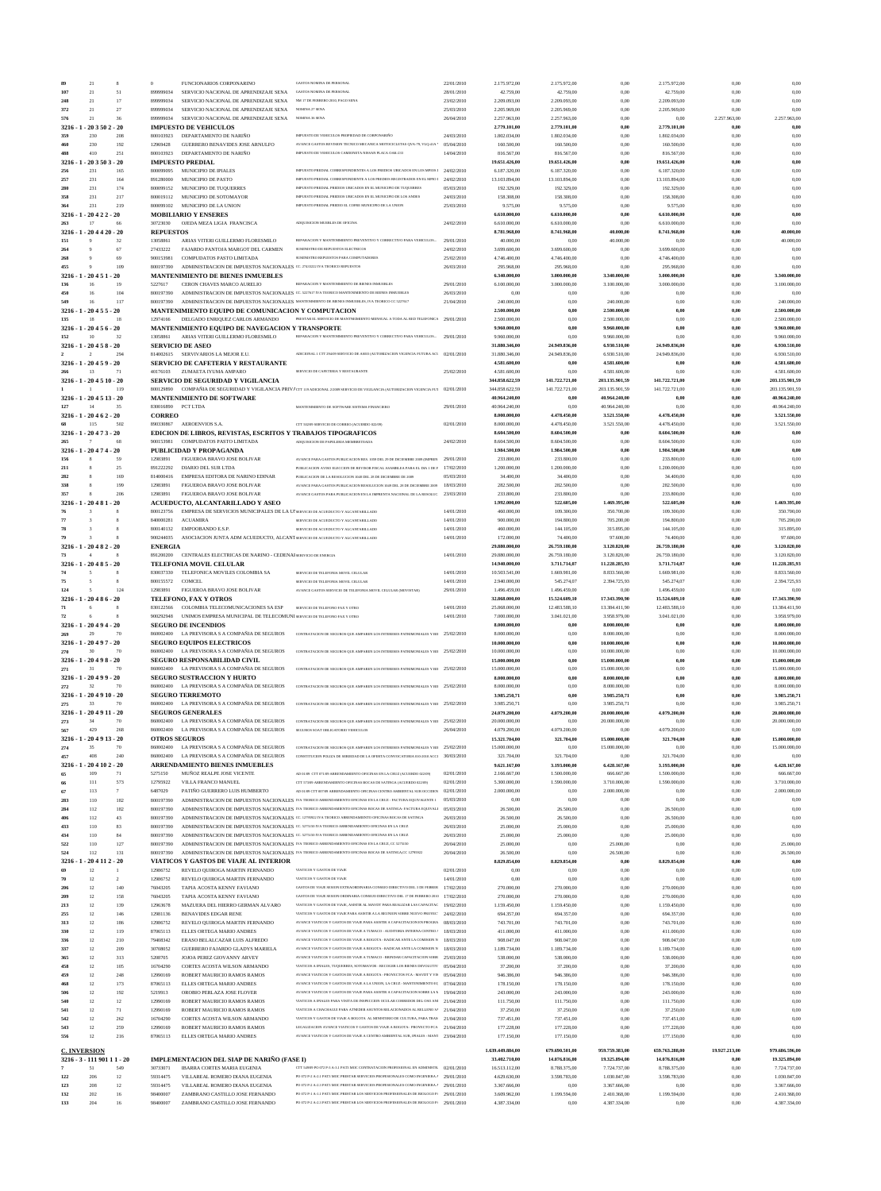| Ŗg                               | 21                 | 8                     | $\Omega$                   | FUNCIONARIOS CORPONARINO                                                                   | <b>GASTOS NOMINA DE PERSONAL</b>                                                                                                                                                | 22/01/2010               | 2.175.972,00                 | 2.175.972,00                 | 0.00                         | 2.175.972,00                 | 0,00          | 0.00                         |
|----------------------------------|--------------------|-----------------------|----------------------------|--------------------------------------------------------------------------------------------|---------------------------------------------------------------------------------------------------------------------------------------------------------------------------------|--------------------------|------------------------------|------------------------------|------------------------------|------------------------------|---------------|------------------------------|
| 107                              | 21                 | 51                    | 899999034                  | SERVICIO NACIONAL DE APRENDIZAJE SENA                                                      | <b>GASTOS NOMINA DE PERSONAL</b>                                                                                                                                                | 28/01/2010               | 42.759,00                    | 42.759,00                    | 0,00                         | 42.759,00                    | 0,00          | 0.00                         |
| 248                              | 21                 | 17                    | 899999034                  | SERVICIO NACIONAL DE APRENDIZAJE SENA                                                      | NM 17 DE FEBRERO 2010, PAGO SENA                                                                                                                                                | 23/02/2010               | 2.209.093,00                 | 2.209.093,00                 | 0,00                         | 2.209.093,00                 | 0,00          | 0,00                         |
| 372                              | 21                 | 27                    | 899999034                  | SERVICIO NACIONAL DE APRENDIZAJE SENA                                                      | <b>NOMINA 27 SENA</b>                                                                                                                                                           | 25/03/2010               | 2.205.969,00                 | 2.205.969,00                 | 0,00                         | 2.205.969,00                 | 0.00          | 0.00                         |
| 576                              | 21                 | 36                    | 899999034                  | SERVICIO NACIONAL DE APRENDIZAJE SENA                                                      | NOMINA 36 SENA                                                                                                                                                                  | 26/04/2010               | 2.257.963,00                 | 2.257.963,00                 | 0,00                         | 0,00                         | 2.257.963,00  | 2.257.963,00                 |
| $3216 - 1$                       | $-203502 - 20$     |                       |                            | <b>IMPUESTO DE VEHICULOS</b>                                                               |                                                                                                                                                                                 |                          | 2.779.101,00                 | 2.779.101,00                 | 0,00                         | 2.779.101,00                 | 0,00          | 0.00                         |
| 359                              | 230                | 208                   | 800103923                  | DEPARTAMENTO DE NARIÑO                                                                     | IMPUESTO DE VEHICULOS PROPIEDAD DE CORPONARIÑO                                                                                                                                  | 24/03/2010               | 1.802.034,00                 | 1.802.034,00                 | 0,00                         | 1.802.034,00                 | 0,00          | 0,00                         |
| 460                              | 230                | 192                   | 12969428                   | GUERRERO BENAVIDES JOSE ARNULFO                                                            | AVANCE GASTOS REVISION TECNICO MECANICA MOTOCICLETAS OVA-79, VLO-41A '                                                                                                          | 05/04/2010               | 160.500,00                   | 160.500,00                   | 0,00                         | 160.500,00                   | 0.00          | 0,00                         |
| 488                              | 410                | 251                   | 800103923                  | DEPARTAMENTO DE NARIÑO                                                                     | IMPUESTO DE VEHICULOS CAMIONETA NISSAN PLACA OAK-233                                                                                                                            | 14/04/2010               | 816.567,00                   | 816.567,00                   | 0,00                         | 816.567,00                   | 0,00          | 0,00                         |
| 3216                             | $203503 - 20$      |                       |                            | <b>IMPUESTO PREDIAL</b>                                                                    |                                                                                                                                                                                 |                          | 19.651.426,00                | 19.651.426,00                | $_{0,00}$                    | 19.651.426,00                | 0,00          | $_{0,00}$                    |
| 256                              | 231                | 165                   | 800099095                  | MUNICIPIO DE IPIALES                                                                       | IMPUESTO PREDIAL CORRESPONDIENTES A LOS PREDIOS UBICADOS EN LOS MPIOS I                                                                                                         | 24/02/2010               | 6.187.320,00                 | 6.187.320,00                 | 0,00                         | 6.187.320,00                 | 0,00          | 0,00                         |
| 257                              | 231                | 164                   | 891280000                  | MUNICIPIO DE PASTO                                                                         | IMPUESTO PREDIAL CORRESPONDEINTE A LOS PREDIOS REGISTRADOS EN EL MPIO I                                                                                                         | 24/02/2010               | 13.103.894,00                | 13.103.894,00                | 0,00                         | 13.103.894,00                | 0.00          | 0,00                         |
| 280<br>358                       | 231<br>231         | 174<br>217            | 800099152<br>800019112     | MUNICIPIO DE TUQUERRES<br>MUNICIPIO DE SOTOMAYOR                                           | IMPUESTO PREDIAL PREDIOS UBICADOS EN EL MUNICIPIO DE TUQUERRES<br>IMPUESTO PREDIAL PREDIOS UBICADOS EN EL MUNICIPIO DE LOS ANDES                                                | 05/03/2010<br>24/03/2010 | 192.329,00<br>158.308,00     | 192.329,00<br>158.308,00     | 0,00                         | 192.329,00                   | 0,00          | 0,00<br>0,00                 |
| 364                              | 231                | 219                   | 800099102                  | MUNICIPIO DE LA UNION                                                                      | IMPUESTO PREDIAL PREDIO EL COFRE MUNICIPIO DE LA UNION                                                                                                                          | 25/03/2010               | 9.575,00                     | 9.575,00                     | 0,00<br>0,00                 | 158.308,00<br>9.575,00       | 0,00<br>0,00  | 0,00                         |
| $3216 - 1 - 20422 - 20$          |                    |                       |                            | <b>MOBILIARIO Y ENSERES</b>                                                                |                                                                                                                                                                                 |                          | 6.610.000,00                 | 6.610.000,00                 | $_{0,00}$                    | 6.610.000,00                 | 0.00          | 0,00                         |
| 263                              | 17                 | 66                    | 30723030                   | OJEDA MEZA LIGIA FRANCISCA                                                                 | ADQUISICION MUEBLES DE OFICINA                                                                                                                                                  | 24/02/2010               | 6.610.000,00                 | 6.610.000,00                 | 0.00                         | 6.610.000,00                 | 0.00          | 0.00                         |
| $3216 - 1 - 204420 - 20$         |                    |                       | <b>REPUESTOS</b>           |                                                                                            |                                                                                                                                                                                 |                          | 8.781.968,00                 | 8.741.968,00                 | 40.000,00                    | 8.741.968,00                 | 0,00          | 40.000,00                    |
| 151                              |                    | 32                    | 13058861                   | ARIAS VITERI GUILLERMO FLORESMILO                                                          | REPARACION Y MANTENIMIENTO PREVENTIVO Y CORRECTIVO PARA VEHICULOS                                                                                                               | 29/01/2010               | 40.000,00                    | 0,00                         | 40.000,00                    | 0,00                         | 0,00          | 40.000,00                    |
| 264                              |                    | 67                    | 27433222                   | FAJARDO PANTOJA MARGOT DEL CARMEN                                                          | SUMINISTRO DE REPUESTOS ELECTRICOS                                                                                                                                              | 24/02/2010               | 3.699.600,00                 | 3.699.600,00                 | 0,00                         | 3.699.600,00                 | 0,00          | 0.00                         |
| 268                              |                    | 69                    | 900153981                  | COMPUDATOS PASTO LIMITADA                                                                  | SUMINISTRO REPUESTOS PARA COMPUTADORES                                                                                                                                          | 25/02/2010               | 4.746.400,00                 | 4.746.400,00                 | 0,00                         | 4.746.400,00                 | 0,00          | 0,00                         |
| 455                              |                    | 109                   | 800197390                  | ADMINISTRACION DE IMPUESTOS NACIONALES CC. 27433222 IVA TEORICO REPUESTOS                  |                                                                                                                                                                                 | 26/03/2010               | 295.968,00                   | 295.968,00                   | 0,00                         | 295.968,00                   | 0.00          | 0.00                         |
| 3216                             | $-1 - 20451$       | $-20$                 |                            | <b>MANTENIMIENTO DE BIENES INMUEBLES</b>                                                   |                                                                                                                                                                                 |                          | 6.340.000,00                 | 3.000.000,00                 | 3.340.000,00                 | 3.000.000,00                 | 0,00          | 3.340.000,00                 |
| 136                              | 16                 | 19                    | 5227617                    | CERON CHAVES MARCO AURELIO                                                                 | REPARACION Y MANTENIMIENTO DE BIENES INMUEBLES                                                                                                                                  | 29/01/2010               | 6.100.000,00                 | 3.000.000,00                 | 3.100.000,00                 | 3.000.000,00                 | 0,00          | 3.100.000,00                 |
| 450                              | 16                 | 104                   | 800197390                  |                                                                                            | ADMINISTRACION DE IMPUESTOS NACIONALES CC. 5227617 IVA TEORICO MANTENIMIENTO DE BIENES INMUEBLES                                                                                | 26/03/2010               | 0,00                         | 0.00                         | 0,00                         | 0.00                         | 0.00          | 0.00                         |
| 549                              | 16                 | 117                   | 800197390                  |                                                                                            | ADMINISTRACION DE IMPUESTOS NACIONALES MANTENMIENTO DE BIENES INMUEBLES, IVA TEORICO CC 5227617                                                                                 | 21/04/2010               | 240.000,00                   | 0,00                         | 240.000,00                   | 0,00                         | 0,00          | 240.000,00                   |
| $3216 - 1 - 20455 - 20$          |                    |                       |                            | <b>MANTENIMIENTO EQUIPO DE COMUNICACION Y COMPUTACION</b>                                  |                                                                                                                                                                                 |                          | 2.500.000,00                 | 0,00                         | 2.500.000,00                 | 0,00                         | 0,00          | 2.500.000,00                 |
| 135                              | 18                 | 18                    | 12974166                   | DELGADO ENRIQUEZ CARLOS ARMANDO                                                            | PRESTAR EL SERVICIO DE MANTNEIMIENTO MENSUAL A TODA AL RED TELEFONICA 29/01/2010                                                                                                |                          | 2.500.000,00                 | 0,00                         | 2.500.000,00                 | 0,00                         | 0,00          | 2.500.000,00                 |
| $3216 - 1 - 20456 - 20$          |                    |                       |                            | MANTENIMIENTO EQUIPO DE NAVEGACION Y TRANSPORTE                                            |                                                                                                                                                                                 |                          | 9.960.000,00                 | 0,00                         | 9.960.000,00                 | 0,00                         | 0,00          | 9.960.000,00                 |
| 152                              | 10                 | 32                    | 13058861                   | ARIAS VITERI GUILLERMO FLORESMILO                                                          | REPARACION Y MANTENIMIENTO PREVENTIVO Y CORRECTIVO PARA VEHICULOS                                                                                                               | 29/01/2010               | 9.960.000,00                 | 0.00                         | 9.960.000,00                 | 0,00                         | 0.00          | 9.960.000,00                 |
| $3216 - 1 - 20458 - 20$          |                    |                       |                            | <b>SERVICIO DE ASEO</b>                                                                    |                                                                                                                                                                                 |                          | 31.880.346,00                | 24.949.836,00                | 6.930.510,00                 | 24.949.836,00                | 0,00          | 6.930.510,00                 |
|                                  | $\mathcal{D}$      | 294                   |                            | 814002615 SERVIVARIOS LA MEJOR E.U.                                                        | ADICIONAL 1 CTT 294/09 SERVICIO DE ASEO (AUTORIZACION VIGENCIA FUTURA ACL 02/01/2010                                                                                            |                          | 31.880.346,00                | 24.949.836,00                | 6.930.510,00                 | 24.949.836,00                | 0,00          | 6.930.510,00                 |
| $3216 - 1 - 20459 - 20$          |                    |                       |                            | SERVICIO DE CAFETERIA Y RESTAURANTE                                                        |                                                                                                                                                                                 |                          | 4.581.600,00                 | 0,00                         | 4.581.600,00                 | 0.00                         | 0.00          | 4.581.600,00                 |
| 266                              | 13                 | 71                    | 40176103                   | ZUMAETA IYUMA AMPARO                                                                       | SERVICIO DE CAFETERIA Y RESTAURANTE                                                                                                                                             | 25/02/2010               | 4.581.600,00                 | 0.00                         | 4.581.600,00                 | 0,00                         | 0,00          | 4.581.600,00                 |
| 3216 - 1 - 20 4 5 10 - 20        |                    |                       |                            | SERVICIO DE SEGURIDAD Y VIGILANCIA                                                         |                                                                                                                                                                                 |                          | 344.858.622,59               | 141.722.721,00               | 203.135.901.59               | 141.722.721,00               | 0,00          | 203.135.901,59               |
|                                  |                    | 119                   | 800129890                  |                                                                                            | COMPAÑIA DE SEGURIDAD Y VIGILANCIA PRIVACTE 119 ADICIONAL 22009 SERVICIO DE VIGILANCIA (AUTORIZACION VIGENCIA FUT                                                               | 02/01/2010               | 344.858.622,59               | 141.722.721,00               | 203.135.901,59               | 141.722.721,00               | 0,00          | 203.135.901,59               |
| $3216 - 1 - 204513 - 20$         |                    |                       |                            | <b>MANTENIMIENTO DE SOFTWARE</b>                                                           |                                                                                                                                                                                 |                          | 40.964.240,00                | 0,00                         | 40.964.240,00                | 0,00                         | 0.00          | 40.964.240,00                |
| 127                              | 14                 | 35                    | 830016890 PCT LTDA         |                                                                                            | MANTENIMIENTO DE SOFTWARE SISTEMA FINANCIERO                                                                                                                                    | 29/01/2010               | 40.964.240,00                | 0,00                         | 40.964.240,00                | 0,00                         | 0.00          | 40.964.240,00                |
| $3216 - 1 - 20462 - 20$          | 115                | 502                   | <b>CORREO</b><br>890330867 | <b>AEROENVIOS S.A</b>                                                                      | CTT 502/09 SERVICIO DE CORREO (ACUERDO 022/09)                                                                                                                                  | 02/01/2010               | 8.000.000,00<br>8.000.000,00 | 4.478.450,00<br>4.478.450,00 | 3.521.550,00<br>3.521.550,00 | 4.478.450,00<br>4.478.450,00 | 0,00<br>0,00  | 3.521.550,00<br>3.521.550,00 |
| $3216 - 1 - 20473 - 20$          |                    |                       |                            |                                                                                            |                                                                                                                                                                                 |                          |                              |                              |                              |                              | 0.00          | 0.00                         |
| 265                              |                    | 68                    | 900153981                  | EDICION DE LIBROS, REVISTAS, ESCRITOS Y TRABAJOS TIPOGRAFICOS<br>COMPUDATOS PASTO LIMITADA | ADQUISICION DE PAPELERIA MEMBRETEADA                                                                                                                                            | 24/02/2010               | 8.604.500,00<br>8.604.500,00 | 8.604.500,00<br>8.604.500,00 | 0,00<br>0,00                 | 8.604.500,00<br>8.604.500,00 | 0,00          | 0.00                         |
| $3216 - 1 - 20474 - 20$          |                    |                       |                            | PUBLICIDAD Y PROPAGANDA                                                                    |                                                                                                                                                                                 |                          | 1.984.500,00                 | 1.984.500,00                 | 0,00                         | 1.984.500,00                 | 0,00          | 0,00                         |
| 156                              |                    | 59                    | 12983891                   | FIGUEROA BRAVO JOSE BOLIVAR                                                                | AVANCE PARA GASTOS PUBLICACION RES. 1059 DEL 29 DE DICIEMBRE 2009 (IMPREN                                                                                                       | 29/01/2010               | 233.800,00                   | 233.800,00                   | 0,00                         | 233.800,00                   | 0,00          | 0,00                         |
| 211                              |                    | 25                    | 891222292                  | DIARIO DEL SUR LTDA                                                                        | PUBLICACION AVISO ELECCION DE REVISOR FISCAL ASAMBLEA PARA EL DIA 1 DE F                                                                                                        | 17/02/2010               | 1.200.000,00                 | 1.200.000,00                 | 0,00                         | 1.200.000,00                 | 0,00          | 0,00                         |
| 282                              |                    | 169                   | 814000416                  | EMPRESA EDITORA DE NARINO EDINAR                                                           | PUBLICACION DE LA RESOLUCION 1048 DEL 28 DE DICIEMBRE DE 200                                                                                                                    | 05/03/2010               | 34.400,00                    | 34.400,00                    | 0,00                         | 34.400,00                    | 0.00          | 0,00                         |
| 338                              |                    | 199                   | 12983891                   | FIGUEROA BRAVO JOSE BOLIVAR                                                                | AVANCE PARA GASTOS PUBLICACION RESOLUCION 1049 DEL 28 DE DICIEMBRE 2009                                                                                                         | 18/03/2010               | 282.500,00                   | 282.500,00                   | 0,00                         | 282.500,00                   | 0,00          | 0.00                         |
| 357                              |                    | 206                   | 12983891                   | FIGUEROA BRAVO JOSE BOLIVAR                                                                | AVANCE GASTOS PARA PUBLICACION EN LA IMPRENTA NACIONAL DE LA RESOLUC                                                                                                            | 23/03/2010               | 233.800,00                   | 233.800,00                   | 0,00                         | 233.800,00                   | 0,00          | 0.00                         |
| $3216 - 1 - 20481$               |                    | $-20$                 |                            | ACUEDUCTO, ALCANTARILLADO Y ASEO                                                           |                                                                                                                                                                                 |                          | 1.992.000,00                 | 522.605,00                   | 1.469.395,00                 | 522.605,00                   | 0.00          | 1.469.395,00                 |
|                                  |                    |                       | 800123756                  | EMPRESA DE SERVICIOS MUNICIPALES DE LA Ul SERVICIO DE ACUEDUCTO Y ALCANTARILLADO           |                                                                                                                                                                                 | 14/01/2010               | 460.000,00                   | 109.300,00                   | 350.700,00                   | 109.300,00                   | 0,00          | 350.700,00                   |
|                                  |                    | $\mathbf{\mathbf{R}}$ | 840000281                  | <b>ACUAMIRA</b>                                                                            | SERVICIO DE ACUEDUCTO Y ALCANTARILLADO                                                                                                                                          | 14/01/2010               | 900.000,00                   | 194.800,00                   | 705.200,00                   | 194.800,00                   | 0,00          | 705.200,00                   |
|                                  |                    | $\mathbf{\mathbf{R}}$ | 800140132                  | EMPOORANDO E S.P                                                                           | SERVICIO DE ACUEDUCTO Y ALCANTARILLADO                                                                                                                                          | 14/01/2010               | 460.000,00                   | 144.105,00                   | 315.895,00                   | 144, 105, 00                 | 0,00          | 315.895,00                   |
|                                  |                    |                       | 900244035                  | ASOCIACION JUNTA ADM ACUEDUCTO, ALCANT SERVICIO DE ACUEDUCTO Y ALCANTARILLADO              |                                                                                                                                                                                 | 14/01/2010               | 172.000,00                   | 74.400,00                    | 97.600,00                    | 74.400,00                    | 0,00          | 97.600,00                    |
| 3216 - 1 - 20 4 8 2 - 20         |                    |                       | <b>ENERGIA</b>             |                                                                                            |                                                                                                                                                                                 |                          | 29.880.000,00                | 26.759.180,00                | 3.120.820,00                 | 26.759.180,00                | 0,00          | 3.120.820,00                 |
|                                  |                    |                       | 891200200                  | CENTRALES ELECTRICAS DE NARINO - CEDENAJ SERIVICIO DE ENERGIA                              |                                                                                                                                                                                 | 14/01/2010               | 29.880.000,00                | 26.759.180,00                | 3.120.820,00                 | 26.759.180,00                | 0.00          | 3.120.820,00                 |
| $3216 - 1 - 20485 - 20$          |                    |                       |                            | TELEFONIA MOVIL CELULAR                                                                    |                                                                                                                                                                                 |                          | 14.940.000.00                | 3.711.714,07                 | 11.228.285,93                | 3.711.714,07                 | 0.00          | 11.228.285,93                |
|                                  |                    |                       |                            | 830037330 TELEFONICA MOVILES COLOMBIA SA                                                   | SERVICIO DE TELEFONIA MOVIL CELULAR                                                                                                                                             | 14/01/2010               | 10.503.541,00                | 1.669.981,00                 | 8.833.560,00                 | 1.669.981.00                 | 0.00          | 8.833.560,00                 |
| 75                               | 5                  | 8                     | 800155572                  | COMCEL                                                                                     | SERVICIO DE TELEFONIA MOVIL CELULAR                                                                                                                                             | 14/01/2010               | 2.940.000,00                 | 545.274,07                   | 2.394.725,93                 | 545.274,07                   | 0,00          | 2.394.725,93                 |
| 124                              |                    | 124                   | 12983891                   | FIGUEROA BRAVO JOSE BOLIVAR                                                                | AVANCE GASTOS SERVICIO DE TELEFONIA MOVIL CELULAR (MOVISTAR)                                                                                                                    | 29/01/2010               | 1.496.459.00                 | 1.496.459,00                 | 0,00                         | 1.496.459,00                 | 0,00          | 0.00                         |
| $3216 - 1 - 20486 - 20$          |                    |                       |                            | TELEFONO. FAX Y OTROS                                                                      |                                                                                                                                                                                 |                          | 32.868.000,00                | 15.524.609,10                | 17.343.390,90                | 15.524.609,10                | 0,00          | 17.343.390,90                |
| 71                               |                    |                       | 830122566                  | COLOMBIA TELECOMUNICACIONES SA ESP                                                         | SERVICIO DE TELEFONO FAX Y OTRO                                                                                                                                                 | 14/01/2010               | 25.868.000,00                | 12.483.588,10                | 13.384.411,90                | 12.483.588,10                | 0,00          | 13.384.411,90                |
| 72                               |                    |                       | 900292948                  | UNIMOS EMPRESA MUNICIPAL DE TELECOMUNI SERVICIO DE TELEFONO FAX Y OTRO                     |                                                                                                                                                                                 | 14/01/2010               | 7.000.000,00                 | 3.041.021,00                 | 3.958.979,00                 | 3.041.021,00                 | 0,00          | 3.958.979,00                 |
| $3216 - 1 - 20494 - 20$          |                    |                       |                            | <b>SEGURO DE INCENDIOS</b>                                                                 |                                                                                                                                                                                 |                          | 8.000.000,00                 | 0,00                         | 8.000.000,00                 | 0,00                         | 0,00          | 8.000.000,00                 |
| 269                              | 29                 | 70                    |                            | 860002400 LA PREVISORA S A COMPAÑIA DE SEGUROS                                             | CONTRATACION DE SEGUROS QUE AMPAREN LOS INTERESES PATRIMONIALES Y BII 25/02/2010                                                                                                |                          | 8.000.000,00                 | 0.00                         | 8.000.000,00                 | 0,00                         | 0,00          | 8.000.000,00                 |
| $3216 - 1 - 20497 - 20$          |                    |                       |                            | <b>SEGURO EQUIPOS ELECTRICOS</b>                                                           |                                                                                                                                                                                 |                          | 10.000.000,00                | 0,00                         | 10.000.000,00                | 0,00                         | 0,00          | 10.000.000,00                |
| 270<br>$3216 - 1 - 20498 - 20$   | 30                 | 70                    |                            | 860002400 LA PREVISORA S A COMPAÑIA DE SEGUROS                                             | CONTRATACION DE SEGUROS QUE AMPAREN LOS INTERESES PATRIMONIALES Y BII 25/02/2010                                                                                                |                          | 10.000.000,00                | 0.00                         | 10.000.000,00                | 0,00                         | 0.00          | 10.000.000,00                |
|                                  |                    |                       |                            | <b>SEGURO RESPONSABILIDAD CIVIL</b>                                                        |                                                                                                                                                                                 |                          | 15.000.000,00                | 0,00                         | 15.000.000,00                | 0,00                         | 0,00          | 15.000.000,00                |
| 271                              | 31                 | 70                    | 860002400                  | LA PREVISORA S A COMPAÑIA DE SEGUROS                                                       | CONTRATACION DE SEGUROS QUE AMPAREN LOS INTERESES PATRIMONIALES Y BII 25/02/2010                                                                                                |                          | 15.000.000,00                | 0,00                         | 15.000.000,00                | 0,00                         | 0,00          | 15.000.000,00                |
| $3216 - 1 - 20499 - 20$          |                    |                       |                            | <b>SEGURO SUSTRACCION Y HURTO</b>                                                          | CONTRATACION DE SEGUROS QUE AMPAREN LOS INTERESES PATRIMONIALES Y BIL 25/02/2010                                                                                                |                          | 8.000.000,00                 | 0,00                         | 8.000.000,00                 | 0,00                         | 0,00          | 8.000.000,00                 |
| 272<br>3216 - 1 - 20 4 9 10 - 20 | 32                 | 70                    |                            | 860002400 LA PREVISORA S A COMPAÑIA DE SEGUROS<br><b>SEGURO TERREMOTO</b>                  |                                                                                                                                                                                 |                          | 8.000.000,00                 | 0.00                         | 8.000.000,00                 | 0,00                         | 0,00          | 8.000.000,00                 |
| 275                              | 33                 | 70                    |                            | 860002400 LA PREVISORA S A COMPAÑIA DE SEGUROS                                             | CONTRATACION DE SEGUROS QUE AMPAREN LOS INTERESES PATRIMONIALES Y BII 25/02/2010                                                                                                |                          | 3.985.250,71<br>3.985.250,71 | 0,00<br>0.00                 | 3.985.250,71<br>3.985.250,71 | 0,00<br>0,00                 | 0,00<br>0,00  | 3.985.250,71<br>3.985.250,71 |
| $3216 - 1 - 204911 - 20$         |                    |                       |                            | <b>SEGUROS GENERALES</b>                                                                   |                                                                                                                                                                                 |                          | 24.079.200,00                | 4.079.200,00                 | 20.000.000,00                | 4.079.200,00                 | 0,00          | 20.000.000,00                |
| 273                              | 34                 | 70                    |                            | 860002400 LA PREVISORA S A COMPAÑIA DE SEGUROS                                             | CONTRATACION DE SEGUROS QUE AMPAREN LOS INTERESES PATRIMONIALES Y BII 25/02/2010                                                                                                |                          | 20.000.000,00                | 0,00                         | 20.000.000,00                | 0,00                         | 0,00          | 20.000.000,00                |
| 567                              | 429                | 268                   |                            | 860002400 LA PREVISORA S A COMPAÑIA DE SEGUROS                                             | SEGUROS SOAT OBLIGATORIO VEHICULOS                                                                                                                                              | 26/04/2010               | 4.079.200,00                 | 4.079.200,00                 | 0,00                         | 4.079.200,00                 | 0.00          | 0.00                         |
| 3216                             | $-1 - 204913 - 20$ |                       | <b>OTROS SEGUROS</b>       |                                                                                            |                                                                                                                                                                                 |                          | 15.321.704,00                | 321.704,00                   | 15.000.000,00                | 321.704,00                   | 0,00          | 15.000.000,00                |
| 274                              | 35                 | 70                    |                            | 860002400 LA PREVISORA S A COMPAÑIA DE SEGUROS                                             | CONTRATACION DE SEGUROS QUE AMPAREN LOS INTERESES PATRIMONIALES Y BII 25/02/2010                                                                                                |                          | 15.000.000,00                | 0,00                         | 15.000.000,00                | 0.00                         | 0,00          | 15.000.000,00                |
| 457                              | 408                | 240                   | 860002400                  | LA PREVISORA S A COMPAÑIA DE SEGUROS                                                       | CONSTITUCION POLIZA DE SERIEDAD DE LA OFERTA CONVOCATORIA 010-2010 ACCI                                                                                                         | 30/03/2010               | 321.704,00                   | 321.704,00                   | 0,00                         | 321.704,00                   | 0,00          | 0.00                         |
| $3216 - 1$                       | $-204102 - 20$     |                       |                            | <b>ARRENDAMIENTO BIENES INMUEBLES</b>                                                      |                                                                                                                                                                                 |                          | 9.621.167,00                 | 3.193.000,00                 | 6.428.167,00                 | 3.193.000,00                 | 0,00          | 6.428.167,00                 |
|                                  | 109                | 71                    | 5275150                    | MUÑOZ REALPE JOSE VICENTE                                                                  | AD 01/09 CTT 071/09 ARRENDAMIENTO OFICINAS EN LA CRUZ (ACUERDO 022/09)                                                                                                          | 02/01/2010               | 2.166.667,00                 | 1.500.000,00                 | 666.667,00                   | 1.500.000,00                 | 0,00          | 666.667,00                   |
| 66                               | $111$              | 573                   | 12795922                   | VILLA FRANCO MANUEL                                                                        | CTT 57309 ARRENDAMIENTO OFICINAS BOCAS DE SATINGA (ACUERDO 022/09)                                                                                                              | 02/01/2010               | 5.300.000,00                 | 1.590.000,00                 | 3.710.000,00                 | 1.590.000,00                 | 0,00          | 3.710.000,00                 |
| 67                               | 113                | $7\phantom{.0}$       | 6487029                    | PATIÑO GUERRERO LUIS HUMBERTO                                                              | AD 01/09 CTT 007/09 ARRENDAMIENTO OFICINAS CENTRO AMBIENTAL SUR OCCIDEN                                                                                                         | 02/01/2010               | 2.000.000,00                 | 0,00                         | 2.000.000,00                 | 0,00                         | 0,00          | 2.000.000,00                 |
| 283                              | 110                | 182                   | 800197390                  |                                                                                            | ADMINISTRACION DE IMPUESTOS NACIONALES IVA TEORICO ARRENDAMIENTO OFICINAS EN LA CRUZ - FACTURA EQUIVALENTE 1                                                                    | 05/03/2010               | 0,00                         | 0,00                         | 0,00                         | 0,00                         | 0,00          | 0,00                         |
| 284                              | 112                | 182                   | 800197390                  |                                                                                            | ADMINISTRACION DE IMPUESTOS NACIONALES IVA TEORICO ARRENDAMIENTO OFICINAS BOCAS DE SATINGA- FACTURA EQUIVALI                                                                    | 05/03/2010               | 26.500,00                    | 26.500,00                    | 0,00                         | 26.500,00                    | 0,00          | 0.00                         |
| 406                              | 112                | 43                    | 800197390                  |                                                                                            | ADMINISTRACION DE IMPUESTOS NACIONALES CC. 12795922 IVA TEORICO ARRENDAMIENTO OFICINAS BOCAS DE SATINGA                                                                         | 26/03/2010               | 26.500,00                    | 26.500,00                    | 0,00                         | 26.500,00                    | 0,00          | 0.00                         |
| 433                              | 110                | 83                    | 800197390                  |                                                                                            | ADMINISTRACION DE IMPUESTOS NACIONALES CC. 5275150 IVA TEORICO ARRENDAMIENTO OFICINAS EN LA CRUZ                                                                                | 26/03/2010               | 25.000,00                    | 25.000,00                    | 0,00                         | 25.000,00                    | 0,00          | 0.00                         |
| 434                              | 110                | 84                    | 800197390                  |                                                                                            | ADMINISTRACION DE IMPUESTOS NACIONALES CC. 5275150 IVA TEORICO ARRENDAMIENTO OFICINAS EN LA CRUZ                                                                                | 26/03/2010               | 25.000,00                    | 25.000,00                    | 0,00                         | 25.000,00                    | 0,00          | 0.00                         |
| 522                              | 110                | 127                   | 800197390                  |                                                                                            | ADMINISTRACION DE IMPUESTOS NACIONALES IVA TEORICO ARRENDAMIENTO OFICINAS EN LA CRUZ, CC 5275150                                                                                | 20/04/2010               | 25.000,00                    | 0,00                         | 25.000,00                    | 0,00                         | 0,00          | 25.000,00                    |
| 524                              | 112                | 131                   | 800197390                  |                                                                                            | ADMINISTRACION DE IMPUESTOS NACIONALES IVA TEORICO ARRENDAMIENTO OFICINAS BOCAS DE SATINGA,CC 12795922                                                                          | 20/04/2010               | 26.500,00                    | 0,00                         | 26.500,00                    | 0,00                         | 0,00          | 26.500,00                    |
| $3216 - 1$                       | $-20411$           | $2 - 20$              |                            | VIATICOS Y GASTOS DE VIAJE AL INTERIOR                                                     |                                                                                                                                                                                 |                          | 8.829.854,00                 | 8.829.854,00                 | 0,00                         | 8.829.854,00                 | 0,00          | 0.00                         |
|                                  | 12                 |                       | 12986752                   | REVELO QUIROGA MARTIN FERNANDO                                                             | VIATICOS Y GASTOS DE VIAJE                                                                                                                                                      | 02/01/2010               | 0,00                         | 0,00                         | 0,00                         | 0,00                         | 0,00          | 0.00                         |
| 70                               | 12                 | $\overline{2}$        | 12986752                   | REVELO QUIROGA MARTIN FERNANDO                                                             | VIATICOS Y GASTOS DE VIAJE                                                                                                                                                      | 14/01/2010               | 0,00                         | 0,00                         | 0,00                         | 0,00                         | 0,00          | 0.00                         |
| 206                              | 12                 | 140                   | 76043205                   | TAPIA ACOSTA KENNY FAVIANO                                                                 | GASTOS DE VIAJE SESION EXTRAORDINARIA CONSEJO DIRECTIVO DEL 3 DE FEBRER 17/02/2010                                                                                              |                          | 270.000,00                   | 270.000,00                   | 0,00                         | 270.000,00                   | 0,00          | 0.00                         |
| 209                              | 12                 | 158                   | 76043205                   | TAPIA ACOSTA KENNY FAVIANO                                                                 | GASTOS DE VIAJE SESION ORDINARIA CONSEJO DIRECTIVO DEL 17 DE FEBRERO 2010 17/02/2010                                                                                            |                          | 270.000,00                   | 270.000,00                   | 0,00                         | 270.000,00                   | 0,00          | 0,00                         |
| 213                              |                    | 139                   | 12963678                   | MAZUERA DEL HIERRO GERMAN ALVARO<br><b>BENAVIDES EDGAR RENE</b>                            | VIATICOS Y GASTOS DE VIAJE, ASISTIR AL MAVDT PARA REALIZAR LAS CAPACITAC 19/02/2010                                                                                             |                          | 1.159.450,00                 | 1.159.450,00<br>694.357,00   | 0,00                         | 1.159.450,00                 | 0,00          | 0,00                         |
|                                  | 12                 |                       |                            |                                                                                            | VIATICOS Y GASTOS DE VIAJE PARA ASISTIR A LA REUNION SOBRE NUEVO PROYEC: 24/02/2010                                                                                             |                          | 694.357,00                   |                              |                              | 694.357,00                   | 0,00          | 0,00                         |
| 255                              | 12                 | 146                   | 12981136                   |                                                                                            |                                                                                                                                                                                 |                          |                              |                              | 0,00                         |                              |               | 0.00                         |
| 313                              | 12                 | 186                   | 12986752                   | REVELO QUIROGA MARTIN FERNANDO                                                             | AVANCE VIATICOS Y GASTOS DE VIAJE PARA ASISTIR A CAPACITACION EN PROGRA  08/03/2010                                                                                             |                          | 743.701,00                   | 743.701,00                   | 0,00                         | 743.701,00                   | 0,00          |                              |
| 330                              | 12                 | 119                   | 87065113                   | ELLES ORTEGA MARIO ANDRES                                                                  | AVANCE VIATICOS Y GASTOS DE VIAJE A TUMACO - AUDITORIA INTERNA CENTRO / 18/03/2010                                                                                              |                          | 411.000,00                   | 411.000,00                   | 0,00                         | 411.000,00                   | 0,00          | 0.00                         |
| 336                              | $12\,$             | 210                   | 79408342                   | ERASO BELALCAZAR LUIS ALFREDO                                                              | AVANCE VIATICOS Y GASTOS DE VIAJE A BOGOTA - RADICAR ANTE LA COMISION N 18/03/2010                                                                                              |                          | 908.047,00                   | 908.047,00                   | 0,00                         | 908.047,00                   | 0,00          | 0,00                         |
| 337                              | 12                 | 209                   | 30708052                   | GUERRERO FAJARDO GLADYS MARIELA                                                            | AVANCE VIATICOS Y GASTOS DE VIAJE A BOGOTA - RADICAR ANTE LA COMISION N 18/03/2010                                                                                              |                          | 1.189.734,00                 | 1.189.734,00                 | 0,00                         | 1.189.734,00                 | 0,00          | 0,00                         |
| 365                              | 12                 | 313                   | 5208705                    | JOJOA PEREZ GIOVANNY ARVEY                                                                 | AVANCE VIATICOS Y GASTOS DE VIAJE A TUMACO - BRINDAR CAPACITACION SOBR 25/03/2010                                                                                               |                          | 538.000,00                   | 538.000,00                   | 0.00                         | 538.000,00                   | 0,00          | 0.00                         |
| 458                              | $12 \,$            | 105                   | 16704290                   | CORTES ACOSTA WILSON ARMANDO                                                               | VIATICOS A IPIALES, TUQUERRES, SOTOMAYOR - RECOGER LOS BIENES DEVOLUTIV 05/04/2010                                                                                              |                          | 37.200,00                    | 37.200,00                    | 0,00                         | 37.200,00                    | 0,00          | 0,00                         |
| 459                              | 12                 | 248                   | 12990169                   | ROBERT MAURICIO RAMOS RAMOS                                                                | AVANCE VIATICOS Y GASTOS DE VIAJE A BOGOTA - PROYECTOS FCA - MAVDT Y VIS 05/04/2010                                                                                             |                          | 946.386,00                   | 946.386,00                   | 0,00                         | 946.386,00                   | 0,00          | 0,00                         |
| 468<br>506                       | 12                 | 173                   | 87065113                   | ELLES ORTEGA MARIO ANDRES                                                                  | AVANCE VIATICOS Y GASTOS DE VIAJE A LA UNION, LA CRUZ - MANTENIMIENTO EC 07/04/2010                                                                                             |                          | 178.150,00                   | 178.150,00                   | 0,00                         | 178.150,00                   | 0,00          | 0,00                         |
| 540                              | 12                 | 192<br>12             | 5219913                    | OROBIO PERLAZA JOSE FLOVER                                                                 | AVANCE VIATICOS Y GASTOS DE VIAJE PARA ASISTIR A CAPACITACION SOBRE LA N 19/04/2010<br>VIATICOS A IPIALES PARA VISITA DE INSPECCION OCULAR CORREDOR DEL OSO ANI 21/04/2010      |                          | 243.000,00                   | 243.000,00                   | 0,00                         | 243.000,00                   | 0,00          | 0.00<br>0.00                 |
|                                  | 12                 |                       | 12990169                   | ROBERT MAURICIO RAMOS RAMOS                                                                | VIATICOS A CHACHAGUI PARA ATNEDER ASUNTOS RELACIONADOS AL RELLENO S. 21/04/2010                                                                                                 |                          | 111.750,00                   | 111.750,00                   | 0,00                         | 111.750,00                   | 0,00          |                              |
| 541<br>542                       | 12<br>12           | 71<br>262             | 12990169<br>16704290       | ROBERT MAURICIO RAMOS RAMOS<br>CORTES ACOSTA WILSON ARMANDO                                | VIATICOS Y GASTOS DE VIAJE A BOGOTA AL MINISTERIO DE CULTURA, PARA TRAM 21/04/2010                                                                                              |                          | 37.250,00<br>737.451,00      | 37.250,00<br>737.451,00      | 0,00<br>0,00                 | 37.250,00<br>737.451,00      | 0,00<br>0,00  | 0,00<br>0,00                 |
| 543                              | 12                 | 259                   | 12990169                   | ROBERT MAURICIO RAMOS RAMOS                                                                | LEGALIZACION AVANCE VIATICOS Y GASTOS DE VIAJE A BOGOTA- PROYECTO FCA 21/04/2010                                                                                                |                          | 177.228,00                   | 177.228,00                   | 0,00                         | 177.228,00                   | 0,00          | 0.00                         |
| 556                              | $12 \,$            | 216                   | 87065113                   | ELLES ORTEGA MARIO ANDRES                                                                  | AVANCE VIATICOS Y GASTOS DE VIAJE A CENTRO AMBIENTAL SUR. IPIALES - MANT 23/04/2010                                                                                             |                          | 177.150,00                   | 177.150,00                   | 0,00                         | 177.150,00                   | 0,00          | 0,00                         |
|                                  |                    |                       |                            |                                                                                            |                                                                                                                                                                                 |                          |                              |                              |                              |                              |               |                              |
| <b>C. INVERSION</b>              |                    |                       |                            |                                                                                            |                                                                                                                                                                                 |                          | 1.639.449.884,00             | 679.690.501,00               | 959.759.383,00               | 659.763.288,00               | 19.927.213.00 | 979.686.596,00               |
| 3216 - 3 - 111 901 1 1 - 20      |                    |                       |                            | IMPLEMENTACION DEL SIAP DE NARIÑO (FASE I)                                                 |                                                                                                                                                                                 |                          | 33.402.710,00                | 14.076.816,00                | 19,325,894,00                | 14.076.816,00                | 0.00          | 19.325.894,00                |
|                                  | -51                | 549                   |                            | 30733071 IBARRA CORTES MARIA EUGENIA                                                       | CTT 549/09 PO 072 P-3 A-3.1 PAT3 MOC CONTRATACION PROFESIONAL EN ADMINISTR. 02/01/2010                                                                                          |                          | 16.513.112,00                | 8.788.375,00                 | 7.724.737,00                 | 8.788.375,00                 | 0,00          | 7.724.737,00                 |
| 122                              |                    |                       | 59314475                   | VILLAREAL ROMERO DIANA EUGENIA                                                             | <b>DO 072 B-2 A-2 L BAT3 MOC BRESTAR SERVICIOS BROEESIONALES COMO INCENIERA 4</b>                                                                                               |                          | 4.629.630.00                 | 3.598.783,00                 | 1.030.847,00                 | 3.598.783,00                 |               | 1.030.847,00                 |
| 123<br>132                       | 208<br>202         | 12<br>16              | 59314475<br>98400007       | VILLAREAL ROMERO DIANA EUGENIA<br>ZAMBRANO CASTILLO JOSE FERNANDO                          | PO 072 P-2 A-2.3 PAT3 MOC PRESTAR SERVICIOS PROFESIONALES COMO INGENIERA / 29/01/2010<br>PO 072 P-1 A-1.1 PAT3 MOC PRESTAR LOS SERVICIOS PROFESIONALES DE BIOLOGO P/ 29/01/2010 |                          | 3.367.666,00<br>3.609.962,00 | 0,00<br>1.199.594,00         | 3.367.666,00<br>2.410.368,00 | 0,00<br>1.199.594,00         | 0,00<br>0,00  | 3.367.666,00<br>2.410.368,00 |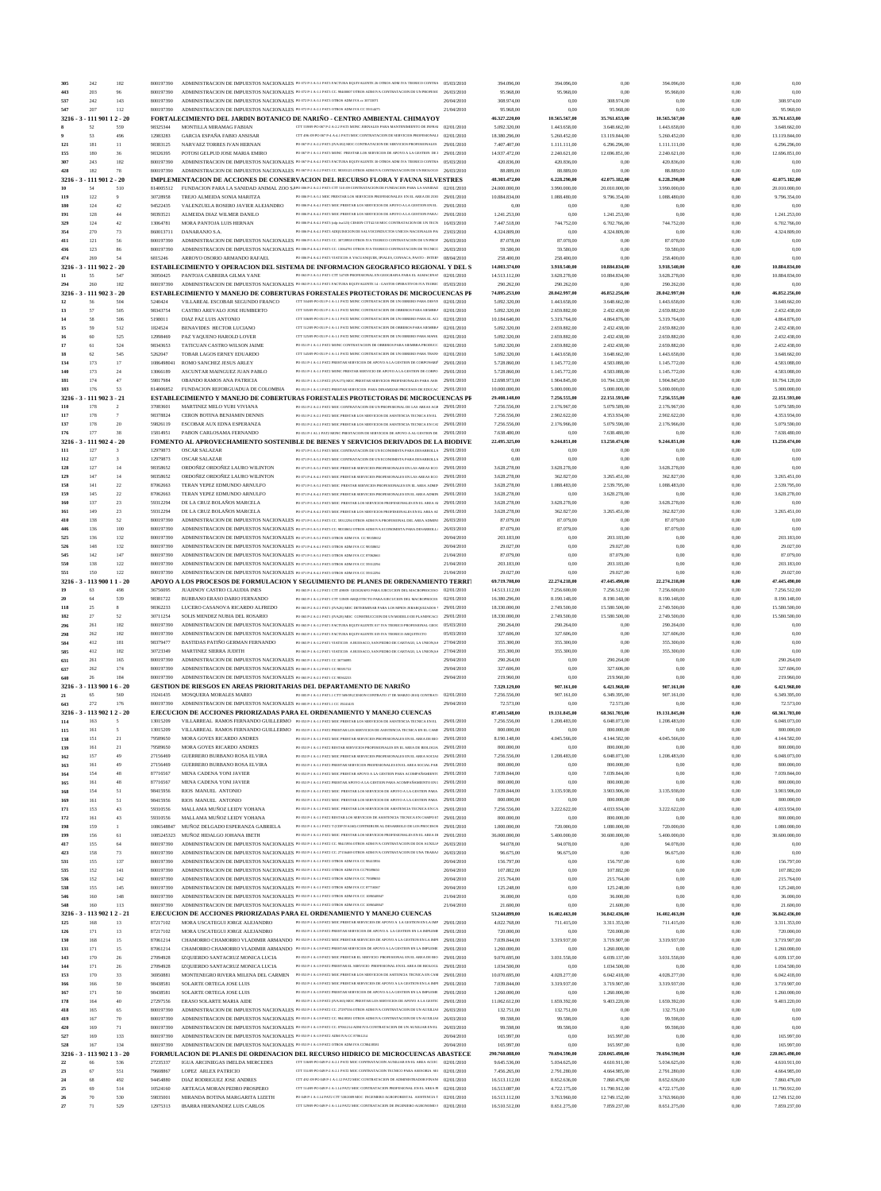|              | 242                             | 182         | 800197390              |                                                                                                                                                                                 | ADMINISTRACION DE IMPUESTOS NACIONALES PO 072 P-3 A-3.1 PAT3 FACTURA EQUIVALENTE 26 OTROS ADM IVA TEORICO CONTRA 05/03/2010                                                                                                                                  |                          | 394.096,00                     | 394.096,00                   | 0,00                           | 394.096,00                   | 0.00              | 0.00                           |
|--------------|---------------------------------|-------------|------------------------|---------------------------------------------------------------------------------------------------------------------------------------------------------------------------------|--------------------------------------------------------------------------------------------------------------------------------------------------------------------------------------------------------------------------------------------------------------|--------------------------|--------------------------------|------------------------------|--------------------------------|------------------------------|-------------------|--------------------------------|
| 443          | 203                             | 96          | 800197390              |                                                                                                                                                                                 | ADMINISTRACION DE IMPUESTOS NACIONALES PO 072 P-1 A-1.1 PAT3 CC. 98400007 OTROS ADM IVA CONTRATACION DE UN PROFESIC                                                                                                                                          | 26/03/2010               | 95.968,00                      | 95.968,00                    | 0,00                           | 95.968,00                    | 0,00              | 0,00                           |
| 537          | 242                             | 143         | 800197390              | ADMINISTRACION DE IMPUESTOS NACIONALES PO 072 P-3 A-3.1 PAT3 OTROS ADM IVA ex 30733071                                                                                          |                                                                                                                                                                                                                                                              | 20/04/2010               | 308.974,00                     | 0,00                         | 308.974,00                     | 0,00                         | 0,00              | 308.974,00                     |
| 547<br>3216. | 207<br>- 111 901 1 2 - 20       | 112         | 800197390              | ADMINISTRACION DE IMPUESTOS NACIONALES PO 072 P-2 A-2.1 PAT3 OTROS ADM IVA CC 59314475                                                                                          | FORTALECIMIENTO DEL JARDIN BOTANICO DE NARIÑO - CENTRO AMBIENTAL CHIMAYOY                                                                                                                                                                                    | 21/04/2010               | 95.968,00<br>46.327.220,00     | 0,00<br>10.565.567,00        | 95.968,00<br>35.761.653,00     | 0,00<br>10.565.567,00        | 0.00<br>$_{0,00}$ | 95.968,00<br>35.761.653,00     |
|              | 52                              | 559         | 98325344               | MONTILLA MIRAMAG FABIAN                                                                                                                                                         | CTT 559/09 PO 067 P-2 A-2.2 PAT3 MONC JORNALES PARA MANTENIMIENTO DE INFRAI  Q2/01/2010                                                                                                                                                                      |                          | 5.092.320,00                   | 1.443.658,00                 | 3.648.662,00                   | 1.443.658,00                 | 0.00              | 3.648.662,00                   |
|              | 53                              | 496         | 12983283               | <b>GARCIA ESPAÑA FABIO ANSISAR</b>                                                                                                                                              | CTT 496/09 PO 067 P-4 A-4.1 PAT3 MOC CONTRATACION DE SERVICIOS PROFESIONALI  02/01/2010                                                                                                                                                                      |                          | 18.380.296,00                  | 5.260.452,00                 | 13.119.844,00                  | 5.260.452,00                 | 0,00              | 13.119.844,00                  |
| 121          | 181                             | 11          | 98383125               | NARVAEZ TORRES IVAN HERNAN                                                                                                                                                      | PO 067 P-2 A-2.2 PAT3 (IVA182) MOC CONTRATACION DE SERVICIOS PROFESIONALES 29/01/2010                                                                                                                                                                        |                          | 7.407.407,00                   | 1.111.111,00                 | 6.296.296,00                   | 1.111.111,00                 | 0,00              | 6.296.296,00                   |
| 155          | 180                             | 36          | 98326395               | POTOSI GELPUD JOSE MARIA EMIRO                                                                                                                                                  | PO 067 P-1 A-1.1 PAT3 MONC PRESTAR LOS SERVICIOS DE APOYO A LA GESTION DE 1 29/01/2010                                                                                                                                                                       |                          | 14.937.472,00                  | 2.240.621,00                 | 12.696.851,00                  | 2.240.621,00                 | 0,00              | 12.696.851,00                  |
| 307<br>428   | 243<br>182                      | 182<br>78   | 800197390<br>800197390 |                                                                                                                                                                                 | ADMINISTRACION DE IMPUESTOS NACIONALES PO 067 P-4 A-4.1 PAT3 FACTURA EQUIVALENTE 30 OTROS ADM IVA TEORICO CONTRA 05/03/2010<br>ADMINISTRACION DE IMPUESTOS NACIONALES PO 067 P-2 A-2.2 PAT3 CC. 98383125 OTROS ADM IVA CONTRATACION DE UN BIOLOGO 26/03/2010 |                          | 420.836,00<br>88.889,00        | 420.836,00<br>88.889,00      | 0.00<br>0,00                   | 420.836,00<br>88.889,00      | 0.00<br>0,00      | 0,00<br>0,00                   |
| 3216         | $-1119012 - 20$                 |             |                        |                                                                                                                                                                                 | IMPLEMENTACION DE ACCIONES DE CONSERVACION DEL RECURSO FLORA Y FAUNA SILVESTRES                                                                                                                                                                              |                          | 48.303.472,00                  | 6.228.290,00                 | 42.075.182,00                  | 6.228.290,00                 | 0,00              | 42.075.182,00                  |
| 10           | 54                              | 510         | 814005512              |                                                                                                                                                                                 | FUNDACION PARA LA SANIDAD ANIMAL ZOO SAPO 006 P-2 A-2.1 PAT3 CTT 510 /09 CONTRATACION DE FUNDACION PARA LA SANIDAD 02/01/2010                                                                                                                                |                          | 24,000,000,00                  | 3.990.000,00                 | 20.010.000,00                  | 3.990.000,00                 | 0.00              | 20.010.000,00                  |
| 119          | 122                             | 9           | 30728958               | TREJO ALMEIDA SONIA MARITZA                                                                                                                                                     | PO 006 P-5 A-5.1 MOC PRESTAR LOS SERVICIOS PROFESIONALES EN EL AREA DE ZOO 29/01/2010                                                                                                                                                                        |                          | 10.884.834,00                  | 1.088.480.00                 | 9.796.354,00                   | 1.088.480,00                 | 0,00              | 9.796.354,00                   |
| 180          | 124                             | 42          | 94522435               | VALENZUELA ROSERO JAVIER ALEJANDRO                                                                                                                                              | PO 006 P-4 A-4.1 PAT3 MOC PRESTAR LOS SERVICIOS DE APOYO A LA GESTION EN EL 29/01/2010                                                                                                                                                                       |                          | 0,00                           | 0,00                         | 0.00                           | 0,00                         | 0,00              | 0,00                           |
| 191<br>329   | 128<br>124                      | 44<br>42    | 98393521<br>13064781   | ALMEIDA DIAZ WILMER DANILO<br>MORA PANTOJA LUIS HERNAN                                                                                                                          | PO 006 P-4 A-4.1 PAT3 MOC PRESTAR LOS SERVICIOS DE APOYO A LA GESTION PARA   29/01/2010<br>PO 006 P-4 A-4.1 PAT3 (cdp iva123) CESION CTT42/10 MOC CONTRATACION DE UN TECN 16/03/2010                                                                         |                          | 1.241.253,00<br>7.447.518,00   | 0,00<br>744.752,00           | 1.241.253,00<br>6.702.766,00   | 0,00<br>744.752,00           | 0,00<br>0,00      | 1.241.253,00<br>6.702.766,00   |
| 354          | 270                             | 73          | 860013711              | DANARANJO S.A.                                                                                                                                                                  | PO 006 P-4 A-4.1 PAT3 ADQUISICION DE SALVOCONDUCTOS UNICOS NACIONALES PAI 23/03/2010                                                                                                                                                                         |                          | 4.324.809,00                   | 0.00                         | 4.324.809,00                   | 0,00                         | 0,00              | 4.324.809,00                   |
| 411          | 121                             | 56          | 800197390              |                                                                                                                                                                                 | ADMINISTRACION DE IMPUESTOS NACIONALES PO 006 P-5 A-5.1 PAT3 CC. 30728958 OTROS IVA TEORICO CONTRATACION DE UN PROF 26/03/2010                                                                                                                               |                          | 87.078,00                      | 87.078,00                    | 0.00                           | 87.078,00                    | 0,00              | 0,00                           |
| 436          | 123                             | 86          | 800197390              |                                                                                                                                                                                 | ADMINISTRACION DE IMPUESTOS NACIONALES PO 006 P-4 A-4.1 PAT3 CC. 13064781 OTROS IVA TEORICO CONTRATACION DE TECNICO 26/03/2010                                                                                                                               |                          | 59.580,00                      | 59.580,00                    | 0,00                           | 59.580,00                    | 0,00              | 0,00                           |
| 474          | 269                             | 54          | 6815246                | ARROYO OSORIO ARMANDO RAFAEI                                                                                                                                                    | PO 006 P-4 A-4.1 PAT3 VIATICOS A YACUANQUER, IPIALES, CONSACA, PASTO - INTER <sup>1</sup> (18/(14/2010)                                                                                                                                                      |                          | 258.400,00                     | 258.400,00                   | 0,00                           | 258.400,00                   | 0,00              | 0,00                           |
| 11           | $3216 - 3 - 1119022 - 20$<br>55 | 547         | 36950425               | PANTOJA CABRERA GILMA YANE                                                                                                                                                      | ESTABLECIMIENTO Y OPERACION DEL SISTEMA DE INFORMACION GEOGRAFICO REGIONAL Y DEL S<br>PO 063 P-3 A-3.1 PAT1 CTT 547/09 PROFESIONAL EN GEOGRAFIA PARA EL ALMACENA! 02/01/2010                                                                                 |                          | 14.803.374,00<br>14.513.112,00 | 3.918.540,00<br>3.628.278,00 | 10.884.834,00<br>10.884.834,00 | 3.918.540,00<br>3.628.278,00 | 0,00<br>0.00      | 10.884.834,00<br>10.884.834,00 |
| 294          | 260                             | 182         | 800197390              |                                                                                                                                                                                 | ADMINISTRACION DE IMPUESTOS NACIONALES PO 063 P-3 A-3.1 PAT1 FACTURA EQUIVALENTE 14 - GASTOS OPERATIVOS IVA TEORIC 05/03/2010                                                                                                                                |                          | 290.262,00                     | 290.262,00                   | 0,00                           | 290.262,00                   | 0,00              | 0,00                           |
|              | 3216 - 3 - 111 902 3 - 20       |             |                        |                                                                                                                                                                                 | ESTABLECIMIENTO Y MANEJO DE COBERTURAS FORESTALES PROTECTORAS DE MICROCUENCAS PI                                                                                                                                                                             |                          | 74.895.253,00                  | 28.042.997,00                | 46.852.256,00                  | 28.042.997,00                | $_{0,00}$         | 46.852.256,00                  |
| 12           | 56                              | 504         | 5240424                | VILLAREAL ESCOBAR SEGUNDO FRANCO                                                                                                                                                | CTT 50409 PO 051 P-1 A-1.1 PAT2 MONC CONTRATACION DE UN OBRERO PARA DESYE (02/01/2010)                                                                                                                                                                       |                          | 5.092.320,00                   | 1.443.658,00                 | 3.648.662,00                   | 1.443.658,00                 | 0.00              | 3.648.662,00                   |
| 13           | 57<br>58                        | 505<br>506  | 98343754<br>5198011    | CASTRO AREVALO JOSE HUMBERTO<br>DIAZ PAZ LUIS ANTONIO                                                                                                                           | CTT 505/09 PO 051 P-1 A-1.1 PAT2 MONC CONTRATACION DE OBREROS PARA SIEMBRA (02/01/2010)<br>CTT 50609 PO 051 P-1 A-1.1 PAT2 MONC CONTRATACION DE UN OBRERO PARA EL AC( 02/01/2010                                                                             |                          | 5.092.320,00<br>10.184.640,00  | 2.659.882,00<br>5.319.764,00 | 2.432.438,00<br>4.864.876.00   | 2.659.882,00<br>5.319.764,00 | 0.00<br>0,00      | 2.432.438,00<br>4.864.876,00   |
| 14<br>15     | 59                              | 512         | 1824524                | BENAVIDES HECTOR LUCIANO                                                                                                                                                        | CTT 51209 PO 051 P-1 A-1.1 PAT2 MONC CONTRATACION DE OBREROS PARA SIEMBRA 02/01/2010                                                                                                                                                                         |                          | 5.092.320,00                   | 2.659.882,00                 | 2.432.438,00                   | 2.659.882,00                 | 0,00              | 2.432.438,00                   |
| 16           | 60                              | 525         | 12998469               | PAZ YAQUENO HAROLD LOVER                                                                                                                                                        | CTT 52509 PO 051 P-1 A-1.1 PAT2 MONC CONTRATACION DE UN OBRERO PARA MANE   02/01/2010                                                                                                                                                                        |                          | 5.092.320,00                   | 2.659.882,00                 | 2.432.438,00                   | 2.659.882,00                 | 0,00              | 2.432.438,00                   |
| 17           | 61                              | 524         | 98343653               | TATICUAN CASTRO WILSON JAIME                                                                                                                                                    | PO 051 P-1 A-1.1 PAT2 MONC CONTRATACION DE OBREROS PARA SIEMBRA PRODUCC 02/01/2010                                                                                                                                                                           |                          | 5.092.320,00                   | 2.659.882,00                 | 2.432.438,00                   | 2.659.882,00                 | 0,00              | 2.432.438,00                   |
| 18           | 62                              | 545         | 5262047                | TOBAR LAGOS ERNEY EDUARDO                                                                                                                                                       | CTT 545/09 PO 051 P-1 A-1.1 PAT2 MONC CONTRATACION DE UN OBRERO PARA TRANS  Q2/01/2010                                                                                                                                                                       |                          | 5.092.320,00                   | 1.443.658,00                 | 3.648.662,00                   | 1.443.658,00                 | 0,00              | 3.648.662,00                   |
| 134<br>140   | 173<br>173                      | 17<br>24    | 1086498041<br>13066189 | ROMO SANCHEZ JESUS ARLEY<br>ASCUNTAR MAINGUEZ JUAN PABLO                                                                                                                        | PO 051 P-1 A-1.1 PAT2 PRESTAR SERVICIOS DE APOYO A LA GESTION DE CORPONARI?<br>PO 051 P-1 A-1.1 PAT2 MONC PRESTAR SERVICIO DE APOYO A LA GESTION DE CORPO.                                                                                                   | 29/01/2010<br>29/01/2010 | 5.728.860,00<br>5.728.860,00   | 1.145.772,00<br>1.145.772,00 | 4.583.088,00<br>4.583.088,00   | 1.145.772,00<br>1.145.772,00 | 0.00<br>0,00      | 4.583.088,00<br>4.583.088,00   |
| 181          | 174                             | 47          | 59817984               | OBANDO RAMOS ANA PATRICIA                                                                                                                                                       | PO 051 P-1 A-1.3 PAT2 (IVA175) MOC PRESTAR SERVICIOS PROFESIONALES PARA ASIS 29/01/2010                                                                                                                                                                      |                          | 12.698.973,00                  | 1.904.845,00                 | 10.794.128,00                  | 1.904.845,00                 | 0.00              | 10.794.128,00                  |
| 183          | 176                             | 53          | 814006852              | FUNDACION REFORGUADUA DE COLOMBIA                                                                                                                                               | PO 051 P-1 A-1.3 PAT2 PRESTAR SERVICIOS PARA DINAMIZAR PROCESOS DE EDUCAC 29/01/2010                                                                                                                                                                         |                          | 10.000.000,00                  | 5.000.000,00                 | 5.000.000,00                   | 5.000.000,00                 | 0.00              | 5.000.000,00                   |
| 3216         | $-1119023 - 21$                 |             |                        |                                                                                                                                                                                 | ESTABLECIMIENTO Y MANEJO DE COBERTURAS FORESTALES PROTECTORAS DE MICROCUENCAS PI                                                                                                                                                                             |                          | 29.408.148,00                  | 7.256.555,00                 | 22.151.593,00                  | 7.256.555,00                 | $_{0,00}$         | 22.151.593,00                  |
| 110          | 178<br>178                      | 2<br>$\tau$ | 37083601<br>98378824   | MARTINEZ MELO YURI VIVIANA                                                                                                                                                      | PO 051 P-2 A-2.1 PAT2 MOC CONTRATACION DE UN PROFESIONAL DE LAS AREAS AGR 29/01/2010<br>PO 051 P-2 A-2.1 PAT2 MOC PRESTAR LOS SERVICIOS DE ASISTENCIA TECNICA EN EL                                                                                          | 29/01/2010               | 7.256.556,00                   | 2.176.967,00                 | 5.079.589,00                   | 2.176.967,00                 | 0,00<br>0.00      | 5.079.589,00                   |
| 117<br>137   | 178                             | 20          | 59826119               | CERON BOTINA BENJAMIN DENNIS<br>ESCOBAR AUX EDNA ESPERANZA                                                                                                                      | PO 051 P-2 A-2.1 PAT2 MOC PRESTAR LOS SERVICIOS DE ASISTENCIA TECNICA EN CAI 29/01/2010                                                                                                                                                                      |                          | 7.256.556,00<br>7.256.556,00   | 2.902.622,00<br>2.176.966,00 | 4.353.934,00<br>5.079.590,00   | 2.902.622,00<br>2.176.966,00 | 0,00              | 4.353.934,00<br>5.079.590,00   |
| 176          | 177                             | 38          | 15814951               | PABON CARLOSAMA FERNANDO                                                                                                                                                        | PO 051 P-1 A1.1 PAT2 MONC PRESTACION DE SERVICIOS DE APOYO A AL GESTION DE 29/01/2010                                                                                                                                                                        |                          | 7.638.480,00                   | 0,00                         | 7.638.480,00                   | 0,00                         | 0,00              | 7.638.480,00                   |
| 3216         | $-1119024-20$                   |             |                        |                                                                                                                                                                                 | FOMENTO AL APROVECHAMIENTO SOSTENIBLE DE BIENES Y SERVICIOS DERIVADOS DE LA BIODIVE                                                                                                                                                                          |                          | 22.495.325,00                  | 9.244.851,00                 | 13.250.474,00                  | 9.244.851,00                 | $_{0,00}$         | 13.250.474,00                  |
| 111          | 127                             | 3           | 12979873               | <b>OSCAR SALAZAR</b>                                                                                                                                                            | PO 071 P-5 A-5.1 PAT3 MOC CONTRATACION DE UN ECONOMISTA PARA DESARROLLA 29/01/2010                                                                                                                                                                           |                          | 0.00                           | 0,00                         | 0,00                           | 0.00                         | 0,00              | 0,00                           |
| 112          | 127                             | 3           | 12979873               | <b>OSCAR SALAZAR</b>                                                                                                                                                            | PO 071 P-5 A-5.1 PAT3 MOC CONTRATACION DE UN ECONOMISTA PARA DESARROLLA 29/01/2010                                                                                                                                                                           |                          | 0,00                           | 0,00                         | 0,00                           | 0.00                         | 0,00              | 0,00                           |
| 128<br>129   | 127<br>147                      | 14<br>14    | 98358652<br>98358652   | ORDOÑEZ ORDOÑEZ LAURO WILINTON<br>ORDOÑEZ ORDOÑEZ LAURO WILINTON                                                                                                                | PO 071 P-5 A-5.1 PAT3 MOC PRESTAR SERVICIOS PROFESIONALES EN LAS AREAS ECO 29/01/2010<br>PO 071 P-4 A-4.1 PAT3 MOC PRESTAR SERVICIOS PROFESIONALES EN LAS AREAS ECO                                                                                          | 29/01/2010               | 3.628.278,00<br>3.628.278,00   | 3.628.278,00<br>362.827,00   | 0,00<br>3.265.451,00           | 3.628.278,00<br>362.827,00   | 0,00<br>0,00      | 0.00<br>3.265.451,00           |
| 158          | 141                             | 22          | 87062663               | TERAN YEPEZ EDMUNDO ARNULFO                                                                                                                                                     | PO 071 P-5 A-5.1 PAT3 MOC PRESTAR SERVICIOS PROFESIONALES EN EL AREA ADMIN                                                                                                                                                                                   | 29/01/2010               | 3.628.278,00                   | 1.088.483,00                 | 2.539.795,00                   | 1.088.483,00                 | 0,00              | 2.539.795,00                   |
| 159          | 145                             | 22          | 87062663               | TERAN YEPEZ EDMUNDO ARNULFO                                                                                                                                                     | PO 071 P-4 A-4.1 PAT3 MOC PRESTAR SERVICIOS PROFESIONALES EN EL AREA ADMIN 29/01/2010                                                                                                                                                                        |                          | 3.628.278,00                   | 0,00                         | 3.628.278,00                   | 0.00                         | 0,00              | 3.628.278,00                   |
| 160          | 137                             | 23          | 59312294               | DE LA CRUZ BOLAÑOS MARCELA                                                                                                                                                      | PO 071 P-5 A-5.1 PAT3 MOC PRESTAR LOS SERVICIOS PROFESIONALES EN EL AREA AI 29/01/2010                                                                                                                                                                       |                          | 3.628.278,00                   | 3.628.278,00                 | 0,00                           | 3.628.278,00                 | 0,00              | 0,00                           |
| 161          | 149<br>138                      | 23<br>52    | 59312294               | DE LA CRUZ BOLAÑOS MARCELA                                                                                                                                                      | PO 071 P-4 A-4.1 PAT3 MOC PRESTAR LOS SERVICIOS PROFESIONALES EN EL AREA AE 29/01/2010                                                                                                                                                                       | 26/03/2010               | 3.628.278,00                   | 362.827,00                   | 3.265.451,00                   | 362.827,00                   | 0,00              | 3.265.451,00<br>0.00           |
| 410<br>446   | 136                             | 100         | 800197390<br>800197390 |                                                                                                                                                                                 | ADMINISTRACION DE IMPUESTOS NACIONALES PO 071 P-5 A-5.1 PAT3 CC. 59312294 OTROS ADM IVA PROFESIONAL DEL AREA ADMINI<br>ADMINISTRACION DE IMPUESTOS NACIONALES PO 071 P-5 A-5.1 PAT3 CC. 98358652 OTROS ADM IVA ECONOMISTA PARA DESARROLL/                    | 26/03/2010               | 87.079,00<br>87.079,00         | 87.079,00<br>87.079,00       | 0,00<br>0,00                   | 87.079,00<br>87.079,00       | 0,00<br>0,00      | 0.00                           |
| 525          | 136                             | 132         | 800197390              | ADMINISTRACION DE IMPUESTOS NACIONALES PO 071 P-5 A-5.1 PAT3 OTROS ADM IVA CC 98358652                                                                                          |                                                                                                                                                                                                                                                              | 20/04/2010               | 203.183,00                     | 0,00                         | 203.183,00                     | 0,00                         | 0,00              | 203.183,00                     |
| 526          | 148                             | 132         | 800197390              | ADMINISTRACION DE IMPUESTOS NACIONALES PO 071 P-4 A-4.1 PAT3 OTROS ADM IVA CC 98358652                                                                                          |                                                                                                                                                                                                                                                              | 20/04/2010               | 29.027,00                      | 0,00                         | 29.027,00                      | 0.00                         | 0,00              | 29.027,00                      |
| 545          | 142                             | 147         | 800197390              | ADMINISTRACION DE IMPUESTOS NACIONALES PO 071 P-5 A-5.1 PAT3 OTROS ADM IVA CC 87062663                                                                                          |                                                                                                                                                                                                                                                              | 21/04/2010               | 87.079,00                      | 0,00                         | 87.079,00                      | 0.00                         | 0.00              | 87.079,00                      |
| 550          | 138<br>150                      | 122<br>122  | 800197390<br>800197390 | ADMINISTRACION DE IMPUESTOS NACIONALES PO 071 P-5 A-5.1 PAT3 OTROS ADM IVA CC 59312294                                                                                          |                                                                                                                                                                                                                                                              | 21/04/2010               | 203.183,00                     | 0,00                         | 203.183,00                     | 0.00<br>0.00                 | 0.00<br>0.00      | 203.183,00                     |
| 551          | 3216 - 3 - 113 900 11 - 20      |             |                        | ADMINISTRACION DE IMPUESTOS NACIONALES PO 071 P-4 A-4.1 PAT3 OTROS ADM IVA CC 59312294                                                                                          | APOYO A LOS PROCESOS DE FORMULACION Y SEGUIMIENTO DE PLANES DE ORDENAMIENTO TERRIT                                                                                                                                                                           | 21/04/2010               | 29.027,00<br>69.719.708,00     | 0,00<br>22.274.218,00        | 29.027,00<br>47.445.490,00     | 22.274.218,00                | $_{0,00}$         | 29.027,00<br>47.445.490,00     |
| 19           | 63                              | 498         | 36756095               | JUAJINOY CASTRO CLAUDIA INES                                                                                                                                                    | PO 065 P-1 A-1.2 PAT1 CTT 498/09 GEOGRAFO PARA EJECUCION DEL MACROPROCESO  02/01/2010                                                                                                                                                                        |                          | 14.513.112,00                  | 7.256.600,00                 | 7.256.512,00                   | 7.256.600,00                 | 0,00              | 7.256.512,00                   |
| 20           | 64                              | 539         | 98381722               | BURBANO ERASO DARIO FERNANDO                                                                                                                                                    | PO 065 P-1 A-1.2 PAT1 CTT 539/09 ARQUITECTO PARA EJECUCION DEL MACROPROCES 02/01/2010                                                                                                                                                                        |                          | 16.380.296,00                  | 8.190.148,00                 | 8.190.148,00                   | 8.190.148,00                 | 0,00              | 8.190.148,00                   |
|              |                                 |             |                        |                                                                                                                                                                                 |                                                                                                                                                                                                                                                              |                          |                                |                              |                                |                              | 0,00              |                                |
| 118          | 25                              |             | 98362233               | LUCERO CASANOVA RICARDO ALFREDO                                                                                                                                                 | PO 065 P-2 A-2.1 PAT1 (IVA26) MOC DETERMINAR PARA LOS MPIOS JERARQUIZADOS 1 29/01/2010                                                                                                                                                                       |                          | 18.330.000,00                  | 2.749.500.00                 | 15.580.500,00                  | 2.749.500,00                 |                   | 15.580.500,00                  |
| 182          | 27                              | 52          | 30711254               | SOLIS MENDEZ NUBIA DEL ROSARIO                                                                                                                                                  | PO 065 P-2 A-2.1 PAT1 (IVA28) MOC CONSTRUCCION DE UN MODELO DE PLANIFICACI 29/01/2010                                                                                                                                                                        |                          | 18.330.000,00                  | 2.749.500,00                 | 15.580.500,00                  | 2.749.500,00                 | 0,00              | 15.580.500,00                  |
| 296          | 261                             | 182         | 800197390              |                                                                                                                                                                                 | ADMINISTRACION DE IMPUESTOS NACIONALES PO 065 P-1 A-1.2 PAT1 FACTURA EQUIVALENTE 017 IVA TEORICO PROFESIONAL GEOG 05/03/2010                                                                                                                                 |                          | 290.264,00                     | 290.264,00                   | 0,00                           | 290.264,00                   | 0,00              | 0,00                           |
| 298<br>584   | 262<br>412                      | 182<br>181  | 800197390<br>98379477  | BASTIDAS PATIÑO GERMAN FERNANDO                                                                                                                                                 | ADMINISTRACION DE IMPUESTOS NACIONALES PO 065 P-1 A-1.2 PATI FACTURA EQUIVALENTE 019 IVA TEORICO ARQUITECTO<br>PO 065 P-1 A-1.2 PAT1 VIATICOS A BUESACO, SAN PEDRO DE CARTAGO, LA UNION,SA                                                                   | 05/03/2010<br>27/04/2010 | 327.606,00<br>355.300,00       | 327.606,00<br>355.300,00     | 0,00<br>0.00                   | 327.606,00                   | 0,00<br>0,00      | 0,00<br>0,00                   |
| 585          | 412                             | 182         | 30723349               | MARTINEZ SIERRA JUDITH                                                                                                                                                          | PO 065 P-1 A-1.2 PATI VIATICOS A BUESACO, SAN PEDRO DE CARTAGO, LA UNION, SA 27/04/2010                                                                                                                                                                      |                          | 355.300,00                     | 355.300,00                   | 0,00                           | 355.300,00<br>355.300,00     | 0,00              | 0.00                           |
| 631          | 261                             | 165         | 800197390              | ADMINISTRACION DE IMPUESTOS NACIONALES PO 065 P-1 A-1.2 PATI CC 36756095                                                                                                        |                                                                                                                                                                                                                                                              | 29/04/2010               | 290.264,00                     | 0,00                         | 290.264,00                     | 0,00                         | 0,00              | 290.264,00                     |
| 637          | 262                             | 174         | 800197390              | ADMINISTRACION DE IMPUESTOS NACIONALES PO 065 P-1 A-1.2 PATI CC 98381722                                                                                                        |                                                                                                                                                                                                                                                              | 29/04/2010               | 327.606,00                     | 0,00                         | 327.606,00                     | 0,00                         | 0,00              | 327.606,00                     |
| 640          | 26                              | 184         | 800197390              | ADMINISTRACION DE IMPUESTOS NACIONALES PO 065 P-2 A-2.1 PATI CC 98362233                                                                                                        |                                                                                                                                                                                                                                                              | 29/04/2010               | 219.960,00                     | 0,00                         | 219.960,00                     | 0,00                         | 0,00              | 219.960,00                     |
| 3216<br>21   | $-3 - 11390016 - 20$<br>65      | 569         | 19241435               | MOSQUERA MORALES MARIO                                                                                                                                                          | <b>GESTION DE RIESGOS EN AREAS PRIORITARIAS DEL DEPARTAMENTO DE NARIÑO</b><br>PO 005 P-1 A-1.1 PAT1.1 CTT 569/09 (CESION CONTRATO 17 DE MARZO 2010) CONTRAT/                                                                                                 | 02/01/2010               | 7.329.129,00<br>7.256.556,00   | 907.161,00<br>907.161,00     | 6.421.968,00<br>6.349.395,00   | 907.161,00<br>907.161,00     | 0,00<br>0.00      | 6.421.968,00<br>6.349.395,00   |
| 643          | 272                             | 176         | 800197390              | ADMINISTRACION DE IMPUESTOS NACIONALES PO 005 P-1 A-1.1 PAT1.1 CC 19241435                                                                                                      |                                                                                                                                                                                                                                                              | 29/04/2010               | 72.573,00                      | 0,00                         | 72.573,00                      | 0,00                         | 0,00              | 72.573,00                      |
| 3216.        | $-11390212-20$                  |             |                        |                                                                                                                                                                                 | EJECUCION DE ACCIONES PRIORIZADAS PARA EL ORDENAMIENTO Y MANEJO CUENCAS                                                                                                                                                                                      |                          | 87.493.548,00                  | 19.131.845,00                | 68.361.703.00                  | 19.131.845,00                | 0,00              | 68.361.703,00                  |
| 114          | 163                             | 5           | 13015209               |                                                                                                                                                                                 | VILLARREAL RAMOS FERNANDO GUILLERMO PO 053 P-1 A-1.1 PAT2 MOC PRESTAR LOS SERVICIOS DE ASISTENCIA TECNICA EN EL 29/01/2010                                                                                                                                   |                          | 7.256.556,00                   | 1.208.483,00                 | 6.048.073,00                   | 1.208.483,00                 | 0,00              | 6.048.073,00                   |
| 115          | 161                             | 5           | 13015209               |                                                                                                                                                                                 | VILLARREAL RAMOS FERNANDO GUILLERMO PO 053 P-1 A-1.1 PAT2 PRESTAR LOS SERVICIOS DE ASISTENCIA TECNICA EN EL CAMF<br>PO 053 P-1 A-1.1 PAT2 MOC PRESTAR SERVICIOS PROFESIONALES EN EL AREA DE BIO 29/01/2010                                                   | 29/01/2010               | 800.000,00                     | 0,00                         | 800.000,00                     | 0,00                         | 0,00              | 800.000,00                     |
| 138<br>139   | 151<br>161                      | 21<br>21    | 79589650<br>79589650   | MORA GOYES RICARDO ANDRES<br>MORA GOYES RICARDO ANDRES                                                                                                                          | PO 053 P-1 A-1.1 PAT2 RESTAR SERVICIOS PROFESIONALES EN EL AREA DE BIOLOGIA 29/01/2010                                                                                                                                                                       |                          | 8.190.148,00<br>800.000,00     | 4.045.566,00<br>0,00         | 4.144.582,00<br>800.000,00     | 4.045.566,00<br>0,00         | 0,00<br>0,00      | 4.144.582,00<br>800.000,00     |
| 162          | 157                             | 49          | 27156469               | <b>GUERRERO BURBANO ROSA ELVIRA</b>                                                                                                                                             | PO 053 P-1 A-1.1 PAT2 MOC PRESTAR SERVICIOS PROFESIONALES EN EL AREA SOCIAI 29/01/2010                                                                                                                                                                       |                          | 7.256.556,00                   | 1.208.483,00                 | 6.048.073,00                   | 1.208.483,00                 | 0,00              | 6.048.073,00                   |
| 163          | 161                             | 49          | 27156469               | <b>GUERRERO BURBANO ROSA ELVIRA</b>                                                                                                                                             | PO 053 P-1 A-1.1 PAT2 PRESTAR SERVICIOS PROFESIONALES EN EL AREA SOCIAL PAR 29/01/2010                                                                                                                                                                       |                          | 800.000,00                     | 0,00                         | 800.000,00                     | 0,00                         | 0,00              | 800.000,00                     |
| 164<br>165   | 154<br>161                      | 48<br>48    | 87716567<br>87716567   | MENA CADENA YONI JAVIER<br>MENA CADENA YONI JAVIER                                                                                                                              | PO 053 P-1 A-1.1 PAT2 MOC PRESTAR APOYO A LA GESTION PARA ACOMPAÑAMIENT( 29/01/2010)<br>PO 053 P-1 A-1.1 PAT2 PRESTAR APOYO A LA GESTION PARA ACOMPAÑAMIENTO EN I                                                                                            | 29/01/2010               | 7.039.844,00<br>800.000,00     | 0,00<br>0,00                 | 7.039.844,00<br>800.000,00     | 0,00<br>0,00                 | 0,00<br>0,00      | 7.039.844,00<br>800.000,00     |
| 168          | 154                             | 51          | 98415956               | RIOS MANUEL ANTONIO                                                                                                                                                             | PO 053 P-1 A-1.1 PAT2 MOC PRESTAR LOS SERVICIOS DE APOYO A LA GESTION PARA 29/01/2010                                                                                                                                                                        |                          | 7.039.844,00                   | 3.135.938,00                 | 3.903.906,00                   | 3.135.938,00                 | 0,00              | 3.903.906,00                   |
| 169          | 161                             | 51          | 98415956               | RIOS MANUEL ANTONIO                                                                                                                                                             | PO 053 P-1 A-1.1 PAT2 MOC PRESTAR LOS SERVICIOS DE APOYO A LA GESTION PARA 29/01/2010                                                                                                                                                                        |                          | 800.000,00                     | 0,00                         | 800.000,00                     | 0,00                         | 0,00              | 800.000,00                     |
| 171          | 153                             | 43          | 59310556               | MALLAMA MUÑOZ LEIDY YOHANA                                                                                                                                                      | PO 053 P-1 A-1.1 PAT2 MOC PRESTAR LOS SERVICIOS DE ASISTENCIA TECNICA EN CA 29/01/2010                                                                                                                                                                       |                          | 7.256.556,00                   | 3.222.622,00                 | 4.033.934,00                   | 3.222.622,00                 | 0,00              | 4.033.934,00                   |
| 172<br>198   | 161<br>159                      | 43          | 59310556<br>1086548847 | MALLAMA MUÑOZ LEIDY YOHANA<br>MUÑOZ DELGADO ESPERANZA GABRIELA                                                                                                                  | PO 053 P-1 A-1.1 PAT2 RESTAR LOS SERVICIOS DE ASISTENCIA TECNICA EN CAMPO EZ 29/01/2010<br>PO 053 P-1 A-1.1 PAT2 T (CDP IVA160) CONTRIBUIR AL DESARROLO DE LOS PROCESOS 29/01/2010                                                                           |                          | 800.000,00<br>1.800.000,00     | 0,00                         | 800.000,00<br>1.080.000,00     | 0,00                         | 0,00<br>0,00      | 800.000,00<br>1.080.000,00     |
| 199          | 156                             | 61          | 1085245323             | MUÑOZ HIDALGO JOHANA IBETH                                                                                                                                                      | PO 053 P-1 A-1.1 PAT2 MOC PRESTAR LOS SERVICIOS PROFESIONALES EN EL AREA DI 29/01/2010                                                                                                                                                                       |                          | 36.000.000,00                  | 720.000,00<br>5.400.000,00   | 30.600.000,00                  | 720.000,00<br>5.400.000,00   | 0,00              | 30.600.000,00                  |
| 417          | 155                             | 64          | 800197390              |                                                                                                                                                                                 | ADMINISTRACION DE IMPUESTOS NACIONALES PO 053 P-1 A-1.1 PAT2 CC. 98415956 OTROS ADM IVA CONTRATACION DE DOS AUXILIA                                                                                                                                          | 26/03/2010               | 94.078,00                      | 94.078,00                    | 0,00                           | 94.078,00                    | 0,00              | 0,00                           |
| 423          | 158                             | 73          | 800197390              |                                                                                                                                                                                 | ADMINISTRACION DE IMPUESTOS NACIONALES PO 053 P-1 A-1.1 PAT2 CC. 27156469 OTROS ADM IVA CONTRATACION DE UNA TRABAJ 26/03/2010                                                                                                                                |                          | 96.675,00                      | 96.675,00                    | 0,00                           | 96.675,00                    | 0,00              | 0,00                           |
| 531          | 155                             | 137         | 800197390              | ADMINISTRACION DE IMPUESTOS NACIONALES PO 053 P-1 A-1.1 PAT2 OTROS ADM IVA CC 98415956                                                                                          |                                                                                                                                                                                                                                                              | 20/04/2010               | 156.797,00                     | 0,00                         | 156.797,00                     | 0,00                         | 0,00              | 156.797,00                     |
| 535<br>536   | 152<br>152                      | 141<br>142  | 800197390<br>800197390 | ADMINISTRACION DE IMPUESTOS NACIONALES PO 053 P-1 A-1.1 PAT2 OTROS ADM IVA CC79589650<br>ADMINISTRACION DE IMPUESTOS NACIONALES PO 053 P-1 A-1.1 PAT2 OTROS ADM IVA CC 79589650 |                                                                                                                                                                                                                                                              | 20/04/2010<br>20/04/2010 | 107.882,00<br>215.764,00       | 0,00<br>0,00                 | 107.882,00<br>215.764,00       | 0,00<br>0,00                 | 0,00<br>0,00      | 107.882,00<br>215.764,00       |
| 538          | 155                             | 145         | 800197390              | ADMINISTRACION DE IMPUESTOS NACIONALES PO 053 P-1 A-1.1 PAT2 OTROS ADM IVA CC 87716567                                                                                          |                                                                                                                                                                                                                                                              | 20/04/2010               | 125.248,00                     | 0,00                         | 125.248,00                     | 0,00                         | 0,00              | 125.248,00                     |
| 546          | 160                             | 148         | 800197390              | ADMINISTRACION DE IMPUESTOS NACIONALES PO 053 P-1 A-1.1 PAT2 OTROS ADM IVA CC 1086548847                                                                                        |                                                                                                                                                                                                                                                              | 21/04/2010               | 36.000,00                      | 0,00                         | 36.000,00                      | 0,00                         | 0,00              | 36.000,00                      |
| 548          | 160                             | 113         | 800197390              | ADMINISTRACION DE IMPUESTOS NACIONALES PO 053 P-1 A-1.1 PAT2 OTROS ADM IVA CC 1086548847                                                                                        |                                                                                                                                                                                                                                                              | 21/04/2010               | 21.600,00                      | 0,00                         | 21.600,00                      | 0,00                         | 0,00              | 21.600,00                      |
| 3216         | - 113 902 1 2 - 21<br>168       |             |                        |                                                                                                                                                                                 | EJECUCION DE ACCIONES PRIORIZADAS PARA EL ORDENAMIENTO Y MANEJO CUENCAS<br>PO 053 P-1 A-1.9 PAT2 MOC PRESTAR SERVICIOS DE APOYO A LA GESTION EN LA IMP 29/01/2010                                                                                            |                          | 53.244.899,00                  | 16.402.463,00                | 36.842.436,00                  | 16.402.463,00                | $_{0,00}$         | 36.842.436,00                  |
| 125<br>126   | 171                             | 13<br>13    | 87217102<br>87217102   | MORA USCATEGUI JORGE ALEJANDRO<br>MORA USCATEGUI JORGE ALEJANDRO                                                                                                                | PO 053 P-1 A-1.9 PAT2 PRESTAR SERVICIOS DE APOYO A LA GESTION EN LA IMPLEME                                                                                                                                                                                  | 29/01/2010               | 4.022.768,00<br>720.000,00     | 711.415,00<br>0,00           | 3.311.353,00<br>720.000,00     | 711.415,00<br>0,00           | 0,00<br>0,00      | 3.311.353,00<br>720.000,00     |
| 130          | 168                             | 15          | 87061214               |                                                                                                                                                                                 | CHAMORRO CHAMORRO VLADIMIR ARMANDO PO 053 P-1 A-1.9 PAT2 MOC PRESTAR SERVICIOS DE APOYO A LA GESTION EN LA IMPI 29/01/2010                                                                                                                                   |                          | 7.039.844.00                   | 3.319.937,00                 | 3.719.907,00                   | 3.319.937,00                 | 0,00              | 3.719.907,00                   |
| 131          | 171                             | 15          | 87061214               |                                                                                                                                                                                 | CHAMORRO CHAMORRO VLADIMIR ARMANDO PO 053 P-1 A-1.9 PAT2 PRESTAR SERVICIOS DE APOYO A LA GESTION EN LA IMPLEME 29/01/2010                                                                                                                                    |                          | 1.260.000,00                   | 0,00                         | 1.260.000,00                   | 0,00                         | 0,00              | 1.260.000,00                   |
| 143          | 170                             | 26          | 27094928               | IZQUIERDO SANTACRUZ MONICA LUCIA                                                                                                                                                | PO 053 P-1 A-1.9 PAT2 MOC PRESTAR EL SERVICIO PROFESIONAL EN EL AREA DE BIO 29/01/2010                                                                                                                                                                       |                          | 9.070.695,00                   | 3.031.558,00                 | 6.039.137,00                   | 3.031.558,00                 | 0,00              | 6.039.137,00                   |
| 144          | 171                             | 26          | 27094928               | IZQUIERDO SANTACRUZ MONICA LUCIA                                                                                                                                                | PO 053 P-1 A-1.9 PAT2 PRESTAR EL SERVICIO PROFESIONAL EN EL AREA DE BIOLOGI. 29/01/2010                                                                                                                                                                      |                          | 1.034.500,00                   | 0,00                         | 1.034.500,00                   | 0,00                         | 0,00              | 1.034.500.00                   |
| 153<br>166   | 170<br>166                      | 33<br>50    | 36950881<br>98438581   | SOLARTE ORTEGA JOSE LUIS                                                                                                                                                        | MONTENEGRO RIVERA MILENA DEL CARMEN PO 053 P-1 A-1.9 PAT2 MOC PRESTAR LOS SERVICIOS DE ASITENCIA TECNICA EN CAM 29/01/2010<br>PO 053 P-1 A-1.9 PAT2 MOC PRESTAR SERVICIOS DE APOYO A LA GESTION EN LA IMPI                                                   | 29/01/2010               | 10.070.695,00<br>7.039.844,00  | 4.028.277,00<br>3.319.937,00 | 6.042.418,00<br>3.719.907,00   | 4.028.277,00<br>3.319.937,00 | 0,00<br>0,00      | 6.042.418,00<br>3.719.907,00   |
| 167          | 171                             | 50          | 98438581               | SOLARTE ORTEGA JOSE LUIS                                                                                                                                                        | PO 053 P-1 A-1.9 PAT2 PRESTAR SERVICIOS DE APOYO A LA GESTION EN LA IMPLEME 29/01/2010                                                                                                                                                                       |                          | 1.260.000,00                   | 0,00                         | 1.260.000,00                   | 0,00                         | 0,00              | 1.260.000,00                   |
| 178          | 164                             | 40          | 27297556               | ERASO SOLARTE MARIA AIDE                                                                                                                                                        | PO 053 P-1 A-1.9 PAT2 (IVA165) MOC PRESTAR LOS SERVICIOS DE APOYO A LA GESTIC 29/01/2010                                                                                                                                                                     |                          | 11.062.612,00                  | 1.659.392,00                 | 9.403.220,00                   | 1.659.392,00                 | 0,00              | 9.403.220,00                   |
| 418          | 165                             | 65          | 800197390              |                                                                                                                                                                                 | ADMINISTRACION DE IMPUESTOS NACIONALES PO 053 P-1 A-1.9 PAT2 CC. 27297556 OTROS ADM IVA CONTRATACION DE UN AUXILIAI 26/03/2010                                                                                                                               |                          | 132.751,00                     | 132.751,00                   | 0,00                           | 132.751,00                   | 0,00              | 0,00                           |
| 419          | 167                             | 70          | 800197390              |                                                                                                                                                                                 | ADMINISTRACION DE IMPUESTOS NACIONALES PO 053 P-1 A-1.9 PAT2 CC. 98438581 OTROS ADM IVA CONTRATACION DE UN AUXILIAF 26/03/2010                                                                                                                               |                          | 99.598,00                      | 99.598,00                    | 0,00                           | 99.598,00                    | 0,00              | 0.00                           |
| 420<br>527   | 169<br>169                      | 71<br>133   | 800197390<br>800197390 | ADMINISTRACION DE IMPUESTOS NACIONALES PO 053 P-1 A-1.9 PAT2 ADM IVA CC 87061214                                                                                                | ADMINISTRACION DE IMPUESTOS NACIONALES PO 053 P-1 A-1.9 PAT2 CC. 87061214 ADM IVA CONTRATACION DE UN AUXILIAR EN EL 26/03/2010                                                                                                                               | 20/04/2010               | 99.598,00<br>165.997,00        | 99.598,00<br>0,00            | 0,00<br>165.997,00             | 99.598,00<br>0,00            | 0,00<br>0,00      | 0,00<br>165.997,00             |
| 528          | 167                             | 134         | 800197390              | ADMINISTRACION DE IMPUESTOS NACIONALES PO 053 P-1 A-1.9 PAT2 OTROS ADM IVA CC98438581                                                                                           |                                                                                                                                                                                                                                                              | 20/04/2010               | 165.997,00                     | 0,00                         | 165.997,00                     | 0,00                         | 0,00              | 165.997,00                     |
| 3216.<br>. 3 | $-11390213-20$                  |             |                        |                                                                                                                                                                                 | FORMULACION DE PLANES DE ORDENACION DEL RECURSO HIDRICO DE MICROCUENCAS ABASTECE                                                                                                                                                                             |                          | 290.760.088,00                 | 70.694.590,00                | 220.065.498,00                 | 70.694.590,00                | 0,00              | 220.065.498,00                 |
| $\bf 22$     | 66                              | 536         | 27235337               | <b>IGUA ARCINIEGAS IMELDA MERCEDES</b>                                                                                                                                          | CTT 53609 PO 049 P.2 A.2 1 PAT2 MOC CONTRATACION AUXILIAR EN EL AREA ACUIC                                                                                                                                                                                   | 02/01/2010               | 9.645.536,00                   | 5.034.625,00                 | 4.610.911,00                   | 5.034.625,00                 | 0,00              | 4.610.911,00                   |
| 23           | 67                              | 551         | 79608867               | LOPEZ ARLEX PATRICIO                                                                                                                                                            | CTT 551/09 PO 049 P-2 A-2.1 PAT2 MOC CONTRATACION TECNICO PARA ASESORIA SE( 02/01/2010                                                                                                                                                                       |                          | 7.456.265,00                   | 2.791.280,00                 | 4.664.985,00                   | 2.791.280,00                 | 0,00              | 4.664.985,00                   |
| 24<br>25     | 68<br>69                        | 492<br>514  | 94454880<br>10524160   | DIAZ RODRIGUEZ JOSE ANDRES<br>ARTEAGA MORAN PEDRO PROSPERO                                                                                                                      | CTT 492/09 PO 049 P-1 A-1.12 PAT2 MOC CONTRATACION DE ADMINISTRADOR FINAN( 02/01/2010<br>CTT 51409 PO 049 P-LA-L14 PAT2 MOC CONTRATACION PROFESIONAL EN FLAREA PL                                                                                            | 02/01/2010               | 16.513.112,00<br>16.513.087,00 | 8.652.636,00<br>4.722.175,00 | 7.860.476,00<br>11.790.912,00  | 8.652.636,00<br>4.722.175,00 | 0,00<br>$0,\!00$  | 7.860.476,00<br>11.790.912,00  |
| 26           | 70                              | 530         | 59835001               | MIRANDA BOTINA MARGARITA LIZETH                                                                                                                                                 | PO 049 P-1 A-1.14 PAT2 CTT 530/2009 MOC INGENIERO AGROFORESTAL ASISTENCIA T 02/01/2010                                                                                                                                                                       |                          | 16.513.112,00                  | 3.763.960,00                 | 12.749.152,00                  | 3.763.960,00                 | 0,00              | 12.749.152,00                  |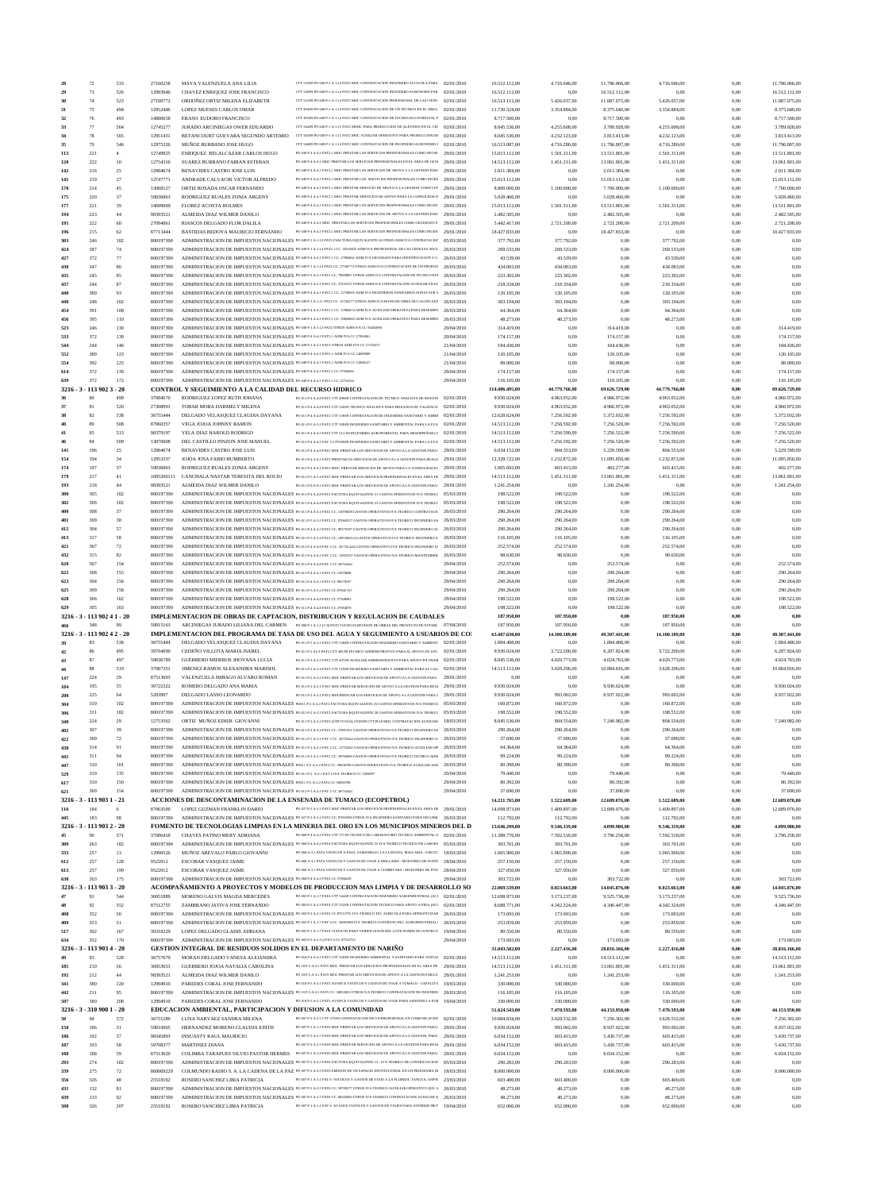| 28         | $72\,$                      | 533            | 27160258               | MAYA VALENZUELA ANA LILIA                                                                                                                                                    | CTT 53309 PO 049 P-1 A-1.14 PAT2 MOC CONTRATACION INGENIERO ACUICOLA PARA 02/01/2010                                                                                                                                                                                |                          | 16.512.112,00                  | 4.716.046.00                 | 11.796.066,00                | 4.716.046,00                 | 0,00         | 11.796.066,00                |
|------------|-----------------------------|----------------|------------------------|------------------------------------------------------------------------------------------------------------------------------------------------------------------------------|---------------------------------------------------------------------------------------------------------------------------------------------------------------------------------------------------------------------------------------------------------------------|--------------------------|--------------------------------|------------------------------|------------------------------|------------------------------|--------------|------------------------------|
| 29         | 73                          | 526            | 12993946               | CHAVEZ ENRIQUEZ JOSE FRANCISCO                                                                                                                                               | CTT 526/09 PO 049 P-1 A-1.14 PAT2 MOC CONTRATACION INGENIERO AGRONOMO PAR                                                                                                                                                                                           | 02/01/2010               | 16.512.112,00                  | 0,00                         | 16.512.112,00                | 0,00                         | 0,00         | 16.512.112,00                |
| 30         | 74                          | 523            | 27190772               | ORDOÑEZ ORTIZ MILENA ELIZABETH                                                                                                                                               | CTT 52309 PO 049 P-1 A-1.14 PAT2 MOC CONTRATACION PROFESIONAL DE LAS CIENC 02/01/2010                                                                                                                                                                               |                          | 16.513.112,00                  | 5.426.037,00                 | 11.087.075,00                | 5.426.037,00                 | 0,00         | 11.087.075,00                |
| 31         | 75                          | 494            | 12952446               | LOPEZ MUESES CARLOS OMAR                                                                                                                                                     | CTT 49409 PO 049 P-1 A-1.14 PAT2 MOC CONTRATACION DE UN TECNICO EN EL AREA 02/01/2010                                                                                                                                                                               |                          | 11.730.524,00                  | 3.354.884,00                 | 8.375.640,00                 | 3.354.884,00                 | 0,00         | 8.375.640,00                 |
| 32         | 76                          | 493            | 14880658               | ERASO EUDORO FRANCISCO                                                                                                                                                       | CTT 49309 PO 049 P-1 A-1.14 PAT2 MOC CONTRATACION DE TECNOLOGO FORESTAL P  02/01/2010                                                                                                                                                                               |                          | 8.717.500,00                   | 0,00                         | 8.717.500,00                 | 0.00                         | 0,00         | 8.717.500,00                 |
| 33<br>34   | 77<br>$78\,$                | 564<br>565     | 12745277<br>12951431   | JURADO ARCINIEGAS OWER EDUARDO<br>BETANCOURT GUEVARA SEGUNDO ARTEMIO                                                                                                         | CTT 564/09 PO 049 P-1 A-1.11 PAT2 MONC PARA PRODUCCION DE ALEVINOS EN EL CEP  02/01/2010<br>CTT 565/09 PO 049 P-1 A-1.11 PAT2 MOC AUXILIAR OPERATIVO PARA PRODUCCION DE 02/01/2010                                                                                  |                          | 8.045.536,00<br>8.045.536,00   | 4.255.608,00<br>4.232.123,00 | 3.789.928,00<br>3.813.413,00 | 4.255.608,00<br>4.232.123,00 | 0,00<br>0,00 | 3.789.928,00<br>3.813.413,00 |
| 35         | 79                          | 546            | 12975326               | MUÑOZ BURBANO JOSE HUGO                                                                                                                                                      | CTT 54609 PO 049 P-1 A-1.14 PAT2 MOC CONTRATACION DE INGENIERO AGRONOMO F                                                                                                                                                                                           | 02/01/2010               | 16.513.087,00                  | 4.716.280,00                 | 11.796.807,00                | 4.716.280,00                 | 0,00         | 11.796.807,00                |
| 113        | 221                         | $\overline{4}$ | 12749925               | ENRIQUEZ BELALCAZAR CARLOS HUGO                                                                                                                                              | PO 049 P-4 A-4.1 PAT2.1 MOC PRESTAR LOS SERVICIOS PROFESIONALES COMO INGNE 29/01/2010                                                                                                                                                                               |                          | 15.013.112,00                  | 1.501.311,00                 | 13.511.801,00                | 1.501.311,00                 | 0,00         | 13.511.801,00                |
| 120        | 222                         | 10             | 12754316               | SUAREZ BURBANO FABIAN ESTEBAN                                                                                                                                                | PO 049 P-4 A-4.1 MOC PRESTAR LOS SERVICIOS PROFESIONALES EN EL AREA DE GEO  29/01/2010                                                                                                                                                                              |                          | 14.513.112,00                  | 1.451.311,00                 | 13.061.801,00                | 1.451.311,00                 | 0,00         | 13.061.801,00                |
| 142        | 216                         | 25             | 12984674               | BENAVIDES CASTRO JOSE LUIS                                                                                                                                                   | PO 049 P-4 A-4.1 PAT2.1 MOC PRESTAR LOS SERVICIOS DE APOYO A LA GESTION PAR/ 29/01/2010                                                                                                                                                                             |                          | 2.011.384,00                   | 0,00                         | 2.011.384,00                 | 0,00                         | 0,00         | 2.011.384,00                 |
| 145        | 219                         | 27             | 12747771               | ANDRADE CALVACHI VICTOR ALFREDO                                                                                                                                              | PO 049 P-4 A-4.1 PAT2.1 MOC PRESTAR LOS SERVICIOS PROFESIONALES COMO INGEN 29/01/2010                                                                                                                                                                               |                          | 15.013.112,00                  | 0,00                         | 15.013.112,00                | 0,00                         | 0,00         | 15.013.112,00                |
| 170        | 214                         | 45             | 13068127               | ORTIZ ROSADA OSCAR FERNANDO                                                                                                                                                  | PO 049 P-4 A-4.1 PAT2.1 MOC PRESTAR SERVICIO DE APOYO A LA GESTION COMO CO? 29/01/2010                                                                                                                                                                              |                          | 8.800.000,00                   | 1.100.000,00                 | 7.700.000,00                 | 1.100.000.00                 | 0,00         | 7.700.000,00                 |
| 175        | 220                         | 37             | 59836863               | RODRIGUEZ RUALES ZONIA ARGENY                                                                                                                                                | PO 049 P-4 A-4.1 PAT2.1 MOC PRESTAR SERVICIOS DE APOYO PARA LA CONSOLIDACI( 29/01/2010                                                                                                                                                                              |                          | 5.028.460,00                   | 0,00                         | 5.028.460.00                 | 0,00                         | 0,00         | 5.028.460,00                 |
| 177        | 221                         | 39             | 14699009               | FLOREZ ACOSTA HOLMES                                                                                                                                                         | PO 049 P-4 A-4.1 PAT2.1 MOC PRESTAR LOS SERVICIOS PROFESIONALES COMO INGEN 29/01/2010                                                                                                                                                                               |                          | 15.013.112,00                  | 1.501.311,00                 | 13.511.801,00                | 1.501.311,00                 | 0,00         | 13.511.801,00                |
| 194        | 223                         | 44             | 98393521               | ALMEIDA DIAZ WILMER DANILO                                                                                                                                                   | PO 049 P-4 A-4.1 PAT2.1 MOC PRESTAR LOS SERVICIOS DE APOYO A LA GESTION PAR/ 29/01/2010                                                                                                                                                                             |                          | 2.482.505,00                   | 0,00                         | 2.482.505,00                 | 0,00                         | 0,00         | 2.482.505,00                 |
| 195        | 222                         | 60             | 27094061               | RIASCOS DELGADO FLOR DALILA<br>BASTIDAS BEDOYA MAURICIO FERNANDO                                                                                                             | PO 049 P-4 A-4.1 MOC PRESTAR LOS SERVICIOS PROFESIONALES COMO GEOGRAFO P.<br>PO 049 P-4 A-4.1 PAT2.1 MOC PRESTAR LOS SERVICIOS PROFESIONALES COMO INGEN                                                                                                             | 29/01/2010               | 5.442.417,00                   | 2.721.209,00                 | 2.721.208,00                 | 2.721.209,00                 | 0,00         | 2.721.208,00                 |
| 196<br>303 | 215<br>246                  | 62<br>182      | 87713444<br>800197390  |                                                                                                                                                                              | ADMINISTRACION DE IMPUESTOS NACIONALES PO 049 P-1 A-1.12 PAT2 FSACTURA EQUIVALENTE 24 OTROS ADM IVA CONTRATACIO? 05/03/2010                                                                                                                                         | 29/01/2010               | 18.427.833,00<br>377.792,00    | 0,00<br>377.792,00           | 18.427.833,00<br>0,00        | 0,00<br>377.792,00           | 0,00<br>0,00 | 18.427.833,00<br>0.00        |
| 424        | 387                         | 74             | 800197390              |                                                                                                                                                                              | ADMINISTRACION DE IMPUESTOS NACIONALES PO 049 P-1 A-1.14 PAT2.1 CC. 59310823 ADM IVA PROFESIONAL DE LAS CIENCIAS SOCI 26/03/2010                                                                                                                                    |                          | 269.533,00                     | 269.533,00                   | 0,00                         | 269.533,00                   | 0,00         | 0.00                         |
| 427        | 372                         | 77             | 800197390              |                                                                                                                                                                              | ADMINISTRACION DE IMPUESTOS NACIONALES PO 049 P-4 A-4.1 PAT2.1 CC. 27094061 ADM IVA GEOGRAFO PARA IDENTIFICACION Y U                                                                                                                                                | 26/03/2010               | 43.539,00                      | 43.539,00                    | 0,00                         | 43.539,00                    | 0,00         | 0.00                         |
| 430        | 247                         | 80             | 800197390              |                                                                                                                                                                              | ADMINISTRACION DE IMPUESTOS NACIONALES PO 049 P-1 A-1.14 PAT2 CC. 27190772 OTROS ADM IVA CONTRATACION DE UN PROFESI                                                                                                                                                 | 26/03/2010               | 434.083,00                     | 434.083,00                   | 0,00                         | 434.083,00                   | 0,00         | 0.00                         |
| 435        | 245                         | 85             | 800197390              |                                                                                                                                                                              | ADMINISTRACION DE IMPUESTOS NACIONALES PO 049 P-2 A-2.1 PAT2 CC. 79608867 OTROS ADM IVA CONTRATACION DE TECNICO PAI 26/03/2010                                                                                                                                      |                          | 223.302,00                     | 223.302,00                   | 0,00                         | 223.302,00                   | 0,00         | 0.00                         |
| 437        | 244                         | 87             | 800197390              |                                                                                                                                                                              | ADMINISTRACION DE IMPUESTOS NACIONALES PO 049 P-2 A-2.1 PAT2 CC. 27235337 OTROS ADM IVA CONTRATACION AUXILIAR EN EL 26/03/2010                                                                                                                                      |                          | 218.334,00                     | 218.334,00                   | 0,00                         | 218.334,00                   | 0,00         | 0.00                         |
| 440        | 389                         | 93             | 800197390              |                                                                                                                                                                              | ADMINISTRACION DE IMPUESTOS NACIONALES PO 049 P-4 A-4.1 PAT2.1 CC. 12749925 ADM IVA INGENIEROS SANITARIOS ZONAS SUR 1 26/03/2010                                                                                                                                    |                          | 120.105,00                     | 120.105,00                   | 0,00                         | 120.105,00                   | 0,00         | 0.00                         |
| 448        | 248                         | 102            | 800197390              |                                                                                                                                                                              | ADMINISTRACION DE IMPUESTOS NACIONALES PO 049 P-1 A-1.11 PAT2 CC. 12745277 OTROS ADM IVA MANO DE OBRA NO CALIFICADA 26/03/2010                                                                                                                                      |                          | 303.194,00                     | 303.194,00                   | 0,00                         | 303.194,00                   | 0,00         | 0.00                         |
| 454        | 391                         | 108            | 800197390              |                                                                                                                                                                              | ADMINISTRACION DE IMPUESTOS NACIONALES PO 049 P-4 A-4.1 PAT2.1 CC. 12984674 ADM IVA AUXILIAR OPERATIVO PARA DESEMPE!                                                                                                                                                | 26/03/2010               | 64.364,00                      | 64.364,00                    | 0,00                         | 64.364,00                    | 0,00         | 0.00                         |
| 456        | 395                         | 110            | 800197390              |                                                                                                                                                                              | ADMINISTRACION DE IMPUESTOS NACIONALES PO 049 P-4 A-4.1 PAT2.1 CC. 59836863 ADM IVA AUXILIAR OPERATIVO PARA DESEMPE!                                                                                                                                                | 26/03/2010               | 48.273,00                      | 48.273,00                    | 0,00                         | 48.273,00                    | 0,00         | 0.00                         |
| 523        | 246                         | 130            | 800197390              | ADMINISTRACION DE IMPUESTOS NACIONALES PO 049 P-1 A-1.12 PAT2 OTROS ADM IVA CC 94454880                                                                                      |                                                                                                                                                                                                                                                                     | 20/04/2010               | 314.419,00                     | 0,00                         | 314.419,00                   | 0,00                         | 0,00         | 314.419,00                   |
| 533<br>544 | 372<br>244                  | 139<br>146     | 800197390<br>800197390 | ADMINISTRACION DE IMPUESTOS NACIONALES PO 049 P-4 A-4.1 PAT2.1 ADM IVA CC 27094061<br>ADMINISTRACION DE IMPUESTOS NACIONALES PO 049 P-2 A-2.1 PAT2 OTROS ADM IVA CC 27235337 |                                                                                                                                                                                                                                                                     | 20/04/2010<br>21/04/2010 | 174.157,00<br>184.436,00       | 0.00<br>0.00                 | 174.157,00<br>184.436,00     | 0,00<br>0,00                 | 0,00<br>0,00 | 174.157,00<br>184.436,00     |
| 552        | 389                         | 123            | 800197390              | ADMINISTRACION DE IMPUESTOS NACIONALES PO 049 P-4 A-4.1 PAT2.1 ADM IVA CC 14699009                                                                                           |                                                                                                                                                                                                                                                                     | 21/04/2010               | 120.105,00                     | 0,00                         | 120.105,00                   | 0,00                         | 0,00         | 120.105.00                   |
| 554        | 392                         | 125            | 800197390              | ADMINISTRACION DE IMPUESTOS NACIONALES PO 049 P-4 A-4.1 PAT2.1 ADM IVA CC 13068127                                                                                           |                                                                                                                                                                                                                                                                     | 21/04/2010               | 88.000,00                      | 0,00                         | 88.000,00                    | 0,00                         | 0,00         | 88,000,00                    |
| 614        | 372                         | 139            | 800197390              | ADMINISTRACION DE IMPUESTOS NACIONALES PO 049 P-4 A-4.1 PAT2.1 CC 27094061                                                                                                   |                                                                                                                                                                                                                                                                     | 29/04/2010               | 174.157,00                     | 0.00                         | 174.157,00                   | 0.00                         | 0,00         | 174.157,00                   |
| 639        | 372                         | 172            | 800197390              | ADMINISTRACION DE IMPUESTOS NACIONALES PO 049 P-4 A-4.1 PAT2.1 CC 12754316                                                                                                   |                                                                                                                                                                                                                                                                     | 29/04/2010               | 116.105,00                     | 0,00                         | 116.105,00                   | 0,00                         | 0,00         | 116.105,00                   |
| $3216 - 3$ | 113 902 3 - 20              |                |                        | CONTROL Y SEGUIMIENTO A LA CALIDAD DEL RECURSO HIDRICO                                                                                                                       |                                                                                                                                                                                                                                                                     |                          | 114.406.495,00                 | 44.779.766,00                | 69.626.729,00                | 44.779.766,00                | 0,00         | 69.626.729,00                |
|            | 80                          | 499            | 37084070               | RODRIGUEZ LOPEZ RUTH JOHANA                                                                                                                                                  | PO 011 P-4 A-4.8 PAT2 CTT 499/09 CONTRATACION DE TECNICO ANALISTA DE MUESTB 02/01/2010                                                                                                                                                                              |                          | 9.930.024,00                   | 4.963.052,00                 | 4.966.972,00                 | 4.963.052,00                 | 0,00         | 4.966.972,00                 |
|            | 81                          | 520            | 27308991               | TOBAR MORA DARMELY MILENA                                                                                                                                                    | PO 011 P-4 A-4.8 PAT2 CTT 520/09 TECNICO ANALISTA PARA PROCESOS DE VALIDACIC                                                                                                                                                                                        | 02/01/2010               | 9.930.024,00                   | 4.963.052,00                 | 4.966.972,00                 | 4.963.052,00                 | 0,00         | 4.966.972,00                 |
|            | 82                          | 538            | 36755444               | DELGADO VELASQUEZ CLAUDIA DAYANA                                                                                                                                             | PO 011 P-4 A-4.8 PAT2 CTT 538/09 CONTRATACION DE INGENIERO SANITARIO Y AMBII 02/01/2010                                                                                                                                                                             |                          | 12.628.624,00                  | 7.256.592,00                 | 5.372.032,00                 | 7.256.592,00                 | 0,00         | 5.372.032,00                 |
| 40         | 89<br>85                    | 508            | 87060357               | VEGA JOJOA JOHNNY RAMON                                                                                                                                                      | PO 011 P-5 A-5.2 PAT2 CTT 508/09 INGENIERO SANITARIO Y AMBIENTAL PARA LA EVA 07/01/2010                                                                                                                                                                             |                          | 14.513.112,00                  | 7.256.592,00                 | 7.256.520,00                 | 7.256.592,00                 | 0,00         | 7.256.520,00                 |
| 41<br>46   | 84                          | 513<br>509     | 98379197<br>13070608   | YELA DIAZ HAROLD RODRIGO<br>DEL CASTILLO PINZON JOSE MANUEL                                                                                                                  | PO 011 P-4 A-4.3 PAT2 CTT 513 /09 INGENIERO AGROFORESTAL PARA DESEMPEÑAR L+ 02/01/2010<br>PO 011 P-4 A-4.1 PAT 2 CTT509/09 INGENIERO SANITARIO Y AMBIENTAL PARA LA EVA  02/01/2010                                                                                  |                          | 14.513.112,00<br>14.513.112,00 | 7.256.590,00<br>7.256.592,00 | 7.256.522,00<br>7.256.520,00 | 7.256.590,00<br>7.256.592,00 | 0,00<br>0,00 | 7.256.522,00<br>7.256.520,00 |
| 141        | 196                         | 25             | 12984674               | <b>BENAVIDES CASTRO JOSE LUIS</b>                                                                                                                                            | PO 011 P-4 A-4.8 PAT2 MOC PRESTAR LOS SERVICIOS DE APOYO A LA GESTION PARA   29/01/2010                                                                                                                                                                             |                          | 6.034.152,00                   | 804.553,00                   | 5.229.599,00                 | 804.553,00                   | 0,00         | 5.229.599,00                 |
| 154        | 194                         | 34             | 12953337               | JOJOA JOSA FABIO HUMBERTO                                                                                                                                                    | PO 011 P-4 A-4.1 PAT2 PRESTAR OS SERVICIOS DE APOYO A LA GESTION PARA REALE 29/01/2010                                                                                                                                                                              |                          | 12.328.722,00                  | 1.232.872,00                 | 11.095.850,00                | 1.232.872,00                 | 0,00         | 11.095.850,00                |
| 174        | 197                         | 37             | 59836863               | RODRIGUEZ RUALES ZONIA ARGENY                                                                                                                                                | PO 011 P-4 A-4.1 PAT2 MOC PRESTAR SERVICIOS DE APOYO PARA LA CONSOLIDACIO 29/01/2010                                                                                                                                                                                |                          | 1.005.692,00                   | 603.415,00                   | 402.277,00                   | 603.415,00                   | 0,00         | 402.277,00                   |
| 179        | 217                         | 41             | 1085260111             | CANCHALA NASTAR TERESITA DEL ROCIO                                                                                                                                           | PO 011 P-5 A-5.4 PAT2 MOC PRESTAR LOS SERVICIOS PROFESIONALES EN EL AREA DE 29/01/2010                                                                                                                                                                              |                          | 14.513.112,00                  | 1.451.311,00                 | 13.061.801,00                | 1.451.311,00                 | 0,00         | 13.061.801,00                |
| 193        | 218                         | 44             | 98393521               | ALMEIDA DIAZ WILMER DANILO                                                                                                                                                   | PO 011 P-9 A-9.1 PAT2 MOC PRESTAR LOS SERVICIOS DE APOYO A LA GESTION PARA 1 29/01/2010                                                                                                                                                                             |                          | 1.241.254,00                   | 0,00                         | 1.241.254,00                 | 0,00                         | 0,00         | 1.241.254,00                 |
| 300        | 305                         | 182            | 800197390              |                                                                                                                                                                              | ADMINISTRACION DE IMPUESTOS NACIONALES PO 011 P-4 A-4.8 PAT2 FACTURA EQUIVALENTE 21 GASTOS OPERATIVOS IVA TEORICC 05/03/2010                                                                                                                                        |                          | 198.522,00                     | 198.522,00                   | 0,00                         | 198.522,00                   | 0,00         | 0.00                         |
| 302        | 306                         | 182            | 800197390              |                                                                                                                                                                              | ADMINISTRACION DE IMPUESTOS NACIONALES PO 011 P-4 A-4.8 PAT2 FACTURA EQUIVALENTE 23 GASTOS OPERATIVOS IVA TEORICC 05/03/2010                                                                                                                                        |                          | 198.522,00                     | 198.522,00                   | 0,00                         | 198.522,00                   | 0,00         | 0.00                         |
| 400        | 308                         | 37             | 800197390              |                                                                                                                                                                              | ADMINISTRACION DE IMPUESTOS NACIONALES PO 011 P-4 A-4.1 PAT2 CC. 13070608 GASTOS OPERATIVOS IVA TEORICO CONTRATACI( 26/03/2010                                                                                                                                      |                          | 290.264,00                     | 290.264,00                   | 0,00                         | 290.264,00                   | 0,00         | 0.00                         |
| 401        | 309                         | 38             | 800197390              |                                                                                                                                                                              | ADMINISTRACION DE IMPUESTOS NACIONALES PO 011 P-5 A-5.2 PAT2 CC. 87060357 GASTOS OPERATIVOS IVA TEORICO INGENIERO SA 26/03/2010                                                                                                                                     |                          | 290.264,00                     | 290.264,00                   | 0,00                         | 290.264,00                   | 0,00         | 0.00                         |
| 412        | 304                         | 57             | 800197390              |                                                                                                                                                                              | ADMINISTRACION DE IMPUESTOS NACIONALES PO 011 P-4 A-4.3 PAT2 CC. 98379197 GASTOS OPERATIVOS IVA TEORICO INGENIERO AC 26/03/2010                                                                                                                                     |                          | 290.264,00                     | 290.264,00                   | 0,00                         | 290.264,00                   | 0,00         | 0.00                         |
| 413        | 317                         | 58             | 800197390              |                                                                                                                                                                              | ADMINISTRACION DE IMPUESTOS NACIONALES PO 011 P-5 A-5.4 PAT2 CC. 1085260114 GASTOS OPERATIVO IVA TEORICO INGENIERO S. 26/03/2010                                                                                                                                    |                          | 116.105,00                     | 116.105,00                   | 0,00                         | 116.105,00                   | 0,00         | 0.00                         |
| 421<br>432 | 367<br>315                  | 72<br>82       | 800197390<br>800197390 |                                                                                                                                                                              | ADMINISTRACION DE IMPUESTOS NACIONALES PO 011 P-4 A-4.8 PAT 2 CC. 36.755.444 GASTOS OPERATIVO IVA TEORICO INGENIERO S/ 26/03/2010<br>ADMINISTRACION DE IMPUESTOS NACIONALES PO 011 P-4 A-4.1 PAT 2 CC. 12953337 GASTOS OPERATIVOS IVA TEORICO MANTENIMIE 26/03/2010 |                          | 252.574,00                     | 252.574,00<br>98.630,00      | 0,00<br>0.00                 | 252.574,00<br>98.630,00      | 0,00<br>0,00 | 0.00<br>0.00                 |
| 620        | 367                         | 154            | 800197390              | ADMINISTRACION DE IMPUESTOS NACIONALES PO 011 P-4 A-4.8 PAT 2 CC 36755444                                                                                                    |                                                                                                                                                                                                                                                                     | 29/04/2010               | 98.630,00<br>252.574,00        | 0,00                         | 252.574,00                   | 0,00                         | 0,00         | 252.574,00                   |
| 622        | 308                         | 155            | 800197390              | ADMINISTRACION DE IMPUESTOS NACIONALES PO 011 P-4 A-4.1 PAT2 CC 13070608                                                                                                     |                                                                                                                                                                                                                                                                     | 29/04/2010               | 290.264,00                     | 0.00                         | 290.264,00                   | 0,00                         | 0.00         | 290.264,00                   |
| 623        | 304                         | 156            | 800197390              | ADMINISTRACION DE IMPUESTOS NACIONALES PO 011 P-4 A-4.3 PAT2 CC 98379197                                                                                                     |                                                                                                                                                                                                                                                                     | 29/04/2010               | 290.264,00                     | 0,00                         | 290.264,00                   | 0,00                         | 0,00         | 290.264,00                   |
|            |                             |                |                        |                                                                                                                                                                              |                                                                                                                                                                                                                                                                     |                          |                                |                              |                              |                              | 0,00         | 290.264.00                   |
|            | 309                         | 158            | 800197390              |                                                                                                                                                                              |                                                                                                                                                                                                                                                                     |                          |                                | 0.00                         |                              | 0.00                         |              |                              |
| 625<br>628 | 306                         | 162            | 800197390              | ADMINISTRACION DE IMPUESTOS NACIONALES PO 011 P-5 A-5.2 PAT2 CC 87060 357<br>ADMINISTRACION DE IMPUESTOS NACIONALES PO 011 P-4 A-4.8 PAT2 CC 27308991                        |                                                                                                                                                                                                                                                                     | 29/04/2010<br>29/04/2010 | 290.264,00<br>198.522,00       | 0.00                         | 290.264,00<br>198.522,00     | 0,00                         | 0,00         | 198.522,00                   |
| 629        | 305                         | 163            | 800197390              | ADMINISTRACION DE IMPUESTOS NACIONALES PO 011 P-4 A-4.8 PAT2 CC 37084070                                                                                                     |                                                                                                                                                                                                                                                                     | 29/04/2010               | 198.522,00                     | 0.00                         | 198.522,00                   | 0,00                         | 0,00         | 198.522.00                   |
|            | 3216 - 3 - 113 902 41 - 20  |                |                        |                                                                                                                                                                              | IMPLEMENTACION DE OBRAS DE CAPTACION, DISTRIBUCION Y REGULACION DE CAUDALES                                                                                                                                                                                         |                          | 187.950,00                     | 187.950,00                   | 0,00                         | 187.950,00                   | 0,00         | 0.00                         |
|            | 348                         | 99             | 59815163               |                                                                                                                                                                              | ARCINIEGAS JURADO LILIANA DEL CARMEN PO 008 P-1 A-1.1 (C.9) PAT2 VIATICOS REVISON DE OBRAS DEL PROYECTO DE ESTABL 07/04/2010                                                                                                                                        |                          | 187.950,00                     | 187.950,00                   | 0.00                         | 187.950,00                   | 0,00         | 0.00                         |
|            | 3216 - 3 - 113 902 4 2 - 20 |                |                        |                                                                                                                                                                              | IMPLEMENTACION DEL PROGRAMA DE TASA DE USO DEL AGUA Y SEGUIMIENTO A USUARIOS DE CO                                                                                                                                                                                  |                          | 63.407.630,00                  | 14.100.189,00                | 49.307.441,00                | 14.100.189,00                | 0,00         | 49.307.441,00                |
|            | 83                          | 538            | 36755444               | DELGADO VELASQUEZ CLAUDIA DAYANA                                                                                                                                             | PO 011 P-3 A-3.1 PAT2 CTT 538/09 CONTRATACION INGENIERO SANITARIO Y AMBIENT (12/01/2010)                                                                                                                                                                            |                          | 1.884.488,00                   | 0,00                         | 1.884.488,00                 | 0,00                         | 0,00         | 1.884.488,00                 |
| 42         | 86                          | 495            | 39704690               | CEDEÑO VILLOTA MARIA ISABEL                                                                                                                                                  | PO 011 P-2 A2.3 PAT2 CTT 495/09 TECNICO ADMINISTRATIVO PARA EL APOYO EN LOS 02/01/2010                                                                                                                                                                              |                          | 9.930.024,00                   | 3.722.200,00                 | 6.207.824,00                 | 3.722.200,00                 | 0,00         | 6.207.824,00                 |
| 43         | 87                          | 497            | 59836789               | GUERRERO MIDEROS JHOVANA LUCIA                                                                                                                                               | PO 011 P-2 A-2.2 PAT2 CTT 497/09 AUXILIAR ADMINISTRATIVO PARA APOYO EN TRAM 02/01/2010                                                                                                                                                                              |                          | 8.045.536,00                   | 4.020.773,00                 | 4.024.763,00                 | 4.020.773,00                 | 0,00         | 4.024.763,00                 |
| 44         | 88                          | 519            | 37087351               | JIMENEZ RAMOS ALEXANDRA MARISOL                                                                                                                                              | PO 011 P-2 A-2.4 PAT2 CTT 519/09 INGENIERO SANITARIO Y AMBIENTAL PARA EL CALI 02/01/2010                                                                                                                                                                            |                          | 14.513.112.00                  | 3.628.296,00                 | 10.884.816,00                | 3.628.296,00                 | 0,00         | 10.884.816,00                |
| 147        | 224                         | 29             | 87513693               | VALENZUELA IMBAGO ALVARO ROMAN                                                                                                                                               | PO 011 P-2 A-2.2 PAT2 MOC PRESTAR LOS SERVICIOS DE APOYO A LA GESTION PARA                                                                                                                                                                                          | 29/01/2010               | 0,00                           | 0,00                         | 0,00                         | 0,00                         | 0,00         | 0.00                         |
| 184        | 195                         | 55             | 30722322               | ROMERO DELGADO ANA MARIA                                                                                                                                                     | PO 011 P-2 A-2.1 PAT2 MOC PRESTAR SERVICIOS DE APOYO A LA GESTION PARA REAl 29/01/2010                                                                                                                                                                              |                          | 9.930.024,00                   | 0,00                         | 9.930.024,00                 | 0,00                         | 0,00         | 9.930.024,00                 |
| 200        | 225<br>310                  | 64<br>182      | 5203997<br>800197390   | DELGADO LASSO LEONARDO                                                                                                                                                       | PO 011 P-2 A-2.1 PAT2 MOCPRESTAR LOS SERVICIOS DE APOYO A LA GESTION PARA I 29/01/2010<br>ADMINISTRACION DE IMPUESTOS NACIONALES POULP-2 A-2.2 PAT2 FACTURA EQUIVALENTE 25 GASTOS OPERATIVOS IVA TEORICO 05/03/2010                                                 |                          | 9.930.024,00                   | 993.002,00                   | 8.937.022,00<br>0,00         | 993.002,00                   | 0,00<br>0.00 | 8.937.022,00<br>0.00         |
| 304<br>306 | 311                         | 182            | 800197390              |                                                                                                                                                                              | ADMINISTRACION DE IMPUESTOS NACIONALES PO 011 P-2 A-2.3 PAT2 FACTURA EQUIVALENTE 28 GASTOS OPERATIVOS IVA TEORICC 05/03/2010                                                                                                                                        |                          | 160.872,00<br>198.552,00       | 160.872,00<br>198.552,00     | 0,00                         | 160.872,00<br>198.552,00     | 0,00         | 0.00                         |
| 340        | 224                         | 29             | 12753562               | ORTIZ MUÑOZ EDIER GIOVANNI                                                                                                                                                   | PO 011 P-2 A-2.2 PAT2 (CDP IVA314) CESION CTT29/10 MOC CONTRATACION AUXILIAR                                                                                                                                                                                        | 18/03/2010               | 8.045.536,00                   | 804.554,00                   | 7.240.982,00                 | 804.554,00                   | 0,00         | 7.240.982,00                 |
| 402        | 307                         | 39             | 800197390              |                                                                                                                                                                              | ADMINISTRACION DE IMPUESTOS NACIONALES PO 011 P-2 A-2.4 PAT2 CC. 37087351 GASTOS OPERATIVOS IVA TEORICO INGENIERO SA 26/03/2010                                                                                                                                     |                          | 290.264,00                     | 290.264,00                   | 0,00                         | 290.264,00                   | 0,00         | 0.00                         |
| 422        | 369                         | 72             | 800197390              |                                                                                                                                                                              | ADMINISTRACION DE IMPUESTOS NACIONALES PO 011 P-3 A-3.1 PAT 2 CC. 36755444 GASTOS OPERATIVOS IVA TEORICO INGENIERO S/ 26/03/2010                                                                                                                                    |                          | 37.690,00                      | 37.690,00                    | 0.00                         | 37.690,00                    | 0,00         | 0.00                         |
| 438        | 314                         | 91             | 800197390              |                                                                                                                                                                              | ADMINISTRACION DE IMPUESTOS NACIONALES PO 011 P-2 A-2.2 PAT 2 CC. 12753562 GASTOS OPERATIVOS IVA TEORICO AUXILIAR OPI 26/03/2010                                                                                                                                    |                          | 64.364,00                      | 64.364,00                    | 0,00                         | 64.364,00                    | 0,00         | 0.00                         |
| 441        | 311                         | 94             | 800197390              |                                                                                                                                                                              | ADMINISTRACION DE IMPUESTOS NACIONALES PO 011 P-2 A-2.3 PAT2 CC. 39704690 GASTOS OPERATIVOS IVA TEORICO TECNICO ADM 26/03/2010                                                                                                                                      |                          | 99.224,00                      | 99.224,00                    | 0,00                         | 99.224,00                    | 0,00         | 0.00                         |
| 447        | 310                         | 101            | 800197390              |                                                                                                                                                                              | ADMINISTRACION DE IMPUESTOS NACIONALES PO011 P-2 A-2.2 PAT2 CC. 59836789 GASTOS OPERATIVOS IVA TEORICO AUXILIAR ADM 26/03/2010                                                                                                                                      |                          | 80.398,00                      | 80.398,00                    | 0,00                         | 80.398,00                    | 0,00         | 0.00                         |
| 529<br>617 | 319<br>310                  | 135<br>150     | 800197390<br>800197390 | ADMINISTRACION DE IMPUESTOS NACIONALES PO 011 P-2 A-2.1 PAT 2 IVA TEORICO CC 5203997<br>ADMINISTRACION DE IMPUESTOS NACIONALES PO011 P-2 A-2.2 PAT2 CC 59836789              |                                                                                                                                                                                                                                                                     | 20/04/2010<br>29/04/2010 | 79.440,00<br>80.392,00         | 0,00<br>0,00                 | 79.440,00                    | 0,00<br>0,00                 | 0,00<br>0,00 | 79.440,00<br>80.392,00       |
| 621        | 369                         | 154            | 800197390              | ADMINISTRACION DE IMPUESTOS NACIONALES PO 011 P-3 A-3.1 PAT 2 CC 36755444                                                                                                    |                                                                                                                                                                                                                                                                     | 29/04/2010               | 37.690,00                      | 0,00                         | 80.392,00<br>37.690,00       | 0,00                         | 0,00         | 37.690,00                    |
|            | 3216 - 3 - 113 903 1 - 21   |                |                        |                                                                                                                                                                              | ACCIONES DE DESCONTAMINACION DE LA ENSENADA DE TUMACO (ECOPETROL)                                                                                                                                                                                                   |                          | 14.211.765,00                  | 1.522.689,00                 | 12.689.076,00                | 1.522.689,00                 | 0,00         | 12.689.076.00                |
| 116        | 184                         | 6              | 87063500               | LOPEZ GUZMAN FRANKLIN DARIO                                                                                                                                                  | PO 027 P-2 A-2.1 PAT2 MOC PRESTAR LOS SERVICIOS PROFESIONALES EN EL AREA DE 29/01/2010                                                                                                                                                                              |                          | 14.098.973,00                  | 1.409.897,00                 | 12.689.076,00                | 1.409.897,00                 | 0.00         | 12.689.076,00                |
| 445        | 183                         | 98             | 800197390              |                                                                                                                                                                              | ADMINISTRACION DE IMPUESTOS NACIONALES PO 027 P-2 A-2.1 PAT2 CC. 87063500 OTROS IVA INGENIERO SANITARIO PARA SEGUIMI 26/03/2010                                                                                                                                     |                          | 112.792,00                     | 112.792,00                   | 0,00                         | 112.792,00                   | 0,00         | 0.00                         |
|            | 3216 - 3 - 113 903 2 - 20   |                |                        |                                                                                                                                                                              | FOMENTO DE TECNOLOGIAS LIMPIAS EN LA MINERIA DEL ORO EN LOS MUNICIPIOS MINEROS DEL D                                                                                                                                                                                |                          | 13.646.299,00                  | 9.546.319,00                 | 4.099.980,00                 | 9.546.319,00                 | 0.00         | 4.099.980,00                 |
| 45         | 90                          | 571            | 37086418               | CHAVES PATINO MERY ADRIANA                                                                                                                                                   | PO 068 P-4 A-4.2 PAT4 CTT 571/09 TECNICO DE LABORATORIO TECNICO AMBIENTAL O 02/01/2010                                                                                                                                                                              |                          | 11.388.776,00                  | 7.592.518,00                 | 3.796.258,00                 | 7.592.518,00                 | 0,00         | 3.796.258,00                 |
| 309        | 263                         | 182            | 800197390              |                                                                                                                                                                              | ADMINISTRACION DE IMPUESTOS NACIONALES PO 068 P-4 A-4.2 PAT4 FACTURA EQUIVALENTE 33 IVA TEORICO TECNICO DE LABORA 05/03/2010                                                                                                                                        |                          | 303.701,00                     | 303.701,00                   | 0,00                         | 303.701,00                   | 0,00         | 0.00                         |
| 333        | 257                         | 13             | 12990526               | MUÑOZ AREVALO PABLO GIOVANNI                                                                                                                                                 | PO 068 A-3.1 PAT4 VIATICOS A PAST, SAMANIEGO, LA LLANADA, MALLAMA - EJECUC 18/03/2010                                                                                                                                                                               |                          | 1.065.900,00                   | 1.065.900,00                 | 0,00                         | 1.065.900,00                 | 0,00         | 0.00                         |
| 612        | 257                         | 128            | 9522012                | ESCOBAR VASQUEZ JAIME                                                                                                                                                        | PO 068 A-3.1 PAT4 VIATICOS Y GASTOS DE VIAJE A MALLAMA - MUESTREO DE FUENT 28/04/2010<br>PO 068 A-3.1 PAT4 VIATICOS Y GASTOS DE VIAJE A CUMBITARA - MUESTREO DE FUE! 28/04/2010                                                                                     |                          | 257.150,00                     | 257.150,00                   | 0,00                         | 257.150,00                   | 0,00         | 0.00<br>0.00                 |
| 613<br>638 | 257<br>263                  | 199<br>175     | 9522012<br>800197390   | ESCOBAR VASQUEZ JAIME<br>ADMINISTRACION DE IMPUESTOS NACIONALES PO 068 P-4 A-4.2 PAT4 CC 37086418                                                                            |                                                                                                                                                                                                                                                                     | 29/04/2010               | 327.050,00<br>303.722,00       | 327.050,00<br>0,00           | 0,00<br>303.722,00           | 327.050,00<br>0,00           | 0,00<br>0,00 | 303.722,00                   |
|            | 3216 - 3 - 113 903 3 - 20   |                |                        |                                                                                                                                                                              | ACOMPAÑAMIENTO A PROYECTOS Y MODELOS DE PRODUCCION MAS LIMPIA Y DE DESARROLLO SO                                                                                                                                                                                    |                          | 22.069.539,00                  | 8.023.663,00                 | 14.045.876,00                | 8.023.663,00                 | 0,00         | 14.045.876,00                |
| 47         | 91                          | 544            | 36951889               | MORENO GALVIS MAGDA MERCEDES                                                                                                                                                 | PO 003 P-1 A-1.7 PAT4 CTT 544/09 CONTRATACION INGENIERO AGROINDUSTRIAL (ACU 02/01/2010                                                                                                                                                                              |                          | 12.698.973,00                  | 3.173.237,00                 | 9.525.736,00                 | 3.173.237,00                 | 0,00         | 9.525.736,00                 |
| 48         | 92                          | 552            | 87512755               | ZAMBRANO JATIVA JOSE FERNANDO                                                                                                                                                | PO 003 P-2 A-2.3 PAT4 CTT 55209 CONTRATACION TECNICO PARA APOYO A PIDA (ACI 02/01/2010                                                                                                                                                                              |                          | 8.688.771,00                   | 4.342.324,00                 | 4.346.447,00                 | 4.342.324,00                 | 0,00         | 4.346.447,00                 |
| 408        | 352                         | 50             | 800197390              |                                                                                                                                                                              | ADMINISTRACION DE IMPUESTOS NACIONALES PO 003 P-2 A-2.3 PAT4 CC 87512755 IVA TEORICO TEC AGRICOLA PARA OPERATIVIZAR 26/03/2010                                                                                                                                      |                          | 173.693,00                     | 173.693,00                   | 0.00                         | 173.693,00                   | 0,00         | 0,00                         |
| 409        | 353                         | 51             | 800197390              |                                                                                                                                                                              | ADMINISTRACION DE IMPUESTOS NACIONALES PO 003 P-1 A-1.7 PAT 4 CC. 36951889 IVA TEORICO CONTRATO ING. AGROINDUSTRIAL I                                                                                                                                               | 26/03/2010               | 253.859,00                     | 253.859,00                   | 0,00                         | 253.859,00                   | 0,00         | 0.00                         |
| 517        | 302                         | 167            | 30318229               | LOPEZ DELGADO GLADIS ADRIANA                                                                                                                                                 | PO 003 P-1 A-1.7 PAT4 VIATICOS PARA VERIFICACION DEL LOTE DONDE SE CONTRUY                                                                                                                                                                                          | 19/04/2010               | 80.550,00                      | 80.550,00                    | 0,00                         | 80.550,00                    | 0,00         | 0.00                         |
| 634        | 352                         | 170            | 800197390              | ADMINISTRACION DE IMPUESTOS NACIONALES PO 003 P-2 A-2.3 () PAT 4 CC 87512755                                                                                                 |                                                                                                                                                                                                                                                                     | 29/04/2010               | 173.693,00                     | 0,00                         | 173.693,00                   | 0,00                         | 0,00         | 173.693,00                   |
| $3216 - 3$ | 113 903 4 - 20              |                |                        | <b>GESTION INTEGRAL DE RESIDUOS SOLIDOS EN EL DEPARTAMENTO DE NARIÑO</b>                                                                                                     |                                                                                                                                                                                                                                                                     |                          | 31.043.582,00                  | 2.227.416,00                 | 28.816.166,00                | 2.227.416,00                 | 0,00         | 28.816.166,00                |
| 49         | 93                          | 528            | 36757679               | MORAN DELGADO VANESA ALEJANDRA                                                                                                                                               | PO 010 P-4 A-4.1 PAT5 CTT 528/09 INGENIERO AMBIENTAL Y SANITARIO PARA VISITAS 02/01/2010                                                                                                                                                                            |                          | 14.513.112,00                  | 0,00                         | 14.513.112,00                | 0,00                         | 0.00         | 14.513.112,00                |
| 185        | 210                         | 56             | 36953653               | GUERRERO JOJOA NATALIA CAROLINA                                                                                                                                              | PO 10 P-3 A-3.1 PATS MOC PRESTAR LOS SERVICIOS PROFESIONALES EN EL AREA DE 29/01/2010<br>PO 10 P-3 A-3.1 PATS MOC PRESTAR LOS SERVICIOS DE APOYO A LA GESTION PARA E 29/01/2010                                                                                     |                          | 14.513.112,00                  | 1.451.311,00                 | 13.061.801,00                | 1.451.311,00                 | 0,00         | 13.061.801,00                |
| 192        | 212                         | 44             | 98393521               | ALMEIDA DIAZ WILMER DANILO                                                                                                                                                   | PO 010 P-5 A-5.1 PAT5 AVANCE VIATICOS Y GASTOS DE VIAJE A TUMACO - CAPACITA   19/03/2010                                                                                                                                                                            |                          | 1.241.253,00                   | 0,00                         | 1.241.253,00                 | 0,00                         | 0,00         | 1.241.253,00<br>0.00         |
| 341<br>442 | 380<br>211                  | 120<br>95      | 12994910<br>800197390  | PAREDES CORAL JOSE FERNANDO                                                                                                                                                  | ADMINISTRACION DE IMPUESTOS NACIONALES PO 10 P-3 A-3.1 PATS CC. 36953653 OTROS IVA TEORICO CONTRATACION DE INGENIER 26/03/2010                                                                                                                                      |                          | 330.000,00<br>116.105,00       | 330.000,00<br>116.105,00     | 0,00<br>0,00                 | 330.000,00<br>116.105,00     | 0,00<br>0,00 | 0.00                         |
| 507        | 380                         | 208            | 12994910               | PAREDES CORAL JOSE FERNANDO                                                                                                                                                  | PO 010 P-5 A-5.1 PATS AVANCE VIATICOS Y GASTOS DE VIAJE PARA ASISTENCI A FOR 19/04/2010                                                                                                                                                                             |                          | 330.000,00                     | 330.000,00                   | 0,00                         | 330.000,00                   | 0,00         | 0.00                         |
|            | 3216 - 3 - 310 900 1 - 20   |                |                        | EDUCACION AMBIENTAL, PARTICIPACION Y DIFUSION A LA COMUNIDAD                                                                                                                 |                                                                                                                                                                                                                                                                     |                          | 51.624.543,00                  | 7.470.593,00                 | 44.153.950,00                | 7.470.593,00                 | 0,00         | 44.153.950,00                |
| 50         | 94                          | 572            | 36751280               | LUNA NARVAEZ SANDRA MILENA                                                                                                                                                   | PO 007 P-2 A-2.5 CTT 572/09 CONTRATACION DE UN PROFESIONAL EN COMUNICACION 02/01/2010                                                                                                                                                                               |                          | 10.884.834,00                  | 3.628.532,00                 | 7.256.302,00                 | 3.628.532,00                 | 0,00         | 7.256.302,00                 |
| 150        | 186                         | 31             | 59833005               | HERNANDEZ MORENO CLAUDIA EDITH                                                                                                                                               | PO 007 P-1 A-1.1 PAT6 MOC PRESTAR LOS SERVICIOS DE APOYO A LA GESTION PARA 1 29/01/2010                                                                                                                                                                             |                          | 9.930.024,00                   | 993.002,00                   | 8.937.022,00                 | 993.002,00                   | 0,00         | 8.937.022,00                 |
| 186        | 192                         | 57             | 98345893               | <b>INSUASTY RAUL MAURICIO</b>                                                                                                                                                | PO 007 P-2 A-2.7 PAT6 MOC PRESTAR LOS SERVICIOS DE APOYO A LA GESTION, PARA 29/01/2010                                                                                                                                                                              |                          | 6.034.152,00                   | 603.415,00                   | 5.430.737,00                 | 603.415,00                   | 0,00         | 5.430.737,00                 |
| 187        | 193                         | 58             | 59708377               | MARTINEZ DIANA                                                                                                                                                               | PO 007 P-2 A-2.5 PAT6 MOC PRESTAR SERVICIOS DE APOYO A LA GESTION PARA REAI 29/01/2010                                                                                                                                                                              |                          | 6.034.152,00                   | 603.415,00                   | 5.430.737,00                 | 603.415,00                   | 0,00         | 5.430.737,00                 |
| 188        | 188                         | 59             | 87513620               |                                                                                                                                                                              | COLIMBA TARAPUES SILVIO PASTOR HERMES PO 007 P-2 A-2.8 PAT6 MOC PRESTAR LOS SERVICIOS DE APOYO A LA GESTION PARA   29/01/2010                                                                                                                                       |                          | 6.034.152,00                   | 0,00                         | 6.034.152,00                 | 0,00                         | 0,00         | 6.034.152,00                 |
| 293        | 274                         | 182            | 800197390              |                                                                                                                                                                              | ADMINISTRACION DE IMPUESTOS NACIONALES PO 007 P-2 A-2.5 PAT6 FACTURA EQUIVALENTE 13 - IVA TEORICO DE CONTRATACION 05/03/2010                                                                                                                                        |                          | 290.283,00                     | 290.283,00                   | 0.00                         | 290.283,00                   | 0.00         | 0.00                         |
| 339        | 275                         | 72             | 860069229              |                                                                                                                                                                              | COLMUNDO RADIO S. A. LA CADENA DE LA PAZ PO 007 P-2 A-2.5 PAT6 EMISION DE UN ESPACIO INSTITUCIONAL EN UN PROGRAMA DI 18/03/2010                                                                                                                                     |                          | 8.000.000,00                   | 0,00                         | 8.000.000,00                 | 0,00                         | 0,00         | 8.000.000,00                 |
| 431        | 326<br>132                  | 81             | 25518192<br>800197390  | ROSERO SANCHEZ LIBIA PATRICIA                                                                                                                                                | PO 007 P-1 A-1.1 PAT 6 VIATICOS Y GASTOS DE VIAJE A LA FLORIDA, TANGUA, OSPIN 23/03/2010<br>ADMINISTRACION DE IMPUESTOS NACIONALES PO 007 P-2 A-2.5 PAT6 CC. 59708377 OTROS IVA TEORICO AUXILIAR OPERATIVO QUE A 26/03/2010                                         |                          | 603.400,00<br>48.273,00        | 603.400,00<br>48.273,00      | 0,00<br>0,00                 | 603.400,00<br>48.273,00      | 0,00<br>0,00 | 0,00<br>0,00                 |
| 439        | 133                         | 92             | 800197390              |                                                                                                                                                                              | ADMINISTRACION DE IMPUESTOS NACIONALES PO 007 P-2 A-2.7 PAT6 CC. 98345893 OTROS IVA TEORICO CONTRATACION AUXILIAR Q 26/03/2010                                                                                                                                      |                          | 48.273,00                      | 48.273,00                    | 0,00                         | 48.273,00                    | 0,00         | 0,00                         |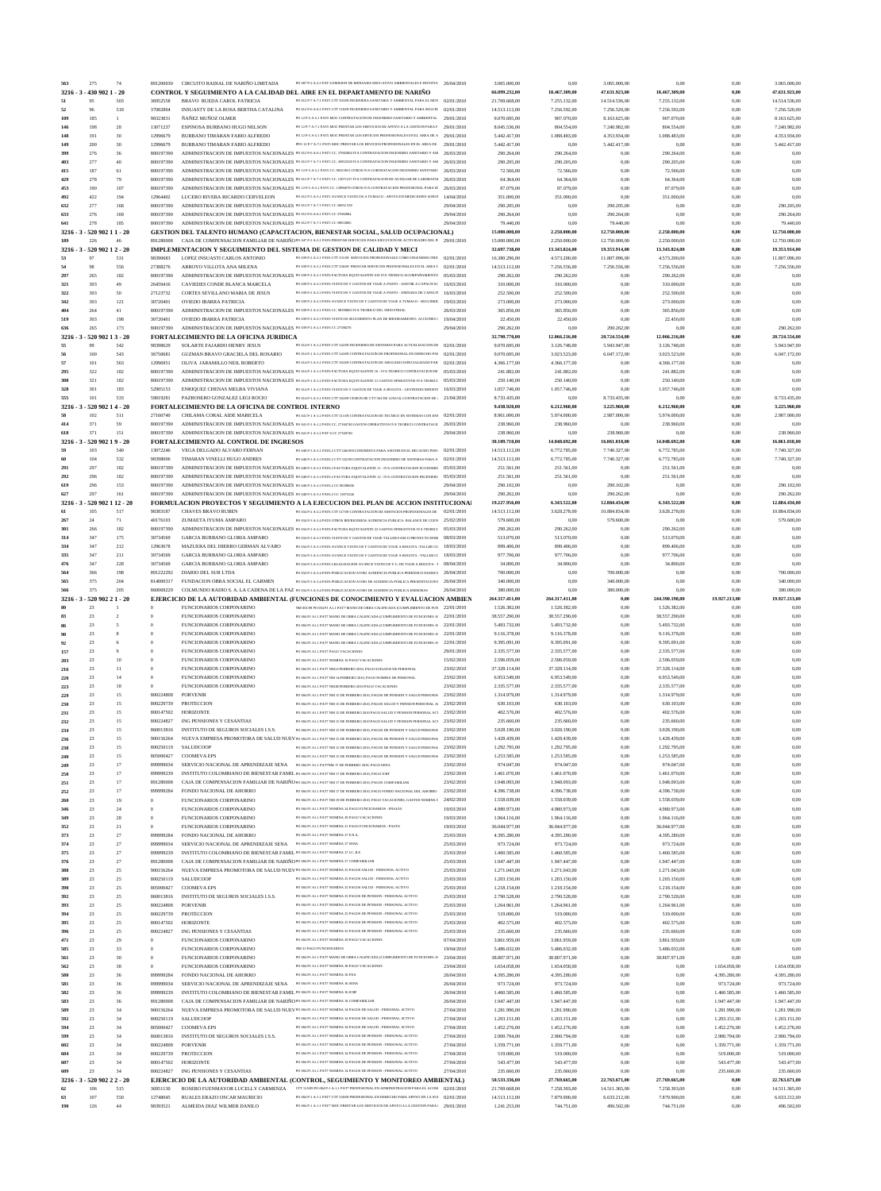| 563               | 275                                | 74               | 891200030                    | CIRCUITO RADIAL DE NARIÑO LIMITADA                                                                                                                            | PO 007 P-2 A-2.5 PAT 6 EMISION DE MENSAJES EDUCATIVO AMBIENTALES E INSTITUC 26/04/2010                                                                                                                                                                           |                          | 3.065.000.00                   | 0.00                          | 3.065.000,00                   | 0,00                          | 0,00                         | 3.065.000.00                   |
|-------------------|------------------------------------|------------------|------------------------------|---------------------------------------------------------------------------------------------------------------------------------------------------------------|------------------------------------------------------------------------------------------------------------------------------------------------------------------------------------------------------------------------------------------------------------------|--------------------------|--------------------------------|-------------------------------|--------------------------------|-------------------------------|------------------------------|--------------------------------|
|                   | 3216 - 3 - 430 902 1 - 20          |                  |                              |                                                                                                                                                               | CONTROL Y SEGUIMIENTO A LA CALIDAD DEL AIRE EN EL DEPARTAMENTO DE NARIÑO                                                                                                                                                                                         |                          | 66.099.232,00                  | 18,467,309,00                 | 47.631.923,00                  | 18.467.309,00                 | 0,00                         | 47.631.923,00                  |
| 51                | 95<br>96                           | 503<br>518       | 36952558<br>37082804         | BRAVO RUEDA CAROL PATRICIA<br>INSUASTY DE LA ROSA BERTHA CATALINA                                                                                             | PO 012 P-7 A-7.1 PAT5 CTT 503/09 INGENIERA SANITARIA Y AMBIENTAL PARA EL MON  02/01/2010<br>PO 012 P-6 A-6.1 PATS CTT 51809 INGENIERO SANITARIO Y AMBIENTAL PARA SEGUIN 07/01/2010                                                                               |                          | 21.769.668,00<br>14.513.112,00 | 7.255.132,00<br>7.256.592,00  | 14.514.536,00<br>7.256.520,00  | 7.255.132,00<br>7.256.592,00  | 0,00<br>0,00                 | 14.514.536,00<br>7.256.520,00  |
| 52<br>109         | 185                                | 1                | 98323831                     | <b>ÑAÑEZ MUÑOZ OLMER</b>                                                                                                                                      | PO 12 P-5 A-5.1 PATS MOC CONTRATACION DE INGENIERO SANITARIO Y AMBIENTAL 29/01/2010                                                                                                                                                                              |                          | 9.070.695,00                   | 907.070,00                    | 8.163.625,00                   | 907.070,00                    | 0,00                         | 8.163.625,00                   |
| 146               | 198                                | 28               | 13071237                     | ESPINOSA BURBANO HUGO NELSON                                                                                                                                  | PO 12 P-7 A-7.1 PATS MOC PRESTAR LOS SERVICIOS DE APOYO A LA GESTION PARA F                                                                                                                                                                                      | 29/01/2010               | 8.045.536,00                   | 804.554,00                    | 7.240.982,00                   | 804.554,00                    | 0.00                         | 7.240.982,00                   |
| 148<br>149        | 191<br>200                         | 30<br>30         | 12996679<br>12996679         | BURBANO TIMARAN FABIO ALFREDO<br>BURBANO TIMARAN FABIO ALFREDO                                                                                                | PO 12 P-5 A-5.1 PATS MOC PRESTAR LOS ERVICIOS PROFESIONALES EN EL AREA DE A 29/01/2010<br>PPO 12 P-7 A-7.1 PATS MOC PRESTAR LOS ERVICIOS PROFESIONALES EN EL AREA DE. 29/01/2010                                                                                 |                          | 5.442.417.00<br>5.442.417,00   | 1.088.483,00<br>0,00          | 4.353.934,00<br>5.442.417,00   | 1.088.483,00<br>0,00          | 0,00<br>0,00                 | 4.353.934,00<br>5.442.417,00   |
| 399               | 276                                | 36               | 800197390                    |                                                                                                                                                               | ADMINISTRACION DE IMPUESTOS NACIONALES PO 012 P-6 A-6.1 PATS CC. 37082804 IVA CONTRATACION INGENIERO SANITARIO Y AM 26/03/2010                                                                                                                                   |                          | 290.264,00                     | 290.264,00                    | 0,00                           | 290.264,00                    | 0,00                         | 0.00                           |
| 403               | 277                                | 40               | 800197390                    |                                                                                                                                                               | ADMINISTRACION DE IMPUESTOS NACIONALES PO 012 P-7 A-7.1 PATS CC. 36952558 IVA CONTRATACION INGENIERO SANITARIO Y AM 26/03/2010                                                                                                                                   |                          | 290.205,00                     | 290.205,00                    | 0,00                           | 290.205,00                    | 0,00                         | 0.00                           |
| 415<br>429        | 187<br>278                         | 61<br>79         | 800197390<br>800197390       |                                                                                                                                                               | ADMINISTRACION DE IMPUESTOS NACIONALES PO 12 P-5 A-5.1 PATS CC. 98323831 OTROS IVA COBTRATACION INGENIERO SANITARIC 26/03/2010<br>ADMINISTRACION DE IMPUESTOS NACIONALES PO 012 P-7 A-7.1 PATS CC. 13071237 IVA CONTRATACION DE AUXILIAR DE LABORATOI 26/03/2010 |                          | 72.566,00<br>64.364,00         | 72.566,00<br>64.364,00        | 0,00<br>0,00                   | 72.566,00<br>64.364,00        | 0,00<br>0,00                 | 0.00<br>0,00                   |
| 453               | 190                                | 107              | 800197390                    |                                                                                                                                                               | ADMINISTRACION DE IMPUESTOS NACIONALES PO 12P-5 A-5.1 PATS CC. 12996679 OTROS IVA CONTRATACION PROFESIONAL PARA IE 26/03/2010                                                                                                                                    |                          | 87.079,00                      | 87.079,00                     | 0,00                           | 87.079,00                     | 0,00                         | 0,00                           |
| 492               | 422                                | 194              | 12964402                     | LUCERO RIVERA RICARDO CERVELEON                                                                                                                               | PO 012 P-5 A-5.1 PATS AVANCE VIATICOS A TUMACO - APOYO EN MEDICIONES SONO!                                                                                                                                                                                       | 14/04/2010               | 351.000,00                     | 351.000,00                    | 0,00                           | 351.000,00                    | 0,00                         | 0.00                           |
| 632<br>633        | 277<br>276                         | 168<br>169       | 800197390<br>800197390       | ADMINISTRACION DE IMPUESTOS NACIONALES PO 012 P-7 A-7.1 PATS CC 36952 558<br>ADMINISTRACION DE IMPUESTOS NACIONALES PO 012 P-6 A-6.1 PAT5 CC 37082804         |                                                                                                                                                                                                                                                                  | 29/04/2010<br>29/04/2010 | 290.205,00<br>290.264,00       | 0.00<br>0.00                  | 290.205,00<br>290.264,00       | 0,00<br>0,00                  | 0,00<br>0,00                 | 290.205,00<br>290.264,00       |
| 641               | 278                                | 185              | 800197390                    | ADMINISTRACION DE IMPUESTOS NACIONALES PO 012 P-7 A-7.1 PATS CC 59833005                                                                                      |                                                                                                                                                                                                                                                                  | 29/04/2010               | 79.440,00                      | 0.00                          | 79.440,00                      | 0,00                          | 0,00                         | 79.440,00                      |
|                   | 3216 - 3 - 520 902 11 - 20         |                  |                              |                                                                                                                                                               | GESTION DEL TALENTO HUMANO (CAPACITACION, BIENESTAR SOCIAL, SALUD OCUPACIONAL)                                                                                                                                                                                   |                          | 15.000.000,00                  | 2.250.000,00                  | 12.750.000,00                  | 2.250.000,00                  | 0,00                         | 12,750,000,00                  |
| 189               | 226<br>3216 - 3 - 520 902 1 2 - 20 | 46               | 891280008                    |                                                                                                                                                               | CAJA DE COMPENSACION FAMILIAR DE NARIÑO PO 047 P-2 A-2.1 PAT6 PRESTAR SERVICIOS PARA EJECUCION DE ACTIVIDADES DEL PI 29/01/2010<br>IMPLEMENTACION Y SEGUIMIENTO DEL SISTEMA DE GESTION DE CALIDAD Y MECI                                                         |                          | 15.000.000,00<br>32.697.738,00 | 2.250.000,00<br>13.343.824,00 | 12.750.000,00<br>19.353.914,00 | 2.250.000,00<br>13.343.824,00 | 0.00<br>0,00                 | 12.750.000,00<br>19.353.914,00 |
| 53                | 97                                 | 531              | 98390683                     | LOPEZ INSUASTI CARLOS ANTONIO                                                                                                                                 | PO 039 P-2 A-2.1 PAT6 CTT 531/09 SERVICIOS PROFESIONALES COMO INGENIERO INDU 02/01/2010                                                                                                                                                                          |                          | 16.380.296,00                  | 4.573.200,00                  | 11.807.096,00                  | 4.573.200,00                  | 0,00                         | 11.807.096,00                  |
| 54                | 98                                 | 556              | 27388276                     | ARROYO VILLOTA ANA MILENA                                                                                                                                     | PO 039 P-2 A-2.1 PAT6 CTT 556/09 PRESTAR SERVICIOS PROFESIONALES EN EL AREA I                                                                                                                                                                                    | 02/01/2010               | 14.513.112,00                  | 7.256.556,00                  | 7.256.556,00                   | 7.256.556,00                  | 0,00                         | 7.256.556,00                   |
| 297<br>321        | 265<br>303                         | 182<br>49        | 800197390<br>26459416        | CAVIEDES CONDE BLANCA MARCELA                                                                                                                                 | ADMINISTRACION DE IMPUESTOS NACIONALES PO 039 P-2 A-2.1 PAT6 FACTURA EQUIVALENTE 018 IVA TEORICO ACOMPAÑAMIENTO 05/03/2010<br>PO 039 P-2 A-2.3 PAT6 VIATICOS Y GASTOS DE VIAJE A PASTO - ASISTIR A CAPACITAC 16/03/2010                                          |                          | 290.262,00<br>310.000,00       | 290.262,00<br>310.000,00      | 0,00<br>0,00                   | 290.262,00<br>310.000,00      | 0,00<br>0,00                 | 0.00<br>0,00                   |
| 322               | 303                                | 50               | 27123732                     | CORTES SEVILLANO MARIA DE JESUS                                                                                                                               | PO 039 P-2 A-2.3 PAT6 VIATICOS Y GASTOS DE VIAJE A PASTO - JORNADA DE CAPACIT                                                                                                                                                                                    | 16/03/2010               | 252.500,00                     | 252.500,00                    | 0,00                           | 252.500,00                    | 0,00                         | 0,00                           |
| 342<br>404        | 303<br>264                         | 121<br>41        | 30720401<br>800197390        | OVIEDO IBARRA PATRICIA                                                                                                                                        | PO 039 P-2 A-2.3 PAT6 AVANCE VIATICOS Y GASTOS DE VIAJE A TUMACO - SEGUIMIEI 19/03/2010<br>ADMINISTRACION DE IMPUESTOS NACIONALES PO 039 P-2 A-2.1 PAT6 CC. 98390683 IVA TEORICO ING. INDUSTRIAL                                                                 | 26/03/2010               | 273.000,00<br>365.856,00       | 273.000,00<br>365.856,00      | 0,00<br>0,00                   | 273.000,00<br>365.856,00      | 0,00<br>0,00                 | 0,00<br>0,00                   |
| 519               | 303                                | 198              | 30720401                     | OVIEDO IBARRA PATRICIA                                                                                                                                        | PO 039 P-2 A-2.3 PAT6 VIATICOS SEGUMIENTO PLAN DE MEJORAMIENTO, ACCIONES ( 19/04/2010                                                                                                                                                                            |                          | 22.450,00                      | 22.450,00                     | 0,00                           | 22.450,00                     | 0,00                         | 0.00                           |
| 636               | 265                                | 173              | 800197390                    | ADMINISTRACION DE IMPUESTOS NACIONALES PO 039 P-2 A-2.1 PAT6 CC 27388276                                                                                      |                                                                                                                                                                                                                                                                  | 29/04/2010               | 290.262,00                     | 0.00                          | 290.262,00                     | 0,00                          | 0.00                         | 290.262,00                     |
| 3216<br>55        | 520 902 13 - 20<br>99              | 542              | 98398629                     | FORTALECIMIENTO DE LA OFICINA JURIDICA<br>SOLARTE FAJARDO HENRY JESUS                                                                                         | PO 014 P-1 A-1.2 PAT6 CTT 542/09 INGENIERO DE SISTEMAS PARA ACTUALIZACION DE 02/01/2010                                                                                                                                                                          |                          | 32.790.770,00<br>9.070.695,00  | 12.066.216,00<br>3.126.748,00 | 20.724.554,00<br>5.943.947.00  | 12.066.216,00<br>3.126.748,00 | 0,00<br>0.00                 | 20.724.554,00<br>5.943.947,00  |
| 56                | 100                                | 543              | 36750681                     | GUZMAN BRAVO GRACIELA DEL ROSARIO                                                                                                                             | PO 014 P-1 A-1.2 PAT6 CTT 543/09 CONTRATACION DE PROFESIONAL EN DERECHO PAI 02/01/2010                                                                                                                                                                           |                          | 9.070.695,00                   | 3.023.523,00                  | 6.047.172,00                   | 3.023.523,00                  | 0,00                         | 6.047.172,00                   |
| 57                | 101                                | 563              | 12996951                     | OLIVA JARAMILLO NEIL ROBERTO                                                                                                                                  | PO 014 P-3 A-3 LPAT6 CTT 56309 CONTRATACION DE ABOGADO ESPECIALIZADO PAR                                                                                                                                                                                         | 02/01/2010               | 4.366.177,00                   | 4.366.177,00                  | 0,00                           | 4.366.177,00                  | 0,00                         | 0,00                           |
| 295<br>308        | 322<br>321                         | 182<br>182       | 800197390<br>800197390       |                                                                                                                                                               | ADMINISTRACION DE IMPUESTOS NACIONALES PO 014 P-1 A-1.2 PAT6 FACTURA EQUIVALENTE 16 - IVA TEORICO CONTRATACION DE 05/03/2010<br>ADMINISTRACION DE IMPUESTOS NACIONALES PO 014 P-1 A-1.2 PAT6 FACTURA EQUIVALENTE 31 GASTOS OPERATIVOS IVA TEORICC 05/03/2010     |                          | 241.882,00<br>250.140,00       | 241.882,00<br>250.140,00      | 0,00<br>0.00                   | 241.882,00<br>250.140,00      | 0,00<br>0.00                 | 0,00<br>0,00                   |
| 328               | 301                                | 183              | 52905153                     | ENRIQUEZ CHENAS MELBA VIVIANA                                                                                                                                 | PO 014 P-1 A-1.2 PAT6 VIATICOS Y GASTOS DE VIAJE A BOGOTA - GESTIONES MINISTE                                                                                                                                                                                    | 16/03/2010               | 1.057.746,00                   | 1.057.746,00                  | 0,00                           | 1.057.746,00                  | 0,00                         | 0.00                           |
| 555               | 101                                | 533              | 59819281                     | PAZROSERO GONZALEZ LEGI ROCIO                                                                                                                                 | PO 014 P-3 A-3.1 PAT6 CTT 563/09 CESION DE CTT 563 DE 12/03/10. CONTRATACION DE $1/0.4/2010$                                                                                                                                                                     |                          | 8.733.435,00                   | 0,00                          | 8.733.435,00                   | 0,00                          | 0,00                         | 8.733.435,00                   |
| 3216<br>58        | 520 902 14 - 20<br>102             | 511              | 27160740                     | FORTALECIMIENTO DE LA OFICINA DE CONTROL INTERNO<br>CHILAMA CORAL AIDE MARICELA                                                                               | PO 041 P-1 A-1.2 PAT6 CTT 511/09 CONTRATACION DE TECNICO EN SISTEMAS CON ENI 02/01/2010                                                                                                                                                                          |                          | 9.438.920,00<br>8.961.000,00   | 6.212.960,00<br>5.974.000,00  | 3.225.960,00<br>2.987.000,00   | 6.212.960,00<br>5.974.000,00  | 0,00<br>0,00                 | 3.225.960,00<br>2.987.000,00   |
| 414               | 371                                | 59               | 800197390                    |                                                                                                                                                               | ADMINISTRACION DE IMPUESTOS NACIONALES PO 041 P-1 A-1.2 PAT6 CC. 27160740 GASTOS OPERATIVOS IVA TEORICO CONTRATACI( 26/03/2010                                                                                                                                   |                          | 238.960,00                     | 238.960,00                    | 0,00                           | 238.960,00                    | 0,00                         | 0,00                           |
| 618<br>$3216 - 3$ | 371<br>- 520 902 1 9 - 20          | 151              | 800197390                    | ADMINISTRACION DE IMPUESTOS NACIONALES PO 041 P-1 A-1.2 PAT 6 CC 27160740<br>FORTALECIMIENTO AL CONTROL DE INGRESOS                                           |                                                                                                                                                                                                                                                                  | 29/04/2010               | 238.960,00<br>30.109.710,00    | 0,00<br>14.048.692,00         | 238.960,00                     | 0,00<br>14.048.692,00         | 0,00                         | 238.960,00<br>16.061.018,00    |
| 59                | 103                                | 540              | 13072246                     | VEGA DELGADO ALVARO FERNAN                                                                                                                                    | PO 048 P-3 A-3.1 PAT6.2 CTT 540/09 ECONOMISTA PARA ASISTIR EN EL RECAUDO POR (                                                                                                                                                                                   | 02/01/2010               | 14.513.112,00                  | 6.772.785,00                  | 16.061.018,00<br>7.740.327,00  | 6.772.785,00                  | 0,00<br>0,00                 | 7.740.327,00                   |
| 60                | 104                                | 532              | 98398006                     | TIMARAN VINELLI HUGO ANDRES                                                                                                                                   | PO 048 P-3 A-3.3 PAT6.2 CTT 53209 CONTRATACION INGENIERO DE SISTEMAS PARA A                                                                                                                                                                                      | 02/01/2010               | 14.513.112,00                  | 6.772.785,00                  | 7.740.327,00                   | 6.772.785,00                  | 0,00                         | 7.740.327,00                   |
| 291<br>292        | 297<br>296                         | 182<br>182       | 800197390<br>800197390       |                                                                                                                                                               | ADMINISTRACION DE IMPUESTOS NACIONALES PO 048 P-3 A-3.1 PAT6.2 FACTURA EQUIVALENTE 11 - IVA CONTRATACION ECONOMIS<br>ADMINISTRACION DE IMPUESTOS NACIONALES PO 048 P-3 A-3.3 PAT6.2 FACTURA EQUIVALENTE 12 - IVA CONTRATACION INGENIERC                          | 05/03/2010<br>05/03/2010 | 251.561,00<br>251.561,00       | 251.561,00<br>251.561,00      | 0,00<br>0,00                   | 251.561,00<br>251.561,00      | 0,00<br>0,00                 | 0,00<br>0.00                   |
| 619               | 296                                | 153              | 800197390                    | ADMINISTRACION DE IMPUESTOS NACIONALES PO 048 P-3 A-3.3 PAT6.2 CC 98398006                                                                                    |                                                                                                                                                                                                                                                                  | 29/04/2010               | 290.102,00                     | 0,00                          | 290.102,00                     | 0,00                          | 0,00                         | 290.102,00                     |
| 627               | 297                                | 161              | 800197390                    | ADMINISTRACION DE IMPUESTOS NACIONALES PO 048 P-3 A-3.1 PAT6.2 CC 13072246                                                                                    |                                                                                                                                                                                                                                                                  | 29/04/2010               | 290.262,00                     | 0.00                          | 290.262,00                     | 0,00                          | 0,00                         | 290.262,00                     |
| 3216<br>61        | 520 902 1 12 - 20<br>105           | 517              | 98383187                     | <b>CHAVES BRAVO RUBEN</b>                                                                                                                                     | FORMULACION PROYECTOS Y SEGUIMIENTO A LA EJECUCION DEL PLAN DE ACCION INSTITUCIONAL<br>PO 034 P-2 A-2.2 PAT6 CTT 517/09 CONTRATACION DE SERVICIOS PROFESIONALES DE                                                                                               | 02/01/2010               | 19.227.956,00<br>14.513.112,00 | 6.343.522,00<br>3.628.278,00  | 12.884.434,00<br>10.884.834,00 | 6.343.522,00<br>3.628.278,00  | 0,00<br>0,00                 | 12.884.434,00<br>10.884.834,00 |
| 267               | 24                                 | 71               | 40176103                     | ZUMAETA IYUMA AMPARO                                                                                                                                          | PO 034 P-3 A-3.4 PAT6 OTROS REFRIGERIOS AUDIENCIA PUBLICA- BALANCE DE CUEN 25/02/2010                                                                                                                                                                            |                          | 579.600,00                     | 0,00                          | 579.600,00                     | 0,00                          | 0,00                         | 579.600,00                     |
| 301               | 266                                | 182              | 800197390                    |                                                                                                                                                               | ADMINISTRACION DE IMPUESTOS NACIONALES PO 034 P-2 A-2.2 PAT6 FACTURA EQUIVALENTE 22 GASTOS OPERATIVOS IVA TEORICC 05/03/2010                                                                                                                                     |                          | 290.262,00                     | 290.262,00                    | 0,00                           | 290.262,00                    | 0,00                         | 0,00                           |
| 314<br>334        | 347<br>347                         | 175<br>212       | 30734569<br>12963678         | GARCIA BURBANO GLORIA AMPARO<br>MAZUERA DEL HIERRO GERMAN ALVARO                                                                                              | PO 034 P-3 A-3.3 PAT6 VIATICOS Y GASTOS DE VIAJE TALLER FASE II PROYECTO INDI $(98/03/2010)$<br>PO 034 P-3 A-3.3 PAT6 AVANCE VIATICOS Y GASTOS DE VIAJE A BOGOTA -TALLER CO 18/03/2010                                                                           |                          | 513.070,00<br>899.406,00       | 513.070,00<br>899.406,00      | 0,00<br>0,00                   | 513.070,00<br>899.406,00      | 0,00<br>0,00                 | 0,00<br>0,00                   |
| 335               | 347                                | 211              | 30734569                     | GARCIA BURBANO GLORIA AMPARO                                                                                                                                  | PO 034 P-3 A-3.3 PAT6 AVANCE VIATICOS Y GASTOS DE VIAJE A BOGOTA - TALLER C( 18/03/2010                                                                                                                                                                          |                          | 977.706,00                     | 977.706,00                    | 0.00                           | 977.706,00                    | 0.00                         | 0,00                           |
| 476               | 347                                | 228              | 30734569                     | GARCIA BURBANO GLORIA AMPARO                                                                                                                                  | PO 034 P-3 A-3.3 PAT6 LEGALIZACION AVANCE VIATICOS Y G. DE VIAJE A BOGOTA - 1 08/04/2010                                                                                                                                                                         |                          | 34.800,00                      | 34.800,00                     | 0.00<br>200,000.00             | 34.800,00                     | 0.00                         | 0,00                           |
| 565               | 375                                | 198<br>204       | 891222292<br>814000317       | DIARIO DEL SUR LTDA<br>FUNDACION OBRA SOCIAL EL CARMEN                                                                                                        | PO 034 P-3 A-3.4 PAT6 PUBLICACION AVISO AUDIENCIA PUBLICA PERIODICO DIARIO 1 26/04/2010<br>PO 034 P-3 A-3.4 PAT6 PUBLICACION AVISO DE AUDIENCIA PUBLICA PRESENTACION 1 26/04/2010                                                                                |                          | 700,000.00<br>340.000,00       | 0.00<br>0,00                  | 340.000,00                     | 0.00<br>0,00                  | 0.00<br>0,00                 | 700,000.00<br>340.000,00       |
|                   |                                    |                  |                              |                                                                                                                                                               |                                                                                                                                                                                                                                                                  |                          |                                |                               |                                |                               |                              |                                |
| 566               | 375                                | 205              | 860069229                    |                                                                                                                                                               | COLMUNDO RADIO S. A. LA CADENA DE LA PAZ PO 034 P-3 A-3.4 PAT6 PUBLICACION AVISO DE AUDIENCIA PUBLICA EMISORAS                                                                                                                                                   | 26/04/2010               | 380.000,00                     | 0.00                          | 380.000,00                     | 0,00                          | 0,00                         | 380.000,00                     |
| $3216 - 3$        | - 520 902 21 - 20                  |                  |                              |                                                                                                                                                               | EJERCICIO DE LA AUTORIDAD AMBIENTAL (FUNCIONES DE CONOCIMIENTO Y EVALUACION AMBIEN                                                                                                                                                                               |                          | 264.317.411,00                 | 264.317.411,00                | 0,00                           | 244.390.198,00                | 19.927.213,00                | 19.927.213,00                  |
| 83                | 23<br>23                           | $\overline{2}$   | $\mathbf{0}$                 | FUNCIONARIOS CORPONARINO<br>FUNCIONARIOS CORPONARINO                                                                                                          | NM 001/09 PO 004 PI ALI PAT7 MANO DE OBRA CALIFICADA (CUMPLIMIENTO DE FUN 22/01/2010<br>PO 004 P1 A1.1 PAT7 MANO DE OBRA CALIFICADA (CUMPLIMIENTO DE FUNCIONES A) 22/01/2010                                                                                     |                          | 1.526.382,00                   | 1.526.382,00                  | 0.00<br>0.00                   | 1.526.382.00                  | 0,00                         | 0.00<br>0,00                   |
|                   | $23\,$                             | 5                | $\mathbf{0}$                 | FUNCIONARIOS CORPONARINO                                                                                                                                      | PO 004 PI ALI PAT7 MANO DE OBRA CALIFICADA (CUMPLIMIENTO DE FUNCIONES Al 22/01/2010                                                                                                                                                                              |                          | 38.557.290,00<br>5.493.732,00  | 38.557.290,00<br>5.493.732,00 | 0,00                           | 38.557.290,00<br>5.493.732,00 | 0,00<br>0,00                 | 0,00                           |
|                   | 23                                 |                  | $\mathbf{0}$                 | FUNCIONARIOS CORPONARINO                                                                                                                                      | PO 004 P1 A1.1 PAT7 MANO DE OBRA CALIFICADA (CUMPLIMIENTO DE FUNCIONES A                                                                                                                                                                                         | 22/01/2010               | 9.116.378,00                   | 9.116.378,00                  | 0,00                           | 9.116.378,00                  | 0,00                         | 0,00                           |
| 92<br>157         | 23<br>23                           | -6<br>9          | $\mathbf{0}$<br>$\mathbf{0}$ | FUNCIONARIOS CORPONARINO<br>FUNCIONARIOS CORPONARINO                                                                                                          | PO 004 P1 A1.1 PAT7 MANO DE OBRA CALIFICADA (CUMPLIMIENTO DE FUNCIONES A<br>PO 004 PI A1.1 PAT7 PAGO VACACIONES                                                                                                                                                  | 22/01/2010<br>29/01/2010 | 9.395.091,00<br>2.335.577,00   | 9.395.091,00<br>2.335.577,00  | 0,00<br>0,00                   | 9.395.091,00<br>2.335.577,00  | 0,00<br>0,00                 | 0,00<br>0,00                   |
| 203               | $23\,$                             | 10               | $\mathbf{0}$                 | FUNCIONARIOS CORPONARINO                                                                                                                                      | PO 004 PI ALI PAT7 NOMINA 10 PAGO VACACIONES                                                                                                                                                                                                                     | 15/02/2010               | 2.596.059,00                   | 2.596.059,00                  | 0,00                           | 2.596.059,00                  | 0,00                         | 0,00                           |
| 216               | $23\,$                             | 11               | $\theta$                     | FUNCIONARIOS CORPONARINO                                                                                                                                      | PO 004 P1 A1.1 PAT7 NM11/FEBRERO 2010, PAGO SUELDOS DE PERSONAL                                                                                                                                                                                                  | 23/02/2010               | 37.328.114,00                  | 37.328.114,00                 | 0,00                           | 37.328.114,00                 | 0,00                         | 0,00                           |
| 220<br>223        | 23<br>23                           | 14<br>18         | $\Omega$<br>$\Omega$         | FUNCIONARIOS CORPONARINO<br>FUNCIONARIOS CORPONARINO                                                                                                          | PO 004 PI AL.1 PAT7 NM 14 FEBRERO 2010, PAGO NOMINA DE PERSONAL<br>PO 004 PI ALI PAT7 NM18/FEBRERO 2010 PAGO VACACIONES                                                                                                                                          | 23/02/2010<br>23/02/2010 | 6.953.549,00<br>2.335.577,00   | 6.953.549,00<br>2.335.577,00  | 0,00<br>0,00                   | 6.953.549,00<br>2.335.577,00  | 0,00<br>0,00                 | 0,00<br>0,00                   |
| 229               | $23\,$                             | 15               | 800224808                    | <b>PORVENIR</b>                                                                                                                                               | PO 004 P1 A1.1 PAT7 NM 15 DE FEBRERO 2010, PAGOS DE PENSION Y SALUD PERSONAI 23/02/2010                                                                                                                                                                          |                          | 1.314.979,00                   | 1.314.979,00                  | 0,00                           | 1.314.979,00                  | 0,00                         | 0,00                           |
| 230               | $23\,$                             | 15               | 800229739                    | PROTECCION                                                                                                                                                    | PO 004 P1 A1.1 PAT7 NM 15 DE FEBRERO 2010, PAGOS SALUD Y PENSION PERSONAL At                                                                                                                                                                                     | 23/02/2010               | 630.103,00                     | 630.103,00                    | 0,00                           | 630.103,00                    | 0,00                         | 0,00                           |
| 231<br>232        | $23\,$<br>23                       | 15<br>15         | 800147502<br>800224827       | <b>HORIZONTE</b><br>ING PENSIONES Y CESANTIAS                                                                                                                 | PO 004 P1 A1.1 PAT7 NM 15 DE FEBRERO 2010 PAGO SALUD Y PENSION PERSONAL ACT 23/02/2010<br>PO 004 P1 A1.1 PAT7 NM 15 DE FEBRERO 2010 PAGO SALUD Y PENSION PERSONAL ACT 23/02/2010                                                                                 |                          | 402.576,00<br>235.660,00       | 402.576,00<br>235.660,00      | 0,00<br>0,00                   | 402.576,00<br>235.660,00      | 0,00<br>0,00                 | 0,00<br>0,00                   |
| 234               | 23                                 | 15               | 860013816                    | INSTITUTO DE SEGUROS SOCIALES I.S.S.                                                                                                                          | PO 004 P1 A1.1 PAT7 NM 15 DE FEBRERO 2010, PAGOS DE PENSION Y SALUD PERSONAI 23/02/2010                                                                                                                                                                          |                          | 3.028.190,00                   | 3.028.190,00                  | 0,00                           | 3.028.190,00                  | 0,00                         | 0,00                           |
| 236<br>238        | $23\,$<br>23                       | 15<br>15         | 900156264<br>800250119       | SALUDCOOP                                                                                                                                                     | NUEVA EMPRESA PROMOTORA DE SALUD NUEV PO 004 P1 A1.1 PAT7 NM 15 DE FEBRERO 2010, PAGOS DE PENSION Y SALUD PERSONAI 23/02/2010<br>PO 004 P1 A1.1 PAT7 NM 15 DE FEBRERO 2010, PAGOS DE PENSION Y SALUD PERSONAL                                                    | 23/02/2010               | 1.428.439,00<br>1.292.795,00   | 1.428.439,00<br>1.292.795,00  | 0,00<br>0,00                   | 1.428.439,00<br>1.292.795,00  | 0,00<br>0,00                 | 0,00<br>0,00                   |
| 240               | 23                                 | 15               | 805000427                    | <b>COOMEVA EPS</b>                                                                                                                                            | PO 004 P1 A1.1 PAT7 NM 15 DE FEBRERO 2010, PAGOS DE PENSION Y SALUD PERSONAI                                                                                                                                                                                     | 23/02/2010               | 1.253.585,00                   | 1.253.585,00                  | 0,00                           | 1.253.585,00                  | 0,00                         | 0,00                           |
| 249               | 23                                 | 17               | 899999034                    | SERVICIO NACIONAL DE APRENDIZAJE SENA PO 004 PI ALI PAT7NM 17 DE FEBRERO 2010, PAGO SENA                                                                      |                                                                                                                                                                                                                                                                  | 23/02/2010               | 974.047,00                     | 974.047,00                    | 0,00                           | 974.047,00                    | 0,00                         | 0,00                           |
| 250<br>251        | $23\,$<br>23                       | 17<br>17         | 899999239<br>891280008       | INSTITUTO COLOMBIANO DE BIENESTAR FAMIL PO 004 P1 AL.1 PAT7 NM 17 DE FEBRERO 2010, PAGO ICBF                                                                  | CAJA DE COMPENSACION FAMILIAR DE NARIÑO PO 004 PI ALI PAT7 NM 17 DE FEBRERO 2010, PAGOS COMFAMILIAR                                                                                                                                                              | 23/02/2010<br>23/02/2010 | 1.461.070,00<br>1.948.093,00   | 1.461.070,00<br>1.948.093,00  | 0,00<br>0,00                   | 1.461.070,00<br>1.948.093,00  | 0,00<br>0,00                 | 0,00<br>0,00                   |
| 252               | 23                                 | 17               | 899999284                    | FONDO NACIONAL DE AHORRO                                                                                                                                      | PO 004 P1 A1.1 PAT7 NM 17 DE FEBRERO 2010, PAGO FONDO NACIONAL DEL AHORRO                                                                                                                                                                                        | 23/02/2010               | 4.396.738,00                   | 4.396.738,00                  | 0,00                           | 4.396.738,00                  | 0,00                         | 0.00                           |
| 260<br>346        | 23<br>$23\,$                       | 19<br>24         | $\mathbf{0}$<br>$\mathbf{0}$ | FUNCIONARIOS CORPONARINO<br>FUNCIONARIOS CORPONARINO                                                                                                          | PO 004 P1 A1.1 PAT7 NM 19 DE FEBRERO 2010, PAGO VACACIONES, GASTOS NOMINA I<br>PO 004 P1 A1.1 PAT7 NOMINA 24 PAGO FUNCIONARIOS - IPIALES                                                                                                                         | 24/02/2010<br>19/03/2010 | 1.558.039,00<br>4.980.973,00   | 1.558.039,00<br>4.980.973,00  | 0,00<br>0,00                   | 1.558.039,00<br>4.980.973,00  | 0,00<br>0,00                 | 0,00<br>0,00                   |
| 349               | $23\,$                             | $\sqrt{28}$      | $\mathbf{0}$                 | FUNCIONARIOS CORPONARINO                                                                                                                                      | PO 004 PI AL.1 PAT7 NOMINA 28 PAGO VACACIONES                                                                                                                                                                                                                    | 19/03/2010               | 1.964.116,00                   | 1.964.116,00                  | 0,00                           | 1.964.116,00                  | 0,00                         | 0,00                           |
| 352               | 23                                 | 21               | $\Omega$                     | FUNCIONARIOS CORPONARINO                                                                                                                                      | PO 004 PI ALI PAT7 NOMINA 21 PAGO FUNCIONARIOS - PASTO                                                                                                                                                                                                           | 19/03/2010               | 36.044.977,00                  | 36.044.977,00                 | 0,00                           | 36.044.977,00                 | 0,00                         | 0,00                           |
| 373<br>374        | 23<br>$23\,$                       | $27\,$<br>$27\,$ | 899999284<br>899999034       | FONDO NACIONAL DE AHORRO<br>SERVICIO NACIONAL DE APRENDIZAJE SENA                                                                                             | PO 004 PI ALI PAT7 NOMINA 27 F.N.A.<br>PO 004 PI ALI PAT7 NOMINA 27 SENA                                                                                                                                                                                         | 25/03/2010<br>25/03/2010 | 4.395.280,00<br>973.724,00     | 4.395.280,00<br>973.724,00    | 0,00<br>0,00                   | 4.395.280,00<br>973.724,00    | 0,00<br>0,00                 | 0,00<br>0,00                   |
| 375               | 23                                 | 27               | 899999239                    | INSTITUTO COLOMBIANO DE BIENESTAR FAMIL PO 004 PI ALI PAT7 NOMINA 27 LC.B.F                                                                                   |                                                                                                                                                                                                                                                                  | 25/03/2010               | 1.460.585,00                   | 1.460.585,00                  | 0,00                           | 1.460.585,00                  | 0,00                         | 0,00                           |
| 376               | 23                                 | $27\,$           | 891280008                    | CAJA DE COMPENSACION FAMILIAR DE NARIÑO PO 004 PI ALI PAT7 NOMINA 27 COMFAMILIAR                                                                              |                                                                                                                                                                                                                                                                  | 25/03/2010               | 1.947.447,00                   | 1.947.447,00                  | 0.00                           | 1.947.447,00                  | 0,00                         | 0,00                           |
| 388<br>389        | 23<br>$23\,$                       | 25<br>25         | 900156264<br>800250119       | SALUDCOOP                                                                                                                                                     | NUEVA EMPRESA PROMOTORA DE SALUD NUEV PO 004 PI ALI PAT7 NOMINA 25 PAGOS SALUD - PERSONAL ACTIVO<br>PO 004 PI ALI PAT7 NOMINA 25 PAGOS SALUD - PERSONAL ACTIVO                                                                                                   | 25/03/2010<br>25/03/2010 | 1.271.043,00<br>1.203.150,00   | 1.271.043,00<br>1.203.150,00  | 0,00<br>0,00                   | 1.271.043,00<br>1.203.150,00  | 0,00<br>0,00                 | 0,00<br>0,00                   |
| 390               | 23                                 | 25               | 805000427                    | <b>COOMEVA EPS</b>                                                                                                                                            | PO 004 PI A1.1 PAT7 NOMINA 25 PAGOS SALUD - PERSONAL ACTIVO                                                                                                                                                                                                      | 25/03/2010               | 1.218.154,00                   | 1.218.154,00                  | 0,00                           | 1.218.154,00                  | 0,00                         | 0,00                           |
| 392<br>393        | 23<br>23                           | 25<br>25         | 860013816<br>800224808       | INSTITUTO DE SEGUROS SOCIALES I.S.S.<br><b>PORVENIR</b>                                                                                                       | PO 004 P1 A1.1 PAT7 NOMINA 25 PAGOS DE PENSION - PERSONAL ACTIVO<br>PO 004 P1 A1.1 PAT7 NOMINA 25 PAGOS DE PENSION - PERSONAL ACTIVO                                                                                                                             | 25/03/2010<br>25/03/2010 | 2.790.528,00<br>1.264.961,00   | 2.790.528,00                  | 0,00<br>0,00                   | 2.790.528,00<br>1.264.961,00  | 0,00<br>0,00                 | 0,00<br>0,00                   |
| 394               | $23\,$                             | 25               | 800229739                    | <b>PROTECCION</b>                                                                                                                                             | PO 004 PI AL.1 PAT7 NOMINA 25 PAGOS DE PENSION - PERSONAL ACTIVO                                                                                                                                                                                                 | 25/03/2010               | 519.000,00                     | 1.264.961,00<br>519.000,00    | 0,00                           | 519.000,00                    | 0,00                         | 0,00                           |
| 395               | $23\,$                             | 25               | 800147502                    | <b>HORIZONTE</b>                                                                                                                                              | PO 004 P1 A1.1 PAT7 NOMINA 25 PAGOS DE PENSION - PERSONAL ACTIVO<br>PO 004 P1 A1.1 PAT7 NOMINA 25 PAGOS DE PENSION - PERSONAL ACTIVO                                                                                                                             | 25/03/2010               | 402.575,00                     | 402.575,00                    | 0,00                           | 402.575,00                    | 0,00                         | 0,00                           |
| 396<br>471        | 23<br>23                           | 25<br>29         | 800224827<br>$\theta$        | ING PENSIONES Y CESANTIAS<br>FUNCIONARIOS CORPONARINO                                                                                                         | PO 004 PI ALI PAT7 NOMINA 29 PAGO VACACIONES                                                                                                                                                                                                                     | 25/03/2010<br>07/04/2010 | 235.660,00<br>3.861.959,00     | 235.660,00<br>3.861.959,00    | 0,00<br>0,00                   | 235.660,00<br>3.861.959,00    | 0,00<br>0,00                 | 0,00<br>0,00                   |
| 505               | 23                                 | 33               | $\Omega$                     | FUNCIONARIOS CORPONARINO                                                                                                                                      | NM 33 PAGO FUNCIONARIOS                                                                                                                                                                                                                                          | 19/04/2010               | 5.486.032,00                   | 5.486.032,00                  | 0,00                           | 5.486.032,00                  | 0,00                         | 0,00                           |
| 561<br>562        | $23\,$<br>$23\,$                   | 30<br>38         | $\mathbf{0}$<br>$\mathbf{0}$ | FUNCIONARIOS CORPONARINO<br>FUNCIONARIOS CORPONARINO                                                                                                          | PO 004 P1 A1.1 PAT7 MANO DE OBRA CALIFICADA (CUMPLIMIENTO DE FUNCIONES A<br>PO 004 P1 A1.1 PAT7 NOMINA 38 PAGO VACACIONES                                                                                                                                        | 23/04/2010<br>23/04/2010 | 38.807.971,00<br>1.654.058,00  | 38.807.971,00<br>1.654.058,00 | 0,00<br>0,00                   | 38.807.971,00<br>0,00         | 0,00<br>1.654.058,00         | 0.00<br>1.654.058,00           |
| 580               | 23                                 | 36               | 899999284                    | FONDO NACIONAL DE AHORRO                                                                                                                                      | PO 004 PI ALI PAT7 NOMINA 36 FNA                                                                                                                                                                                                                                 | 26/04/2010               | 4.395.280,00                   | 4.395.280,00                  | 0.00                           | 0,00                          | 4.395.280,00                 | 4.395.280,00                   |
| 581               | $23\,$                             | 36               | 899999034                    | SERVICIO NACIONAL DE APRENDIZAJE SENA                                                                                                                         | PO 004 PLA1.1 PAT7 NOMINA 36 SENA                                                                                                                                                                                                                                | 26/04/2010               | 973.724,00                     | 973.724,00                    | 0,00                           | 0,00                          | 973.724,00                   | 973.724,00                     |
| 582<br>583        | $23\,$<br>23                       | 36<br>36         | 899999239<br>891280008       | INSTITUTO COLOMBIANO DE BIENESTAR FAMIL PO 004 PI ALI PAT7 NOMINA 36 ICBF<br>CAJA DE COMPENSACION FAMILIAR DE NARIÑO PO 004 PI ALI PAT7 NOMINA 36 COMFAMILIAR |                                                                                                                                                                                                                                                                  | 26/04/2010<br>26/04/2010 | 1.460.585,00<br>1.947.447,00   | 1.460.585,00<br>1.947.447,00  | 0,00<br>0,00                   | 0,00<br>0,00                  | 1.460.585,00<br>1.947.447,00 | 1.460.585,00<br>1.947.447,00   |
| 589               | 23                                 | 34               | 900156264                    |                                                                                                                                                               | NUEVA EMPRESA PROMOTORA DE SALUD NUEVPO 004 PI ALI PAT7 NOMINA 34 PAGOS DE SALUD - PERSONAL ACTIVO                                                                                                                                                               | 27/04/2010               | 1.281.990,00                   | 1.281.990,00                  | 0,00                           | 0,00                          | 1.281.990,00                 | 1.281.990,00                   |
| 592               | 23                                 | 34               | 800250119                    | SALUDCOOP                                                                                                                                                     | PO 004 PI ALI PAT7 NOMINA 34 PAGOS DE SALUD - PERSONAL ACTIVO                                                                                                                                                                                                    | 27/04/2010               | 1.203.151,00                   | 1.203.151,00                  | 0,00                           | 0,00                          | 1.203.151,00                 | 1.203.151,00                   |
| 594<br>599        | 23<br>23                           | 34<br>34         | 805000427<br>860013816       | <b>COOMEVA EPS</b><br>INSTITUTO DE SEGUROS SOCIALES I.S.S.                                                                                                    | PO 004 PI ALI PAT7 NOMINA 34 PAGOS DE SALUD - PERSONAL ACTIVO<br>PO 004 P1 A1.1 PAT7 NOMINA 34 PAGOS DE PENSION - PERSONAL ACTIVO                                                                                                                                | 27/04/2010<br>27/04/2010 | 1.452.276,00<br>2.900.794,00   | 1.452.276,00<br>2.900.794,00  | 0,00<br>0,00                   | 0,00<br>0,00                  | 1.452.276,00<br>2.900.794,00 | 1.452.276,00<br>2.900.794,00   |
| 602               | 23                                 | 34               | 800224808                    | <b>PORVENIR</b>                                                                                                                                               | PO 004 P1 A1.1 PAT7 NOMINA 34 PAGOS DE PENSION - PERSONAL ACTIVO                                                                                                                                                                                                 | 27/04/2010               | 1.359.771,00                   | 1.359.771,00                  | 0.00                           | 0,00                          | 1.359.771,00                 | 1.359.771,00                   |
| 604<br>607        | 23<br>23                           | 34<br>34         | 800229739<br>800147502       | <b>PROTECCION</b><br>HORIZONTE                                                                                                                                | PO 004 PI AL I PAT7 NOMINA 34 PAGOS DE PENSION - PERSONAL ACTIVO<br>PO 004 PI AL.1 PAT7 NOMINA 34 PAGOS DE PENSION - PERSONAL ACTIVO                                                                                                                             | 27/04/2010<br>27/04/2010 | 519.000,00<br>543.477,00       | 519.000,00<br>543.477,00      | 0.00<br>0,00                   | 0,00<br>0,00                  | 519.000,00<br>543.477,00     | 519.000,00<br>543.477,00       |
|                   | 23                                 | 34               | 800224827                    | ING PENSIONES Y CESANTIAS                                                                                                                                     | PO 004 P1 A1.1 PAT7 NOMINA 34 PAGOS DE PENSION - PERSONAL ACTIVO                                                                                                                                                                                                 | 27/04/2010               | 235.660,00                     | 235.660,00                    | 0.00                           | 0,00                          | 235.660,00                   | 235.660,00                     |
|                   | 3216 - 3 - 520 902 2 2 - 20        |                  |                              |                                                                                                                                                               | EJERCICIO DE LA AUTORIDAD AMBIENTAL (CONTROL, SEGUIMIENTO Y MONITOREO AMBIENTAL)                                                                                                                                                                                 |                          | 50.533.336,00                  | 27.769.665,00                 | 22.763.671,00                  | 27.769.665,00                 | $_{0,00}$                    | 22.763.671,00                  |
| 62<br>63          | 106<br>107                         | 515<br>550       | 36951130<br>12748045         | ROSERO FUENMAYOR LUCELLY CARMENZA<br>RUALES ERAZO OSCAR MAURICIO                                                                                              | CTT 51509 PO 004 P-1 A-1.1 PAT7 PROFESIONAL EN ADMINISTRACION PARA EL ACOM  02/01/2010<br>PO 004 P-1 A-1.1 PAT7 CTT 550/09 PROFESIONAL EN DERECHO PARA APOYO EN LA SUI 02/01/2010                                                                                |                          | 21.769.668,00<br>14.513.112,00 | 7.258.303,00<br>7.879.900,00  | 14.511.365,00<br>6.633.212,00  | 7.258.303,00<br>7.879.900,00  | 0,00<br>0,00                 | 14.511.365,00<br>6.633.212,00  |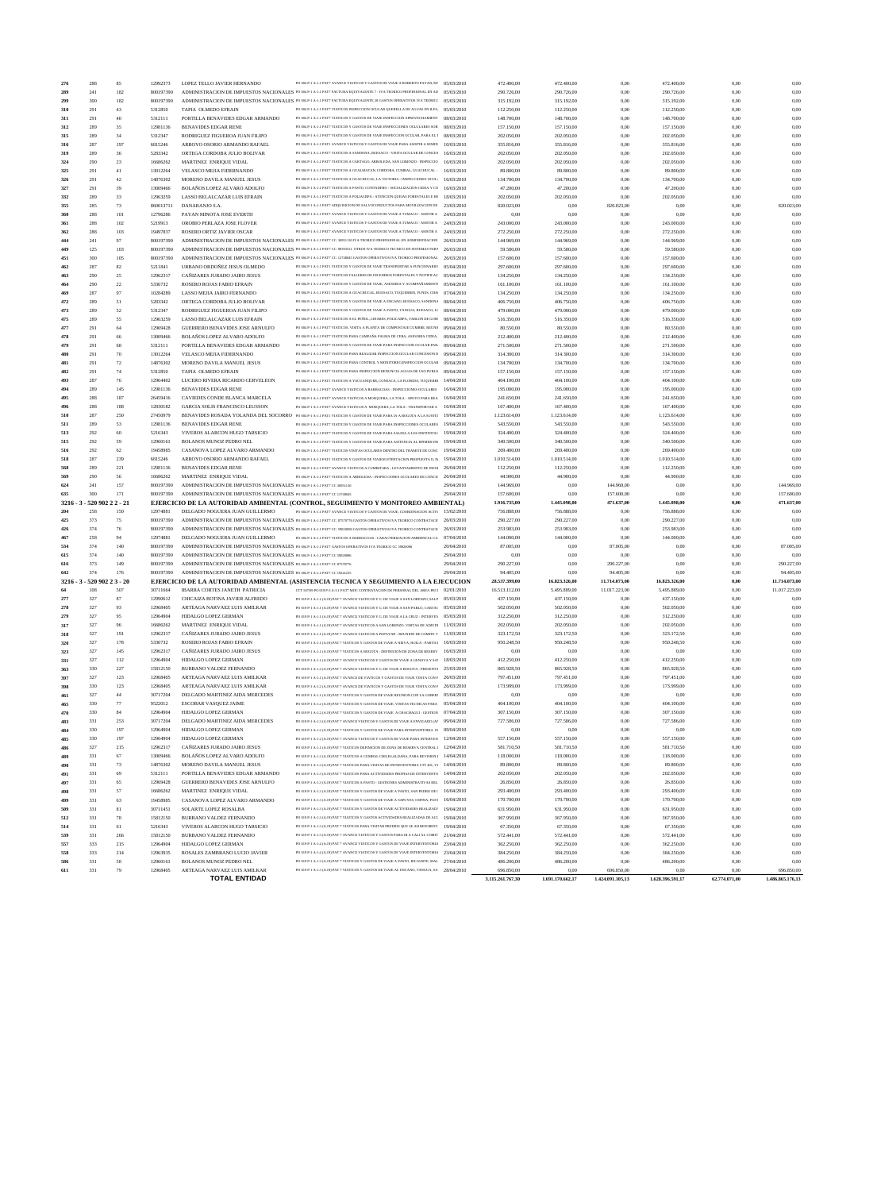| 276        | 288                         | 85     | 12992373  | LOPEZ TELLO JAVIER HERNANDO                                              | PO 004 P-1 A-1.1 PAT7 AVANCE VIATICOS Y GASTOS DE VIAJE A ROBERTO PAYAN, M/ 05/03/2010                                          |            | 472.400,00                     | 472.400,00               | 0.00                           | 472.400,00               | 0,00                  | 0.00                           |
|------------|-----------------------------|--------|-----------|--------------------------------------------------------------------------|---------------------------------------------------------------------------------------------------------------------------------|------------|--------------------------------|--------------------------|--------------------------------|--------------------------|-----------------------|--------------------------------|
| 289        | 241                         | 182    | 800197390 |                                                                          | ADMINISTRACION DE IMPUESTOS NACIONALES PO 004 P-1 A-1.1 PAT7 FACTURA EQUIVALENTE 7 - IVA TEORICO PROFESIONAL EN AD 05/03/2010   |            | 290.726,00                     | 290.726,00               | 0,00                           | 290.726,00               | 0,00                  | 0.00                           |
|            |                             |        |           |                                                                          |                                                                                                                                 |            |                                |                          |                                |                          |                       |                                |
| 299        | 300                         | 182    | 800197390 |                                                                          | ADMINISTRACION DE IMPUESTOS NACIONALES PO 004 P-1 A-1.1 PAT7 FACTURA EQUIVALENTE 20 GASTOS OPERATIVOS IVA TEORICC 05/03/2010    |            | 315.192,00                     | 315.192,00               | 0,00                           | 315.192,00               | 0,00                  | 0,00                           |
| 310        | 291                         | 43     | 5312850   | TAPIA OLMEDO EFRAIN                                                      | PO 004 P-1 A-1.1 PAT7 VIATICOS INSPECCION OCULAR QUERELLA DE AGUAS EN ILES, 05/03/2010                                          |            | 112.250,00                     | 112.250,00               | 0,00                           | 112.250,00               | 0,00                  | 0,00                           |
| 311        | 291                         | 40     | 5312111   | PORTILLA BENAVIDES EDGAR ARMANDO                                         | PO 004 P-1 A-1.1 PAT7 VIATICOS Y GASTOS DE VIAJE INSPECCION APROVECHAMIENT                                                      | 08/03/2010 | 148.700,00                     | 148.700,00               | 0,00                           | 148.700,00               | 0,00                  | 0.00                           |
| 312        | 289                         | 35     | 12981136  | <b>BENAVIDES EDGAR RENE</b>                                              | PO 004 P-1 A-1.1 PAT7 VIATICOS Y GASTOS DE VIAJE INSPECCIONES OCLULARES SOB: 08/03/2010                                         |            | 157.150,00                     | 157.150,00               | 0,00                           | 157.150,00               | 0,00                  | 0,00                           |
|            | 289                         | 34     | 5312347   |                                                                          | PO 004 P-1 A-1.1 PAT7 VIATICOS Y GASTOS DE VIAJE INSPECCION OCULAR, PARA EL 1                                                   | 08/03/2010 |                                |                          |                                |                          |                       | 0,00                           |
| 315        |                             |        |           | RODRIGUEZ FIGUEROA JUAN FILIPO                                           |                                                                                                                                 |            | 202.050,00                     | 202.050,00               | 0,00                           | 202.050,00               | 0,00                  |                                |
| 316        | 287                         | 197    | 6815246   | ARROYO OSORIO ARMANDO RAFAEL                                             | PO 004 P-1 A-1.1 PAT1 AVANCE VIATICOS Y GASTOS DE VIAJE PARA ASISTIR A SEMIN                                                    | 10/03/2010 | 355.816,00                     | 355.816,00               | 0,00                           | 355.816,00               | 0,00                  | 0,00                           |
| 319        | 289                         | 36     | 5283342   | ORTEGA CORDOBA JULIO BOLIVAR                                             | PO 004 P-1 A-1.1 PAT7 VIATICOS A SANDONA, BUESACO - VISITA OCULAR DE CONCES   16/03/2010                                        |            | 202.050,00                     | 202.050,00               | 0,00                           | 202.050,00               | 0,00                  | 0,00                           |
| 324        | 290                         | 23     | 16686262  | MARTINEZ ENRIQUE VIDAL                                                   | PO 004 P-1 A-1.1 PAT7 VIATICOS A CARTAGO, ARBOLEDA, SAN LORENZO - INSPECCIO                                                     | 16/03/2010 | 202.050,00                     | 202.050,00               | 0,00                           | 202.050,00               | 0,00                  | 0,00                           |
|            | 291                         | 41     |           |                                                                          | PO 004 P-1 A-1.1 PAT7 VIATICOS A GUALMATAN, CORDOBA, CUMBAL, GUACHUCAL -                                                        | 16/03/2010 |                                |                          |                                | 89.800,00                |                       | 0,00                           |
| 325        |                             |        | 13012264  | VELASCO MEJIA FIDERNANDO                                                 |                                                                                                                                 |            | 89.800,00                      | 89.800,00                | 0,00                           |                          | 0,00                  |                                |
| 326        | 291                         | 42     | 14876302  | MORENO DAVILA MANUEL JESUS                                               | PO 004 P-1 A-1.1 PAT7 VIATICOS A GUACHUCAL, LA VICTORIA - INSPECCIONES OCUL                                                     | 16/03/2010 | 134.700,00                     | 134.700,00               | 0.00                           | 134.700,00               | 0.00                  | 0,00                           |
| 327        | 291                         | 39     | 13009466  | BOLAÑOS LOPEZ ALVARO ADOLFO                                              | PO 004 P-1 A-1.1 PAT7 VIATICOS A PASTO, CONTADERO - SOCIALIZACION CIDEA Y CO 16/03/2010                                         |            | 47.200,00                      | 47.200,00                | 0,00                           | 47.200,00                | 0,00                  | 0.00                           |
| 332        | 289                         | 33     | 12963259  | LASSO BELALCAZAR LUIS EFRAIN                                             | PO 004 P-1 A-1.1 PAT7 VIATICOS A POLIACRPA - ATENCION QUEJAS FORESTALES E HI 18/03/2010                                         |            | 202.050,00                     | 202.050,00               | 0,00                           | 202.050,00               | 0,00                  | 0,00                           |
| 355        | 285                         | 73     | 860013711 | DANARANJO S.A.                                                           | PO 004 P-1 A-1.1 PAT7 ADOUISICION DE SALVOCONDUCTOS PARA MOVILIZACION DE 23/03/2010                                             |            | 820.023,00                     | 0,00                     | 820.023,00                     | 0,00                     | 0,00                  | 820.023,00                     |
|            |                             |        |           |                                                                          |                                                                                                                                 |            |                                |                          |                                |                          |                       |                                |
| 360        | 288                         | 101    | 12796286  | PAYAN MINOTA JOSE EVERTH                                                 | PO 004 P-1 A-1.1 PAT7 AVANCE VIATICOS Y GASTOS DE VIAJE A TUMACO - ASISTIR A                                                    | 24/03/2010 | 0,00                           | 0,00                     | 0,00                           | 0,00                     | 0,00                  | 0,00                           |
| 361        | 288                         | 102    | 5219913   | OROBIO PERLAZA JOSE FLOVER                                               | PO 004 P-1 A-1.1 PAT7 AVANCE VIATICOS Y GASTOS DE VIAJE A TUMACO - ASISTIR A                                                    | 24/03/2010 | 243.000,00                     | 243.000,00               | 0.00                           | 243.000,00               | 0,00                  | 0.00                           |
| 362        | 288                         | 103    | 19497837  | <b>ROSERO ORTIZ JAVIER OSCAR</b>                                         | PO 004 P-1 A-1.1 PAT7 AVANCE VIATICOS Y GASTOS DE VIAJE A TUMACO - ASISTIR A 24/03/2010                                         |            | 272.250,00                     | 272.250,00               | 0,00                           | 272.250,00               | 0,00                  | 0.00                           |
| 444        | 241                         | $97\,$ | 800197390 |                                                                          | ADMINISTRACION DE IMPUESTOS NACIONALES PO 004 P-1 A-1.1 PAT7 CC. 36951130 IVA TEORICO PROFESIONAL EN ADMINISTRACION 26/03/2010  |            | 144.969,00                     | 144.969,00               | 0,00                           | 144.969,00               | 0,00                  | 0,00                           |
|            |                             |        |           |                                                                          |                                                                                                                                 |            |                                |                          |                                |                          |                       |                                |
| 449        | 125                         | 103    | 800197390 |                                                                          | ADMINISTRACION DE IMPUESTOS NACIONALES PO 004 P-1 A-1.1 PAT7 CC. 98393521 OTROS IVA TEORICO TECNICO EN SISTEMAS PARA 26/03/2010 |            | 59.580,00                      | 59.580,00                | 0,00                           | 59.580,00                | 0,00                  | 0,00                           |
| 451        | 300                         | 105    | 800197390 |                                                                          | ADMINISTRACION DE IMPUESTOS NACIONALES PO 004 P-1 A-1.1 PAT7 CC. 12748045 GASTOS OPERATIVOS IVA TEORICO PROFESIONAL 26/03/2010  |            | 157.600,00                     | 157.600,00               | 0,00                           | 157.600,00               | 0,00                  | 0.00                           |
| 462        | 287                         | 82     | 5211841   | URBANO ORDOÑEZ JESUS OLMEDO                                              | PO 004 P-1 A-1.1 PAT1 VIATICOS Y GASTOS DE VIAJE TRANSPORTAR A FUNCIONARIO: 05/04/2010                                          |            | 297.600,00                     | 297.600,00               | 0.00                           | 297.600,00               | 0,00                  | 0,00                           |
|            | 290                         | 25     | 12962317  | CAÑIZARES JURADO JAIRO JESUS                                             | PO 004 P-1 A-1.1 PAT7 VIATICOS TALLERES DE INCENDIOS FORESTALES Y NOTIFICAC 05/04/2010                                          |            | 134.250,00                     | 134.250,00               | 0,00                           | 134.250,00               | 0,00                  | 0.00                           |
| 463        |                             |        |           |                                                                          |                                                                                                                                 |            |                                |                          |                                |                          |                       |                                |
| 464        | 290                         | $22\,$ | 5336732   | ROSERO ROJAS FABIO EFRAIN                                                | PO 004 P-1 A-1.1 PAT7 VIATICOS Y GASTOS DE VIAJE, ASESORIA Y ACOMPAÑAMIENT( 05/04/2010                                          |            | 161.100,00                     | 161.100,00               | 0,00                           | 161.100,00               | 0,00                  | 0,00                           |
| 469        | 287                         | 97     | 10284289  | LASSO MEJIA JAIRO FERNANDO                                               | PO 004 P-1 A-1.1 PAT1 VIATICOS A GUACHUCAL, BUESACO, TUQUERRES, FUNES, CHA  07/04/2010                                          |            | 134.250,00                     | 134.250,00               | 0,00                           | 134.250,00               | 0,00                  | 0,00                           |
| 472        | 289                         | 51     | 5283342   | ORTEGA CORDOBA JULIO BOLIVAR                                             | PO 004 P-1 A-1.1 PAT7 VIATICOS Y GASTOS DE VIAJE A ENCANO, BUESACO, SANDONA  08/04/2010                                         |            | 406.750,00                     | 406.750,00               | 0,00                           | 406.750,00               | 0,00                  | 0,00                           |
|            | 289                         | 52     | 5312347   | RODRIGUEZ FIGUEROA JUAN FILIPO                                           | PO 004 P-1 A-1.1 PAT7 VIATICOS Y GASTOS DE VIAJE A PASTO, TANGUA, BUESACO, LI 08/04/2010                                        |            |                                |                          |                                | 479.000,00               |                       | 0,00                           |
| 473        |                             |        |           |                                                                          |                                                                                                                                 |            | 479.000,00                     | 479.000,00               | 0,00                           |                          | 0,00                  |                                |
| 475        | 289                         | 55     | 12963259  | LASSO BELALCAZAR LUIS EFRAIN                                             | PO 004 P-1 A-1.1 PAT7 VIATICOS A EL PEÑOL, LINARES, POLICARPA, TABLON DE GOM                                                    | 08/04/2010 | 516.350,00                     | 516.350,00               | 0,00                           | 516.350,00               | 0,00                  | 0,00                           |
| 477        | 291                         | 64     | 12969428  | GUERRERO BENAVIDES JOSE ARNULFO                                          | PO 004 P-1 A-1.1 PAT7 VIATICOS, VISITA A PLANTA DE COMPOSTAJE CUMBRE, REUNI( 09/04/2010                                         |            | 80.550,00                      | 80.550,00                | 0,00                           | 80.550,00                | 0,00                  | 0,00                           |
| 478        | 291                         | 66     | 13009466  | BOLAÑOS LOPEZ ALVARO ADOLFO                                              | PO 004 P-1 A-1.1 PAT7 VIATICOS PARA CAMPAÑA PALMA DE CERA, ASESORIA CIDEA,                                                      | 09/04/2010 | 212.400,00                     | 212.400,00               | 0.00                           | 212.400,00               | 0.00                  | 0,00                           |
| 479        |                             |        |           |                                                                          | PO 004 P-1 A-1.1 PAT7 VIATICOS Y GASTOS DE VIAJE PARA INSPECCION OCULAR PAR. 09/04/2010                                         |            |                                |                          |                                |                          |                       | 0.00                           |
|            | 291                         | 68     | 5312111   | PORTILLA BENAVIDES EDGAR ARMANDO                                         |                                                                                                                                 |            | 271.500,00                     | 271.500,00               | 0,00                           | 271.500,00               | 0,00                  |                                |
| 480        | 291                         | 70     | 13012264  | VELASCO MEJIA FIDERNANDO                                                 | PO 004 P-1 A-1.1 PAT7 VIATICOS PARA REALIZAR INSPECCION OCULAR CONCESION D  09/04/2010                                          |            | 314.300,00                     | 314.300,00               | 0,00                           | 314.300,00               | 0,00                  | 0,00                           |
| 481        | 291                         | 72     | 14876302  | MORENO DAVILA MANUEL JESUS                                               | PO 004 P-1 A-1.1 PAT7 VIATICOS PARA CONTROL Y MONITOREO, INSPECCION OCULAR 09/04/2010                                           |            | 134.700,00                     | 134.700,00               | 0,00                           | 134.700,00               | 0.00                  | 0,00                           |
| 482        | 291                         | 74     | 5312850   | TAPIA OLMEDO EFRAIN                                                      | PO 004 P-1 A-1.1 PAT7 VIATICOS PARA INSPECCION DENUNCIA AGUAS DE USO PUBLIC 09/04/2010                                          |            | 157.150,00                     | 157.150,00               | 0,00                           | 157.150,00               | 0,00                  | 0,00                           |
|            |                             |        |           |                                                                          |                                                                                                                                 |            |                                |                          |                                |                          |                       |                                |
| 493        | 287                         | 76     | 12964402  | LUCERO RIVERA RICARDO CERVELEON                                          | PO 004 P-1 A-1.1 PAT1 VIATICOS A YACUANQUER, CONSACA, LA FLORIDA, TUQUERRI 14/04/2010                                           |            | 404.100,00                     | 404.100,00               | 0,00                           | 404.100,00               | 0,00                  | 0,00                           |
| 494        | 289                         | 145    | 12981136  | <b>BENAVIDES EDGAR RENE</b>                                              | PO 004 P-1 A-1.1 PAT7 AVANCE VIATICOS A BARBACOAS - INSPECCIONES OCULARES                                                       | 16/04/2010 | 195.000,00                     | 195.000,00               | 0,00                           | 195.000,00               | 0,00                  | 0,00                           |
| 495        | 288                         | 187    | 26459416  | CAVIEDES CONDE BLANCA MARCELA                                            | PO 004 P-1 A-1.1 PAT7 AVANCE VIATICOS A MOSQUERA, LA TOLA - APOYO PARA REA 16/04/2010                                           |            | 241.650,00                     | 241.650,00               | 0,00                           | 241.650,00               | 0,00                  | 0,00                           |
|            |                             |        |           |                                                                          |                                                                                                                                 |            |                                |                          |                                |                          |                       |                                |
| 496        | 288                         | 188    | 12830182  | GARCIA SOLIS FRANCISCO LEUSSON                                           | PO 004 P-1 A-1.1 PAT7 AVANCE VIATICOS A MOSQUERA, LA TOLA - TRANSPORTAR A                                                       | 16/04/2010 | 167.400,00                     | 167.400,00               | 0,00                           | 167.400,00               | 0,00                  | 0,00                           |
| 510        | 287                         | 250    | 27450979  |                                                                          | BENAVIDES ROSADA YOLANDA DEL SOCORRO PO 004 P-1 A-1.1 PATI VIATICOS Y GASTOS DE VIAJE PARA IA A BOGOTA A LA SUSTEP              | 19/04/2010 | 1.123.614,00                   | 1.123.614,00             | 0,00                           | 1.123.614,00             | 0,00                  | 0,00                           |
| 511        | 289                         | 53     | 12981136  | <b>BENAVIDES EDGAR RENE</b>                                              | PO 004 P-1 A-1.1 PAT7 VIATICOS Y GASTOS DE VIAJE PARA INSPECCIONES OCULARES 19/04/2010                                          |            | 543.550,00                     | 543.550,00               | 0,00                           | 543.550,00               | 0,00                  | 0,00                           |
| 513        | 292                         | 60     | 5216343   | VIVEROS ALARCON HUGO TARSICIO                                            | PO 004 P-1 A-1.1 PAT7 VIATICOS Y GASTOS DE VIAJE PARA SALIDA A LOS DISTINTOS !                                                  | 19/04/2010 | 324.400,00                     | 324.400,00               | 0,00                           | 324.400,00               | 0,00                  | 0,00                           |
|            |                             |        |           |                                                                          |                                                                                                                                 |            |                                |                          |                                |                          |                       |                                |
| 515        | 292                         | 59     | 12960161  | BOLANOS MUNOZ PEDRO NEL                                                  | PO 004 P-1 A-1.1 PAT7 VIATICOS Y GASTOS DE VIAJE PARA ASITENCIA AL RPIMER EN 19/04/2010                                         |            | 340.500,00                     | 340.500,00               | 0.00                           | 340.500,00               | 0,00                  | 0,00                           |
| 516        | 292                         | 62     | 19458985  | CASANOVA LOPEZ ALVARO ARMANDO                                            | PO 004 P-1 A-1.1 PAT7 VIATICOS VISITAS OCULARES DENTRO DEL TRAMITE DE CONC   19/04/2010                                         |            | 269.400,00                     | 269.400,00               | 0,00                           | 269.400,00               | 0,00                  | 0,00                           |
| 518        | 287                         | 239    | 6815246   | ARROYO OSORIO ARMANDO RAFAEL                                             | PO 004 P-1 A-1.1 PAT1 VIATICOS Y GASTOS DE VIAJESUSTENTACION PROPUESTA II, IM 19/04/2010                                        |            | 1.010.514,00                   | 1.010.514,00             | 0,00                           | 1.010.514,00             | 0,00                  | 0,00                           |
|            |                             | 221    | 12981136  | <b>BENAVIDES EDGAR RENE</b>                                              | PO 004 P-1 A-1.1 PAT7 AVANCE VIATICOS A CUMBITARA - LEVANTAMIENTO DE INFOI 26/04/2010                                           |            | 112.250,00                     | 112.250,00               | 0.00                           | 112.250,00               | 0,00                  | 0.00                           |
|            |                             |        |           |                                                                          |                                                                                                                                 |            |                                |                          |                                |                          |                       |                                |
| 568        | 289                         |        |           |                                                                          |                                                                                                                                 |            |                                |                          |                                |                          |                       |                                |
| 569        | 290                         | 56     | 16686262  | MARTINEZ ENRIQUE VIDAL                                                   | PO 004 P-1 A-1.1 PAT7 VIATICOS A ARBOLEDA - INSPECCIONES OCULARES DE CONCE: 26/04/2010                                          |            | 44.900,00                      | 44.900,00                | 0,00                           | 44.900,00                | 0,00                  | 0.00                           |
| 624        | 241                         | 157    | 800197390 | ADMINISTRACION DE IMPUESTOS NACIONALES PO 004 P-1 A-1.1 PAT7 CC 36951130 |                                                                                                                                 | 29/04/2010 | 144.969,00                     | 0,00                     | 144.969,00                     | 0,00                     | 0,00                  | 144.969,00                     |
| 635        | 300                         | 171    | 800197390 | ADMINISTRACION DE IMPUESTOS NACIONALES PO 004 P-1 A-1.1 PAT7 CC 12748045 |                                                                                                                                 | 29/04/2010 |                                |                          |                                |                          |                       |                                |
|            |                             |        |           |                                                                          |                                                                                                                                 |            | 157.600,00                     | 0,00                     | 157.600,00                     | 0,00                     | 0,00                  | 157.600,00                     |
| $3216 - 3$ | 520 902 2 2 - 21            |        |           |                                                                          | EJERCICIO DE LA AUTORIDAD AMBIENTAL (CONTROL, SEGUIMIENTO Y MONITOREO AMBIENTAL)                                                |            | 1.916.735,00                   | 1.445.098,00             | 471.637,00                     | 1.445.098,00             | 0.00                  | 471.637,00                     |
| 204        | 258                         | 150    | 12974881  | DELGADO NOGUERA JUAN GUILLERMO                                           | PO 004 P-1 A-1.1 PAT7 AVANCE VIATICOS Y GASTOS DE VIAIE, COORDINACION ACTIV 15/02/2010                                          |            | 756.888,00                     | 756.888,00               | 0,00                           | 756.888,00               | 0.00                  | 0,00                           |
| 425        | 373                         | 75     | 800197390 |                                                                          | ADMINISTRACION DE IMPUESTOS NACIONALES PO 004 P-1 A-1.1 PAT7 CC. 87570776 GASTOS OPERATIVOS IVA TEORICO CONTRATACI( 26/03/2010  |            | 290.227,00                     | 290.227,00               | 0.00                           | 290.227,00               | 0,00                  | 0.00                           |
|            | 374                         |        |           |                                                                          |                                                                                                                                 | 26/03/2010 |                                |                          | 0,00                           |                          |                       | 0.00                           |
| 426        |                             | 76     | 800197390 |                                                                          | ADMINISTRACION DE IMPUESTOS NACIONALES PO 004 P-1 A-1.1 PAT7 CC. 59820096 GASTOS OPERATIVOS IVA TEORICO CONTRATACIO             |            | 253.983,00                     | 253.983,00               |                                | 253.983,00               | 0,00                  |                                |
| 467        | 258                         | 94     | 12974881  | DELGADO NOGUERA JUAN GUILLERMO                                           | PO 004 P-1 A-1.1 PAT7 VIATICOS A BARBACOAS - CARACTERIZACION AMBIENTAL CA  07/04/2010                                           |            | 144.000,00                     | 144.000,00               | 0,00                           | 144.000,00               | 0,00                  | 0,00                           |
| 534        | 374                         | 140    | 800197390 |                                                                          | ADMINISTRACION DE IMPUESTOS NACIONALES PO 004 P-1 A-1.1 PAT7 GASTOS OPERATIVOS IVA TEORICO CC 59820096                          | 20/04/2010 | 87.005,00                      | 0,00                     | 87.005,00                      | 0,00                     | 0.00                  | 87.005,00                      |
| 615        | 374                         | 140    | 800197390 | ADMINISTRACION DE IMPUESTOS NACIONALES PO 004 P-1 A-1.1 PAT7 CC 59820096 |                                                                                                                                 | 29/04/2010 | 0,00                           | 0,00                     | 0,00                           | 0,00                     | 0,00                  | 0,00                           |
|            | 373                         | 149    | 800197390 |                                                                          |                                                                                                                                 | 29/04/2010 |                                | 0,00                     |                                | 0.00                     | 0.00                  | 290.227,00                     |
| 616        |                             |        |           | ADMINISTRACION DE IMPUESTOS NACIONALES PO 004 P-1 A-1.1 PAT7 CC 87570776 |                                                                                                                                 |            | 290.227,00                     |                          | 290.227,00                     |                          |                       |                                |
| 642        | 374                         | 176    | 800197390 | ADMINISTRACION DE IMPUESTOS NACIONALES PO 004 P-1 A-1.1 PAT7 CC 19241235 |                                                                                                                                 | 29/04/2010 | 94.405,00                      | 0.00                     | 94.405,00                      | 0.00                     | 0,00                  | 94.405,00                      |
|            | 3216 - 3 - 520 902 2 3 - 20 |        |           |                                                                          | EJERCICIO DE LA AUTORIDAD AMBIENTAL (ASISTENCIA TECNICA Y SEGUIMIENTO A LA EJECUCION                                            |            | 28.537.399,00                  | 16.823.326,00            | 11.714.073,00                  | 16.823.326,00            | 0,00                  | 11.714.073,00                  |
| 64         | 108                         | 507    | 30711664  | IBARRA CORTES JANETH PATRICIA                                            | CTT 507/09 PO 019 P-3 A-3.1 PAT7 MOC CONTRATACION DE PERSONAL DEL AREA PECI 02/01/2010                                          |            | 16.513.112.00                  | 5.495.889,00             | 11.017.223,00                  | 5.495.889,00             | 0,00                  | 11.017.223,00                  |
| 277        | 327                         | $87\,$ | 12990612  | CHICAIZA BOTINA JAVIER ALFREDO                                           | PO 019 P-1 A-1.1 (A.19) PAT 7 AVANCE VIATICOS Y G. DE VIAJE A SAN LORENZO, SALIT 05/03/2010                                     |            | 437.150,00                     | 437.150,00               | 0,00                           | 437.150,00               | 0,00                  | 0,00                           |
|            |                             |        |           |                                                                          | PO 019 P-1 A-1.1 (A.19) PAT 7 AVANCE VIATICOS Y G. DE VIAJE A SAN PABLO, CARTAC 05/03/2010                                      |            |                                |                          |                                |                          |                       |                                |
| 278        | 327                         | 93     | 12968405  | ARTEAGA NARVAEZ LUIS AMILKAR                                             |                                                                                                                                 |            | 502.050,00                     | 502.050,00               | 0,00                           | 502.050,00               | 0,00                  | 0,00                           |
| 279        | 327                         | 95     | 12964904  | HIDALGO LOPEZ GERMAN                                                     | PO 019 P-1 A-1.1 (A.19) PAT 7 AVANCE VIATICOS Y G. DE VIAJE A LA CRUZ - INTERVEN   05/03/2010                                   |            | 312.250,00                     | 312.250,00               | 0,00                           | 312.250,00               | 0,00                  | 0,00                           |
| 317        | 327                         | 96     | 16686262  | MARTINEZ ENRIQUE VIDAL                                                   | PO 019 P-1 A-1.1 (A.19) PAT 7 AVANCE VIATICOS A SAN LORENZO- VISITAS DE ADJUDI 1/03/2010                                        |            | 202.050,00                     | 202.050,00               | 0,00                           | 202.050,00               | 0,00                  | 0,00                           |
| 318        | 327                         | 191    | 12962317  | CAÑIZARES JURADO JAIRO JESUS                                             | PO 019 P-1 A-1.1 (A.19) PAT 7 AVANCE VIATICOS A POPAYAN - REUNION DE COMITE T 1/03/2010                                         |            | 323.172,50                     | 323.172,50               | 0.00                           | 323.172,50               | 0,00                  | 0,00                           |
|            |                             |        |           |                                                                          | PO 019 P-1 A-1.1 (A.19) PAT 7 VIATICOS Y GASTOS DE VIAJE A NEIVA, HUILA - PARTICI 16/03/2010                                    |            |                                |                          |                                |                          |                       |                                |
| 320        | 327                         | 178    | 5336732   | ROSERO ROJAS FABIO EFRAIN                                                |                                                                                                                                 |            | 950.248,50                     | 950.248,50               | 0,00                           | 950.248,50               | 0,00                  | 0,00                           |
| 323        | 327                         | 145    | 12962317  | CAÑIZARES JURADO JAIRO JESUS                                             | PO 019 P-1 A-1.1 (A.19) PAT 7 VIATICOS A BOGOTA - DEFINICION DE ZONA DE RESERV.   16/03/2010                                    |            | 0,00                           | 0,00                     | 0,00                           | 0,00                     | 0,00                  | 0,00                           |
| 331        | 327                         | 112    | 12964904  | HIDALGO LOPEZ GERMAN                                                     | PO 019 P-1 A-1.1 (A.19) PAT 7 AVANCE VIATICOS Y GASTOS DE VIAJE A GENOVA Y SAl 18/03/2010                                       |            | 412.250,00                     | 412.250,00               | 0.00                           | 412.250,00               | 0,00                  | 0,00                           |
| 363        | 330                         | 227    | 15812150  | BURBANO VALDEZ FERNANDO                                                  | PO 019 P-1 A-1.2 (A.19) PAT 7 AVANCE VIATICOS Y G. DE VIAJE A BOGOTA - PRESENTA 25/03/2010                                      |            | 865.928,50                     | 865.928,50               | 0,00                           | 865.928,50               | 0,00                  | 0,00                           |
|            |                             |        |           |                                                                          | PO 019 P-1 A-1.1 (A.19) PAT 7 AVANCE DE VIATICOS Y GASTOS DE VIAJE VISITA CON F 26/03/2010                                      |            |                                |                          |                                |                          |                       |                                |
| 397        | 327                         | 123    | 12968405  | ARTEAGA NARVAEZ LUIS AMILKAR                                             |                                                                                                                                 |            | 797.451,00                     | 797.451,00               | 0,00                           | 797.451,00               | 0,00                  | 0,00                           |
| 398        | 330                         | 123    | 12968405  | ARTEAGA NARVAEZ LUIS AMILKAR                                             | PO 019 P-1 A-1.2 (A.19) PAT 7 AVANCE DE VIATICOS Y GASTOS DE VIAJE VISITA CON F 26/03/2010                                      |            | 173.999,00                     | 173.999,00               | 0,00                           | 173.999,00               | 0,00                  | 0,00                           |
| 461        | 327                         | $44\,$ | 30717204  | DELGADO MARTINEZ AIDA MERCEDES                                           | PO 019 P-1 A-1.1 (A.19) PAT 7 VIATICOS Y GASTOS DE VIAJE REUNION CON LA GOBER? 05/04/2010                                       |            | 0,00                           | 0,00                     | 0,00                           | 0,00                     | 0,00                  | 0,00                           |
| 465        | 330                         | 77     | 9522012   | <b>ESCOBAR VASQUEZ JAIME</b>                                             | PO 019 P-1 A-1.2 (A.19) PAT 7 VIATICOS Y GASTOS DE VIAJE, VISITAS TECNICAS PARA   05/04/2010                                    |            | 404.100,00                     | 404.100,00               | 0.00                           | 404.100,00               | 0,00                  | 0,00                           |
| 470        | 330                         | $84\,$ | 12964904  | HIDALGO LOPEZ GERMAN                                                     | PO 019 P-1 A-1.2 (A.19) PAT 7 VIATICOS Y GASTOS DE VIAJE A CHACHAGUI - GESTION 07/04/2010                                       |            | 307.150,00                     | 307.150,00               | 0,00                           | 307.150,00               | 0,00                  | 0,00                           |
|            |                             |        |           |                                                                          |                                                                                                                                 |            |                                |                          |                                |                          |                       |                                |
| 483        | 331                         | 253    | 30717204  | DELGADO MARTINEZ AIDA MERCEDES                                           | PO 019 P-1 A-1.3 (A.19) PAT 7 AVANCE VIATICOS Y GASTOS DE VIAJE A ENVIGADO (AP 09/04/2010                                       |            | 727.586,00                     | 727.586,00               | 0,00                           | 727.586,00               | 0,00                  | 0,00                           |
| 484        | 330                         | 197    | 12964904  | HIDALGO LOPEZ GERMAN                                                     | PO 019 P-1 A-1.2 (A.19) PAT 7 VIATICOS Y GASTOS DE VIAJE PARA INTERVENTORIA IN 09/04/2010                                       |            | 0,00                           | 0,00                     | 0,00                           | 0,00                     | 0,00                  | 0,00                           |
| 485        | 330                         | 197    | 12964904  | HIDALGO LOPEZ GERMAN                                                     | PO 019 P-1 A-1.2 (A.19) PAT 7 AVANCE VIATICOS Y GASTOS DE VIAJE PARA INTERVEN 12/04/2010                                        |            | 557.150,00                     | 557.150,00               | 0,00                           | 557.150,00               | 0,00                  | 0,00                           |
|            | 327                         | 215    | 12962317  | CAÑIZARES JURADO JAIRO JESUS                                             | PO 019 P-1 A-1.1 (A.19) PAT 7 VIATICOS DEFINICION DE ZONA DE RESERVA CENTRAL 1 12/04/2010                                       |            | 581.710,50                     | 581.710,50               | 0,00                           | 581.710,50               | 0,00                  | 0,00                           |
| 486        |                             |        |           |                                                                          |                                                                                                                                 |            |                                |                          |                                |                          |                       |                                |
| 489        | 331                         | 67     | 13009466  | BOLAÑOS LOPEZ ALVARO ADOLFO                                              | PO 019 P-1 A-1.3 (A.19) PAT 7 VIATICOS A CUMBAL CHILES, ALDANA, PARA REVISION 1   14/04/2010                                    |            | 118.000,00                     | 118.000,00               | 0,00                           | 118.000,00               | 0,00                  | 0,00                           |
| 490        | 331                         | 73     | 14876302  | MORENO DAVILA MANUEL JESUS                                               | PO 019 P-1 A-1.3 (A.19) PAT 7 VIATICOS PARA VISITAS DE INTERVENTORIA CTT 401, VI 14/04/2010                                     |            | 89.800,00                      | 89.800,00                | 0,00                           | 89.800,00                | 0,00                  | 0,00                           |
| 491        | 331                         | 69     | 5312111   | PORTILLA BENAVIDES EDGAR ARMANDO                                         | PO 019 P-1 A-1.3 (A.19) PAT 7 VIATICOS PARA ACTIVIDADES PROPIAS DE INTERVENTO 14/04/2010                                        |            | 202.050,00                     | 202.050,00               | 0,00                           | 202.050,00               | 0,00                  | 0,00                           |
|            |                             |        |           | <b>GUERRERO BENAVIDES JOSE ARNULFO</b>                                   | PO 019 P-1 A-1.3 (A.19) PAT 7 VIATICOS A PASTO - GESTIONES ADMINISTRATIVAS REL 16/04/2010                                       |            |                                |                          |                                |                          |                       |                                |
| 497        | 331                         | 65     | 12969428  |                                                                          |                                                                                                                                 |            | 26.850,00                      | 26.850,00                | 0,00                           | 26.850,00                | 0,00                  | 0,00                           |
| 498        | 331                         | 57     | 16686262  | MARTINEZ ENRIQUE VIDAL                                                   | PO 019 P-1 A-1.3 (A.19) PAT 7 VIATICOS Y GASTOS DE VIAJE A PASTO, SAN PEDRO DE ( $16/04/2010$                                   |            | 293.400,00                     | 293.400,00               | 0,00                           | 293.400,00               | 0,00                  | 0,00                           |
| 499        | 331                         | 63     | 19458985  | CASANOVA LOPEZ ALVARO ARMANDO                                            | PO 019 P-1 A-1.3 (A.19) PAT 7 VIATICOS Y GASTOS DE VIAJE A SAPUYES, OSPINA, PAST 16/04/2010                                     |            | 170.700,00                     | 170.700,00               | 0,00                           | 170.700,00               | 0,00                  | 0,00                           |
| 509        | 331                         | 81     | 30711451  | SOLARTE LOPEZ ROSALBA                                                    | PO 019 P-1 A-1.3 (A.19) PAT 7 VIATICOS Y GASTOS DE VIAJE ACTIVIDADES REALIZAD/ 19/04/2010                                       |            | 631.950,00                     | 631.950,00               | 0,00                           | 631.950,00               | 0,00                  | 0,00                           |
|            | 331                         |        |           |                                                                          | PO 019 P-1 A-1.3 (A.19) PAT 7 VIATICOS Y GASTOS ACTIVIDADES REALIZADAS DE ACU 19/04/2010                                        |            |                                |                          | 0.00                           |                          |                       |                                |
| 512        |                             | 78     | 15812150  | <b>BURBANO VALDEZ FERNANDO</b>                                           |                                                                                                                                 |            | 367.950,00                     | 367.950,00               |                                | 367.950,00               | 0,00                  | 0,00                           |
| 514        | 331                         | 61     | 5216343   | VIVEROS ALARCON HUGO TARSICIO                                            | PO 019 P-1 A-1.3 (A.19) PAT 7 VIATICOS PARA VISITAR PREDIOS QUE SE AH REFOREST. 19/04/2010                                      |            | 67.350,00                      | 67.350,00                | 0,00                           | 67.350,00                | 0,00                  | 0,00                           |
| 539        | 331                         | 266    | 15812150  | <b>BURBANO VALDEZ FERNANDO</b>                                           | PO 019 P-1 A-1.3 (A.19) PAT 7 AVANCE VIATICOS Y GASTOS PARA IR A CALI AL COMIT 21/04/2010                                       |            | 572.441,00                     | 572.441,00               | 0,00                           | 572.441,00               | 0.00                  | 0,00                           |
| 557        | 333                         | 215    | 12964904  | HIDALGO LOPEZ GERMAN                                                     | PO 019 P-1 A-1.4 (A.19) PAT 7 AVANCE VIATICOS Y GASTOS DE VIAJE INTERVENTORIA 23/04/2010                                        |            | 362.250,00                     | 362.250,00               | 0.00                           | 362.250,00               | 0,00                  | 0,00                           |
| 558        | 333                         | 214    | 12963935  |                                                                          | PO 019 P-1 A-1.4 (A.19) PAT 7 AVANCE VIATICOS Y GASTOS DE VIAJE INTERVENTORIA 23/04/2010                                        |            | 384.250,00                     | 384.250,00               | 0,00                           | 384.250,00               | 0,00                  | 0,00                           |
|            |                             |        |           | ROSALES ZAMBRANO LUCIO JAVIER                                            |                                                                                                                                 |            |                                |                          |                                |                          |                       |                                |
| 586        | 331                         | 58     | 12960161  | BOLANOS MUNOZ PEDRO NEL                                                  | PO 019 P-1 A-1.3 (A.19) PAT 7 VIATICOS Y GASTOS DE VIAJE A PASTO, RICAURTE, MAL. 27/04/2010                                     |            | 486.200,00                     | 486.200,00               | 0,00                           | 486.200,00               | 0,00                  | 0,00                           |
| 611        | 331                         | 79     | 12968405  | ARTEAGA NARVAEZ LUIS AMILKAR<br><b>TOTAL ENTIDAD</b>                     | PO 019 P-1 A-1.3 (A.19) PAT 7 VIATICOS Y GASTOS DE VIAJE AL ENCANO, TANGUA, SA 28/04/2010                                       |            | 696.850,00<br>3.115.261.767,30 | 0,00<br>1.691.170.662,17 | 696.850,00<br>1.424.091.105,13 | 0,00<br>1.628.396.591,17 | 0,00<br>62.774.071,00 | 696.850,00<br>1.486.865.176,13 |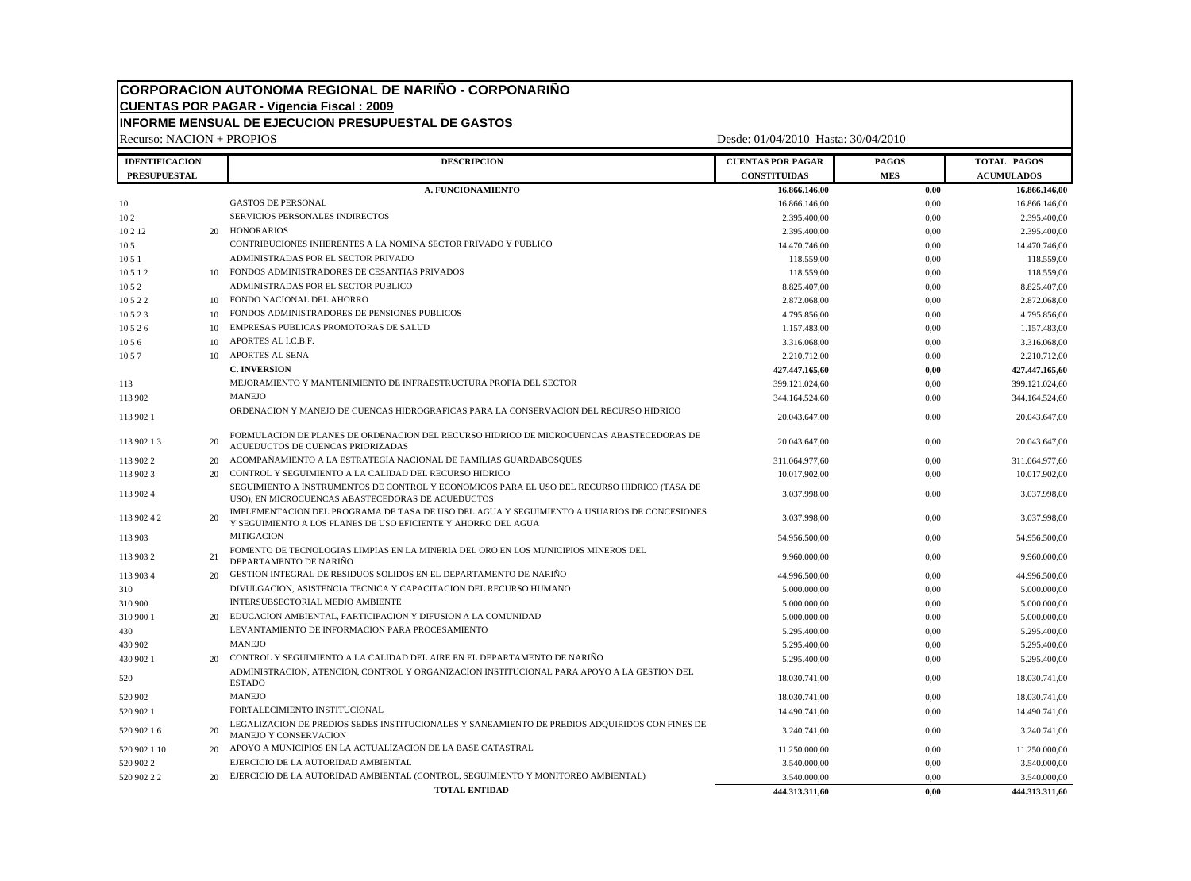# **CORPORACION AUTONOMA REGIONAL DE NARIÑO - CORPONARIÑO CUENTAS POR PAGAR - Vigencia Fiscal : 2009 INFORME MENSUAL DE EJECUCION PRESUPUESTAL DE GASTOS**

Recurso: NACION + PROPIOS Desde: 01/04/2010 Hasta: 30/04/2010 **IDENTIFICACION DESCRIPCION DESCRIPCION DESCRIPCION DESCRIPCION DESCRIPCION DESCRIPCION PRESUPUESTAL CONSTITUIDAS MES ACUMULADOS A. FUNCIONAMIENTO 16.866.146,00 0,00 16.866.146,00** 16.866.146,00 0,00 16.866.146,00 0,00 16.866.146,00 0 16.866.146,00 10 2 SERVICIOS PERSONALES INDIRECTOS 2.395.400,00 2.395.400,00 2.395.400,00 2.395.400,00 10 2 12 20 HONORARIOS 2.395.400,00 2.395.400,00 2.395.400,00 2.395.400,00 2.395.400,00 10 10 5 CONTRIBUCIONES INHERENTES A LA NOMINA SECTOR PRIVADO Y PUBLICO 1 21.470.746,00 14.470.746,00 0,00 14.470.746,00 10 10 118.559,00 **ADMINISTRADAS POR EL SECTOR PRIVADO** 118.559,00 118.559,00 0,00 118.559,00 118.559,00 118.559,00 10 10 118.559,00 118.559,00 118.559,00 118.559,00 118.559,00 118.559,00 118.559,00 118.559,00 118.559,00 118.559,00 10 5 2 ADMINISTRADAS POR EL SECTOR PUBLICO 6 2 8.825.407,00 8.825.407,00 8.825.407,00 8.825.407,00 10 5 2 2 10 FONDO NACIONAL DEL AHORRO 2.872.068,00 0,00 2.872.068,00 10 5 2 3 10 FONDOS ADMINISTRADORES DE PENSIONES PUBLICOS 4.795.856,00 4.795.856,00 0,00 4.795.856,00 10 10 5 2 6 10 EMPRESAS PUBLICAS PROMOTORAS DE SALUD 1.157.483,00 1.157.483,00 1.157.483,00 1.157.483,00 1.157.483,00 10 APORTES AL I.C.B.F. 2000 3.316.068,00 3.316.068,00 3.316.068,00 3.316.068,00 3.316.068,00 10 APORTES AL SENA 2.210.712,00 0,00 2.210.712,00 0,00 2.210.712,00 ORDENACION Y MANEJO DE CUENCAS HIDROGRAFICAS PARA LA CONSERVACION DEL RECURSO HIDRICO FORMULACION DE PLANES DE ORDENACION DEL RECURSO HIDRICO DE MICROCUENCAS ABASTECEDORAS DE IMPLEMENTACION DEL PROGRAMA DE TASA DE USO DEL AGUA Y SEGUIMIENTO A USUARIOS DE CONCESIONES

**C. INVERSION 427.447.165,60 0,00 427.447.165,60** 113 MEJORAMIENTO Y MANTENIMIENTO DE INFRAESTRUCTURA PROPIA DEL SECTOR 399.121.024,60 399.121.024,60 0,00 399.121.024,60 113 902 MANEJO 344.164.524,60 0,00 344.164.524,60 113 902 1 20.043.647,00 0,00 20.043.647,00 113 902 1 3 20 ACUEDUCTOS DE CUENCAS PRIORIZADAS 20.043.647,00 20.043.647,00 20.043.647,00 20.043.647,00 20.043.647,00 113 902 2 20 ACOMPAÑAMIENTO A LA ESTRATEGIA NACIONAL DE FAMILIAS GUARDABOSQUES 311.064.977,60 0,00 311.064.977,60 113 902 3 20 CONTROL Y SEGUIMIENTO A LA CALIDAD DEL RECURSO HIDRICO 10.017.902,00 0,00 10.017.902,00 113 902 4 SEGUIMIENTO A INSTRUMENTOS DE CONTROL Y ECONOMICOS PARA EL USO DEL RECURSO HIDRICO (TASA DE USO), EN MICROCUENCAS ABASTECEDORAS DE ACUEDUCTOS FARA EL 050 DEL RECORSO HIDRICO (1ASA DE 3.037.998,00 3.037.998,00 0,00 3.037.998,00 3.037.998,00 3.037.998,00 3.037.998,00 3.037.998,00 3.037.998,00 3.037.998,00 3.037.998 113 902 4 2 20 Y SEGUIMIENTO A LOS PLANES DE USO EFICIENTE Y AHORRO DEL AGUA 3.037.998,00 0,00 3.037.998,00 3.037.998,00 3.037.998,00 113 903 **MITIGACION 54.956.500,00** 54.956.500,00 54.956.500,00 54.956.500,00 113 903 2 21 FOMENTO DE TECNOLOGIAS LIMPIAS EN LA MINERIA DEL ORO EN LOS MUNICIPIOS MINEROS DEL DEPARTAMENTO DE NARIÑO 9.960.000,00 0,00 9.960.000,00 113 903 4 20 GESTION INTEGRAL DE RESIDUOS SOLIDOS EN EL DEPARTAMENTO DE NARIÑO 44.996.500,00 0,00 44.996.500,00  $310 \hspace{1.5mm} 5.000.000,00 \hspace{3.1mm} 0.00 \hspace{3.1mm} 5.000.000,00 \hspace{3.1mm} 5.000.000,00 \hspace{3.1mm} 5.000.000,00 \hspace{3.1mm} 5.0000,000 \hspace{3.1mm} 5.0000,000 \hspace{3.1mm} 5.0000,000 \hspace{3.1mm} 5.00000,000 \hspace{3.1mm} 5.00000,000 \hspace{3.1mm} 5.00$ 310 900 INTERSUBSECTORIAL MEDIO AMBIENTE 6 2000 2000 1000 5.000.000,00 5.000.000,00 5.000.000,00 5.000.000,00  $310\ 900\ 1 \hspace{20pt} 20 \hspace{20pt} \text{EDUCACION AMBIENTAL, PARTICIPACION Y DIFUSION A LA COMMIDAD} \hspace{30pt} 5.000.000.00 \hspace{30pt} 0.00 \hspace{30pt} 0.00 \hspace{30pt} 5.000.000.00 \hspace{30pt} 0.00 \hspace{30pt} 0.00 \hspace{30pt} 0.00 \hspace{30pt} 0.000 \hspace{30pt} 0.000 \hspace{30pt} 0.000 \hspace{30pt} 0.000$ 430 LEVANTAMIENTO DE INFORMACION PARA PROCESAMIENTO 600 5.295.400,00 600 5.295.400,00 5.295.400,00 430 902 MANEJO 6.295.400,00 5.295.400,00 5.295.400,00 5.295.400,00 430 902 1 20 CONTROL Y SEGUIMIENTO A LA CALIDAD DEL AIRE EN EL DEPARTAMENTO DE NARIÑO 5.295.400,00 0,00 0,00 5.295.400,00 5.295.400,00 <sup>520</sup> ADMINISTRACION, ATENCION, CONTROL Y ORGANIZACION INSTITUCIONAL PARA APOYO A LA GESTION DEL ESTADO 18.030.741,00 0,00 18.030.741,00 520 902 MANEJO 18.030.741,00 0,00 18.030.741,00 520 902 1 FORTALECIMIENTO INSTITUCIONAL 14.490.741,00 0,00 14.490.741,00 520 902 1 6 20 LEGALIZACION DE PREDIOS SEDES INSTITUCIONALES Y SANEAMIENTO DE PREDIOS ADQUIRIDOS CON FINES DE MANEJO Y CONSERVACION 3.240.741,00 0,00 3.240.741,00 0,00 3.240.741,00 520 902 1 10 20 APOYO A MUNICIPIOS EN LA ACTUALIZACION DE LA BASE CATASTRAL 11.250.000,00 11.250.000,00 0,00 11.250.000,00 11.250.000,00 520 902 2 EJERCICIO DE LA AUTORIDAD AMBIENTAL 3.540.000,00 3.540.000,00 3.540.000,00 3.540.000,00 520 902 2 2 20 EJERCICIO DE LA AUTORIDAD AMBIENTAL (CONTROL, SEGUIMIENTO Y MONITOREO AMBIENTAL) 3.540.000,00 3.540.000,00 0,00 3.540.000,00 **TOTAL ENTIDAD 444.313.311,60 0,00 444.313.311,60**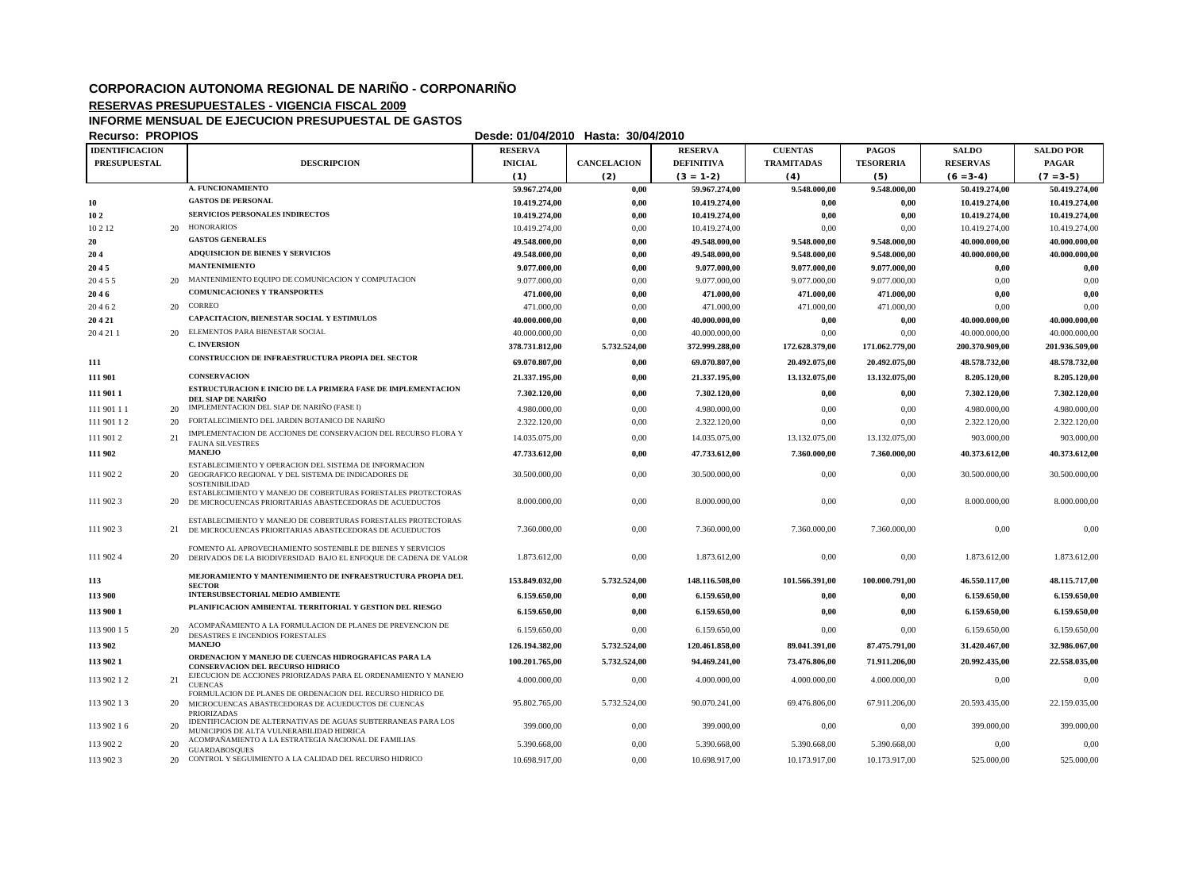## **CORPORACION AUTONOMA REGIONAL DE NARIÑO - CORPONARIÑO**

### **RESERVAS PRESUPUESTALES - VIGENCIA FISCAL 2009**

### **INFORME MENSUAL DE EJECUCION PRESUPUESTAL DE GASTOS**

**Recurso: PROPIOS Desde: 01/04/2010 Hasta: 30/04/2010**

| <b>IDENTIFICACION</b> |                                                                                                                                    | <b>RESERVA</b> |                    | <b>RESERVA</b>    | <b>CUENTAS</b>    | <b>PAGOS</b>     | <b>SALDO</b>    | <b>SALDO POR</b> |
|-----------------------|------------------------------------------------------------------------------------------------------------------------------------|----------------|--------------------|-------------------|-------------------|------------------|-----------------|------------------|
| <b>PRESUPUESTAL</b>   | <b>DESCRIPCION</b>                                                                                                                 | <b>INICIAL</b> | <b>CANCELACION</b> | <b>DEFINITIVA</b> | <b>TRAMITADAS</b> | <b>TESORERIA</b> | <b>RESERVAS</b> | <b>PAGAR</b>     |
|                       |                                                                                                                                    | (1)            | (2)                | $(3 = 1-2)$       | (4)               | (5)              | $(6 = 3-4)$     | $(7 = 3-5)$      |
|                       | A. FUNCIONAMIENTO                                                                                                                  | 59.967.274,00  | $0,\!00$           | 59.967.274,00     | 9.548.000,00      | 9.548.000,00     | 50.419.274,00   | 50.419.274,00    |
| 10                    | <b>GASTOS DE PERSONAL</b>                                                                                                          | 10.419.274,00  | 0,00               | 10.419.274,00     | 0,00              | 0,00             | 10.419.274,00   | 10.419.274,00    |
| 102                   | <b>SERVICIOS PERSONALES INDIRECTOS</b>                                                                                             | 10.419.274,00  | 0,00               | 10.419.274,00     | 0,00              | 0,00             | 10.419.274,00   | 10.419.274,00    |
| 10 2 12<br>20         | HONORARIOS                                                                                                                         | 10.419.274,00  | 0,00               | 10.419.274,00     | 0,00              | 0.00             | 10.419.274,00   | 10.419.274,00    |
| 20                    | <b>GASTOS GENERALES</b>                                                                                                            | 49.548.000,00  | 0,00               | 49.548.000,00     | 9.548.000,00      | 9.548.000,00     | 40.000.000,00   | 40.000.000,00    |
| 204                   | <b>ADQUISICION DE BIENES Y SERVICIOS</b>                                                                                           | 49.548.000,00  | 0,00               | 49.548.000,00     | 9.548.000,00      | 9.548.000,00     | 40.000.000,00   | 40.000.000,00    |
| 2045                  | <b>MANTENIMIENTO</b>                                                                                                               | 9.077.000,00   | 0,00               | 9.077.000,00      | 9.077.000,00      | 9.077.000,00     | 0,00            | $0,\!00$         |
| 20<br>20455           | MANTENIMIENTO EQUIPO DE COMUNICACION Y COMPUTACION                                                                                 | 9.077.000,00   | 0,00               | 9.077.000,00      | 9.077.000,00      | 9.077.000,00     | 0,00            | 0,00             |
| 2046                  | <b>COMUNICACIONES Y TRANSPORTES</b>                                                                                                | 471.000,00     | 0,00               | 471.000,00        | 471.000,00        | 471.000,00       | 0,00            | 0,00             |
| 20<br>20462           | CORREO                                                                                                                             | 471.000,00     | 0,00               | 471.000,00        | 471.000,00        | 471.000,00       | 0,00            | 0,00             |
| 20421                 | CAPACITACION, BIENESTAR SOCIAL Y ESTIMULOS                                                                                         | 40.000.000,00  | 0,00               | 40.000.000,00     | 0,00              | 0,00             | 40.000.000,00   | 40.000.000,00    |
| 20<br>204211          | ELEMENTOS PARA BIENESTAR SOCIAL                                                                                                    | 40.000.000,00  | 0,00               | 40.000.000,00     | 0,00              | 0,00             | 40.000.000,00   | 40.000.000,00    |
|                       | <b>C. INVERSION</b>                                                                                                                | 378.731.812,00 | 5.732.524,00       | 372.999.288,00    | 172.628.379,00    | 171.062.779,00   | 200.370.909,00  | 201.936.509,00   |
| 111                   | CONSTRUCCION DE INFRAESTRUCTURA PROPIA DEL SECTOR                                                                                  | 69.070.807.00  | 0,00               | 69.070.807,00     | 20.492.075.00     | 20.492.075.00    | 48.578.732,00   | 48.578.732,00    |
| 111 901               | <b>CONSERVACION</b>                                                                                                                | 21.337.195,00  | 0,00               | 21.337.195,00     | 13.132.075,00     | 13.132.075,00    | 8.205.120,00    | 8.205.120,00     |
| 111 901 1             | <b>ESTRUCTURACION E INICIO DE LA PRIMERA FASE DE IMPLEMENTACION</b><br>DEL SIAP DE NARIÑO                                          | 7.302.120,00   | 0,00               | 7.302.120,00      | 0,00              | 0,00             | 7.302.120,00    | 7.302.120,00     |
| 111 901 11<br>20      | IMPLEMENTACION DEL SIAP DE NARIÑO (FASE I)                                                                                         | 4.980.000,00   | 0,00               | 4.980.000,00      | 0,00              | 0,00             | 4.980.000,00    | 4.980.000,00     |
| 111 901 12<br>20      | FORTALECIMIENTO DEL JARDIN BOTANICO DE NARIÑO                                                                                      | 2.322.120,00   | 0,00               | 2.322.120,00      | 0,00              | 0,00             | 2.322.120.00    | 2.322.120,00     |
| 21<br>111 901 2       | IMPLEMENTACION DE ACCIONES DE CONSERVACION DEL RECURSO FLORA Y<br><b>FAUNA SILVESTRES</b>                                          | 14.035.075,00  | 0,00               | 14.035.075,00     | 13.132.075,00     | 13.132.075,00    | 903.000,00      | 903.000,00       |
| 111 902               | <b>MANEJO</b>                                                                                                                      | 47.733.612,00  | 0,00               | 47.733.612.00     | 7.360.000,00      | 7.360.000,00     | 40.373.612,00   | 40.373.612,00    |
| 111 902 2             | ESTABLECIMIENTO Y OPERACION DEL SISTEMA DE INFORMACION<br>20 GEOGRAFICO REGIONAL Y DEL SISTEMA DE INDICADORES DE                   | 30.500.000,00  | 0.00               | 30.500.000,00     | 0,00              | 0,00             | 30.500.000,00   | 30.500.000,00    |
|                       | <b>SOSTENIBILIDAD</b>                                                                                                              |                |                    |                   |                   |                  |                 |                  |
| 111 902 3             | ESTABLECIMIENTO Y MANEJO DE COBERTURAS FORESTALES PROTECTORAS<br>20 DE MICROCUENCAS PRIORITARIAS ABASTECEDORAS DE ACUEDUCTOS       | 8.000.000,00   | 0,00               | 8.000.000,00      | 0,00              | 0,00             | 8.000.000,00    | 8.000.000,00     |
| 111 902 3             | ESTABLECIMIENTO Y MANEJO DE COBERTURAS FORESTALES PROTECTORAS<br>21 DE MICROCUENCAS PRIORITARIAS ABASTECEDORAS DE ACUEDUCTOS       | 7.360.000,00   | 0,00               | 7.360.000,00      | 7.360.000,00      | 7.360.000,00     | 0,00            | 0,00             |
|                       |                                                                                                                                    |                |                    |                   |                   |                  |                 |                  |
| 111 902 4             | FOMENTO AL APROVECHAMIENTO SOSTENIBLE DE BIENES Y SERVICIOS<br>20 DERIVADOS DE LA BIODIVERSIDAD BAJO EL ENFOQUE DE CADENA DE VALOR | 1.873.612,00   | 0,00               | 1.873.612,00      | 0,00              | 0,00             | 1.873.612,00    | 1.873.612,00     |
|                       |                                                                                                                                    |                |                    |                   |                   |                  |                 |                  |
| 113                   | MEJORAMIENTO Y MANTENIMIENTO DE INFRAESTRUCTURA PROPIA DEL<br><b>SECTOR</b>                                                        | 153.849.032,00 | 5.732.524,00       | 148.116.508,00    | 101.566.391,00    | 100.000.791,00   | 46.550.117,00   | 48.115.717,00    |
| 113 900               | INTERSUBSECTORIAL MEDIO AMBIENTE                                                                                                   | 6.159.650,00   | 0,00               | 6.159.650,00      | 0,00              | 0,00             | 6.159.650,00    | 6.159.650,00     |
| 113 900 1             | PLANIFICACION AMBIENTAL TERRITORIAL Y GESTION DEL RIESGO                                                                           | 6.159.650,00   | 0,00               | 6.159.650,00      | 0,00              | 0,00             | 6.159.650,00    | 6.159.650,00     |
| 20<br>113 900 15      | ACOMPAÑAMIENTO A LA FORMULACION DE PLANES DE PREVENCION DE<br>DESASTRES E INCENDIOS FORESTALES                                     | 6.159.650,00   | 0,00               | 6.159.650,00      | 0,00              | 0,00             | 6.159.650,00    | 6.159.650,00     |
| 113 902               | <b>MANEJO</b>                                                                                                                      | 126.194.382,00 | 5.732.524,00       | 120.461.858,00    | 89.041.391,00     | 87.475.791,00    | 31.420.467,00   | 32.986.067,00    |
| 113 902 1             | ORDENACION Y MANEJO DE CUENCAS HIDROGRAFICAS PARA LA                                                                               | 100.201.765,00 | 5.732.524,00       | 94.469.241,00     | 73.476.806,00     | 71.911.206,00    | 20.992.435,00   | 22,558,035,00    |
|                       | <b>CONSERVACION DEL RECURSO HIDRICO</b><br>EJECUCION DE ACCIONES PRIORIZADAS PARA EL ORDENAMIENTO Y MANEJO                         |                |                    |                   |                   |                  |                 |                  |
| 21<br>113 902 12      | <b>CUENCAS</b>                                                                                                                     | 4.000.000,00   | 0,00               | 4.000.000,00      | 4.000.000,00      | 4.000.000,00     | 0,00            | 0,00             |
| 113 902 13<br>20      | FORMULACION DE PLANES DE ORDENACION DEL RECURSO HIDRICO DE<br>MICROCUENCAS ABASTECEDORAS DE ACUEDUCTOS DE CUENCAS                  | 95.802.765,00  | 5.732.524,00       | 90.070.241,00     | 69.476.806,00     | 67.911.206,00    | 20.593.435,00   | 22.159.035,00    |
| 20<br>113 902 16      | PRIORIZADAS<br>IDENTIFICACION DE ALTERNATIVAS DE AGUAS SUBTERRANEAS PARA LOS                                                       | 399.000,00     | 0,00               | 399.000,00        | 0,00              | 0,00             | 399.000,00      | 399.000,00       |
| 20<br>113 902 2       | MUNICIPIOS DE ALTA VULNERABILIDAD HIDRICA<br>ACOMPAÑAMIENTO A LA ESTRATEGIA NACIONAL DE FAMILIAS                                   | 5.390.668,00   | 0,00               | 5.390.668,00      | 5.390.668,00      | 5.390.668,00     | 0,00            | 0,00             |
| 20<br>113 902 3       | <b>GUARDABOSQUES</b><br>CONTROL Y SEGUIMIENTO A LA CALIDAD DEL RECURSO HIDRICO                                                     | 10.698.917,00  | 0,00               | 10.698.917,00     | 10.173.917,00     | 10.173.917,00    | 525.000,00      | 525.000,00       |
|                       |                                                                                                                                    |                |                    |                   |                   |                  |                 |                  |